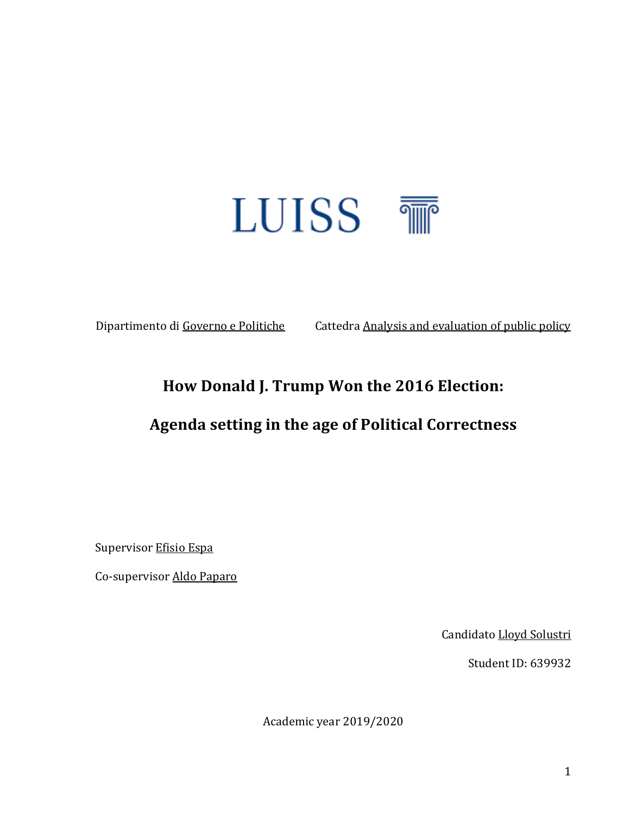

Dipartimento di Governo e Politiche Cattedra Analysis and evaluation of public policy

# How Donald J. Trump Won the 2016 Election:

# **Agenda setting in the age of Political Correctness**

Supervisor Efisio Espa

Co-supervisor Aldo Paparo

Candidato Lloyd Solustri

Student ID: 639932

Academic year 2019/2020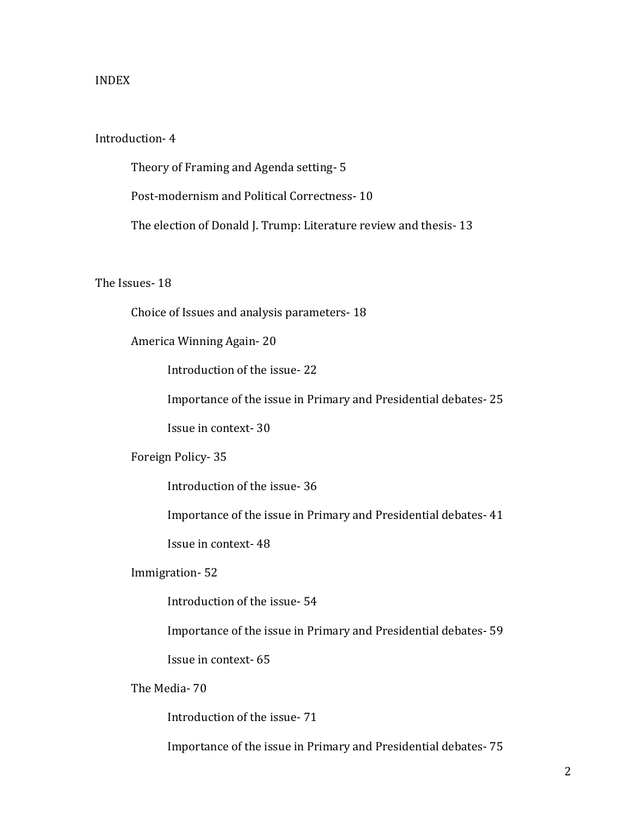# INDEX

# Introduction-4

Theory of Framing and Agenda setting- 5

Post-modernism and Political Correctness- 10

The election of Donald J. Trump: Literature review and thesis-13

### The Issues- 18

Choice of Issues and analysis parameters- 18

America Winning Again- 20

Introduction of the issue- 22

Importance of the issue in Primary and Presidential debates- 25

Issue in context- 30

# Foreign Policy- 35

Introduction of the issue- 36

Importance of the issue in Primary and Presidential debates- 41

Issue in context- 48

Immigration- 52

Introduction of the issue- 54

Importance of the issue in Primary and Presidential debates- 59

Issue in context- 65

The Media- 70

Introduction of the issue- 71

Importance of the issue in Primary and Presidential debates- 75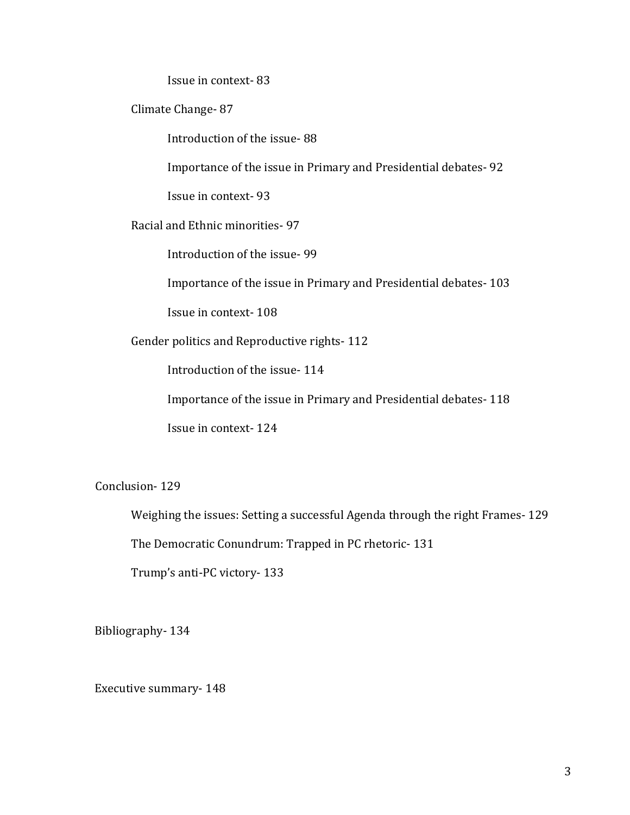Issue in context- 83

Climate Change- 87

Introduction of the issue- 88

Importance of the issue in Primary and Presidential debates- 92

Issue in context- 93

Racial and Ethnic minorities- 97

Introduction of the issue- 99

Importance of the issue in Primary and Presidential debates- 103

Issue in context- 108

Gender politics and Reproductive rights- 112

Introduction of the issue- 114

Importance of the issue in Primary and Presidential debates- 118

Issue in context- 124

Conclusion-129

Weighing the issues: Setting a successful Agenda through the right Frames- 129

The Democratic Conundrum: Trapped in PC rhetoric- 131

Trump's anti-PC victory- 133

Bibliography- 134

Executive summary- 148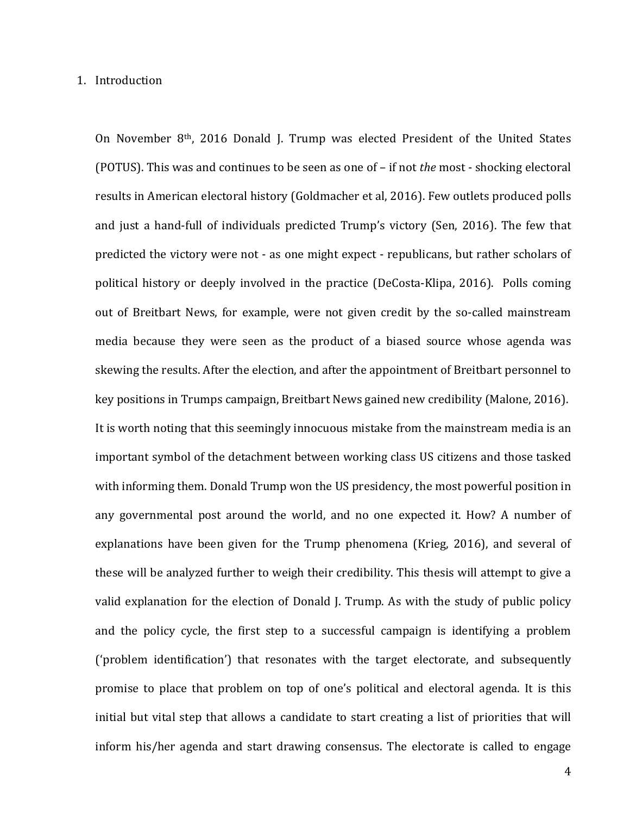#### 1. Introduction

On November  $8<sup>th</sup>$ , 2016 Donald J. Trump was elected President of the United States (POTUS). This was and continues to be seen as one of – if not *the* most - shocking electoral results in American electoral history (Goldmacher et al, 2016). Few outlets produced polls and just a hand-full of individuals predicted Trump's victory (Sen, 2016). The few that predicted the victory were not - as one might expect - republicans, but rather scholars of political history or deeply involved in the practice (DeCosta-Klipa, 2016). Polls coming out of Breitbart News, for example, were not given credit by the so-called mainstream media because they were seen as the product of a biased source whose agenda was skewing the results. After the election, and after the appointment of Breitbart personnel to key positions in Trumps campaign, Breitbart News gained new credibility (Malone, 2016). It is worth noting that this seemingly innocuous mistake from the mainstream media is an important symbol of the detachment between working class US citizens and those tasked with informing them. Donald Trump won the US presidency, the most powerful position in any governmental post around the world, and no one expected it. How? A number of explanations have been given for the Trump phenomena (Krieg, 2016), and several of these will be analyzed further to weigh their credibility. This thesis will attempt to give a valid explanation for the election of Donald J. Trump. As with the study of public policy and the policy cycle, the first step to a successful campaign is identifying a problem ('problem identification') that resonates with the target electorate, and subsequently promise to place that problem on top of one's political and electoral agenda. It is this initial but vital step that allows a candidate to start creating a list of priorities that will inform his/her agenda and start drawing consensus. The electorate is called to engage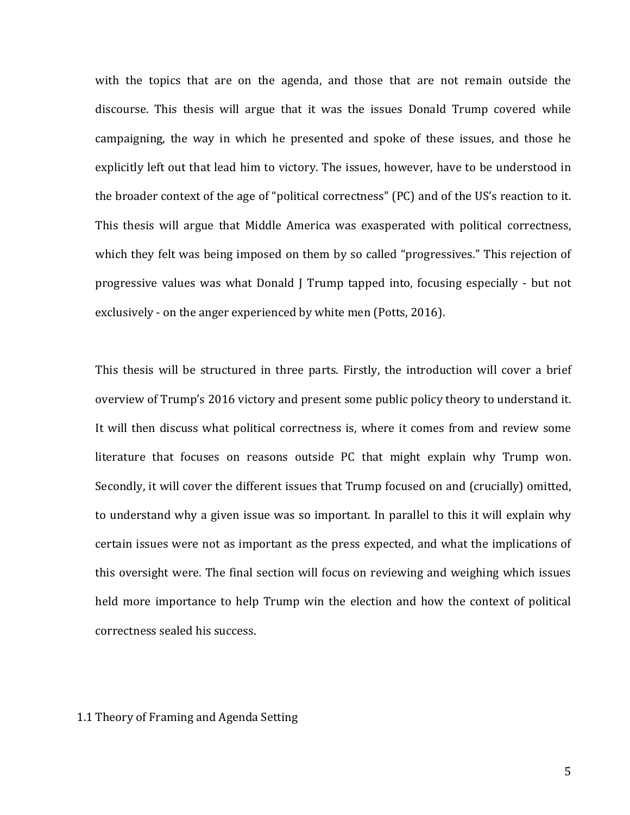with the topics that are on the agenda, and those that are not remain outside the discourse. This thesis will argue that it was the issues Donald Trump covered while campaigning, the way in which he presented and spoke of these issues, and those he explicitly left out that lead him to victory. The issues, however, have to be understood in the broader context of the age of "political correctness" (PC) and of the US's reaction to it. This thesis will argue that Middle America was exasperated with political correctness, which they felt was being imposed on them by so called "progressives." This rejection of progressive values was what Donald J Trump tapped into, focusing especially - but not exclusively - on the anger experienced by white men (Potts, 2016).

This thesis will be structured in three parts. Firstly, the introduction will cover a brief overview of Trump's 2016 victory and present some public policy theory to understand it. It will then discuss what political correctness is, where it comes from and review some literature that focuses on reasons outside PC that might explain why Trump won. Secondly, it will cover the different issues that Trump focused on and (crucially) omitted, to understand why a given issue was so important. In parallel to this it will explain why certain issues were not as important as the press expected, and what the implications of this oversight were. The final section will focus on reviewing and weighing which issues held more importance to help Trump win the election and how the context of political correctness sealed his success.

#### 1.1 Theory of Framing and Agenda Setting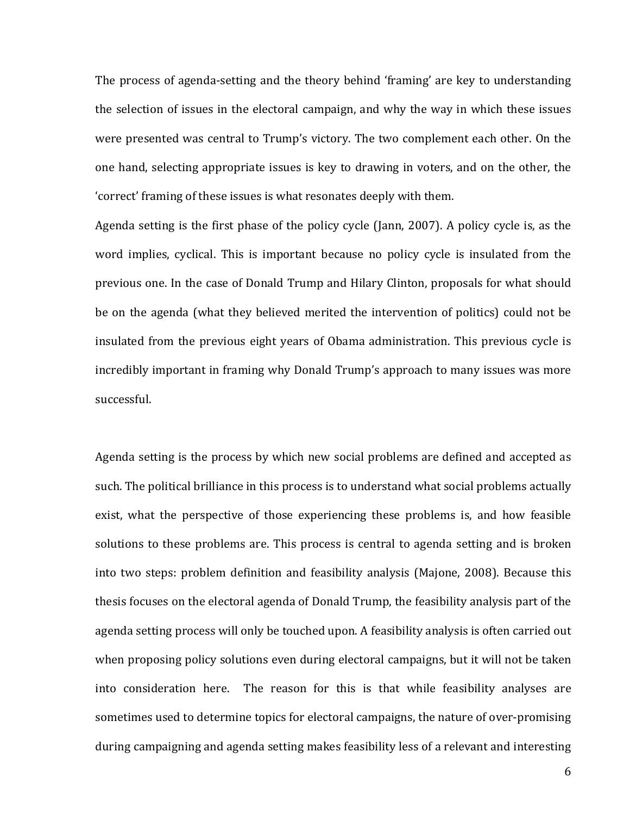The process of agenda-setting and the theory behind 'framing' are key to understanding the selection of issues in the electoral campaign, and why the way in which these issues were presented was central to Trump's victory. The two complement each other. On the one hand, selecting appropriate issues is key to drawing in voters, and on the other, the 'correct' framing of these issues is what resonates deeply with them.

Agenda setting is the first phase of the policy cycle (Jann, 2007). A policy cycle is, as the word implies, cyclical. This is important because no policy cycle is insulated from the previous one. In the case of Donald Trump and Hilary Clinton, proposals for what should be on the agenda (what they believed merited the intervention of politics) could not be insulated from the previous eight years of Obama administration. This previous cycle is incredibly important in framing why Donald Trump's approach to many issues was more successful. 

Agenda setting is the process by which new social problems are defined and accepted as such. The political brilliance in this process is to understand what social problems actually exist, what the perspective of those experiencing these problems is, and how feasible solutions to these problems are. This process is central to agenda setting and is broken into two steps: problem definition and feasibility analysis (Majone, 2008). Because this thesis focuses on the electoral agenda of Donald Trump, the feasibility analysis part of the agenda setting process will only be touched upon. A feasibility analysis is often carried out when proposing policy solutions even during electoral campaigns, but it will not be taken into consideration here. The reason for this is that while feasibility analyses are sometimes used to determine topics for electoral campaigns, the nature of over-promising during campaigning and agenda setting makes feasibility less of a relevant and interesting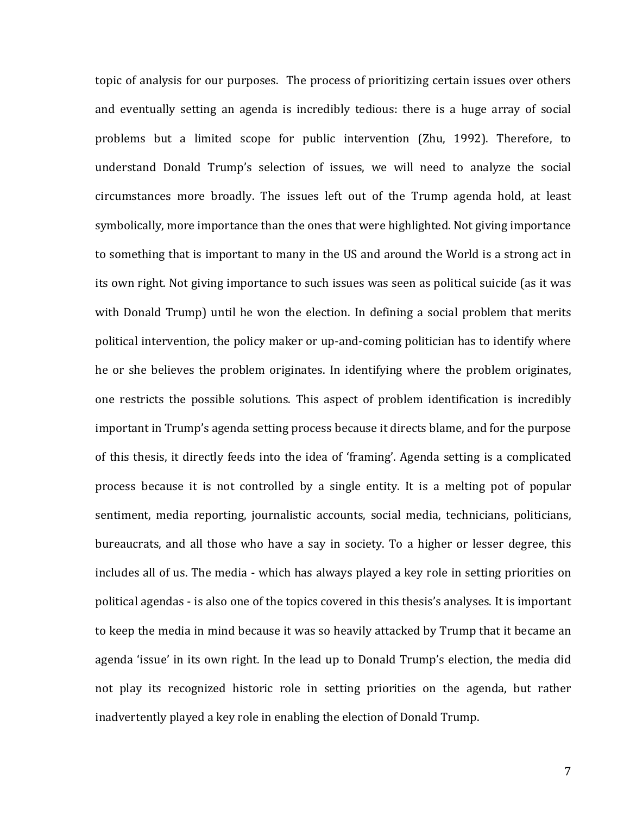topic of analysis for our purposes. The process of prioritizing certain issues over others and eventually setting an agenda is incredibly tedious: there is a huge array of social problems but a limited scope for public intervention (Zhu, 1992). Therefore, to understand Donald Trump's selection of issues, we will need to analyze the social circumstances more broadly. The issues left out of the Trump agenda hold, at least symbolically, more importance than the ones that were highlighted. Not giving importance to something that is important to many in the US and around the World is a strong act in its own right. Not giving importance to such issues was seen as political suicide (as it was with Donald Trump) until he won the election. In defining a social problem that merits political intervention, the policy maker or up-and-coming politician has to identify where he or she believes the problem originates. In identifying where the problem originates, one restricts the possible solutions. This aspect of problem identification is incredibly important in Trump's agenda setting process because it directs blame, and for the purpose of this thesis, it directly feeds into the idea of 'framing'. Agenda setting is a complicated process because it is not controlled by a single entity. It is a melting pot of popular sentiment, media reporting, journalistic accounts, social media, technicians, politicians, bureaucrats, and all those who have a say in society. To a higher or lesser degree, this includes all of us. The media - which has always played a key role in setting priorities on political agendas - is also one of the topics covered in this thesis's analyses. It is important to keep the media in mind because it was so heavily attacked by Trump that it became an agenda 'issue' in its own right. In the lead up to Donald Trump's election, the media did not play its recognized historic role in setting priorities on the agenda, but rather inadvertently played a key role in enabling the election of Donald Trump.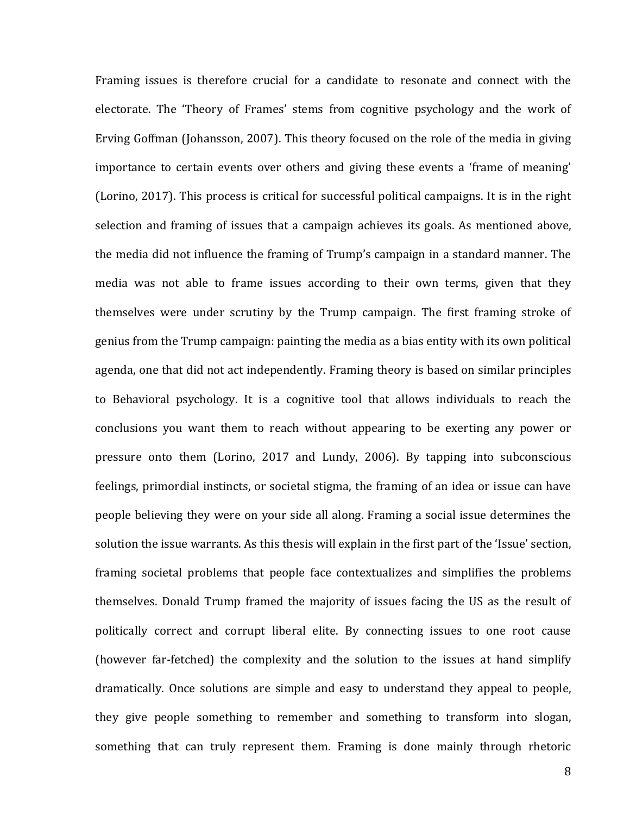Framing issues is therefore crucial for a candidate to resonate and connect with the electorate. The 'Theory of Frames' stems from cognitive psychology and the work of Erving Goffman (Johansson, 2007). This theory focused on the role of the media in giving importance to certain events over others and giving these events a 'frame of meaning' (Lorino, 2017). This process is critical for successful political campaigns. It is in the right selection and framing of issues that a campaign achieves its goals. As mentioned above, the media did not influence the framing of Trump's campaign in a standard manner. The media was not able to frame issues according to their own terms, given that they themselves were under scrutiny by the Trump campaign. The first framing stroke of genius from the Trump campaign: painting the media as a bias entity with its own political agenda, one that did not act independently. Framing theory is based on similar principles to Behavioral psychology. It is a cognitive tool that allows individuals to reach the conclusions you want them to reach without appearing to be exerting any power or pressure onto them (Lorino, 2017 and Lundy, 2006). By tapping into subconscious feelings, primordial instincts, or societal stigma, the framing of an idea or issue can have people believing they were on your side all along. Framing a social issue determines the solution the issue warrants. As this thesis will explain in the first part of the 'Issue' section, framing societal problems that people face contextualizes and simplifies the problems themselves. Donald Trump framed the majority of issues facing the US as the result of politically correct and corrupt liberal elite. By connecting issues to one root cause (however far-fetched) the complexity and the solution to the issues at hand simplify dramatically. Once solutions are simple and easy to understand they appeal to people, they give people something to remember and something to transform into slogan, something that can truly represent them. Framing is done mainly through rhetoric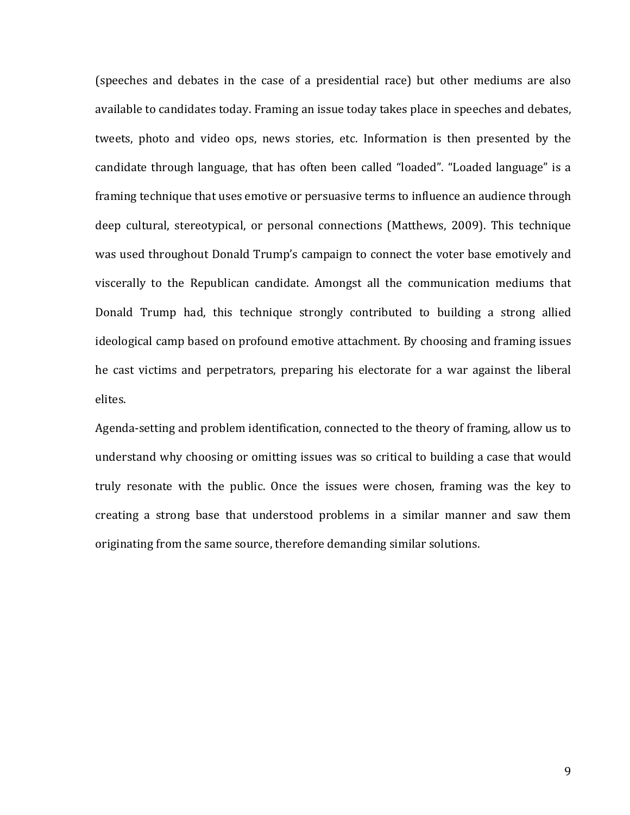(speeches and debates in the case of a presidential race) but other mediums are also available to candidates today. Framing an issue today takes place in speeches and debates, tweets, photo and video ops, news stories, etc. Information is then presented by the candidate through language, that has often been called "loaded". "Loaded language" is a framing technique that uses emotive or persuasive terms to influence an audience through deep cultural, stereotypical, or personal connections (Matthews, 2009). This technique was used throughout Donald Trump's campaign to connect the voter base emotively and viscerally to the Republican candidate. Amongst all the communication mediums that Donald Trump had, this technique strongly contributed to building a strong allied ideological camp based on profound emotive attachment. By choosing and framing issues he cast victims and perpetrators, preparing his electorate for a war against the liberal elites. 

Agenda-setting and problem identification, connected to the theory of framing, allow us to understand why choosing or omitting issues was so critical to building a case that would truly resonate with the public. Once the issues were chosen, framing was the key to creating a strong base that understood problems in a similar manner and saw them originating from the same source, therefore demanding similar solutions.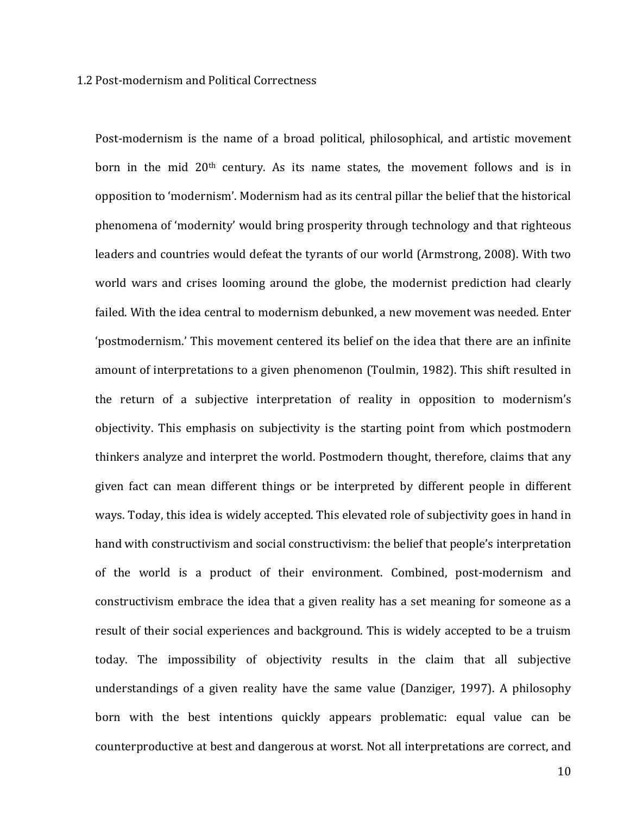### 1.2 Post-modernism and Political Correctness

Post-modernism is the name of a broad political, philosophical, and artistic movement born in the mid 20<sup>th</sup> century. As its name states, the movement follows and is in opposition to 'modernism'. Modernism had as its central pillar the belief that the historical phenomena of 'modernity' would bring prosperity through technology and that righteous leaders and countries would defeat the tyrants of our world (Armstrong, 2008). With two world wars and crises looming around the globe, the modernist prediction had clearly failed. With the idea central to modernism debunked, a new movement was needed. Enter 'postmodernism.' This movement centered its belief on the idea that there are an infinite amount of interpretations to a given phenomenon (Toulmin, 1982). This shift resulted in the return of a subjective interpretation of reality in opposition to modernism's objectivity. This emphasis on subjectivity is the starting point from which postmodern thinkers analyze and interpret the world. Postmodern thought, therefore, claims that any given fact can mean different things or be interpreted by different people in different ways. Today, this idea is widely accepted. This elevated role of subjectivity goes in hand in hand with constructivism and social constructivism: the belief that people's interpretation of the world is a product of their environment. Combined, post-modernism and constructivism embrace the idea that a given reality has a set meaning for someone as a result of their social experiences and background. This is widely accepted to be a truism today. The impossibility of objectivity results in the claim that all subjective understandings of a given reality have the same value (Danziger, 1997). A philosophy born with the best intentions quickly appears problematic: equal value can be counterproductive at best and dangerous at worst. Not all interpretations are correct, and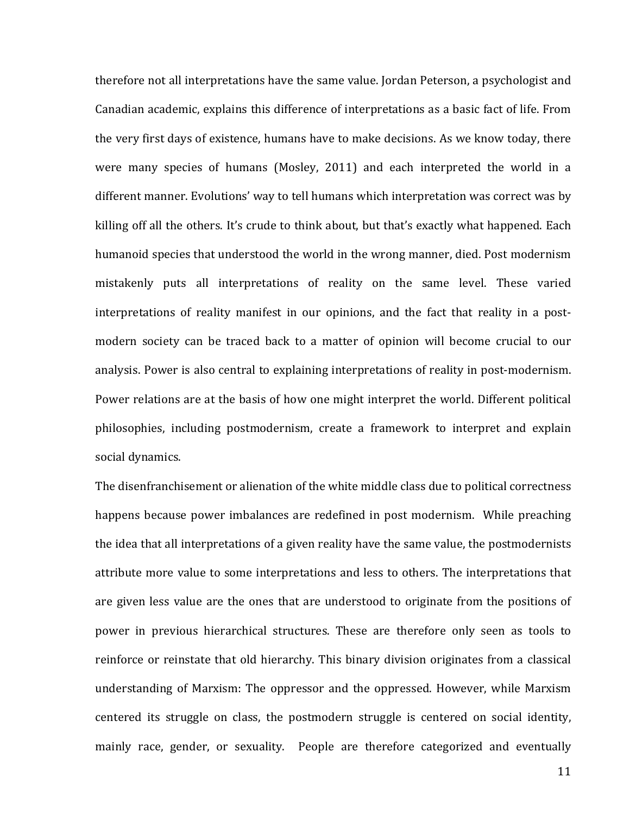therefore not all interpretations have the same value. Jordan Peterson, a psychologist and Canadian academic, explains this difference of interpretations as a basic fact of life. From the very first days of existence, humans have to make decisions. As we know today, there were many species of humans (Mosley, 2011) and each interpreted the world in a different manner. Evolutions' way to tell humans which interpretation was correct was by killing off all the others. It's crude to think about, but that's exactly what happened. Each humanoid species that understood the world in the wrong manner, died. Post modernism mistakenly puts all interpretations of reality on the same level. These varied interpretations of reality manifest in our opinions, and the fact that reality in a postmodern society can be traced back to a matter of opinion will become crucial to our analysis. Power is also central to explaining interpretations of reality in post-modernism. Power relations are at the basis of how one might interpret the world. Different political philosophies, including postmodernism, create a framework to interpret and explain social dynamics.

The disenfranchisement or alienation of the white middle class due to political correctness happens because power imbalances are redefined in post modernism. While preaching the idea that all interpretations of a given reality have the same value, the postmodernists attribute more value to some interpretations and less to others. The interpretations that are given less value are the ones that are understood to originate from the positions of power in previous hierarchical structures. These are therefore only seen as tools to reinforce or reinstate that old hierarchy. This binary division originates from a classical understanding of Marxism: The oppressor and the oppressed. However, while Marxism centered its struggle on class, the postmodern struggle is centered on social identity, mainly race, gender, or sexuality. People are therefore categorized and eventually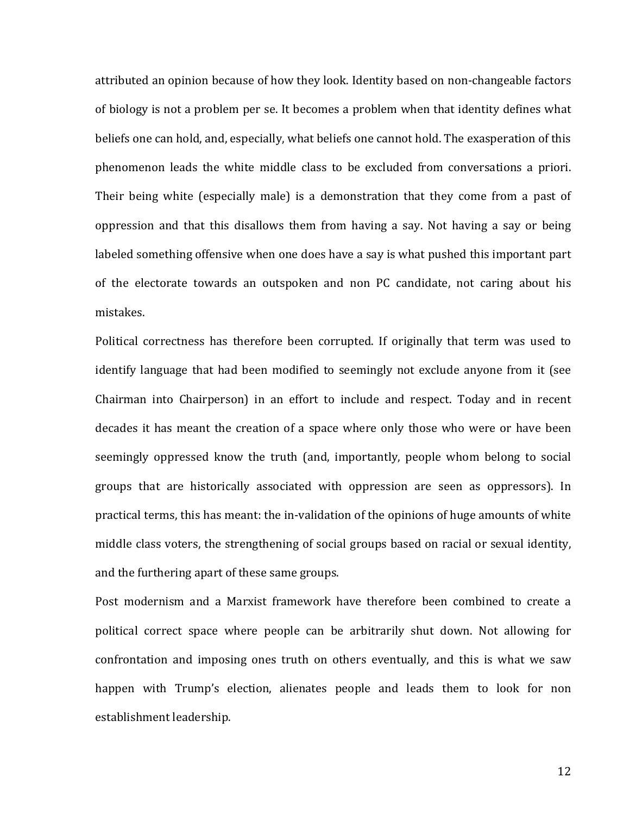attributed an opinion because of how they look. Identity based on non-changeable factors of biology is not a problem per se. It becomes a problem when that identity defines what beliefs one can hold, and, especially, what beliefs one cannot hold. The exasperation of this phenomenon leads the white middle class to be excluded from conversations a priori. Their being white (especially male) is a demonstration that they come from a past of oppression and that this disallows them from having a say. Not having a say or being labeled something offensive when one does have a say is what pushed this important part of the electorate towards an outspoken and non PC candidate, not caring about his mistakes. 

Political correctness has therefore been corrupted. If originally that term was used to identify language that had been modified to seemingly not exclude anyone from it (see Chairman into Chairperson) in an effort to include and respect. Today and in recent decades it has meant the creation of a space where only those who were or have been seemingly oppressed know the truth (and, importantly, people whom belong to social groups that are historically associated with oppression are seen as oppressors). In practical terms, this has meant: the in-validation of the opinions of huge amounts of white middle class voters, the strengthening of social groups based on racial or sexual identity, and the furthering apart of these same groups.

Post modernism and a Marxist framework have therefore been combined to create a political correct space where people can be arbitrarily shut down. Not allowing for confrontation and imposing ones truth on others eventually, and this is what we saw happen with Trump's election, alienates people and leads them to look for non establishment leadership.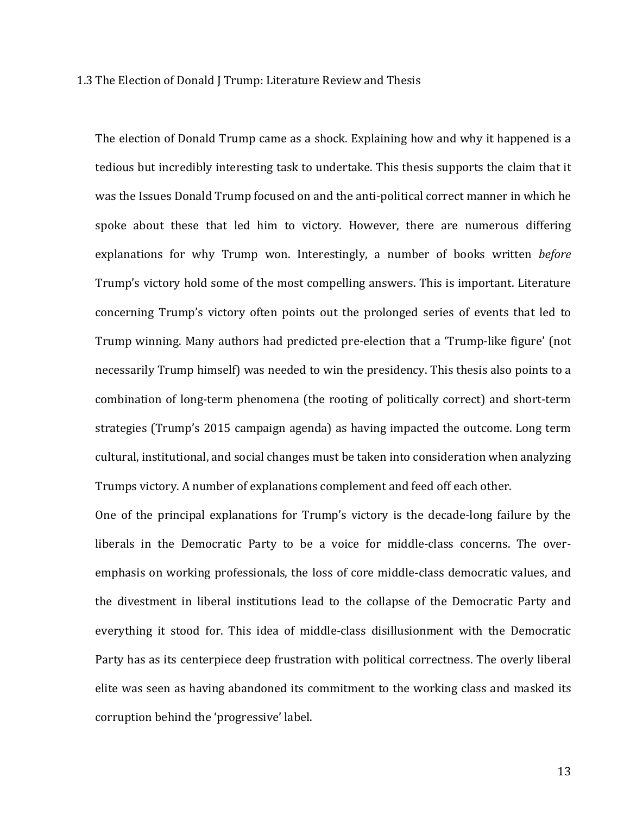1.3 The Election of Donald J Trump: Literature Review and Thesis

The election of Donald Trump came as a shock. Explaining how and why it happened is a tedious but incredibly interesting task to undertake. This thesis supports the claim that it was the Issues Donald Trump focused on and the anti-political correct manner in which he spoke about these that led him to victory. However, there are numerous differing explanations for why Trump won. Interestingly, a number of books written *before* Trump's victory hold some of the most compelling answers. This is important. Literature concerning Trump's victory often points out the prolonged series of events that led to Trump winning. Many authors had predicted pre-election that a 'Trump-like figure' (not necessarily Trump himself) was needed to win the presidency. This thesis also points to a combination of long-term phenomena (the rooting of politically correct) and short-term strategies (Trump's 2015 campaign agenda) as having impacted the outcome. Long term cultural, institutional, and social changes must be taken into consideration when analyzing Trumps victory. A number of explanations complement and feed off each other.

One of the principal explanations for Trump's victory is the decade-long failure by the liberals in the Democratic Party to be a voice for middle-class concerns. The overemphasis on working professionals, the loss of core middle-class democratic values, and the divestment in liberal institutions lead to the collapse of the Democratic Party and everything it stood for. This idea of middle-class disillusionment with the Democratic Party has as its centerpiece deep frustration with political correctness. The overly liberal elite was seen as having abandoned its commitment to the working class and masked its corruption behind the 'progressive' label.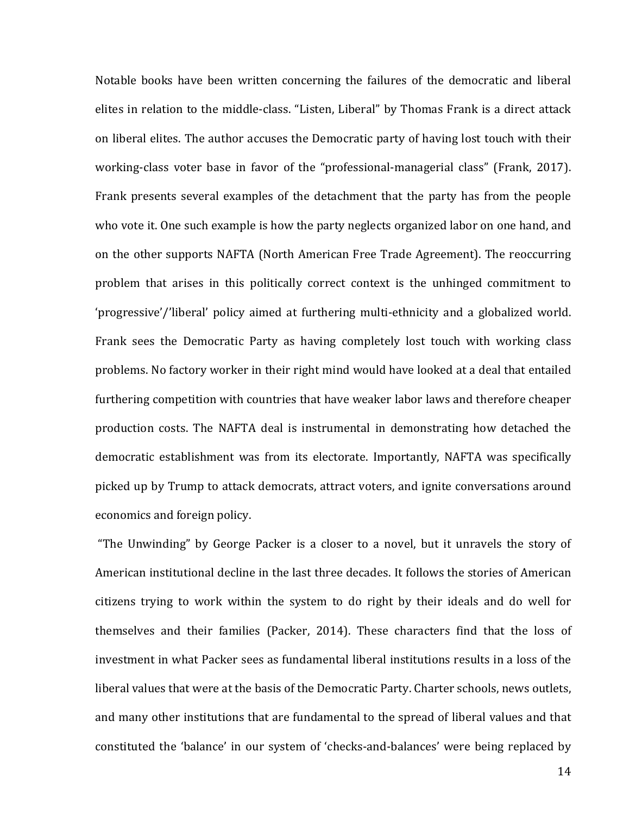Notable books have been written concerning the failures of the democratic and liberal elites in relation to the middle-class. "Listen, Liberal" by Thomas Frank is a direct attack on liberal elites. The author accuses the Democratic party of having lost touch with their working-class voter base in favor of the "professional-managerial class" (Frank, 2017). Frank presents several examples of the detachment that the party has from the people who vote it. One such example is how the party neglects organized labor on one hand, and on the other supports NAFTA (North American Free Trade Agreement). The reoccurring problem that arises in this politically correct context is the unhinged commitment to 'progressive'/'liberal' policy aimed at furthering multi-ethnicity and a globalized world. Frank sees the Democratic Party as having completely lost touch with working class problems. No factory worker in their right mind would have looked at a deal that entailed furthering competition with countries that have weaker labor laws and therefore cheaper production costs. The NAFTA deal is instrumental in demonstrating how detached the democratic establishment was from its electorate. Importantly, NAFTA was specifically picked up by Trump to attack democrats, attract voters, and ignite conversations around economics and foreign policy.

"The Unwinding" by George Packer is a closer to a novel, but it unravels the story of American institutional decline in the last three decades. It follows the stories of American citizens trying to work within the system to do right by their ideals and do well for themselves and their families (Packer, 2014). These characters find that the loss of investment in what Packer sees as fundamental liberal institutions results in a loss of the liberal values that were at the basis of the Democratic Party. Charter schools, news outlets, and many other institutions that are fundamental to the spread of liberal values and that constituted the 'balance' in our system of 'checks-and-balances' were being replaced by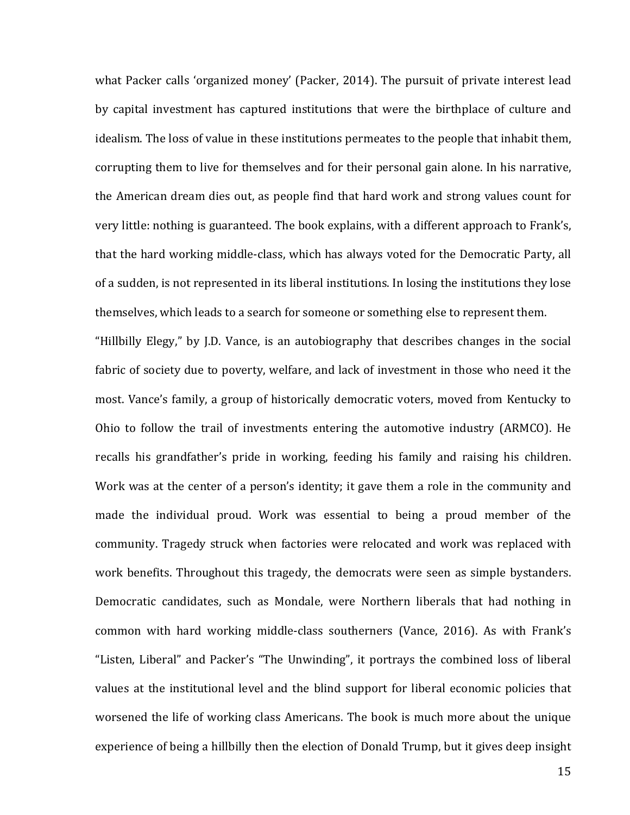what Packer calls 'organized money' (Packer, 2014). The pursuit of private interest lead by capital investment has captured institutions that were the birthplace of culture and idealism. The loss of value in these institutions permeates to the people that inhabit them, corrupting them to live for themselves and for their personal gain alone. In his narrative, the American dream dies out, as people find that hard work and strong values count for very little: nothing is guaranteed. The book explains, with a different approach to Frank's, that the hard working middle-class, which has always voted for the Democratic Party, all of a sudden, is not represented in its liberal institutions. In losing the institutions they lose themselves, which leads to a search for someone or something else to represent them.

"Hillbilly Elegy," by J.D. Vance, is an autobiography that describes changes in the social fabric of society due to poverty, welfare, and lack of investment in those who need it the most. Vance's family, a group of historically democratic voters, moved from Kentucky to Ohio to follow the trail of investments entering the automotive industry (ARMCO). He recalls his grandfather's pride in working, feeding his family and raising his children. Work was at the center of a person's identity; it gave them a role in the community and made the individual proud. Work was essential to being a proud member of the community. Tragedy struck when factories were relocated and work was replaced with work benefits. Throughout this tragedy, the democrats were seen as simple bystanders. Democratic candidates, such as Mondale, were Northern liberals that had nothing in common with hard working middle-class southerners (Vance, 2016). As with Frank's "Listen, Liberal" and Packer's "The Unwinding", it portrays the combined loss of liberal values at the institutional level and the blind support for liberal economic policies that worsened the life of working class Americans. The book is much more about the unique experience of being a hillbilly then the election of Donald Trump, but it gives deep insight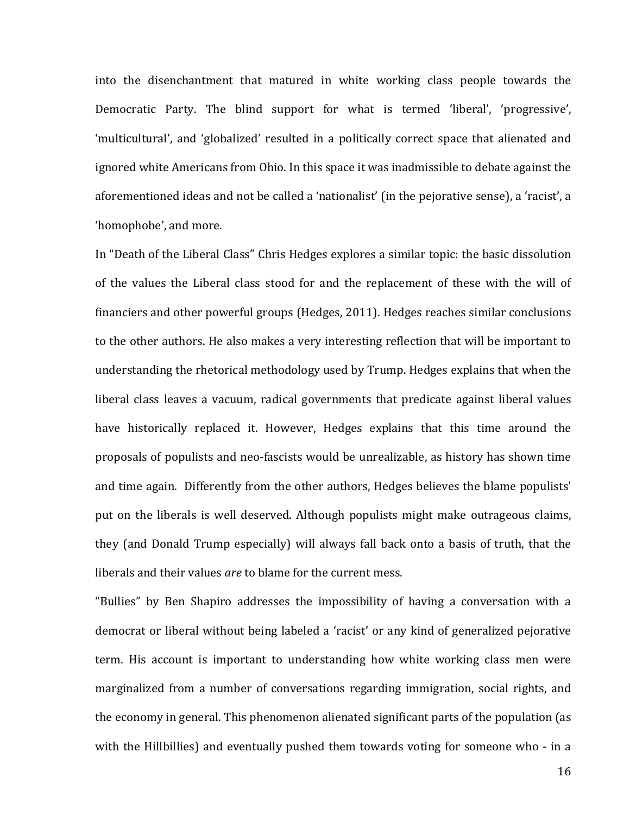into the disenchantment that matured in white working class people towards the Democratic Party. The blind support for what is termed 'liberal', 'progressive', 'multicultural', and 'globalized' resulted in a politically correct space that alienated and ignored white Americans from Ohio. In this space it was inadmissible to debate against the aforementioned ideas and not be called a 'nationalist' (in the pejorative sense), a 'racist', a 'homophobe', and more.

In "Death of the Liberal Class" Chris Hedges explores a similar topic: the basic dissolution of the values the Liberal class stood for and the replacement of these with the will of financiers and other powerful groups (Hedges, 2011). Hedges reaches similar conclusions to the other authors. He also makes a very interesting reflection that will be important to understanding the rhetorical methodology used by Trump. Hedges explains that when the liberal class leaves a vacuum, radical governments that predicate against liberal values have historically replaced it. However, Hedges explains that this time around the proposals of populists and neo-fascists would be unrealizable, as history has shown time and time again. Differently from the other authors, Hedges believes the blame populists' put on the liberals is well deserved. Although populists might make outrageous claims, they (and Donald Trump especially) will always fall back onto a basis of truth, that the liberals and their values *are* to blame for the current mess.

"Bullies" by Ben Shapiro addresses the impossibility of having a conversation with a democrat or liberal without being labeled a 'racist' or any kind of generalized pejorative term. His account is important to understanding how white working class men were marginalized from a number of conversations regarding immigration, social rights, and the economy in general. This phenomenon alienated significant parts of the population (as with the Hillbillies) and eventually pushed them towards voting for someone who - in a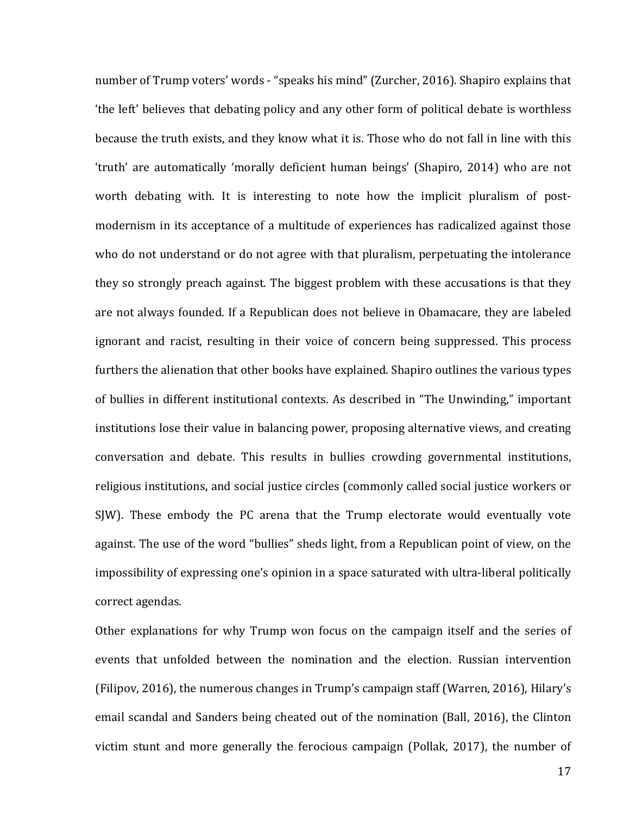number of Trump voters' words - "speaks his mind" (Zurcher, 2016). Shapiro explains that 'the left' believes that debating policy and any other form of political debate is worthless because the truth exists, and they know what it is. Those who do not fall in line with this 'truth' are automatically 'morally deficient human beings' (Shapiro, 2014) who are not worth debating with. It is interesting to note how the implicit pluralism of postmodernism in its acceptance of a multitude of experiences has radicalized against those who do not understand or do not agree with that pluralism, perpetuating the intolerance they so strongly preach against. The biggest problem with these accusations is that they are not always founded. If a Republican does not believe in Obamacare, they are labeled ignorant and racist, resulting in their voice of concern being suppressed. This process furthers the alienation that other books have explained. Shapiro outlines the various types of bullies in different institutional contexts. As described in "The Unwinding," important institutions lose their value in balancing power, proposing alternative views, and creating conversation and debate. This results in bullies crowding governmental institutions, religious institutions, and social justice circles (commonly called social justice workers or SJW). These embody the PC arena that the Trump electorate would eventually vote against. The use of the word "bullies" sheds light, from a Republican point of view, on the impossibility of expressing one's opinion in a space saturated with ultra-liberal politically correct agendas.

Other explanations for why Trump won focus on the campaign itself and the series of events that unfolded between the nomination and the election. Russian intervention (Filipov, 2016), the numerous changes in Trump's campaign staff (Warren, 2016), Hilary's email scandal and Sanders being cheated out of the nomination (Ball, 2016), the Clinton victim stunt and more generally the ferocious campaign (Pollak, 2017), the number of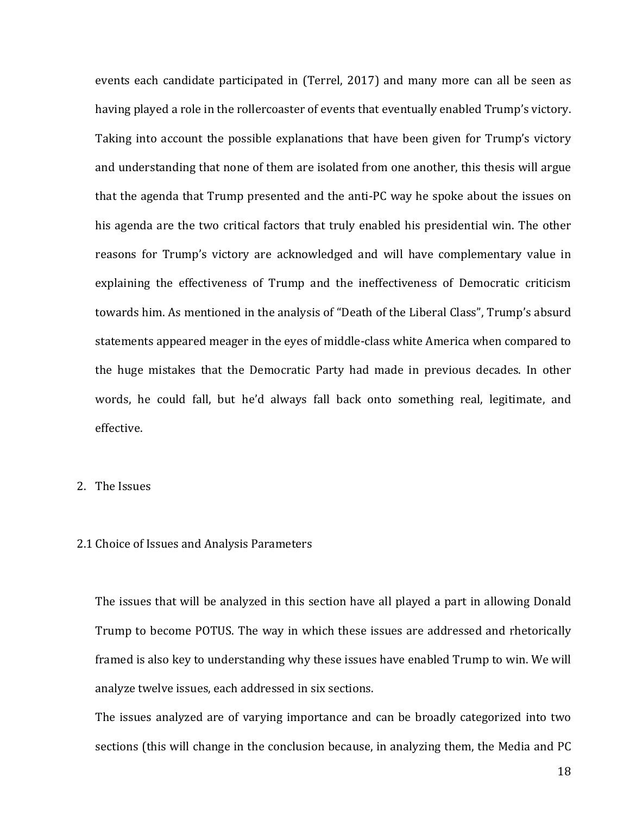events each candidate participated in (Terrel, 2017) and many more can all be seen as having played a role in the rollercoaster of events that eventually enabled Trump's victory. Taking into account the possible explanations that have been given for Trump's victory and understanding that none of them are isolated from one another, this thesis will argue that the agenda that Trump presented and the anti-PC way he spoke about the issues on his agenda are the two critical factors that truly enabled his presidential win. The other reasons for Trump's victory are acknowledged and will have complementary value in explaining the effectiveness of Trump and the ineffectiveness of Democratic criticism towards him. As mentioned in the analysis of "Death of the Liberal Class", Trump's absurd statements appeared meager in the eyes of middle-class white America when compared to the huge mistakes that the Democratic Party had made in previous decades. In other words, he could fall, but he'd always fall back onto something real, legitimate, and effective. 

#### 2. The Issues

#### 2.1 Choice of Issues and Analysis Parameters

The issues that will be analyzed in this section have all played a part in allowing Donald Trump to become POTUS. The way in which these issues are addressed and rhetorically framed is also key to understanding why these issues have enabled Trump to win. We will analyze twelve issues, each addressed in six sections.

The issues analyzed are of varying importance and can be broadly categorized into two sections (this will change in the conclusion because, in analyzing them, the Media and PC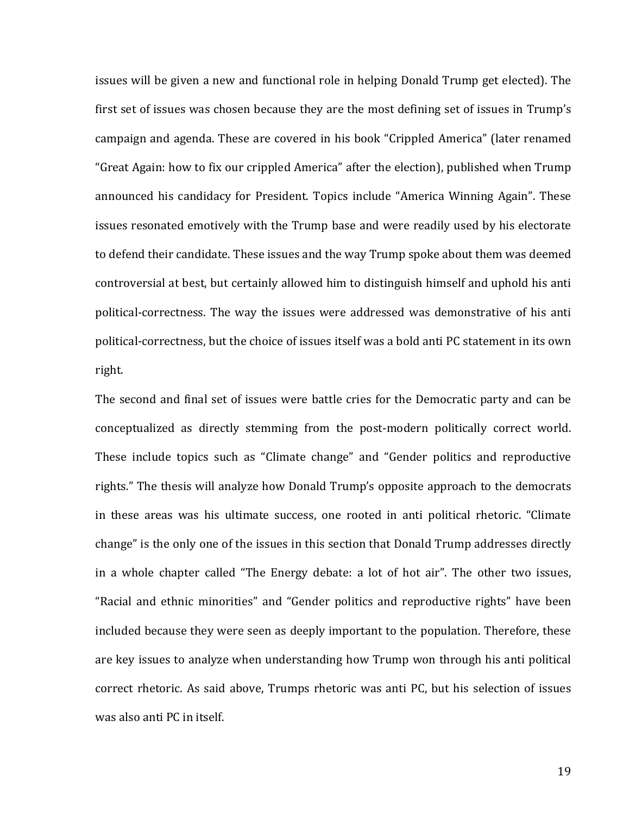issues will be given a new and functional role in helping Donald Trump get elected). The first set of issues was chosen because they are the most defining set of issues in Trump's campaign and agenda. These are covered in his book "Crippled America" (later renamed "Great Again: how to fix our crippled America" after the election), published when Trump announced his candidacy for President. Topics include "America Winning Again". These issues resonated emotively with the Trump base and were readily used by his electorate to defend their candidate. These issues and the way Trump spoke about them was deemed controversial at best, but certainly allowed him to distinguish himself and uphold his anti political-correctness. The way the issues were addressed was demonstrative of his anti political-correctness, but the choice of issues itself was a bold anti PC statement in its own right. 

The second and final set of issues were battle cries for the Democratic party and can be conceptualized as directly stemming from the post-modern politically correct world. These include topics such as "Climate change" and "Gender politics and reproductive rights." The thesis will analyze how Donald Trump's opposite approach to the democrats in these areas was his ultimate success, one rooted in anti political rhetoric. "Climate change" is the only one of the issues in this section that Donald Trump addresses directly in a whole chapter called "The Energy debate: a lot of hot air". The other two issues, "Racial and ethnic minorities" and "Gender politics and reproductive rights" have been included because they were seen as deeply important to the population. Therefore, these are key issues to analyze when understanding how Trump won through his anti political correct rhetoric. As said above, Trumps rhetoric was anti PC, but his selection of issues was also anti PC in itself.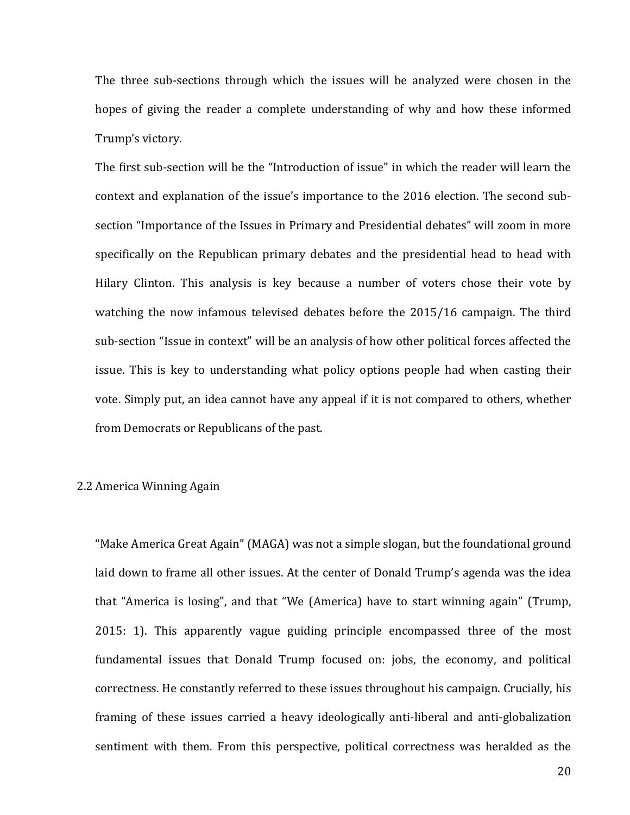The three sub-sections through which the issues will be analyzed were chosen in the hopes of giving the reader a complete understanding of why and how these informed Trump's victory.

The first sub-section will be the "Introduction of issue" in which the reader will learn the context and explanation of the issue's importance to the 2016 election. The second subsection "Importance of the Issues in Primary and Presidential debates" will zoom in more specifically on the Republican primary debates and the presidential head to head with Hilary Clinton. This analysis is key because a number of voters chose their vote by watching the now infamous televised debates before the  $2015/16$  campaign. The third sub-section "Issue in context" will be an analysis of how other political forces affected the issue. This is key to understanding what policy options people had when casting their vote. Simply put, an idea cannot have any appeal if it is not compared to others, whether from Democrats or Republicans of the past.

#### 2.2 America Winning Again

"Make America Great Again" (MAGA) was not a simple slogan, but the foundational ground laid down to frame all other issues. At the center of Donald Trump's agenda was the idea that "America is losing", and that "We (America) have to start winning again" (Trump, 2015: 1). This apparently vague guiding principle encompassed three of the most fundamental issues that Donald Trump focused on: jobs, the economy, and political correctness. He constantly referred to these issues throughout his campaign. Crucially, his framing of these issues carried a heavy ideologically anti-liberal and anti-globalization sentiment with them. From this perspective, political correctness was heralded as the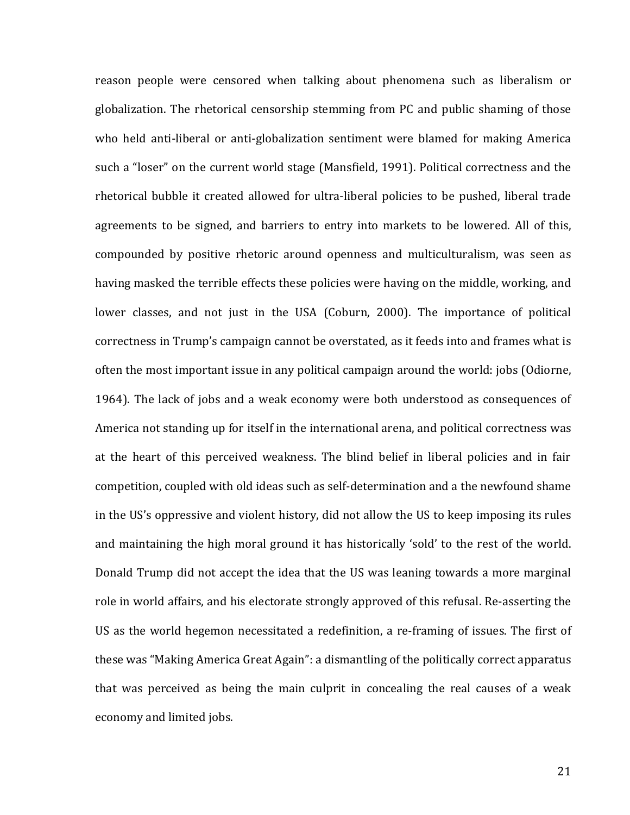reason people were censored when talking about phenomena such as liberalism or globalization. The rhetorical censorship stemming from PC and public shaming of those who held anti-liberal or anti-globalization sentiment were blamed for making America such a "loser" on the current world stage (Mansfield, 1991). Political correctness and the rhetorical bubble it created allowed for ultra-liberal policies to be pushed, liberal trade agreements to be signed, and barriers to entry into markets to be lowered. All of this, compounded by positive rhetoric around openness and multiculturalism, was seen as having masked the terrible effects these policies were having on the middle, working, and lower classes, and not just in the USA (Coburn, 2000). The importance of political correctness in Trump's campaign cannot be overstated, as it feeds into and frames what is often the most important issue in any political campaign around the world: jobs (Odiorne, 1964). The lack of jobs and a weak economy were both understood as consequences of America not standing up for itself in the international arena, and political correctness was at the heart of this perceived weakness. The blind belief in liberal policies and in fair competition, coupled with old ideas such as self-determination and a the newfound shame in the US's oppressive and violent history, did not allow the US to keep imposing its rules and maintaining the high moral ground it has historically 'sold' to the rest of the world. Donald Trump did not accept the idea that the US was leaning towards a more marginal role in world affairs, and his electorate strongly approved of this refusal. Re-asserting the US as the world hegemon necessitated a redefinition, a re-framing of issues. The first of these was "Making America Great Again": a dismantling of the politically correct apparatus that was perceived as being the main culprit in concealing the real causes of a weak economy and limited jobs.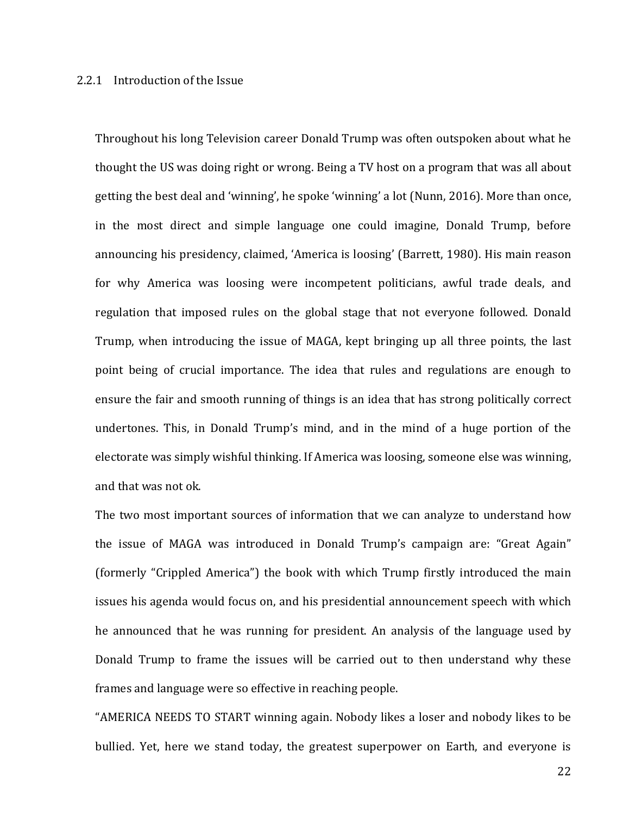#### 2.2.1 Introduction of the Issue

Throughout his long Television career Donald Trump was often outspoken about what he thought the US was doing right or wrong. Being a TV host on a program that was all about getting the best deal and 'winning', he spoke 'winning' a lot (Nunn, 2016). More than once, in the most direct and simple language one could imagine, Donald Trump, before announcing his presidency, claimed, 'America is loosing' (Barrett, 1980). His main reason for why America was loosing were incompetent politicians, awful trade deals, and regulation that imposed rules on the global stage that not everyone followed. Donald Trump, when introducing the issue of MAGA, kept bringing up all three points, the last point being of crucial importance. The idea that rules and regulations are enough to ensure the fair and smooth running of things is an idea that has strong politically correct undertones. This, in Donald Trump's mind, and in the mind of a huge portion of the electorate was simply wishful thinking. If America was loosing, someone else was winning, and that was not ok.

The two most important sources of information that we can analyze to understand how the issue of MAGA was introduced in Donald Trump's campaign are: "Great Again" (formerly "Crippled America") the book with which Trump firstly introduced the main issues his agenda would focus on, and his presidential announcement speech with which he announced that he was running for president. An analysis of the language used by Donald Trump to frame the issues will be carried out to then understand why these frames and language were so effective in reaching people.

"AMERICA NEEDS TO START winning again. Nobody likes a loser and nobody likes to be bullied. Yet, here we stand today, the greatest superpower on Earth, and everyone is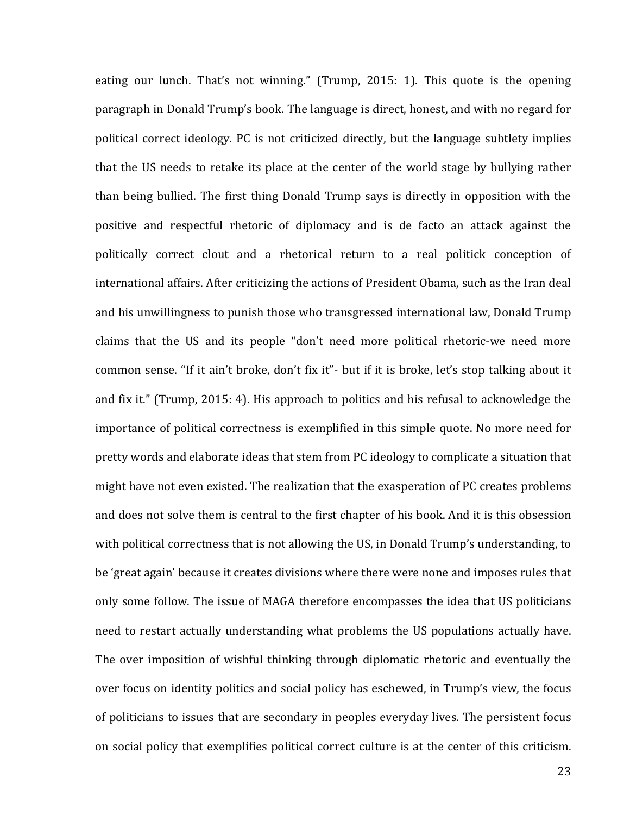eating our lunch. That's not winning." (Trump,  $2015: 1$ ). This quote is the opening paragraph in Donald Trump's book. The language is direct, honest, and with no regard for political correct ideology. PC is not criticized directly, but the language subtlety implies that the US needs to retake its place at the center of the world stage by bullying rather than being bullied. The first thing Donald Trump says is directly in opposition with the positive and respectful rhetoric of diplomacy and is de facto an attack against the politically correct clout and a rhetorical return to a real politick conception of international affairs. After criticizing the actions of President Obama, such as the Iran deal and his unwillingness to punish those who transgressed international law, Donald Trump claims that the US and its people "don't need more political rhetoric-we need more common sense. "If it ain't broke, don't fix it"- but if it is broke, let's stop talking about it and fix it." (Trump, 2015: 4). His approach to politics and his refusal to acknowledge the importance of political correctness is exemplified in this simple quote. No more need for pretty words and elaborate ideas that stem from PC ideology to complicate a situation that might have not even existed. The realization that the exasperation of PC creates problems and does not solve them is central to the first chapter of his book. And it is this obsession with political correctness that is not allowing the US, in Donald Trump's understanding, to be 'great again' because it creates divisions where there were none and imposes rules that only some follow. The issue of MAGA therefore encompasses the idea that US politicians need to restart actually understanding what problems the US populations actually have. The over imposition of wishful thinking through diplomatic rhetoric and eventually the over focus on identity politics and social policy has eschewed, in Trump's view, the focus of politicians to issues that are secondary in peoples everyday lives. The persistent focus on social policy that exemplifies political correct culture is at the center of this criticism.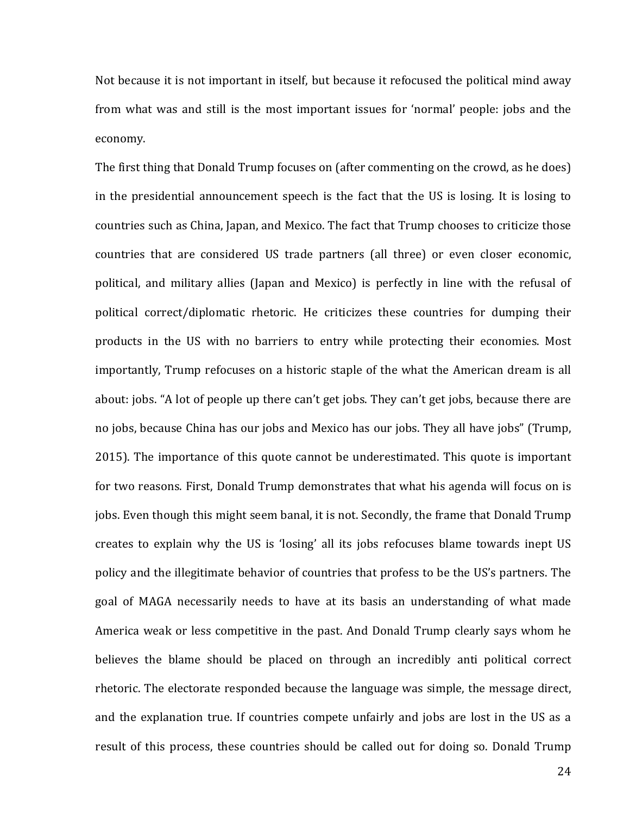Not because it is not important in itself, but because it refocused the political mind away from what was and still is the most important issues for 'normal' people: jobs and the economy. 

The first thing that Donald Trump focuses on (after commenting on the crowd, as he does) in the presidential announcement speech is the fact that the US is losing. It is losing to countries such as China, Japan, and Mexico. The fact that Trump chooses to criticize those countries that are considered US trade partners (all three) or even closer economic, political, and military allies (Japan and Mexico) is perfectly in line with the refusal of political correct/diplomatic rhetoric. He criticizes these countries for dumping their products in the US with no barriers to entry while protecting their economies. Most importantly, Trump refocuses on a historic staple of the what the American dream is all about: jobs. "A lot of people up there can't get jobs. They can't get jobs, because there are no jobs, because China has our jobs and Mexico has our jobs. They all have jobs" (Trump, 2015). The importance of this quote cannot be underestimated. This quote is important for two reasons. First, Donald Trump demonstrates that what his agenda will focus on is jobs. Even though this might seem banal, it is not. Secondly, the frame that Donald Trump creates to explain why the US is 'losing' all its jobs refocuses blame towards inept US policy and the illegitimate behavior of countries that profess to be the US's partners. The goal of MAGA necessarily needs to have at its basis an understanding of what made America weak or less competitive in the past. And Donald Trump clearly says whom he believes the blame should be placed on through an incredibly anti political correct rhetoric. The electorate responded because the language was simple, the message direct, and the explanation true. If countries compete unfairly and jobs are lost in the US as a result of this process, these countries should be called out for doing so. Donald Trump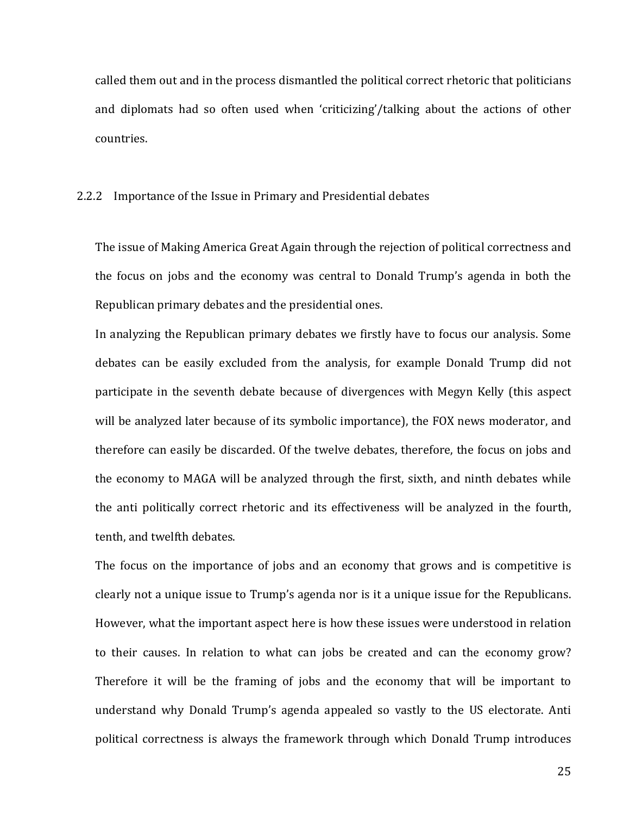called them out and in the process dismantled the political correct rhetoric that politicians and diplomats had so often used when 'criticizing'/talking about the actions of other countries. 

#### 2.2.2 Importance of the Issue in Primary and Presidential debates

The issue of Making America Great Again through the rejection of political correctness and the focus on jobs and the economy was central to Donald Trump's agenda in both the Republican primary debates and the presidential ones.

In analyzing the Republican primary debates we firstly have to focus our analysis. Some debates can be easily excluded from the analysis, for example Donald Trump did not participate in the seventh debate because of divergences with Megyn Kelly (this aspect will be analyzed later because of its symbolic importance), the FOX news moderator, and therefore can easily be discarded. Of the twelve debates, therefore, the focus on jobs and the economy to MAGA will be analyzed through the first, sixth, and ninth debates while the anti politically correct rhetoric and its effectiveness will be analyzed in the fourth, tenth, and twelfth debates.

The focus on the importance of jobs and an economy that grows and is competitive is clearly not a unique issue to Trump's agenda nor is it a unique issue for the Republicans. However, what the important aspect here is how these issues were understood in relation to their causes. In relation to what can jobs be created and can the economy grow? Therefore it will be the framing of jobs and the economy that will be important to understand why Donald Trump's agenda appealed so vastly to the US electorate. Anti political correctness is always the framework through which Donald Trump introduces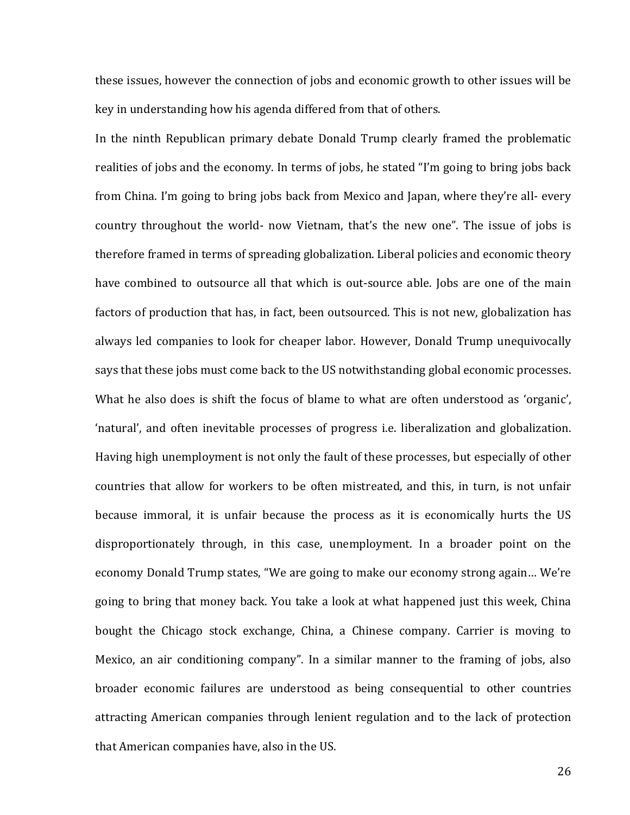these issues, however the connection of jobs and economic growth to other issues will be key in understanding how his agenda differed from that of others.

In the ninth Republican primary debate Donald Trump clearly framed the problematic realities of jobs and the economy. In terms of jobs, he stated "I'm going to bring jobs back from China. I'm going to bring jobs back from Mexico and Japan, where they're all- every country throughout the world- now Vietnam, that's the new one". The issue of jobs is therefore framed in terms of spreading globalization. Liberal policies and economic theory have combined to outsource all that which is out-source able. Jobs are one of the main factors of production that has, in fact, been outsourced. This is not new, globalization has always led companies to look for cheaper labor. However, Donald Trump unequivocally says that these jobs must come back to the US notwithstanding global economic processes. What he also does is shift the focus of blame to what are often understood as 'organic', 'natural', and often inevitable processes of progress *i.e.* liberalization and globalization. Having high unemployment is not only the fault of these processes, but especially of other countries that allow for workers to be often mistreated, and this, in turn, is not unfair because immoral, it is unfair because the process as it is economically hurts the US disproportionately through, in this case, unemployment. In a broader point on the economy Donald Trump states, "We are going to make our economy strong again... We're going to bring that money back. You take a look at what happened just this week, China bought the Chicago stock exchange, China, a Chinese company. Carrier is moving to Mexico, an air conditioning company". In a similar manner to the framing of jobs, also broader economic failures are understood as being consequential to other countries attracting American companies through lenient regulation and to the lack of protection that American companies have, also in the US.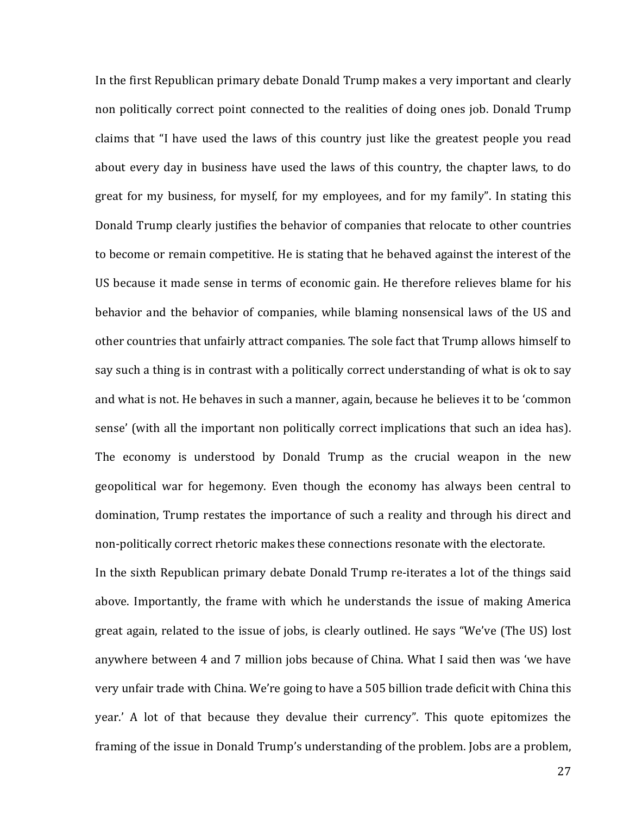In the first Republican primary debate Donald Trump makes a very important and clearly non politically correct point connected to the realities of doing ones job. Donald Trump claims that "I have used the laws of this country just like the greatest people you read about every day in business have used the laws of this country, the chapter laws, to do great for my business, for myself, for my employees, and for my family". In stating this Donald Trump clearly justifies the behavior of companies that relocate to other countries to become or remain competitive. He is stating that he behaved against the interest of the US because it made sense in terms of economic gain. He therefore relieves blame for his behavior and the behavior of companies, while blaming nonsensical laws of the US and other countries that unfairly attract companies. The sole fact that Trump allows himself to say such a thing is in contrast with a politically correct understanding of what is ok to say and what is not. He behaves in such a manner, again, because he believes it to be 'common sense' (with all the important non politically correct implications that such an idea has). The economy is understood by Donald Trump as the crucial weapon in the new geopolitical war for hegemony. Even though the economy has always been central to domination, Trump restates the importance of such a reality and through his direct and non-politically correct rhetoric makes these connections resonate with the electorate.

In the sixth Republican primary debate Donald Trump re-iterates a lot of the things said above. Importantly, the frame with which he understands the issue of making America great again, related to the issue of jobs, is clearly outlined. He says "We've (The US) lost anywhere between 4 and 7 million jobs because of China. What I said then was 'we have very unfair trade with China. We're going to have a 505 billion trade deficit with China this year.' A lot of that because they devalue their currency". This quote epitomizes the framing of the issue in Donald Trump's understanding of the problem. Jobs are a problem,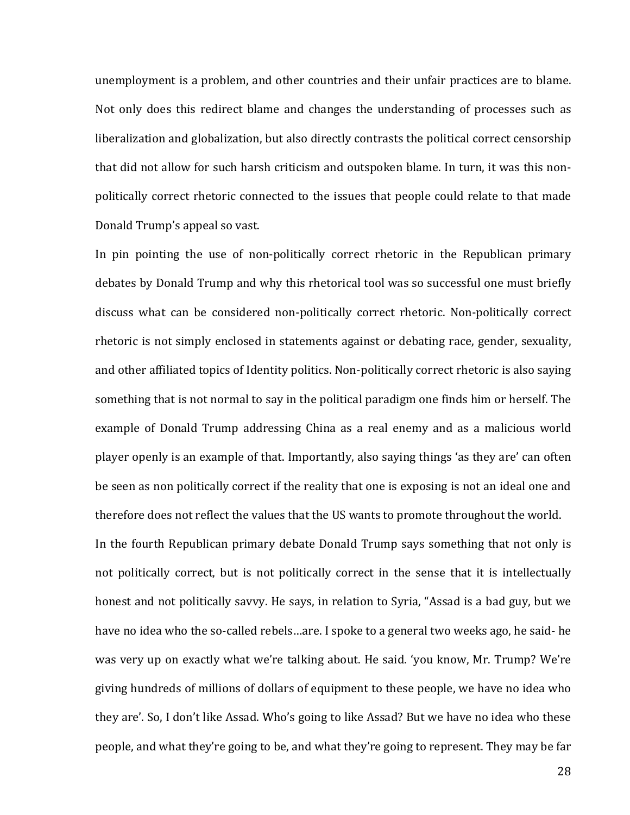unemployment is a problem, and other countries and their unfair practices are to blame. Not only does this redirect blame and changes the understanding of processes such as liberalization and globalization, but also directly contrasts the political correct censorship that did not allow for such harsh criticism and outspoken blame. In turn, it was this nonpolitically correct rhetoric connected to the issues that people could relate to that made Donald Trump's appeal so vast.

In pin pointing the use of non-politically correct rhetoric in the Republican primary debates by Donald Trump and why this rhetorical tool was so successful one must briefly discuss what can be considered non-politically correct rhetoric. Non-politically correct rhetoric is not simply enclosed in statements against or debating race, gender, sexuality, and other affiliated topics of Identity politics. Non-politically correct rhetoric is also saying something that is not normal to say in the political paradigm one finds him or herself. The example of Donald Trump addressing China as a real enemy and as a malicious world player openly is an example of that. Importantly, also saying things 'as they are' can often be seen as non politically correct if the reality that one is exposing is not an ideal one and therefore does not reflect the values that the US wants to promote throughout the world.

In the fourth Republican primary debate Donald Trump says something that not only is not politically correct, but is not politically correct in the sense that it is intellectually honest and not politically savvy. He says, in relation to Syria, "Assad is a bad guy, but we have no idea who the so-called rebels…are. I spoke to a general two weeks ago, he said- he was very up on exactly what we're talking about. He said. 'you know, Mr. Trump? We're giving hundreds of millions of dollars of equipment to these people, we have no idea who they are'. So, I don't like Assad. Who's going to like Assad? But we have no idea who these people, and what they're going to be, and what they're going to represent. They may be far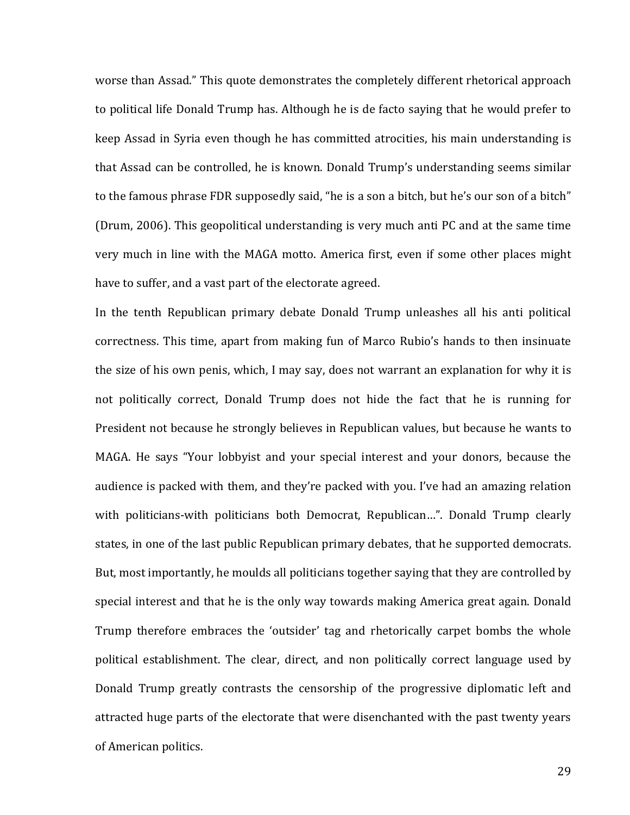worse than Assad." This quote demonstrates the completely different rhetorical approach to political life Donald Trump has. Although he is de facto saying that he would prefer to keep Assad in Syria even though he has committed atrocities, his main understanding is that Assad can be controlled, he is known. Donald Trump's understanding seems similar to the famous phrase FDR supposedly said, "he is a son a bitch, but he's our son of a bitch" (Drum, 2006). This geopolitical understanding is very much anti PC and at the same time very much in line with the MAGA motto. America first, even if some other places might have to suffer, and a vast part of the electorate agreed.

In the tenth Republican primary debate Donald Trump unleashes all his anti political correctness. This time, apart from making fun of Marco Rubio's hands to then insinuate the size of his own penis, which, I may say, does not warrant an explanation for why it is not politically correct, Donald Trump does not hide the fact that he is running for President not because he strongly believes in Republican values, but because he wants to MAGA. He says "Your lobbyist and your special interest and your donors, because the audience is packed with them, and they're packed with you. I've had an amazing relation with politicians-with politicians both Democrat, Republican...". Donald Trump clearly states, in one of the last public Republican primary debates, that he supported democrats. But, most importantly, he moulds all politicians together saying that they are controlled by special interest and that he is the only way towards making America great again. Donald Trump therefore embraces the 'outsider' tag and rhetorically carpet bombs the whole political establishment. The clear, direct, and non politically correct language used by Donald Trump greatly contrasts the censorship of the progressive diplomatic left and attracted huge parts of the electorate that were disenchanted with the past twenty years of American politics.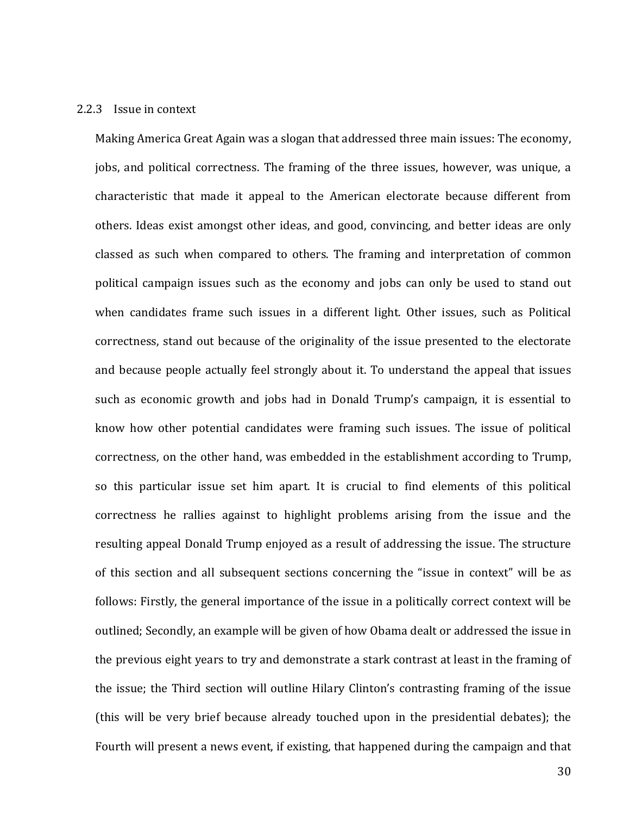#### 2.2.3 Issue in context

Making America Great Again was a slogan that addressed three main issues: The economy. jobs, and political correctness. The framing of the three issues, however, was unique, a characteristic that made it appeal to the American electorate because different from others. Ideas exist amongst other ideas, and good, convincing, and better ideas are only classed as such when compared to others. The framing and interpretation of common political campaign issues such as the economy and jobs can only be used to stand out when candidates frame such issues in a different light. Other issues, such as Political correctness, stand out because of the originality of the issue presented to the electorate and because people actually feel strongly about it. To understand the appeal that issues such as economic growth and jobs had in Donald Trump's campaign, it is essential to know how other potential candidates were framing such issues. The issue of political correctness, on the other hand, was embedded in the establishment according to Trump, so this particular issue set him apart. It is crucial to find elements of this political correctness he rallies against to highlight problems arising from the issue and the resulting appeal Donald Trump enjoyed as a result of addressing the issue. The structure of this section and all subsequent sections concerning the "issue in context" will be as follows: Firstly, the general importance of the issue in a politically correct context will be outlined; Secondly, an example will be given of how Obama dealt or addressed the issue in the previous eight years to try and demonstrate a stark contrast at least in the framing of the issue; the Third section will outline Hilary Clinton's contrasting framing of the issue (this will be very brief because already touched upon in the presidential debates); the Fourth will present a news event, if existing, that happened during the campaign and that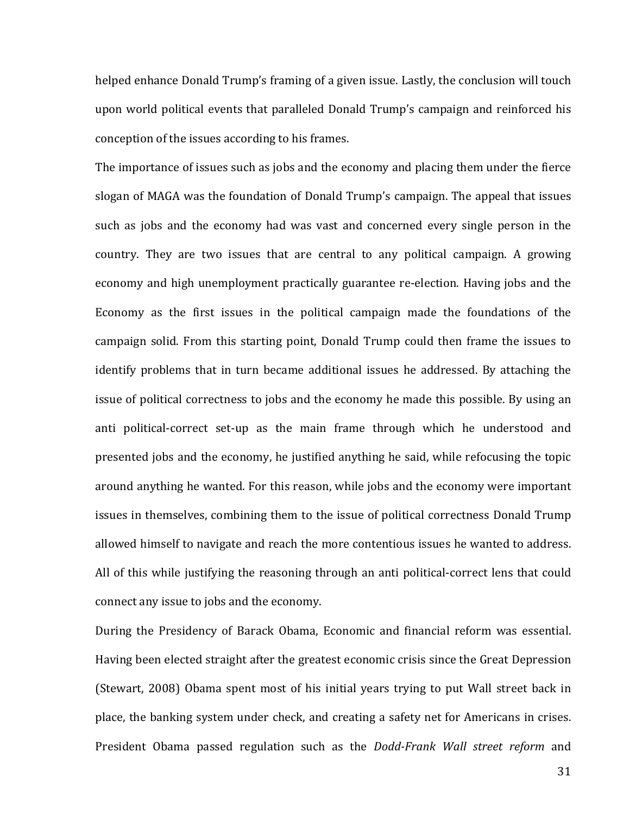helped enhance Donald Trump's framing of a given issue. Lastly, the conclusion will touch upon world political events that paralleled Donald Trump's campaign and reinforced his conception of the issues according to his frames.

The importance of issues such as jobs and the economy and placing them under the fierce slogan of MAGA was the foundation of Donald Trump's campaign. The appeal that issues such as jobs and the economy had was vast and concerned every single person in the country. They are two issues that are central to any political campaign. A growing economy and high unemployment practically guarantee re-election. Having jobs and the Economy as the first issues in the political campaign made the foundations of the campaign solid. From this starting point, Donald Trump could then frame the issues to identify problems that in turn became additional issues he addressed. By attaching the issue of political correctness to jobs and the economy he made this possible. By using an anti political-correct set-up as the main frame through which he understood and presented jobs and the economy, he justified anything he said, while refocusing the topic around anything he wanted. For this reason, while jobs and the economy were important issues in themselves, combining them to the issue of political correctness Donald Trump allowed himself to navigate and reach the more contentious issues he wanted to address. All of this while justifying the reasoning through an anti political-correct lens that could connect any issue to jobs and the economy.

During the Presidency of Barack Obama, Economic and financial reform was essential. Having been elected straight after the greatest economic crisis since the Great Depression (Stewart, 2008) Obama spent most of his initial years trying to put Wall street back in place, the banking system under check, and creating a safety net for Americans in crises. President Obama passed regulation such as the *Dodd-Frank Wall street reform* and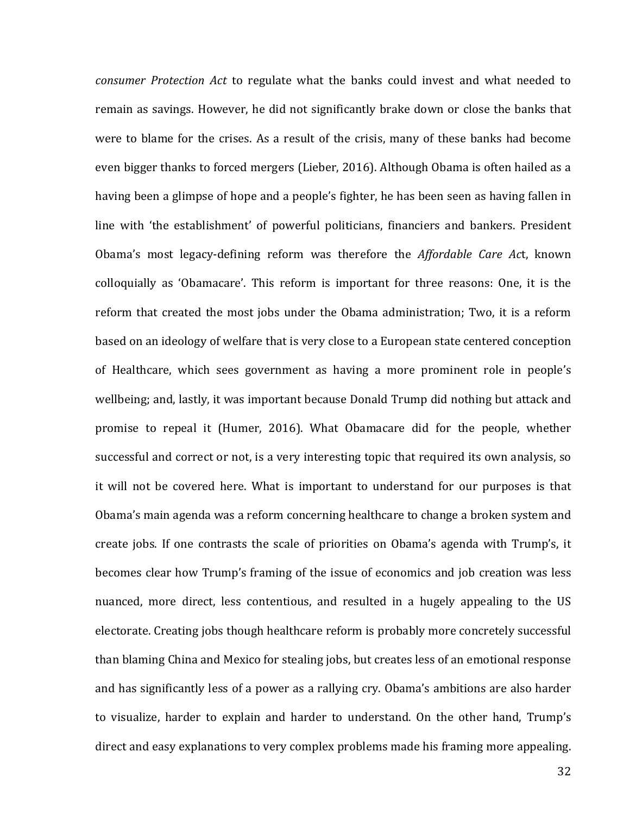*consumer Protection Act* to regulate what the banks could invest and what needed to remain as savings. However, he did not significantly brake down or close the banks that were to blame for the crises. As a result of the crisis, many of these banks had become even bigger thanks to forced mergers (Lieber, 2016). Although Obama is often hailed as a having been a glimpse of hope and a people's fighter, he has been seen as having fallen in line with 'the establishment' of powerful politicians, financiers and bankers. President Obama's most legacy-defining reform was therefore the *Affordable Care Act*, known colloquially as 'Obamacare'. This reform is important for three reasons: One, it is the reform that created the most jobs under the Obama administration; Two, it is a reform based on an ideology of welfare that is very close to a European state centered conception of Healthcare, which sees government as having a more prominent role in people's wellbeing; and, lastly, it was important because Donald Trump did nothing but attack and promise to repeal it (Humer, 2016). What Obamacare did for the people, whether successful and correct or not, is a very interesting topic that required its own analysis, so it will not be covered here. What is important to understand for our purposes is that Obama's main agenda was a reform concerning healthcare to change a broken system and create jobs. If one contrasts the scale of priorities on Obama's agenda with Trump's, it becomes clear how Trump's framing of the issue of economics and job creation was less nuanced, more direct, less contentious, and resulted in a hugely appealing to the US electorate. Creating jobs though healthcare reform is probably more concretely successful than blaming China and Mexico for stealing jobs, but creates less of an emotional response and has significantly less of a power as a rallying cry. Obama's ambitions are also harder to visualize, harder to explain and harder to understand. On the other hand, Trump's direct and easy explanations to very complex problems made his framing more appealing.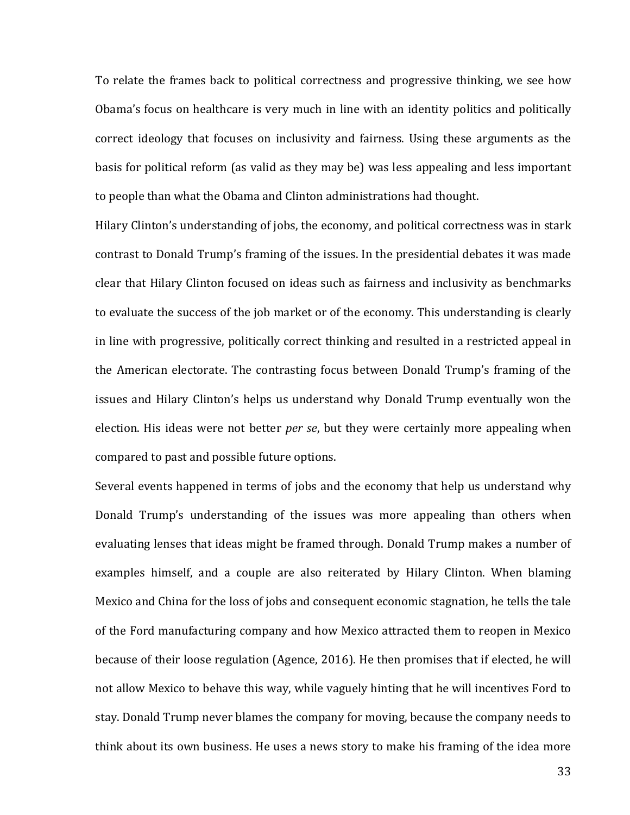To relate the frames back to political correctness and progressive thinking, we see how Obama's focus on healthcare is very much in line with an identity politics and politically correct ideology that focuses on inclusivity and fairness. Using these arguments as the basis for political reform (as valid as they may be) was less appealing and less important to people than what the Obama and Clinton administrations had thought.

Hilary Clinton's understanding of jobs, the economy, and political correctness was in stark contrast to Donald Trump's framing of the issues. In the presidential debates it was made clear that Hilary Clinton focused on ideas such as fairness and inclusivity as benchmarks to evaluate the success of the job market or of the economy. This understanding is clearly in line with progressive, politically correct thinking and resulted in a restricted appeal in the American electorate. The contrasting focus between Donald Trump's framing of the issues and Hilary Clinton's helps us understand why Donald Trump eventually won the election. His ideas were not better *per se*, but they were certainly more appealing when compared to past and possible future options.

Several events happened in terms of jobs and the economy that help us understand why Donald Trump's understanding of the issues was more appealing than others when evaluating lenses that ideas might be framed through. Donald Trump makes a number of examples himself, and a couple are also reiterated by Hilary Clinton. When blaming Mexico and China for the loss of jobs and consequent economic stagnation, he tells the tale of the Ford manufacturing company and how Mexico attracted them to reopen in Mexico because of their loose regulation (Agence, 2016). He then promises that if elected, he will not allow Mexico to behave this way, while vaguely hinting that he will incentives Ford to stay. Donald Trump never blames the company for moving, because the company needs to think about its own business. He uses a news story to make his framing of the idea more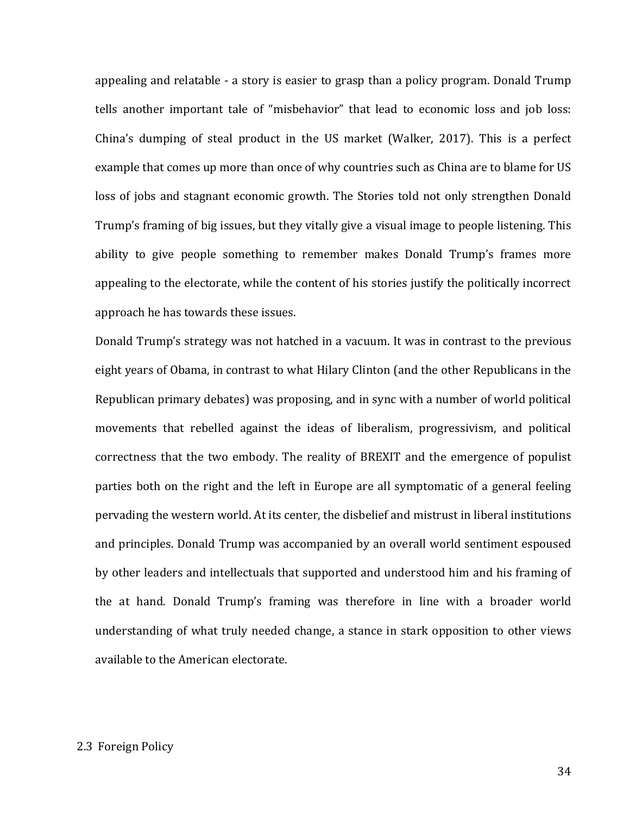appealing and relatable - a story is easier to grasp than a policy program. Donald Trump tells another important tale of "misbehavior" that lead to economic loss and job loss: China's dumping of steal product in the US market (Walker, 2017). This is a perfect example that comes up more than once of why countries such as China are to blame for US loss of jobs and stagnant economic growth. The Stories told not only strengthen Donald Trump's framing of big issues, but they vitally give a visual image to people listening. This ability to give people something to remember makes Donald Trump's frames more appealing to the electorate, while the content of his stories justify the politically incorrect approach he has towards these issues.

Donald Trump's strategy was not hatched in a vacuum. It was in contrast to the previous eight years of Obama, in contrast to what Hilary Clinton (and the other Republicans in the Republican primary debates) was proposing, and in sync with a number of world political movements that rebelled against the ideas of liberalism, progressivism, and political correctness that the two embody. The reality of BREXIT and the emergence of populist parties both on the right and the left in Europe are all symptomatic of a general feeling pervading the western world. At its center, the disbelief and mistrust in liberal institutions and principles. Donald Trump was accompanied by an overall world sentiment espoused by other leaders and intellectuals that supported and understood him and his framing of the at hand. Donald Trump's framing was therefore in line with a broader world understanding of what truly needed change, a stance in stark opposition to other views available to the American electorate.

# 2.3 Foreign Policy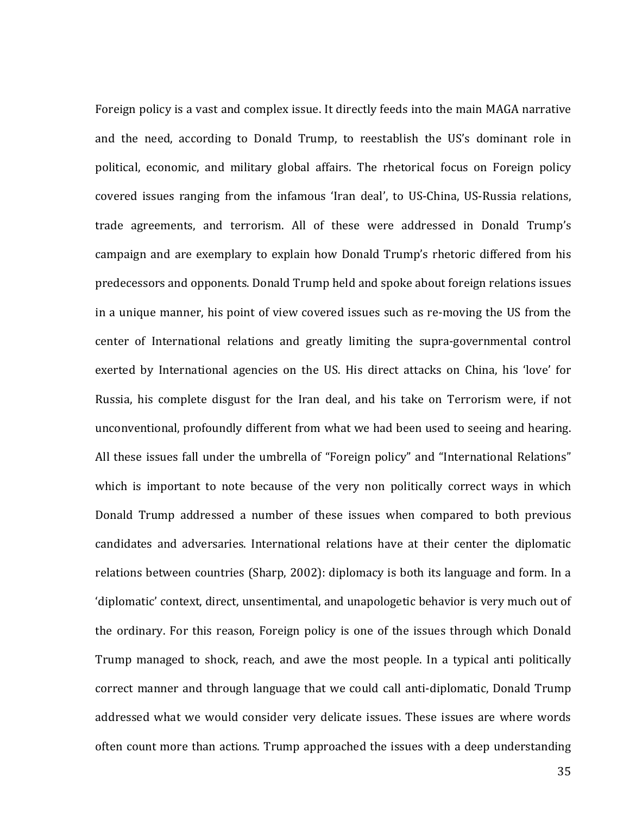Foreign policy is a vast and complex issue. It directly feeds into the main MAGA narrative and the need, according to Donald Trump, to reestablish the US's dominant role in political, economic, and military global affairs. The rhetorical focus on Foreign policy covered issues ranging from the infamous 'Iran deal', to US-China, US-Russia relations, trade agreements, and terrorism. All of these were addressed in Donald Trump's campaign and are exemplary to explain how Donald Trump's rhetoric differed from his predecessors and opponents. Donald Trump held and spoke about foreign relations issues in a unique manner, his point of view covered issues such as re-moving the US from the center of International relations and greatly limiting the supra-governmental control exerted by International agencies on the US. His direct attacks on China, his 'love' for Russia, his complete disgust for the Iran deal, and his take on Terrorism were, if not unconventional, profoundly different from what we had been used to seeing and hearing. All these issues fall under the umbrella of "Foreign policy" and "International Relations" which is important to note because of the very non politically correct ways in which Donald Trump addressed a number of these issues when compared to both previous candidates and adversaries. International relations have at their center the diplomatic relations between countries (Sharp, 2002): diplomacy is both its language and form. In a 'diplomatic' context, direct, unsentimental, and unapologetic behavior is very much out of the ordinary. For this reason, Foreign policy is one of the issues through which Donald Trump managed to shock, reach, and awe the most people. In a typical anti politically correct manner and through language that we could call anti-diplomatic, Donald Trump addressed what we would consider very delicate issues. These issues are where words often count more than actions. Trump approached the issues with a deep understanding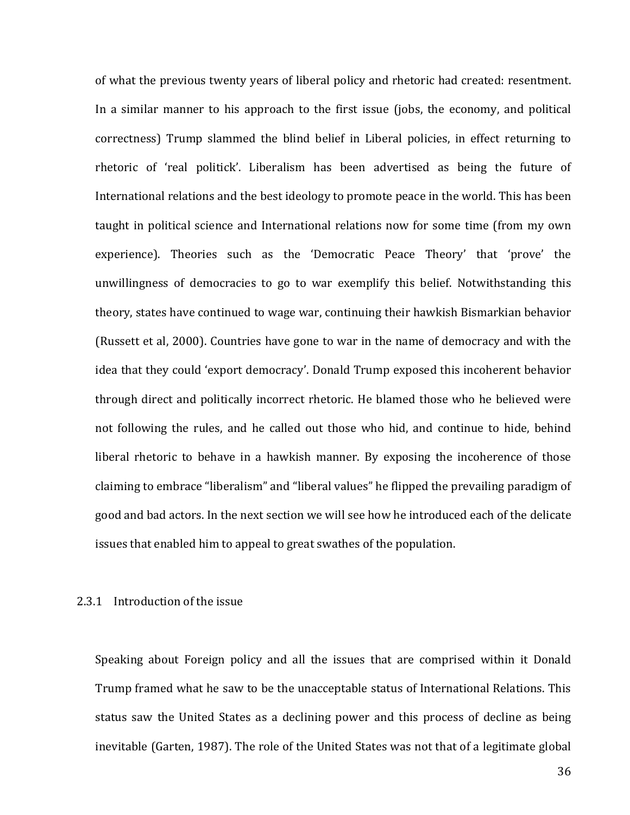of what the previous twenty years of liberal policy and rhetoric had created: resentment. In a similar manner to his approach to the first issue (jobs, the economy, and political correctness) Trump slammed the blind belief in Liberal policies, in effect returning to rhetoric of 'real politick'. Liberalism has been advertised as being the future of International relations and the best ideology to promote peace in the world. This has been taught in political science and International relations now for some time (from my own experience). Theories such as the 'Democratic Peace Theory' that 'prove' the unwillingness of democracies to go to war exemplify this belief. Notwithstanding this theory, states have continued to wage war, continuing their hawkish Bismarkian behavior (Russett et al, 2000). Countries have gone to war in the name of democracy and with the idea that they could 'export democracy'. Donald Trump exposed this incoherent behavior through direct and politically incorrect rhetoric. He blamed those who he believed were not following the rules, and he called out those who hid, and continue to hide, behind liberal rhetoric to behave in a hawkish manner. By exposing the incoherence of those claiming to embrace "liberalism" and "liberal values" he flipped the prevailing paradigm of good and bad actors. In the next section we will see how he introduced each of the delicate issues that enabled him to appeal to great swathes of the population.

### 2.3.1 Introduction of the issue

Speaking about Foreign policy and all the issues that are comprised within it Donald Trump framed what he saw to be the unacceptable status of International Relations. This status saw the United States as a declining power and this process of decline as being inevitable (Garten, 1987). The role of the United States was not that of a legitimate global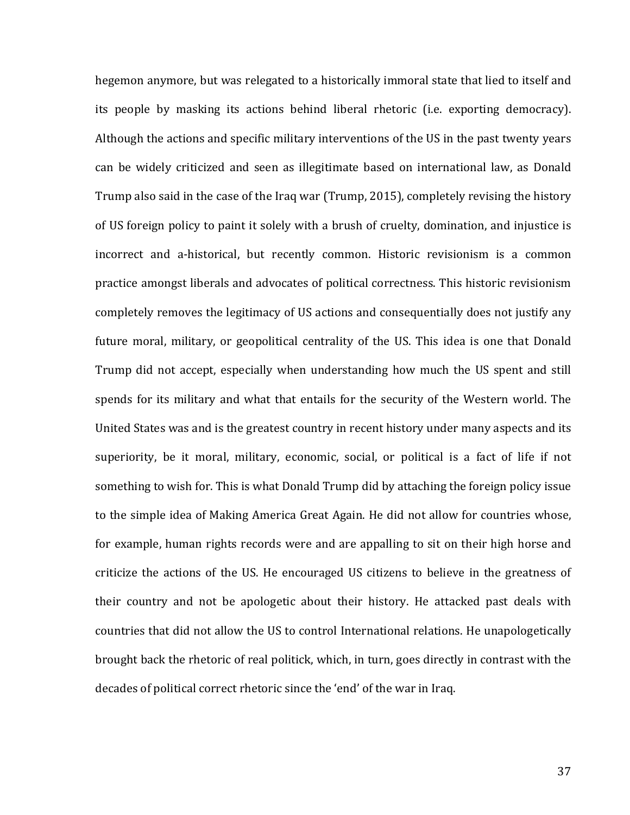hegemon anymore, but was relegated to a historically immoral state that lied to itself and its people by masking its actions behind liberal rhetoric (i.e. exporting democracy). Although the actions and specific military interventions of the US in the past twenty years can be widely criticized and seen as illegitimate based on international law, as Donald Trump also said in the case of the Iraq war (Trump, 2015), completely revising the history of US foreign policy to paint it solely with a brush of cruelty, domination, and injustice is incorrect and a-historical, but recently common. Historic revisionism is a common practice amongst liberals and advocates of political correctness. This historic revisionism completely removes the legitimacy of US actions and consequentially does not justify any future moral, military, or geopolitical centrality of the US. This idea is one that Donald Trump did not accept, especially when understanding how much the US spent and still spends for its military and what that entails for the security of the Western world. The United States was and is the greatest country in recent history under many aspects and its superiority, be it moral, military, economic, social, or political is a fact of life if not something to wish for. This is what Donald Trump did by attaching the foreign policy issue to the simple idea of Making America Great Again. He did not allow for countries whose, for example, human rights records were and are appalling to sit on their high horse and criticize the actions of the US. He encouraged US citizens to believe in the greatness of their country and not be apologetic about their history. He attacked past deals with countries that did not allow the US to control International relations. He unapologetically brought back the rhetoric of real politick, which, in turn, goes directly in contrast with the decades of political correct rhetoric since the 'end' of the war in Iraq.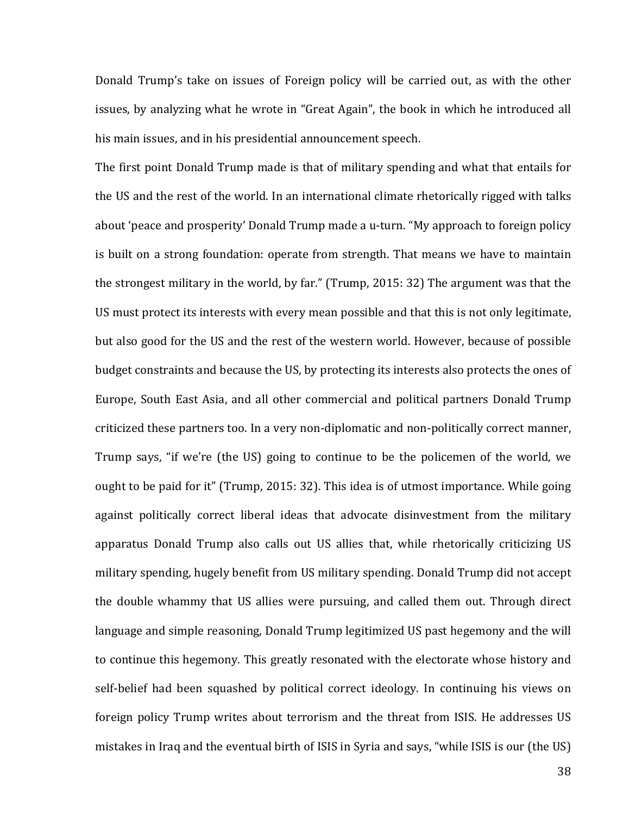Donald Trump's take on issues of Foreign policy will be carried out, as with the other issues, by analyzing what he wrote in "Great Again", the book in which he introduced all his main issues, and in his presidential announcement speech.

The first point Donald Trump made is that of military spending and what that entails for the US and the rest of the world. In an international climate rhetorically rigged with talks about 'peace and prosperity' Donald Trump made a u-turn. "My approach to foreign policy is built on a strong foundation: operate from strength. That means we have to maintain the strongest military in the world, by far." (Trump, 2015: 32) The argument was that the US must protect its interests with every mean possible and that this is not only legitimate, but also good for the US and the rest of the western world. However, because of possible budget constraints and because the US, by protecting its interests also protects the ones of Europe, South East Asia, and all other commercial and political partners Donald Trump criticized these partners too. In a very non-diplomatic and non-politically correct manner, Trump says, "if we're (the US) going to continue to be the policemen of the world, we ought to be paid for it" (Trump, 2015: 32). This idea is of utmost importance. While going against politically correct liberal ideas that advocate disinvestment from the military apparatus Donald Trump also calls out US allies that, while rhetorically criticizing US military spending, hugely benefit from US military spending. Donald Trump did not accept the double whammy that US allies were pursuing, and called them out. Through direct language and simple reasoning, Donald Trump legitimized US past hegemony and the will to continue this hegemony. This greatly resonated with the electorate whose history and self-belief had been squashed by political correct ideology. In continuing his views on foreign policy Trump writes about terrorism and the threat from ISIS. He addresses US mistakes in Iraq and the eventual birth of ISIS in Syria and says, "while ISIS is our (the US)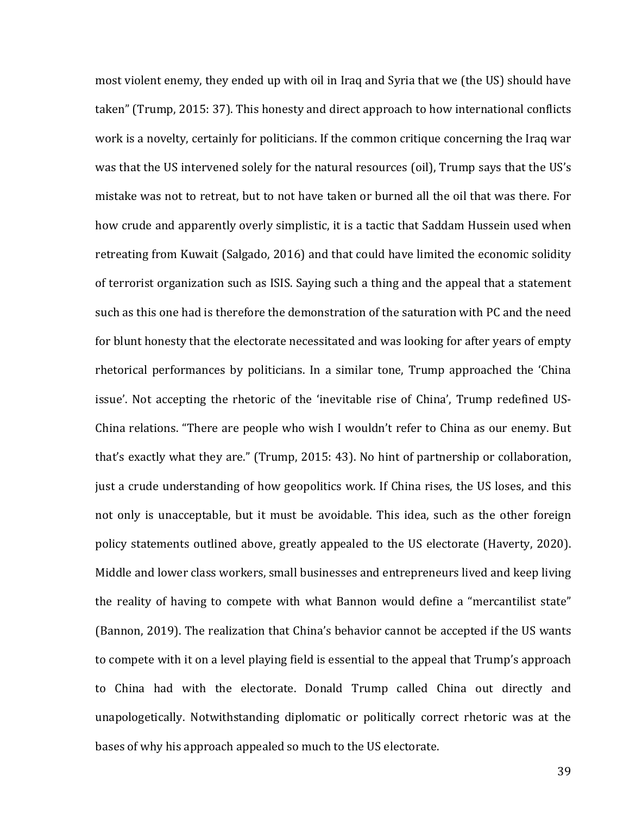most violent enemy, they ended up with oil in Iraq and Syria that we (the US) should have taken" (Trump, 2015: 37). This honesty and direct approach to how international conflicts work is a novelty, certainly for politicians. If the common critique concerning the Iraq war was that the US intervened solely for the natural resources (oil), Trump says that the US's mistake was not to retreat, but to not have taken or burned all the oil that was there. For how crude and apparently overly simplistic, it is a tactic that Saddam Hussein used when retreating from Kuwait (Salgado, 2016) and that could have limited the economic solidity of terrorist organization such as ISIS. Saying such a thing and the appeal that a statement such as this one had is therefore the demonstration of the saturation with PC and the need for blunt honesty that the electorate necessitated and was looking for after years of empty rhetorical performances by politicians. In a similar tone, Trump approached the 'China issue'. Not accepting the rhetoric of the 'inevitable rise of China', Trump redefined US-China relations. "There are people who wish I wouldn't refer to China as our enemy. But that's exactly what they are." (Trump, 2015: 43). No hint of partnership or collaboration, just a crude understanding of how geopolitics work. If China rises, the US loses, and this not only is unacceptable, but it must be avoidable. This idea, such as the other foreign policy statements outlined above, greatly appealed to the US electorate (Haverty, 2020). Middle and lower class workers, small businesses and entrepreneurs lived and keep living the reality of having to compete with what Bannon would define a "mercantilist state" (Bannon, 2019). The realization that China's behavior cannot be accepted if the US wants to compete with it on a level playing field is essential to the appeal that Trump's approach to China had with the electorate. Donald Trump called China out directly and unapologetically. Notwithstanding diplomatic or politically correct rhetoric was at the bases of why his approach appealed so much to the US electorate.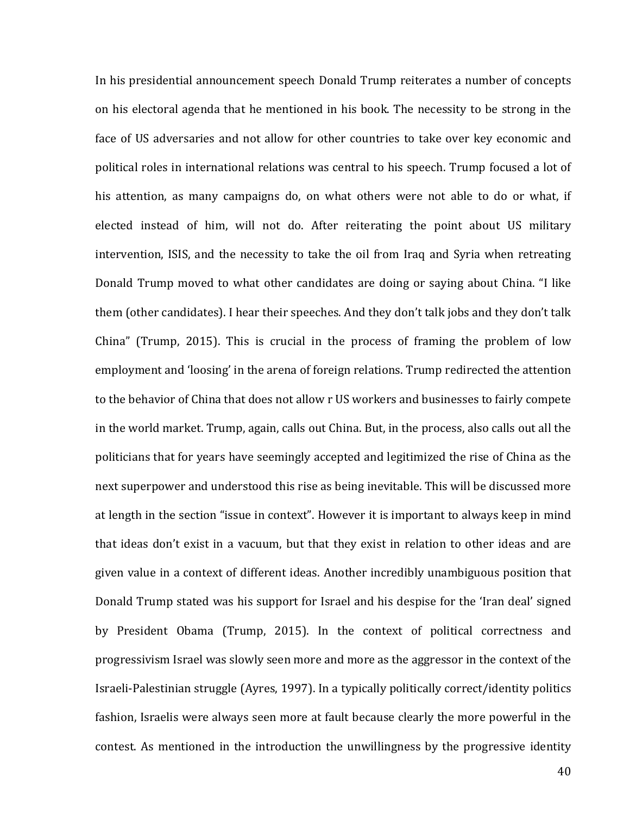In his presidential announcement speech Donald Trump reiterates a number of concepts on his electoral agenda that he mentioned in his book. The necessity to be strong in the face of US adversaries and not allow for other countries to take over key economic and political roles in international relations was central to his speech. Trump focused a lot of his attention, as many campaigns do, on what others were not able to do or what, if elected instead of him, will not do. After reiterating the point about US military intervention, ISIS, and the necessity to take the oil from Iraq and Syria when retreating Donald Trump moved to what other candidates are doing or saying about China. "I like them (other candidates). I hear their speeches. And they don't talk jobs and they don't talk China" (Trump, 2015). This is crucial in the process of framing the problem of low employment and 'loosing' in the arena of foreign relations. Trump redirected the attention to the behavior of China that does not allow r US workers and businesses to fairly compete in the world market. Trump, again, calls out China. But, in the process, also calls out all the politicians that for years have seemingly accepted and legitimized the rise of China as the next superpower and understood this rise as being inevitable. This will be discussed more at length in the section "issue in context". However it is important to always keep in mind that ideas don't exist in a vacuum, but that they exist in relation to other ideas and are given value in a context of different ideas. Another incredibly unambiguous position that Donald Trump stated was his support for Israel and his despise for the 'Iran deal' signed by President Obama (Trump, 2015). In the context of political correctness and progressivism Israel was slowly seen more and more as the aggressor in the context of the Israeli-Palestinian struggle (Ayres, 1997). In a typically politically correct/identity politics fashion, Israelis were always seen more at fault because clearly the more powerful in the contest. As mentioned in the introduction the unwillingness by the progressive identity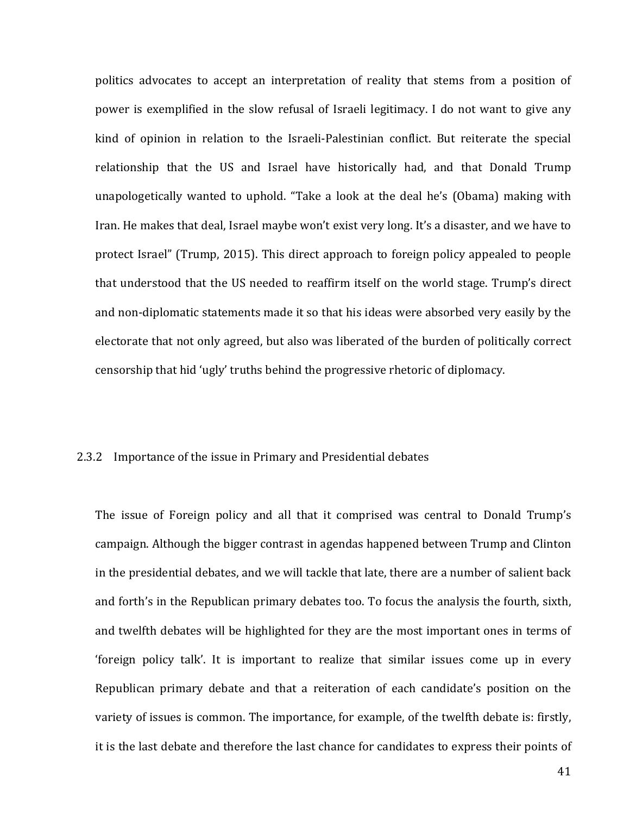politics advocates to accept an interpretation of reality that stems from a position of power is exemplified in the slow refusal of Israeli legitimacy. I do not want to give any kind of opinion in relation to the Israeli-Palestinian conflict. But reiterate the special relationship that the US and Israel have historically had, and that Donald Trump unapologetically wanted to uphold. "Take a look at the deal he's (Obama) making with Iran. He makes that deal, Israel maybe won't exist very long. It's a disaster, and we have to protect Israel" (Trump, 2015). This direct approach to foreign policy appealed to people that understood that the US needed to reaffirm itself on the world stage. Trump's direct and non-diplomatic statements made it so that his ideas were absorbed very easily by the electorate that not only agreed, but also was liberated of the burden of politically correct censorship that hid 'ugly' truths behind the progressive rhetoric of diplomacy.

#### 2.3.2 Importance of the issue in Primary and Presidential debates

The issue of Foreign policy and all that it comprised was central to Donald Trump's campaign. Although the bigger contrast in agendas happened between Trump and Clinton in the presidential debates, and we will tackle that late, there are a number of salient back and forth's in the Republican primary debates too. To focus the analysis the fourth, sixth, and twelfth debates will be highlighted for they are the most important ones in terms of 'foreign policy talk'. It is important to realize that similar issues come up in every Republican primary debate and that a reiteration of each candidate's position on the variety of issues is common. The importance, for example, of the twelfth debate is: firstly, it is the last debate and therefore the last chance for candidates to express their points of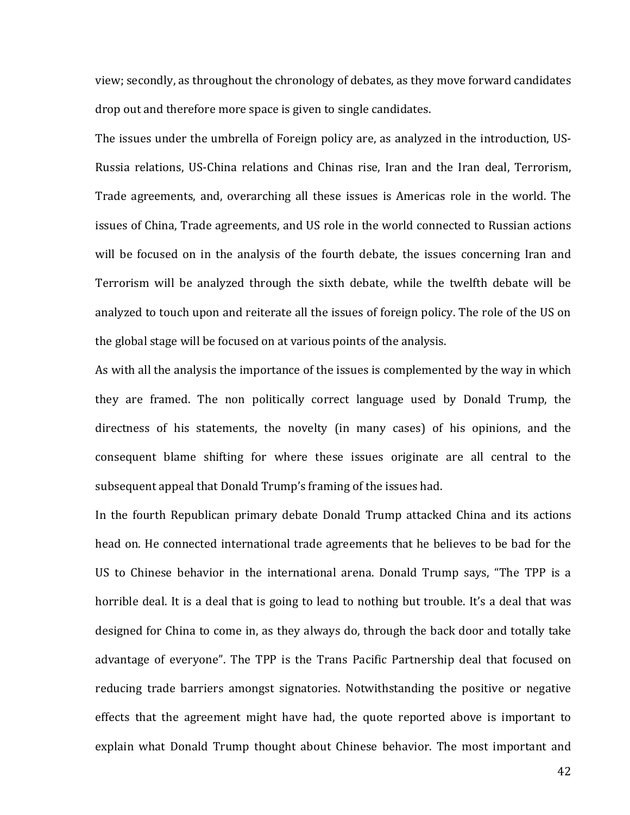view; secondly, as throughout the chronology of debates, as they move forward candidates drop out and therefore more space is given to single candidates.

The issues under the umbrella of Foreign policy are, as analyzed in the introduction, US-Russia relations, US-China relations and Chinas rise, Iran and the Iran deal, Terrorism, Trade agreements, and, overarching all these issues is Americas role in the world. The issues of China, Trade agreements, and US role in the world connected to Russian actions will be focused on in the analysis of the fourth debate, the issues concerning Iran and Terrorism will be analyzed through the sixth debate, while the twelfth debate will be analyzed to touch upon and reiterate all the issues of foreign policy. The role of the US on the global stage will be focused on at various points of the analysis.

As with all the analysis the importance of the issues is complemented by the way in which they are framed. The non politically correct language used by Donald Trump, the directness of his statements, the novelty (in many cases) of his opinions, and the consequent blame shifting for where these issues originate are all central to the subsequent appeal that Donald Trump's framing of the issues had.

In the fourth Republican primary debate Donald Trump attacked China and its actions head on. He connected international trade agreements that he believes to be bad for the US to Chinese behavior in the international arena. Donald Trump says, "The TPP is a horrible deal. It is a deal that is going to lead to nothing but trouble. It's a deal that was designed for China to come in, as they always do, through the back door and totally take advantage of everyone". The TPP is the Trans Pacific Partnership deal that focused on reducing trade barriers amongst signatories. Notwithstanding the positive or negative effects that the agreement might have had, the quote reported above is important to explain what Donald Trump thought about Chinese behavior. The most important and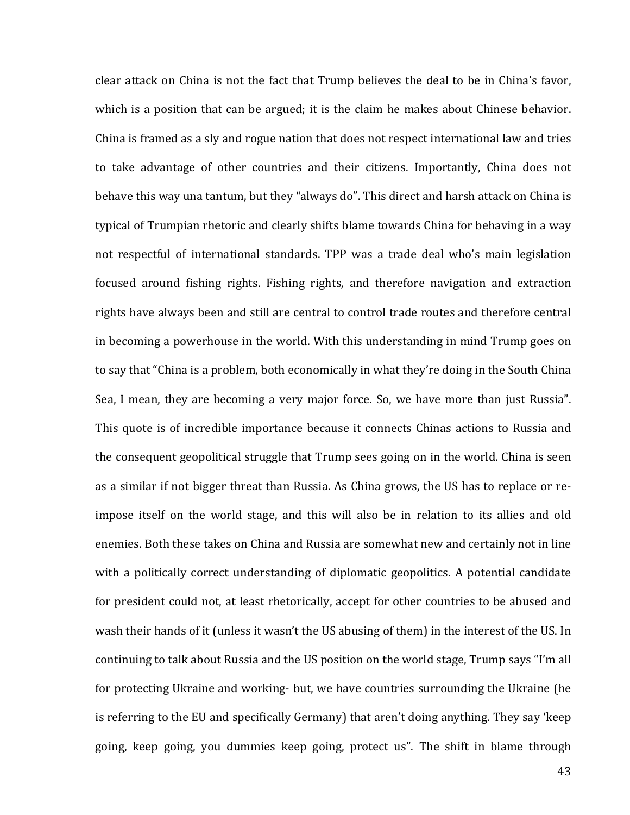clear attack on China is not the fact that Trump believes the deal to be in China's favor, which is a position that can be argued; it is the claim he makes about Chinese behavior. China is framed as a sly and rogue nation that does not respect international law and tries to take advantage of other countries and their citizens. Importantly, China does not behave this way una tantum, but they "always do". This direct and harsh attack on China is typical of Trumpian rhetoric and clearly shifts blame towards China for behaving in a way not respectful of international standards. TPP was a trade deal who's main legislation focused around fishing rights. Fishing rights, and therefore navigation and extraction rights have always been and still are central to control trade routes and therefore central in becoming a powerhouse in the world. With this understanding in mind Trump goes on to say that "China is a problem, both economically in what they're doing in the South China Sea, I mean, they are becoming a very major force. So, we have more than just Russia". This quote is of incredible importance because it connects Chinas actions to Russia and the consequent geopolitical struggle that Trump sees going on in the world. China is seen as a similar if not bigger threat than Russia. As China grows, the US has to replace or reimpose itself on the world stage, and this will also be in relation to its allies and old enemies. Both these takes on China and Russia are somewhat new and certainly not in line with a politically correct understanding of diplomatic geopolitics. A potential candidate for president could not, at least rhetorically, accept for other countries to be abused and wash their hands of it (unless it wasn't the US abusing of them) in the interest of the US. In continuing to talk about Russia and the US position on the world stage, Trump says "I'm all for protecting Ukraine and working- but, we have countries surrounding the Ukraine (he is referring to the EU and specifically Germany) that aren't doing anything. They say 'keep going, keep going, you dummies keep going, protect us". The shift in blame through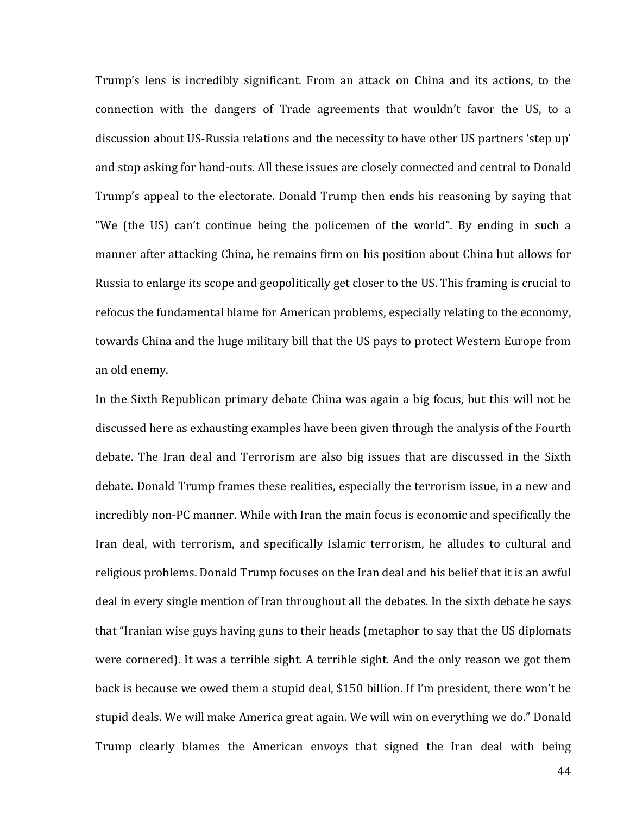Trump's lens is incredibly significant. From an attack on China and its actions, to the connection with the dangers of Trade agreements that wouldn't favor the US, to a discussion about US-Russia relations and the necessity to have other US partners 'step up' and stop asking for hand-outs. All these issues are closely connected and central to Donald Trump's appeal to the electorate. Donald Trump then ends his reasoning by saying that "We (the US) can't continue being the policemen of the world". By ending in such a manner after attacking China, he remains firm on his position about China but allows for Russia to enlarge its scope and geopolitically get closer to the US. This framing is crucial to refocus the fundamental blame for American problems, especially relating to the economy, towards China and the huge military bill that the US pays to protect Western Europe from an old enemy.

In the Sixth Republican primary debate China was again a big focus, but this will not be discussed here as exhausting examples have been given through the analysis of the Fourth debate. The Iran deal and Terrorism are also big issues that are discussed in the Sixth debate. Donald Trump frames these realities, especially the terrorism issue, in a new and incredibly non-PC manner. While with Iran the main focus is economic and specifically the Iran deal, with terrorism, and specifically Islamic terrorism, he alludes to cultural and religious problems. Donald Trump focuses on the Iran deal and his belief that it is an awful deal in every single mention of Iran throughout all the debates. In the sixth debate he says that "Iranian wise guys having guns to their heads (metaphor to say that the US diplomats were cornered). It was a terrible sight. A terrible sight. And the only reason we got them back is because we owed them a stupid deal, \$150 billion. If I'm president, there won't be stupid deals. We will make America great again. We will win on everything we do." Donald Trump clearly blames the American envoys that signed the Iran deal with being

44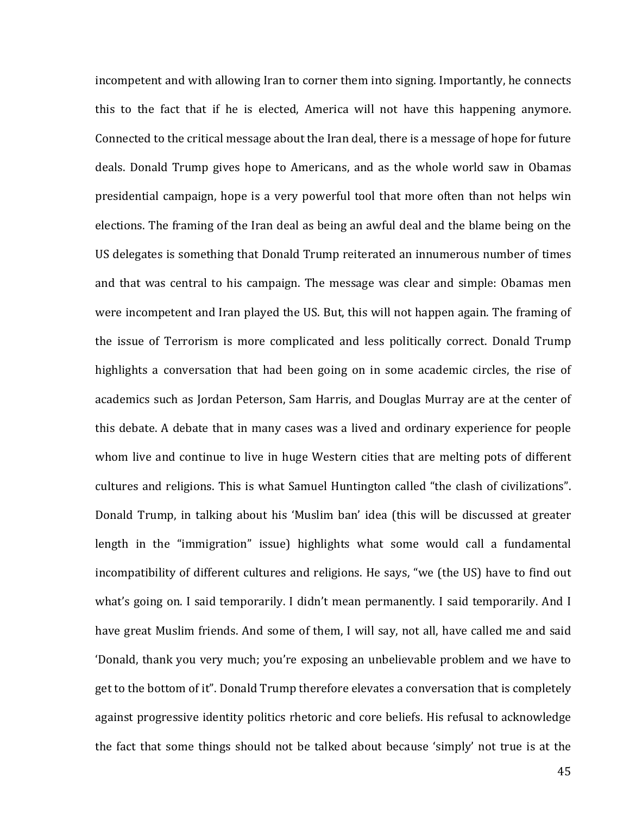incompetent and with allowing Iran to corner them into signing. Importantly, he connects this to the fact that if he is elected, America will not have this happening anymore. Connected to the critical message about the Iran deal, there is a message of hope for future deals. Donald Trump gives hope to Americans, and as the whole world saw in Obamas presidential campaign, hope is a very powerful tool that more often than not helps win elections. The framing of the Iran deal as being an awful deal and the blame being on the US delegates is something that Donald Trump reiterated an innumerous number of times and that was central to his campaign. The message was clear and simple: Obamas men were incompetent and Iran played the US. But, this will not happen again. The framing of the issue of Terrorism is more complicated and less politically correct. Donald Trump highlights a conversation that had been going on in some academic circles, the rise of academics such as Jordan Peterson, Sam Harris, and Douglas Murray are at the center of this debate. A debate that in many cases was a lived and ordinary experience for people whom live and continue to live in huge Western cities that are melting pots of different cultures and religions. This is what Samuel Huntington called "the clash of civilizations". Donald Trump, in talking about his 'Muslim ban' idea (this will be discussed at greater length in the "immigration" issue) highlights what some would call a fundamental incompatibility of different cultures and religions. He says, "we (the US) have to find out what's going on. I said temporarily. I didn't mean permanently. I said temporarily. And I have great Muslim friends. And some of them, I will say, not all, have called me and said 'Donald, thank you very much; you're exposing an unbelievable problem and we have to get to the bottom of it". Donald Trump therefore elevates a conversation that is completely against progressive identity politics rhetoric and core beliefs. His refusal to acknowledge the fact that some things should not be talked about because 'simply' not true is at the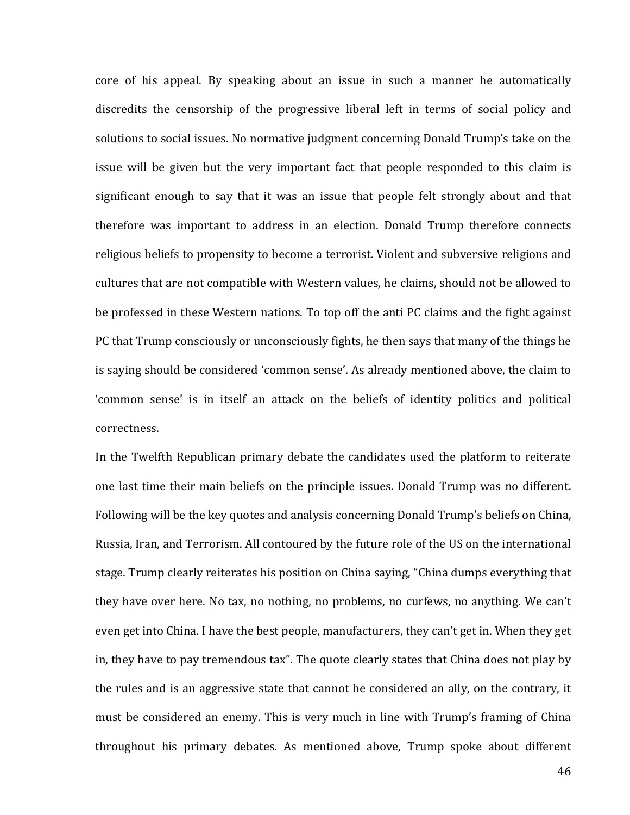core of his appeal. By speaking about an issue in such a manner he automatically discredits the censorship of the progressive liberal left in terms of social policy and solutions to social issues. No normative judgment concerning Donald Trump's take on the issue will be given but the very important fact that people responded to this claim is significant enough to say that it was an issue that people felt strongly about and that therefore was important to address in an election. Donald Trump therefore connects religious beliefs to propensity to become a terrorist. Violent and subversive religions and cultures that are not compatible with Western values, he claims, should not be allowed to be professed in these Western nations. To top off the anti PC claims and the fight against PC that Trump consciously or unconsciously fights, he then says that many of the things he is saying should be considered 'common sense'. As already mentioned above, the claim to 'common sense' is in itself an attack on the beliefs of identity politics and political correctness. 

In the Twelfth Republican primary debate the candidates used the platform to reiterate one last time their main beliefs on the principle issues. Donald Trump was no different. Following will be the key quotes and analysis concerning Donald Trump's beliefs on China, Russia, Iran, and Terrorism. All contoured by the future role of the US on the international stage. Trump clearly reiterates his position on China saying, "China dumps everything that they have over here. No tax, no nothing, no problems, no curfews, no anything. We can't even get into China. I have the best people, manufacturers, they can't get in. When they get in, they have to pay tremendous tax". The quote clearly states that China does not play by the rules and is an aggressive state that cannot be considered an ally, on the contrary, it must be considered an enemy. This is very much in line with Trump's framing of China throughout his primary debates. As mentioned above, Trump spoke about different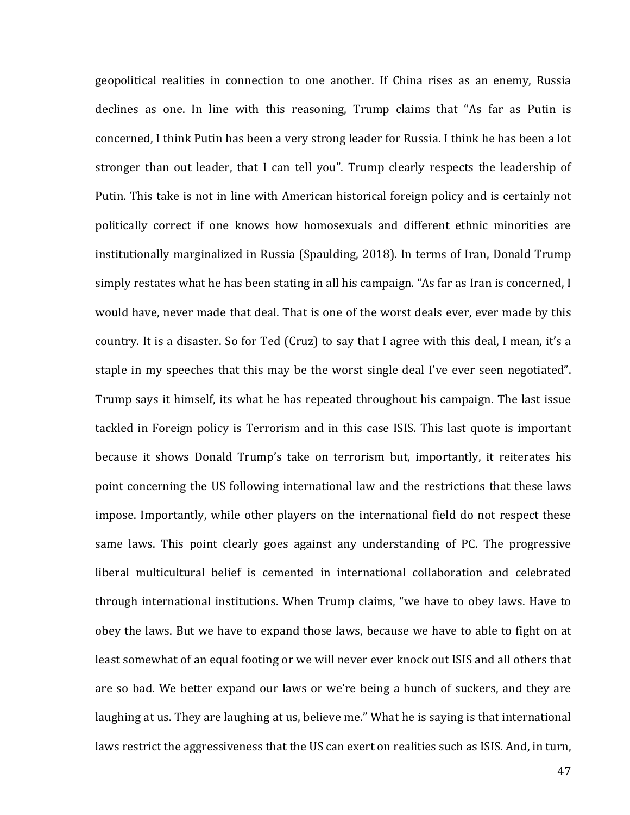geopolitical realities in connection to one another. If China rises as an enemy, Russia declines as one. In line with this reasoning, Trump claims that "As far as Putin is concerned, I think Putin has been a very strong leader for Russia. I think he has been a lot stronger than out leader, that I can tell you". Trump clearly respects the leadership of Putin. This take is not in line with American historical foreign policy and is certainly not politically correct if one knows how homosexuals and different ethnic minorities are institutionally marginalized in Russia (Spaulding, 2018). In terms of Iran, Donald Trump simply restates what he has been stating in all his campaign. "As far as Iran is concerned, I would have, never made that deal. That is one of the worst deals ever, ever made by this country. It is a disaster. So for Ted (Cruz) to say that I agree with this deal, I mean, it's a staple in my speeches that this may be the worst single deal I've ever seen negotiated". Trump says it himself, its what he has repeated throughout his campaign. The last issue tackled in Foreign policy is Terrorism and in this case ISIS. This last quote is important because it shows Donald Trump's take on terrorism but, importantly, it reiterates his point concerning the US following international law and the restrictions that these laws impose. Importantly, while other players on the international field do not respect these same laws. This point clearly goes against any understanding of PC. The progressive liberal multicultural belief is cemented in international collaboration and celebrated through international institutions. When Trump claims, "we have to obey laws. Have to obey the laws. But we have to expand those laws, because we have to able to fight on at least somewhat of an equal footing or we will never ever knock out ISIS and all others that are so bad. We better expand our laws or we're being a bunch of suckers, and they are laughing at us. They are laughing at us, believe me." What he is saying is that international laws restrict the aggressiveness that the US can exert on realities such as ISIS. And, in turn,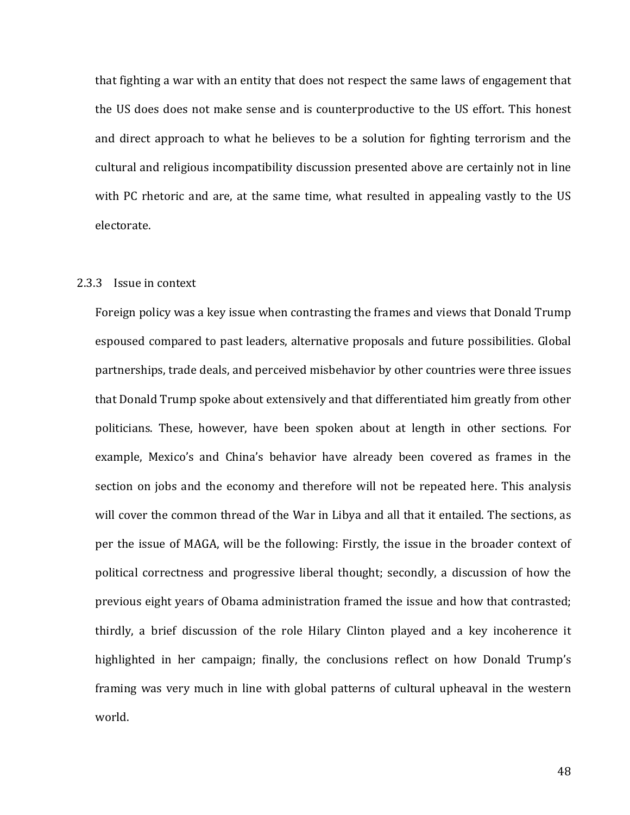that fighting a war with an entity that does not respect the same laws of engagement that the US does does not make sense and is counterproductive to the US effort. This honest and direct approach to what he believes to be a solution for fighting terrorism and the cultural and religious incompatibility discussion presented above are certainly not in line with PC rhetoric and are, at the same time, what resulted in appealing vastly to the US electorate. 

# 2.3.3 Issue in context

Foreign policy was a key issue when contrasting the frames and views that Donald Trump espoused compared to past leaders, alternative proposals and future possibilities. Global partnerships, trade deals, and perceived misbehavior by other countries were three issues that Donald Trump spoke about extensively and that differentiated him greatly from other politicians. These, however, have been spoken about at length in other sections. For example, Mexico's and China's behavior have already been covered as frames in the section on jobs and the economy and therefore will not be repeated here. This analysis will cover the common thread of the War in Libya and all that it entailed. The sections, as per the issue of MAGA, will be the following: Firstly, the issue in the broader context of political correctness and progressive liberal thought; secondly, a discussion of how the previous eight years of Obama administration framed the issue and how that contrasted; thirdly, a brief discussion of the role Hilary Clinton played and a key incoherence it highlighted in her campaign; finally, the conclusions reflect on how Donald Trump's framing was very much in line with global patterns of cultural upheaval in the western world.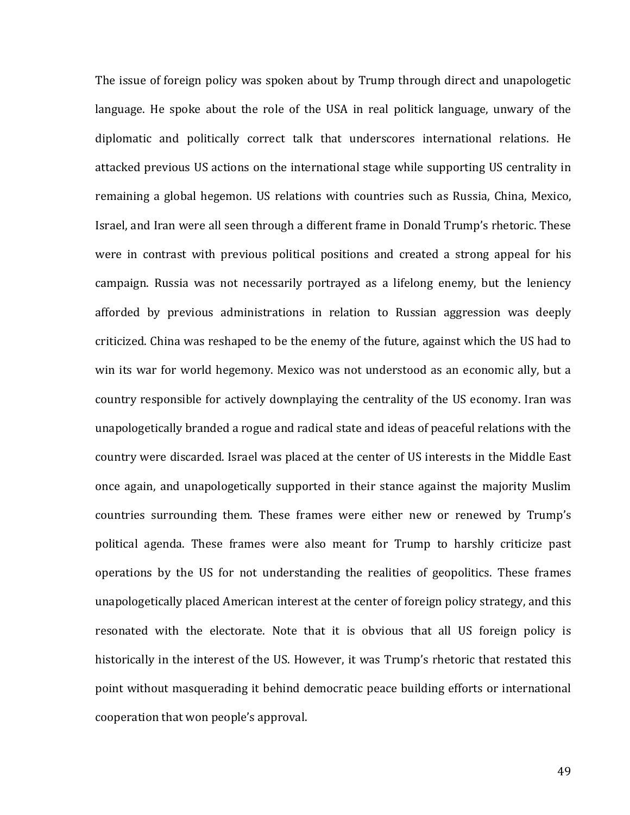The issue of foreign policy was spoken about by Trump through direct and unapologetic language. He spoke about the role of the USA in real politick language, unwary of the diplomatic and politically correct talk that underscores international relations. He attacked previous US actions on the international stage while supporting US centrality in remaining a global hegemon. US relations with countries such as Russia, China, Mexico, Israel, and Iran were all seen through a different frame in Donald Trump's rhetoric. These were in contrast with previous political positions and created a strong appeal for his campaign. Russia was not necessarily portrayed as a lifelong enemy, but the leniency afforded by previous administrations in relation to Russian aggression was deeply criticized. China was reshaped to be the enemy of the future, against which the US had to win its war for world hegemony. Mexico was not understood as an economic ally, but a country responsible for actively downplaying the centrality of the US economy. Iran was unapologetically branded a rogue and radical state and ideas of peaceful relations with the country were discarded. Israel was placed at the center of US interests in the Middle East once again, and unapologetically supported in their stance against the majority Muslim countries surrounding them. These frames were either new or renewed by Trump's political agenda. These frames were also meant for Trump to harshly criticize past operations by the US for not understanding the realities of geopolitics. These frames unapologetically placed American interest at the center of foreign policy strategy, and this resonated with the electorate. Note that it is obvious that all US foreign policy is historically in the interest of the US. However, it was Trump's rhetoric that restated this point without masquerading it behind democratic peace building efforts or international cooperation that won people's approval.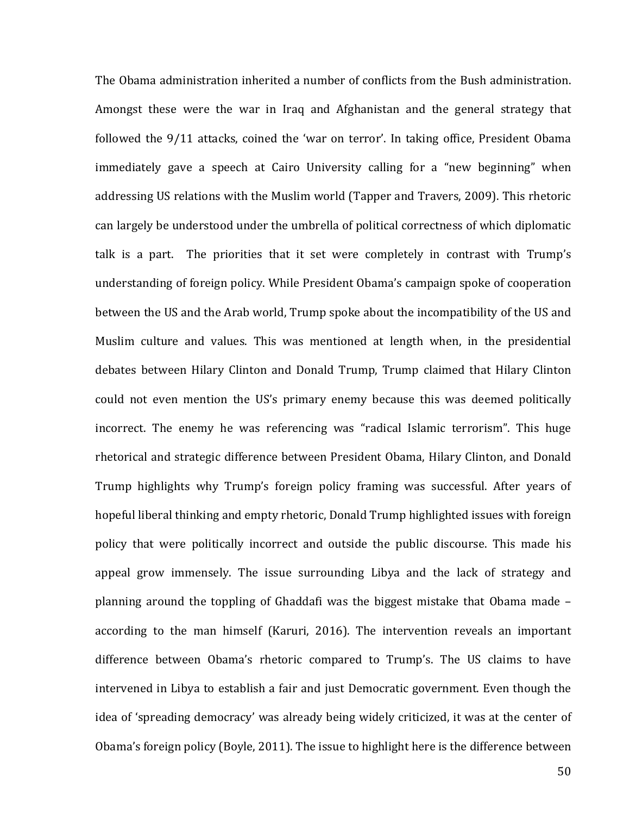The Obama administration inherited a number of conflicts from the Bush administration. Amongst these were the war in Iraq and Afghanistan and the general strategy that followed the 9/11 attacks, coined the 'war on terror'. In taking office, President Obama immediately gave a speech at Cairo University calling for a "new beginning" when addressing US relations with the Muslim world (Tapper and Travers, 2009). This rhetoric can largely be understood under the umbrella of political correctness of which diplomatic talk is a part. The priorities that it set were completely in contrast with Trump's understanding of foreign policy. While President Obama's campaign spoke of cooperation between the US and the Arab world, Trump spoke about the incompatibility of the US and Muslim culture and values. This was mentioned at length when, in the presidential debates between Hilary Clinton and Donald Trump, Trump claimed that Hilary Clinton could not even mention the US's primary enemy because this was deemed politically incorrect. The enemy he was referencing was "radical Islamic terrorism". This huge rhetorical and strategic difference between President Obama, Hilary Clinton, and Donald Trump highlights why Trump's foreign policy framing was successful. After years of hopeful liberal thinking and empty rhetoric, Donald Trump highlighted issues with foreign policy that were politically incorrect and outside the public discourse. This made his appeal grow immensely. The issue surrounding Libya and the lack of strategy and planning around the toppling of Ghaddafi was the biggest mistake that Obama made – according to the man himself (Karuri, 2016). The intervention reveals an important difference between Obama's rhetoric compared to Trump's. The US claims to have intervened in Libya to establish a fair and just Democratic government. Even though the idea of 'spreading democracy' was already being widely criticized, it was at the center of Obama's foreign policy (Boyle, 2011). The issue to highlight here is the difference between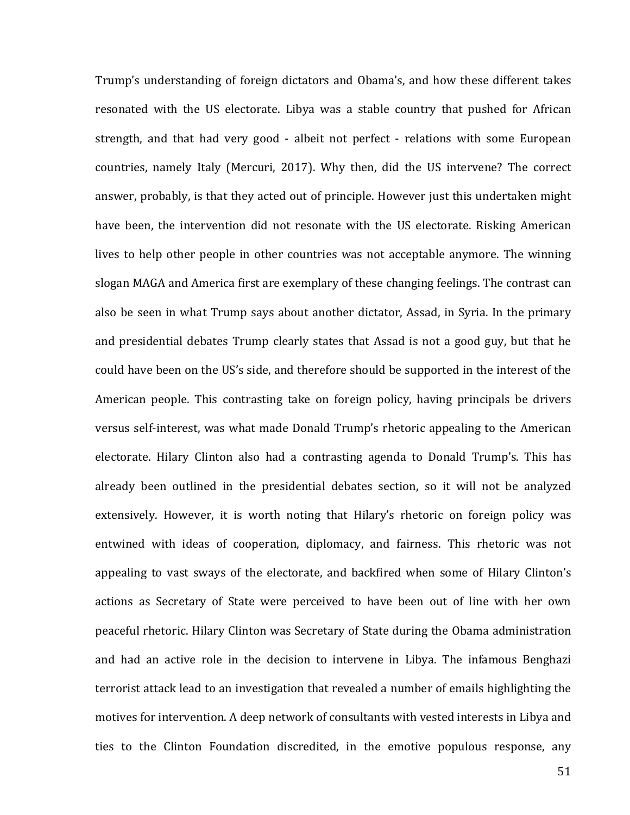Trump's understanding of foreign dictators and Obama's, and how these different takes resonated with the US electorate. Libya was a stable country that pushed for African strength, and that had very good - albeit not perfect - relations with some European countries, namely Italy (Mercuri, 2017). Why then, did the US intervene? The correct answer, probably, is that they acted out of principle. However just this undertaken might have been, the intervention did not resonate with the US electorate. Risking American lives to help other people in other countries was not acceptable anymore. The winning slogan MAGA and America first are exemplary of these changing feelings. The contrast can also be seen in what Trump says about another dictator, Assad, in Syria. In the primary and presidential debates Trump clearly states that Assad is not a good guy, but that he could have been on the US's side, and therefore should be supported in the interest of the American people. This contrasting take on foreign policy, having principals be drivers versus self-interest, was what made Donald Trump's rhetoric appealing to the American electorate. Hilary Clinton also had a contrasting agenda to Donald Trump's. This has already been outlined in the presidential debates section, so it will not be analyzed extensively. However, it is worth noting that Hilary's rhetoric on foreign policy was entwined with ideas of cooperation, diplomacy, and fairness. This rhetoric was not appealing to vast sways of the electorate, and backfired when some of Hilary Clinton's actions as Secretary of State were perceived to have been out of line with her own peaceful rhetoric. Hilary Clinton was Secretary of State during the Obama administration and had an active role in the decision to intervene in Libya. The infamous Benghazi terrorist attack lead to an investigation that revealed a number of emails highlighting the motives for intervention. A deep network of consultants with vested interests in Libya and ties to the Clinton Foundation discredited, in the emotive populous response, any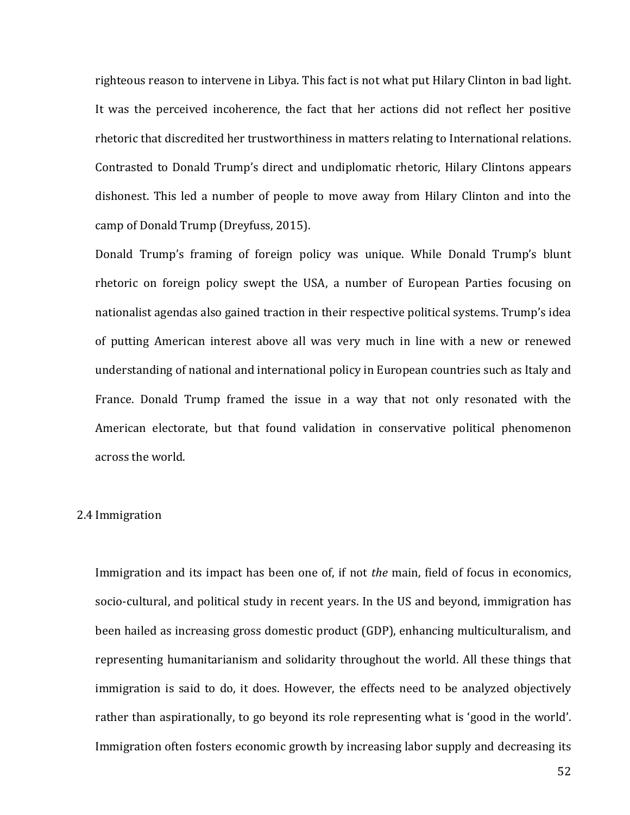righteous reason to intervene in Libya. This fact is not what put Hilary Clinton in bad light. It was the perceived incoherence, the fact that her actions did not reflect her positive rhetoric that discredited her trustworthiness in matters relating to International relations. Contrasted to Donald Trump's direct and undiplomatic rhetoric, Hilary Clintons appears dishonest. This led a number of people to move away from Hilary Clinton and into the camp of Donald Trump (Dreyfuss, 2015).

Donald Trump's framing of foreign policy was unique. While Donald Trump's blunt rhetoric on foreign policy swept the USA, a number of European Parties focusing on nationalist agendas also gained traction in their respective political systems. Trump's idea of putting American interest above all was very much in line with a new or renewed understanding of national and international policy in European countries such as Italy and France. Donald Trump framed the issue in a way that not only resonated with the American electorate, but that found validation in conservative political phenomenon across the world.

### 2.4 Immigration

Immigration and its impact has been one of, if not *the* main, field of focus in economics, socio-cultural, and political study in recent years. In the US and beyond, immigration has been hailed as increasing gross domestic product (GDP), enhancing multiculturalism, and representing humanitarianism and solidarity throughout the world. All these things that immigration is said to do, it does. However, the effects need to be analyzed objectively rather than aspirationally, to go beyond its role representing what is 'good in the world'. Immigration often fosters economic growth by increasing labor supply and decreasing its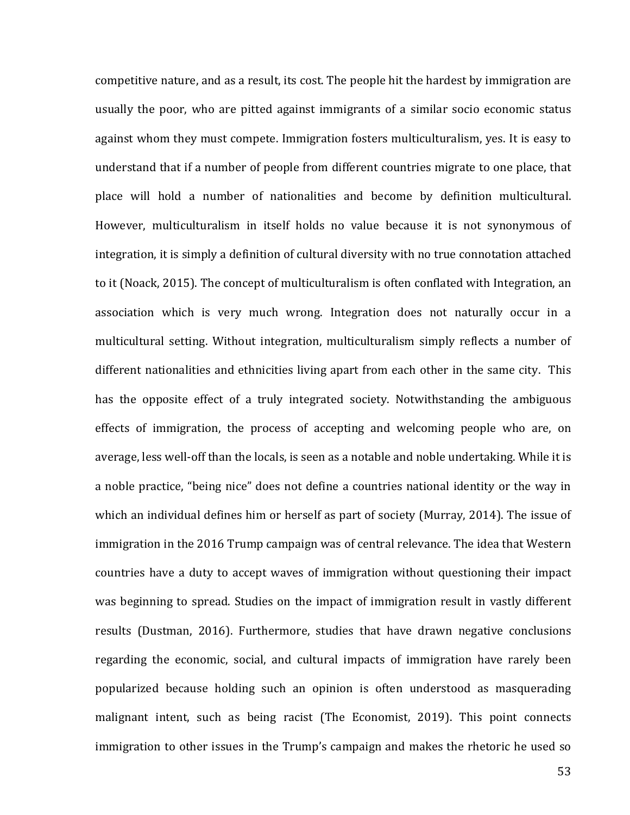competitive nature, and as a result, its cost. The people hit the hardest by immigration are usually the poor, who are pitted against immigrants of a similar socio economic status against whom they must compete. Immigration fosters multiculturalism, ves. It is easy to understand that if a number of people from different countries migrate to one place, that place will hold a number of nationalities and become by definition multicultural. However, multiculturalism in itself holds no value because it is not synonymous of integration, it is simply a definition of cultural diversity with no true connotation attached to it (Noack, 2015). The concept of multiculturalism is often conflated with Integration, an association which is very much wrong. Integration does not naturally occur in a multicultural setting. Without integration, multiculturalism simply reflects a number of different nationalities and ethnicities living apart from each other in the same city. This has the opposite effect of a truly integrated society. Notwithstanding the ambiguous effects of immigration, the process of accepting and welcoming people who are, on average, less well-off than the locals, is seen as a notable and noble undertaking. While it is a noble practice, "being nice" does not define a countries national identity or the way in which an individual defines him or herself as part of society (Murray, 2014). The issue of immigration in the 2016 Trump campaign was of central relevance. The idea that Western countries have a duty to accept waves of immigration without questioning their impact was beginning to spread. Studies on the impact of immigration result in vastly different results (Dustman, 2016). Furthermore, studies that have drawn negative conclusions regarding the economic, social, and cultural impacts of immigration have rarely been popularized because holding such an opinion is often understood as masquerading malignant intent, such as being racist (The Economist, 2019). This point connects immigration to other issues in the Trump's campaign and makes the rhetoric he used so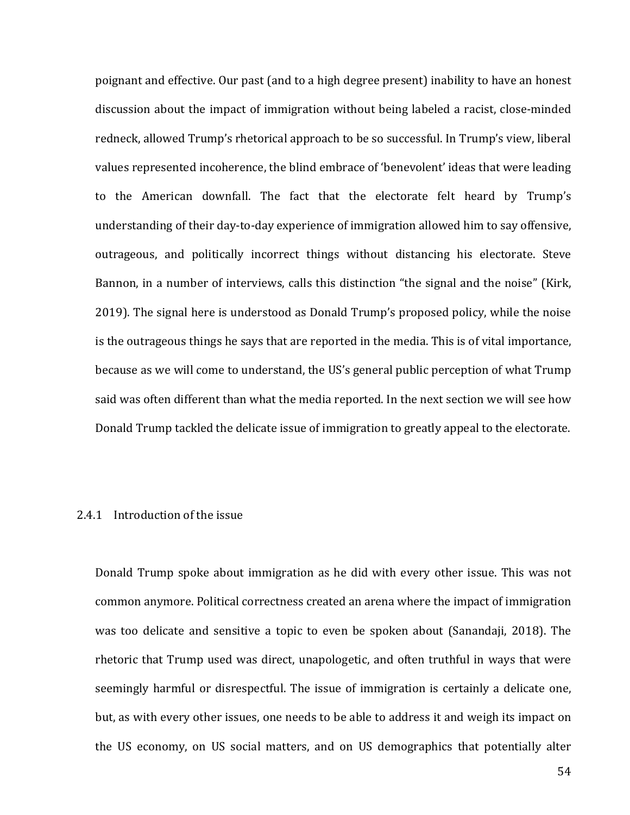poignant and effective. Our past (and to a high degree present) inability to have an honest discussion about the impact of immigration without being labeled a racist, close-minded redneck, allowed Trump's rhetorical approach to be so successful. In Trump's view, liberal values represented incoherence, the blind embrace of 'benevolent' ideas that were leading to the American downfall. The fact that the electorate felt heard by Trump's understanding of their day-to-day experience of immigration allowed him to say offensive, outrageous, and politically incorrect things without distancing his electorate. Steve Bannon, in a number of interviews, calls this distinction "the signal and the noise" (Kirk, 2019). The signal here is understood as Donald Trump's proposed policy, while the noise is the outrageous things he says that are reported in the media. This is of vital importance, because as we will come to understand, the US's general public perception of what Trump said was often different than what the media reported. In the next section we will see how Donald Trump tackled the delicate issue of immigration to greatly appeal to the electorate.

### 2.4.1 Introduction of the issue

Donald Trump spoke about immigration as he did with every other issue. This was not common anymore. Political correctness created an arena where the impact of immigration was too delicate and sensitive a topic to even be spoken about (Sanandaji, 2018). The rhetoric that Trump used was direct, unapologetic, and often truthful in ways that were seemingly harmful or disrespectful. The issue of immigration is certainly a delicate one, but, as with every other issues, one needs to be able to address it and weigh its impact on the US economy, on US social matters, and on US demographics that potentially alter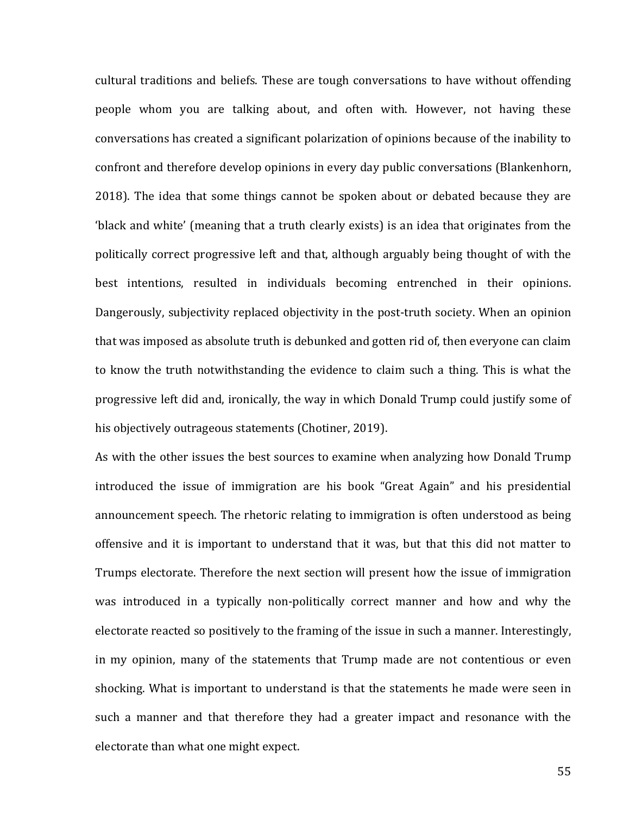cultural traditions and beliefs. These are tough conversations to have without offending people whom you are talking about, and often with. However, not having these conversations has created a significant polarization of opinions because of the inability to confront and therefore develop opinions in every day public conversations (Blankenhorn, 2018). The idea that some things cannot be spoken about or debated because they are 'black and white' (meaning that a truth clearly exists) is an idea that originates from the politically correct progressive left and that, although arguably being thought of with the best intentions, resulted in individuals becoming entrenched in their opinions. Dangerously, subjectivity replaced objectivity in the post-truth society. When an opinion that was imposed as absolute truth is debunked and gotten rid of, then everyone can claim to know the truth notwithstanding the evidence to claim such a thing. This is what the progressive left did and, ironically, the way in which Donald Trump could justify some of his objectively outrageous statements (Chotiner, 2019).

As with the other issues the best sources to examine when analyzing how Donald Trump introduced the issue of immigration are his book "Great Again" and his presidential announcement speech. The rhetoric relating to immigration is often understood as being offensive and it is important to understand that it was, but that this did not matter to Trumps electorate. Therefore the next section will present how the issue of immigration was introduced in a typically non-politically correct manner and how and why the electorate reacted so positively to the framing of the issue in such a manner. Interestingly, in my opinion, many of the statements that Trump made are not contentious or even shocking. What is important to understand is that the statements he made were seen in such a manner and that therefore they had a greater impact and resonance with the electorate than what one might expect.

55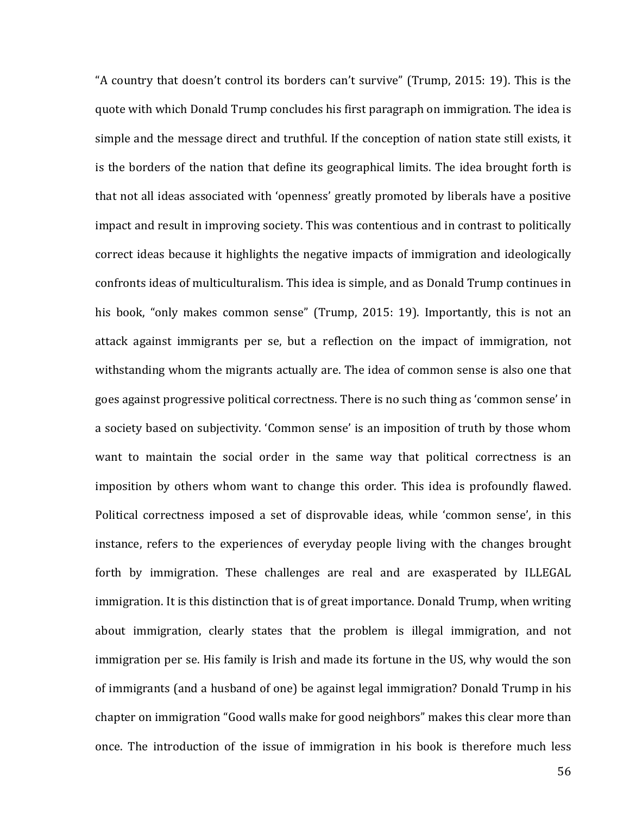"A country that doesn't control its borders can't survive" (Trump, 2015: 19). This is the quote with which Donald Trump concludes his first paragraph on immigration. The idea is simple and the message direct and truthful. If the conception of nation state still exists, it is the borders of the nation that define its geographical limits. The idea brought forth is that not all ideas associated with 'openness' greatly promoted by liberals have a positive impact and result in improving society. This was contentious and in contrast to politically correct ideas because it highlights the negative impacts of immigration and ideologically confronts ideas of multiculturalism. This idea is simple, and as Donald Trump continues in his book, "only makes common sense" (Trump, 2015: 19). Importantly, this is not an attack against immigrants per se, but a reflection on the impact of immigration, not withstanding whom the migrants actually are. The idea of common sense is also one that goes against progressive political correctness. There is no such thing as 'common sense' in a society based on subjectivity. 'Common sense' is an imposition of truth by those whom want to maintain the social order in the same way that political correctness is an imposition by others whom want to change this order. This idea is profoundly flawed. Political correctness imposed a set of disprovable ideas, while 'common sense', in this instance, refers to the experiences of everyday people living with the changes brought forth by immigration. These challenges are real and are exasperated by ILLEGAL immigration. It is this distinction that is of great importance. Donald Trump, when writing about immigration, clearly states that the problem is illegal immigration, and not immigration per se. His family is Irish and made its fortune in the US, why would the son of immigrants (and a husband of one) be against legal immigration? Donald Trump in his chapter on immigration "Good walls make for good neighbors" makes this clear more than once. The introduction of the issue of immigration in his book is therefore much less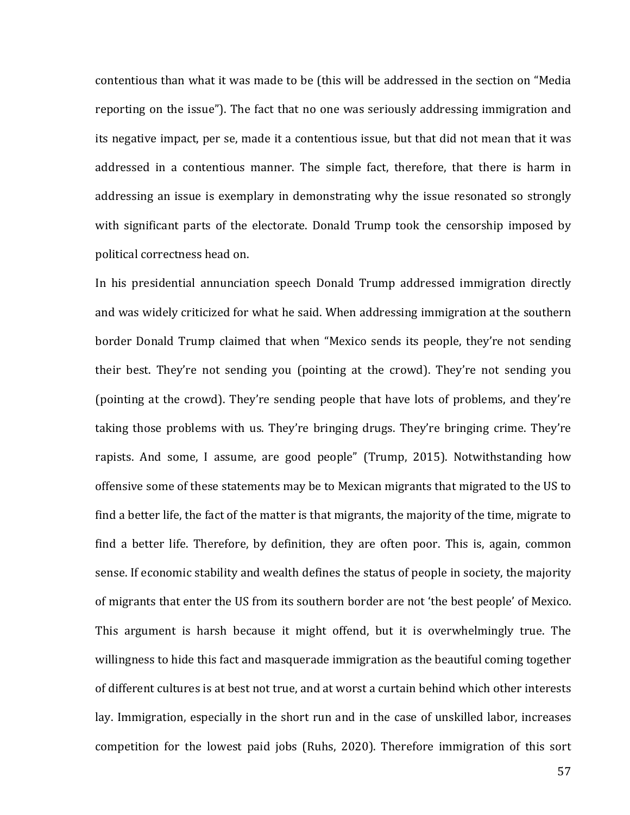contentious than what it was made to be (this will be addressed in the section on "Media reporting on the issue"). The fact that no one was seriously addressing immigration and its negative impact, per se, made it a contentious issue, but that did not mean that it was addressed in a contentious manner. The simple fact, therefore, that there is harm in addressing an issue is exemplary in demonstrating why the issue resonated so strongly with significant parts of the electorate. Donald Trump took the censorship imposed by political correctness head on.

In his presidential annunciation speech Donald Trump addressed immigration directly and was widely criticized for what he said. When addressing immigration at the southern border Donald Trump claimed that when "Mexico sends its people, they're not sending their best. They're not sending you (pointing at the crowd). They're not sending you (pointing at the crowd). They're sending people that have lots of problems, and they're taking those problems with us. They're bringing drugs. They're bringing crime. They're rapists. And some, I assume, are good people" (Trump, 2015). Notwithstanding how offensive some of these statements may be to Mexican migrants that migrated to the US to find a better life, the fact of the matter is that migrants, the majority of the time, migrate to find a better life. Therefore, by definition, they are often poor. This is, again, common sense. If economic stability and wealth defines the status of people in society, the majority of migrants that enter the US from its southern border are not 'the best people' of Mexico. This argument is harsh because it might offend, but it is overwhelmingly true. The willingness to hide this fact and masquerade immigration as the beautiful coming together of different cultures is at best not true, and at worst a curtain behind which other interests lay. Immigration, especially in the short run and in the case of unskilled labor, increases competition for the lowest paid jobs (Ruhs, 2020). Therefore immigration of this sort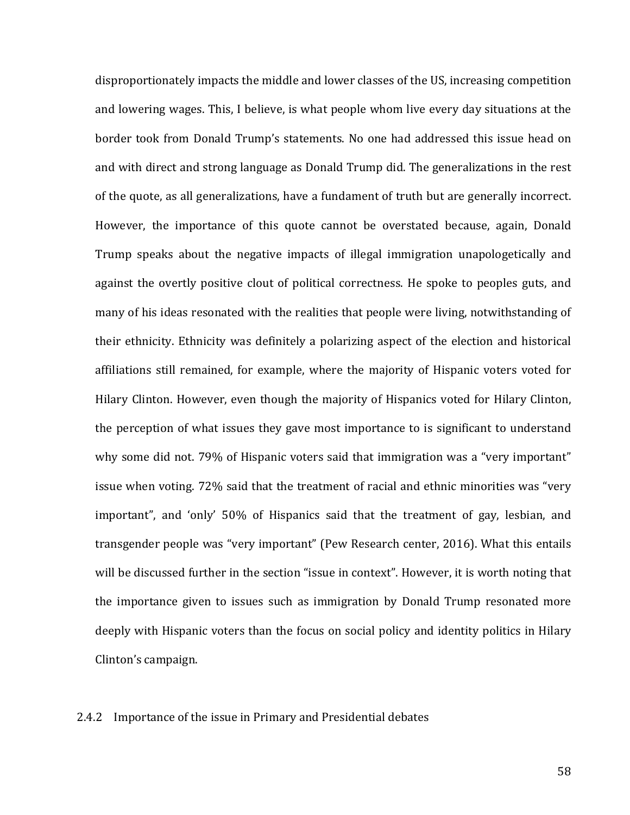disproportionately impacts the middle and lower classes of the US, increasing competition and lowering wages. This, I believe, is what people whom live every day situations at the border took from Donald Trump's statements. No one had addressed this issue head on and with direct and strong language as Donald Trump did. The generalizations in the rest of the quote, as all generalizations, have a fundament of truth but are generally incorrect. However, the importance of this quote cannot be overstated because, again, Donald Trump speaks about the negative impacts of illegal immigration unapologetically and against the overtly positive clout of political correctness. He spoke to peoples guts, and many of his ideas resonated with the realities that people were living, notwithstanding of their ethnicity. Ethnicity was definitely a polarizing aspect of the election and historical affiliations still remained, for example, where the majority of Hispanic voters voted for Hilary Clinton. However, even though the majority of Hispanics voted for Hilary Clinton, the perception of what issues they gave most importance to is significant to understand why some did not. 79% of Hispanic voters said that immigration was a "very important" issue when voting. 72% said that the treatment of racial and ethnic minorities was "very important", and 'only' 50% of Hispanics said that the treatment of gay, lesbian, and transgender people was "very important" (Pew Research center, 2016). What this entails will be discussed further in the section "issue in context". However, it is worth noting that the importance given to issues such as immigration by Donald Trump resonated more deeply with Hispanic voters than the focus on social policy and identity politics in Hilary Clinton's campaign.

### 2.4.2 Importance of the issue in Primary and Presidential debates

58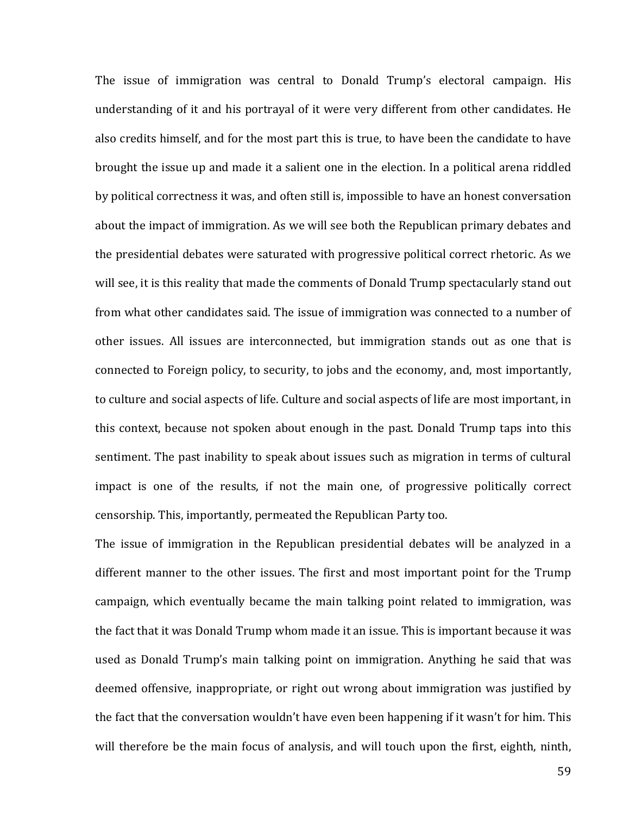The issue of immigration was central to Donald Trump's electoral campaign. His understanding of it and his portrayal of it were very different from other candidates. He also credits himself, and for the most part this is true, to have been the candidate to have brought the issue up and made it a salient one in the election. In a political arena riddled by political correctness it was, and often still is, impossible to have an honest conversation about the impact of immigration. As we will see both the Republican primary debates and the presidential debates were saturated with progressive political correct rhetoric. As we will see, it is this reality that made the comments of Donald Trump spectacularly stand out from what other candidates said. The issue of immigration was connected to a number of other issues. All issues are interconnected, but immigration stands out as one that is connected to Foreign policy, to security, to jobs and the economy, and, most importantly, to culture and social aspects of life. Culture and social aspects of life are most important, in this context, because not spoken about enough in the past. Donald Trump taps into this sentiment. The past inability to speak about issues such as migration in terms of cultural impact is one of the results, if not the main one, of progressive politically correct censorship. This, importantly, permeated the Republican Party too.

The issue of immigration in the Republican presidential debates will be analyzed in a different manner to the other issues. The first and most important point for the Trump campaign, which eventually became the main talking point related to immigration, was the fact that it was Donald Trump whom made it an issue. This is important because it was used as Donald Trump's main talking point on immigration. Anything he said that was deemed offensive, inappropriate, or right out wrong about immigration was justified by the fact that the conversation wouldn't have even been happening if it wasn't for him. This will therefore be the main focus of analysis, and will touch upon the first, eighth, ninth,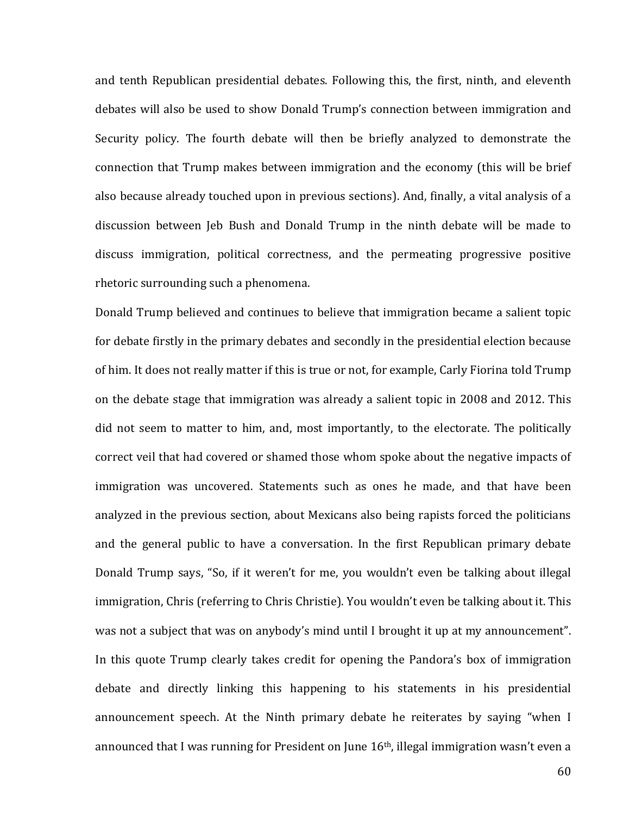and tenth Republican presidential debates. Following this, the first, ninth, and eleventh debates will also be used to show Donald Trump's connection between immigration and Security policy. The fourth debate will then be briefly analyzed to demonstrate the connection that Trump makes between immigration and the economy (this will be brief also because already touched upon in previous sections). And, finally, a vital analysis of a discussion between Jeb Bush and Donald Trump in the ninth debate will be made to discuss immigration, political correctness, and the permeating progressive positive rhetoric surrounding such a phenomena.

Donald Trump believed and continues to believe that immigration became a salient topic for debate firstly in the primary debates and secondly in the presidential election because of him. It does not really matter if this is true or not, for example, Carly Fiorina told Trump on the debate stage that immigration was already a salient topic in 2008 and 2012. This did not seem to matter to him, and, most importantly, to the electorate. The politically correct veil that had covered or shamed those whom spoke about the negative impacts of immigration was uncovered. Statements such as ones he made, and that have been analyzed in the previous section, about Mexicans also being rapists forced the politicians and the general public to have a conversation. In the first Republican primary debate Donald Trump says, "So, if it weren't for me, you wouldn't even be talking about illegal immigration, Chris (referring to Chris Christie). You wouldn't even be talking about it. This was not a subject that was on anybody's mind until I brought it up at my announcement". In this quote Trump clearly takes credit for opening the Pandora's box of immigration debate and directly linking this happening to his statements in his presidential announcement speech. At the Ninth primary debate he reiterates by saying "when I announced that I was running for President on June  $16<sup>th</sup>$ , illegal immigration wasn't even a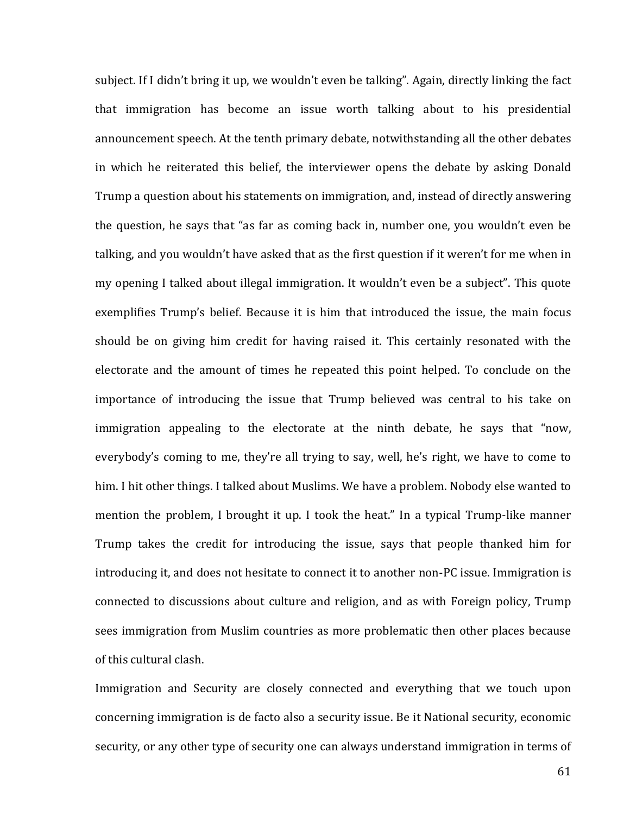subject. If I didn't bring it up, we wouldn't even be talking". Again, directly linking the fact that immigration has become an issue worth talking about to his presidential announcement speech. At the tenth primary debate, notwithstanding all the other debates in which he reiterated this belief, the interviewer opens the debate by asking Donald Trump a question about his statements on immigration, and, instead of directly answering the question, he says that "as far as coming back in, number one, you wouldn't even be talking, and you wouldn't have asked that as the first question if it weren't for me when in my opening I talked about illegal immigration. It wouldn't even be a subject". This quote exemplifies Trump's belief. Because it is him that introduced the issue, the main focus should be on giving him credit for having raised it. This certainly resonated with the electorate and the amount of times he repeated this point helped. To conclude on the importance of introducing the issue that Trump believed was central to his take on immigration appealing to the electorate at the ninth debate, he says that "now, everybody's coming to me, they're all trying to say, well, he's right, we have to come to him. I hit other things. I talked about Muslims. We have a problem. Nobody else wanted to mention the problem, I brought it up. I took the heat." In a typical Trump-like manner Trump takes the credit for introducing the issue, says that people thanked him for introducing it, and does not hesitate to connect it to another non-PC issue. Immigration is connected to discussions about culture and religion, and as with Foreign policy, Trump sees immigration from Muslim countries as more problematic then other places because of this cultural clash.

Immigration and Security are closely connected and everything that we touch upon concerning immigration is de facto also a security issue. Be it National security, economic security, or any other type of security one can always understand immigration in terms of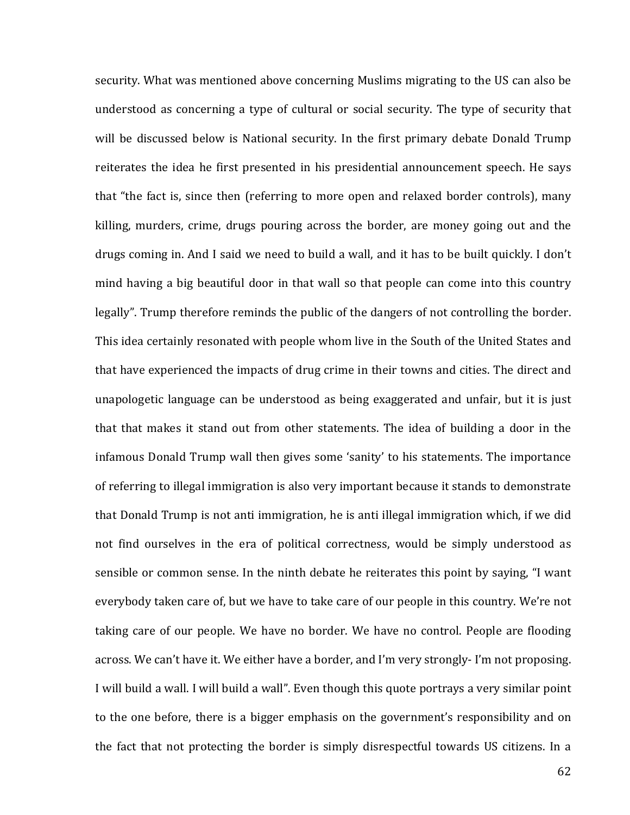security. What was mentioned above concerning Muslims migrating to the US can also be understood as concerning a type of cultural or social security. The type of security that will be discussed below is National security. In the first primary debate Donald Trump reiterates the idea he first presented in his presidential announcement speech. He says that "the fact is, since then (referring to more open and relaxed border controls), many killing, murders, crime, drugs pouring across the border, are money going out and the drugs coming in. And I said we need to build a wall, and it has to be built quickly. I don't mind having a big beautiful door in that wall so that people can come into this country legally". Trump therefore reminds the public of the dangers of not controlling the border. This idea certainly resonated with people whom live in the South of the United States and that have experienced the impacts of drug crime in their towns and cities. The direct and unapologetic language can be understood as being exaggerated and unfair, but it is just that that makes it stand out from other statements. The idea of building a door in the infamous Donald Trump wall then gives some 'sanity' to his statements. The importance of referring to illegal immigration is also very important because it stands to demonstrate that Donald Trump is not anti immigration, he is anti illegal immigration which, if we did not find ourselves in the era of political correctness, would be simply understood as sensible or common sense. In the ninth debate he reiterates this point by saying, "I want everybody taken care of, but we have to take care of our people in this country. We're not taking care of our people. We have no border. We have no control. People are flooding across. We can't have it. We either have a border, and I'm very strongly- I'm not proposing. I will build a wall. I will build a wall". Even though this quote portrays a very similar point to the one before, there is a bigger emphasis on the government's responsibility and on the fact that not protecting the border is simply disrespectful towards US citizens. In a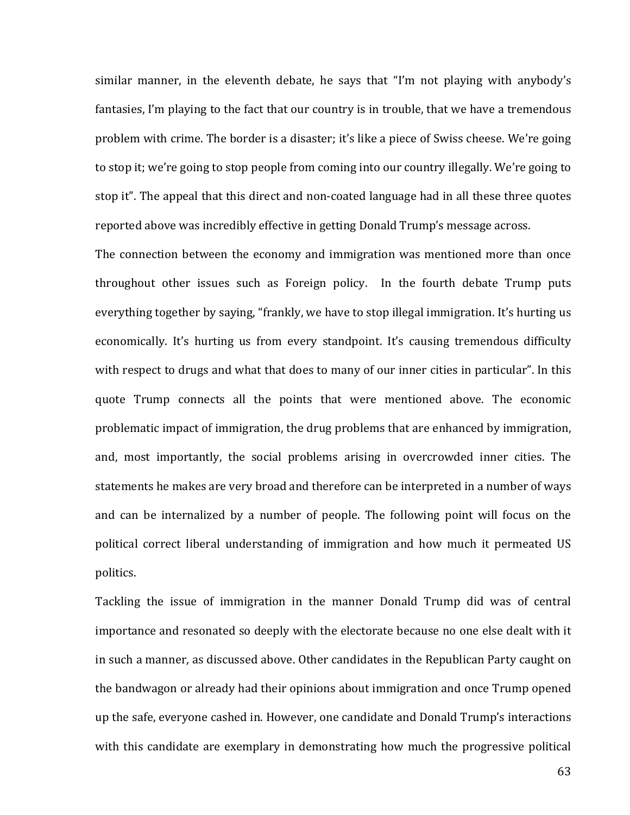similar manner, in the eleventh debate, he says that "I'm not playing with anybody's fantasies, I'm playing to the fact that our country is in trouble, that we have a tremendous problem with crime. The border is a disaster; it's like a piece of Swiss cheese. We're going to stop it; we're going to stop people from coming into our country illegally. We're going to stop it". The appeal that this direct and non-coated language had in all these three quotes reported above was incredibly effective in getting Donald Trump's message across.

The connection between the economy and immigration was mentioned more than once throughout other issues such as Foreign policy. In the fourth debate Trump puts everything together by saying, "frankly, we have to stop illegal immigration. It's hurting us economically. It's hurting us from every standpoint. It's causing tremendous difficulty with respect to drugs and what that does to many of our inner cities in particular". In this quote Trump connects all the points that were mentioned above. The economic problematic impact of immigration, the drug problems that are enhanced by immigration, and, most importantly, the social problems arising in overcrowded inner cities. The statements he makes are very broad and therefore can be interpreted in a number of ways and can be internalized by a number of people. The following point will focus on the political correct liberal understanding of immigration and how much it permeated US politics.

Tackling the issue of immigration in the manner Donald Trump did was of central importance and resonated so deeply with the electorate because no one else dealt with it in such a manner, as discussed above. Other candidates in the Republican Party caught on the bandwagon or already had their opinions about immigration and once Trump opened up the safe, everyone cashed in. However, one candidate and Donald Trump's interactions with this candidate are exemplary in demonstrating how much the progressive political

63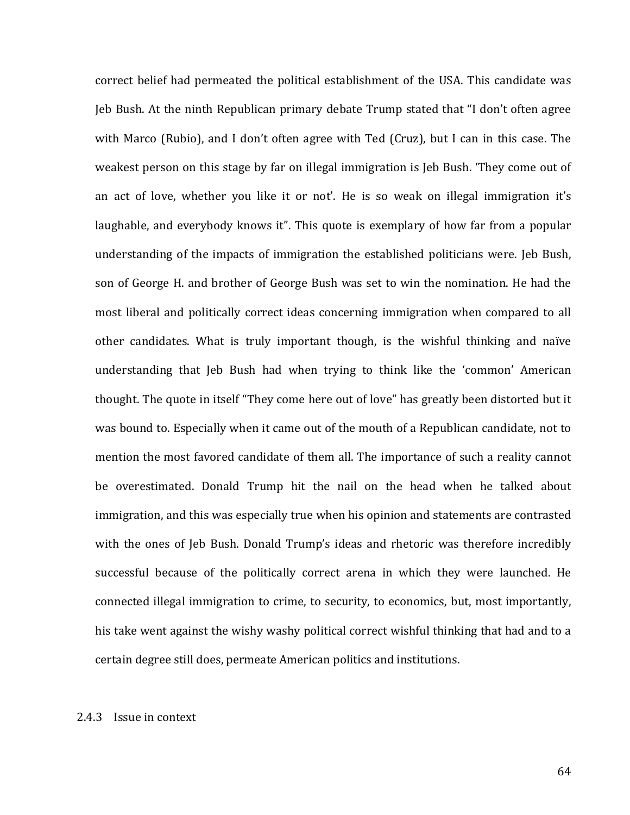correct belief had permeated the political establishment of the USA. This candidate was Jeb Bush. At the ninth Republican primary debate Trump stated that "I don't often agree with Marco (Rubio), and I don't often agree with Ted (Cruz), but I can in this case. The weakest person on this stage by far on illegal immigration is Jeb Bush. 'They come out of an act of love, whether you like it or not'. He is so weak on illegal immigration it's laughable, and everybody knows it". This quote is exemplary of how far from a popular understanding of the impacts of immigration the established politicians were. Jeb Bush, son of George H. and brother of George Bush was set to win the nomination. He had the most liberal and politically correct ideas concerning immigration when compared to all other candidates. What is truly important though, is the wishful thinking and naïve understanding that Jeb Bush had when trying to think like the 'common' American thought. The quote in itself "They come here out of love" has greatly been distorted but it was bound to. Especially when it came out of the mouth of a Republican candidate, not to mention the most favored candidate of them all. The importance of such a reality cannot be overestimated. Donald Trump hit the nail on the head when he talked about immigration, and this was especially true when his opinion and statements are contrasted with the ones of Jeb Bush. Donald Trump's ideas and rhetoric was therefore incredibly successful because of the politically correct arena in which they were launched. He connected illegal immigration to crime, to security, to economics, but, most importantly, his take went against the wishy washy political correct wishful thinking that had and to a certain degree still does, permeate American politics and institutions.

### 2.4.3 Issue in context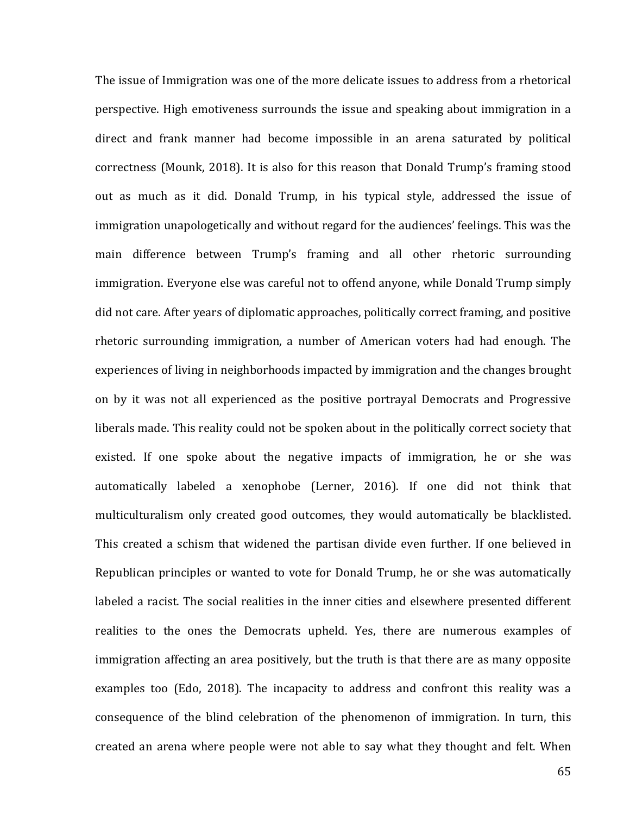The issue of Immigration was one of the more delicate issues to address from a rhetorical perspective. High emotiveness surrounds the issue and speaking about immigration in a direct and frank manner had become impossible in an arena saturated by political correctness (Mounk, 2018). It is also for this reason that Donald Trump's framing stood out as much as it did. Donald Trump, in his typical style, addressed the issue of immigration unapologetically and without regard for the audiences' feelings. This was the main difference between Trump's framing and all other rhetoric surrounding immigration. Everyone else was careful not to offend anyone, while Donald Trump simply did not care. After years of diplomatic approaches, politically correct framing, and positive rhetoric surrounding immigration, a number of American voters had had enough. The experiences of living in neighborhoods impacted by immigration and the changes brought on by it was not all experienced as the positive portrayal Democrats and Progressive liberals made. This reality could not be spoken about in the politically correct society that existed. If one spoke about the negative impacts of immigration, he or she was automatically labeled a xenophobe (Lerner, 2016). If one did not think that multiculturalism only created good outcomes, they would automatically be blacklisted. This created a schism that widened the partisan divide even further. If one believed in Republican principles or wanted to vote for Donald Trump, he or she was automatically labeled a racist. The social realities in the inner cities and elsewhere presented different realities to the ones the Democrats upheld. Yes, there are numerous examples of immigration affecting an area positively, but the truth is that there are as many opposite examples too (Edo, 2018). The incapacity to address and confront this reality was a consequence of the blind celebration of the phenomenon of immigration. In turn, this created an arena where people were not able to say what they thought and felt. When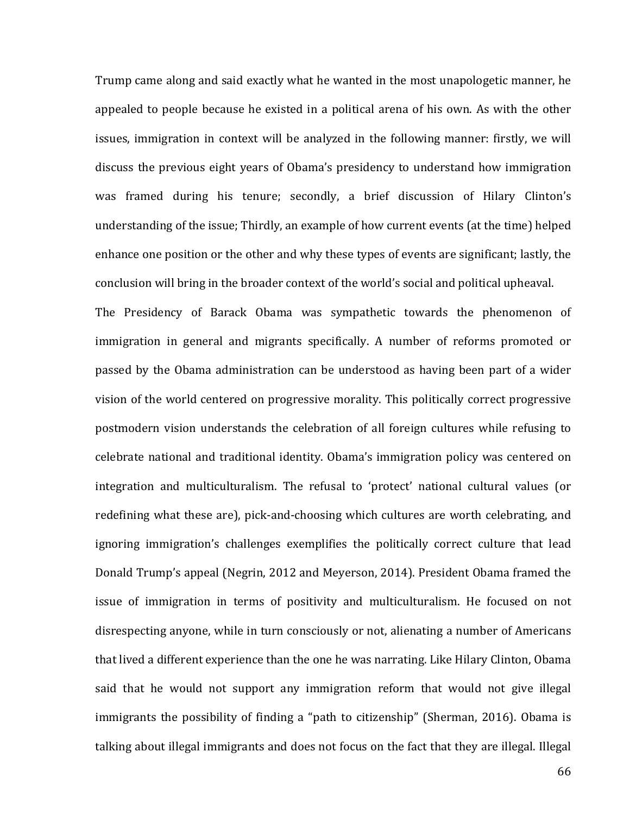Trump came along and said exactly what he wanted in the most unapologetic manner, he appealed to people because he existed in a political arena of his own. As with the other issues, immigration in context will be analyzed in the following manner: firstly, we will discuss the previous eight years of Obama's presidency to understand how immigration was framed during his tenure; secondly, a brief discussion of Hilary Clinton's understanding of the issue; Thirdly, an example of how current events (at the time) helped enhance one position or the other and why these types of events are significant; lastly, the conclusion will bring in the broader context of the world's social and political upheaval.

The Presidency of Barack Obama was sympathetic towards the phenomenon of immigration in general and migrants specifically. A number of reforms promoted or passed by the Obama administration can be understood as having been part of a wider vision of the world centered on progressive morality. This politically correct progressive postmodern vision understands the celebration of all foreign cultures while refusing to celebrate national and traditional identity. Obama's immigration policy was centered on integration and multiculturalism. The refusal to 'protect' national cultural values (or redefining what these are), pick-and-choosing which cultures are worth celebrating, and ignoring immigration's challenges exemplifies the politically correct culture that lead Donald Trump's appeal (Negrin, 2012 and Meyerson, 2014). President Obama framed the issue of immigration in terms of positivity and multiculturalism. He focused on not disrespecting anyone, while in turn consciously or not, alienating a number of Americans that lived a different experience than the one he was narrating. Like Hilary Clinton, Obama said that he would not support any immigration reform that would not give illegal immigrants the possibility of finding a "path to citizenship" (Sherman, 2016). Obama is talking about illegal immigrants and does not focus on the fact that they are illegal. Illegal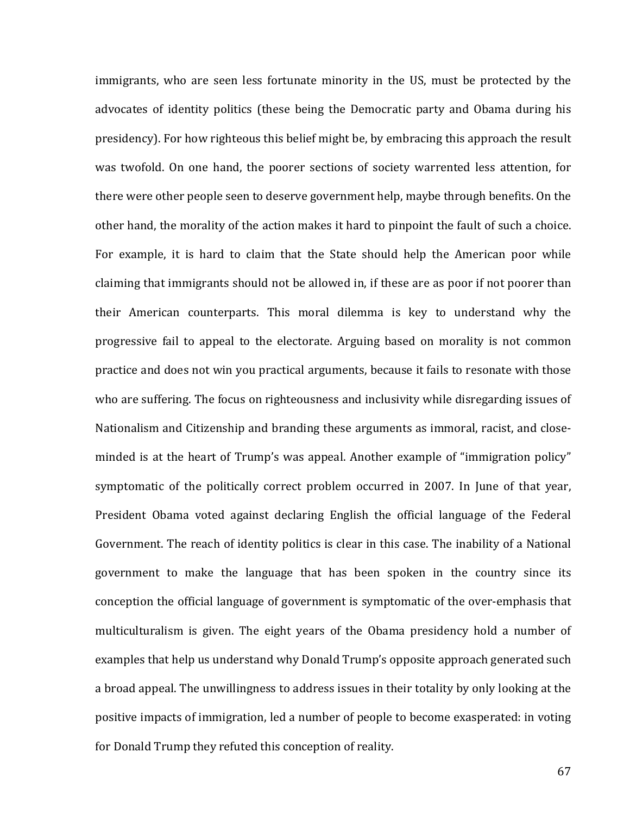immigrants, who are seen less fortunate minority in the US, must be protected by the advocates of identity politics (these being the Democratic party and Obama during his presidency). For how righteous this belief might be, by embracing this approach the result was twofold. On one hand, the poorer sections of society warrented less attention, for there were other people seen to deserve government help, maybe through benefits. On the other hand, the morality of the action makes it hard to pinpoint the fault of such a choice. For example, it is hard to claim that the State should help the American poor while claiming that immigrants should not be allowed in, if these are as poor if not poorer than their American counterparts. This moral dilemma is key to understand why the progressive fail to appeal to the electorate. Arguing based on morality is not common practice and does not win you practical arguments, because it fails to resonate with those who are suffering. The focus on righteousness and inclusivity while disregarding issues of Nationalism and Citizenship and branding these arguments as immoral, racist, and closeminded is at the heart of Trump's was appeal. Another example of "immigration policy" symptomatic of the politically correct problem occurred in 2007. In June of that year, President Obama voted against declaring English the official language of the Federal Government. The reach of identity politics is clear in this case. The inability of a National government to make the language that has been spoken in the country since its conception the official language of government is symptomatic of the over-emphasis that multiculturalism is given. The eight years of the Obama presidency hold a number of examples that help us understand why Donald Trump's opposite approach generated such a broad appeal. The unwillingness to address issues in their totality by only looking at the positive impacts of immigration, led a number of people to become exasperated: in voting for Donald Trump they refuted this conception of reality.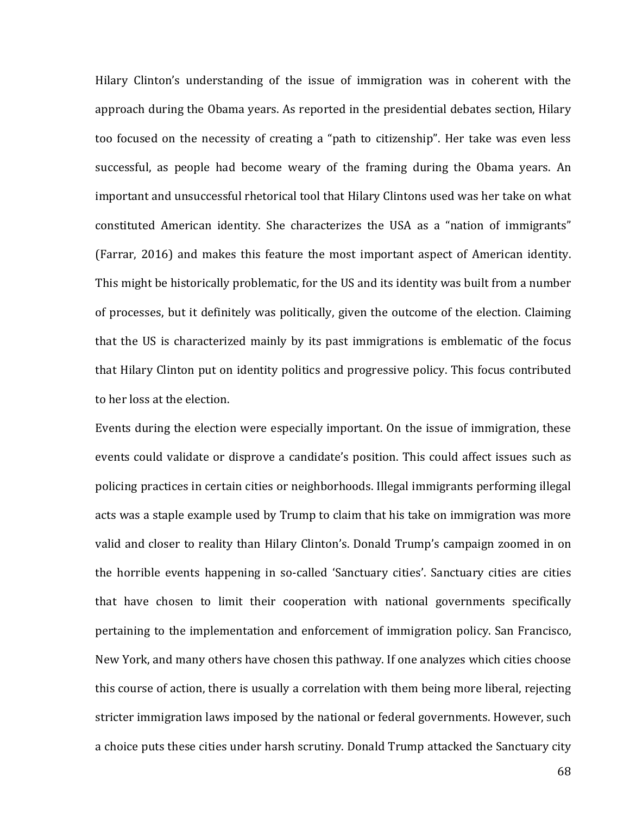Hilary Clinton's understanding of the issue of immigration was in coherent with the approach during the Obama years. As reported in the presidential debates section, Hilary too focused on the necessity of creating a "path to citizenship". Her take was even less successful, as people had become weary of the framing during the Obama years. An important and unsuccessful rhetorical tool that Hilary Clintons used was her take on what constituted American identity. She characterizes the USA as a "nation of immigrants" (Farrar, 2016) and makes this feature the most important aspect of American identity. This might be historically problematic, for the US and its identity was built from a number of processes, but it definitely was politically, given the outcome of the election. Claiming that the US is characterized mainly by its past immigrations is emblematic of the focus that Hilary Clinton put on identity politics and progressive policy. This focus contributed to her loss at the election.

Events during the election were especially important. On the issue of immigration, these events could validate or disprove a candidate's position. This could affect issues such as policing practices in certain cities or neighborhoods. Illegal immigrants performing illegal acts was a staple example used by Trump to claim that his take on immigration was more valid and closer to reality than Hilary Clinton's. Donald Trump's campaign zoomed in on the horrible events happening in so-called 'Sanctuary cities'. Sanctuary cities are cities that have chosen to limit their cooperation with national governments specifically pertaining to the implementation and enforcement of immigration policy. San Francisco, New York, and many others have chosen this pathway. If one analyzes which cities choose this course of action, there is usually a correlation with them being more liberal, rejecting stricter immigration laws imposed by the national or federal governments. However, such a choice puts these cities under harsh scrutiny. Donald Trump attacked the Sanctuary city

68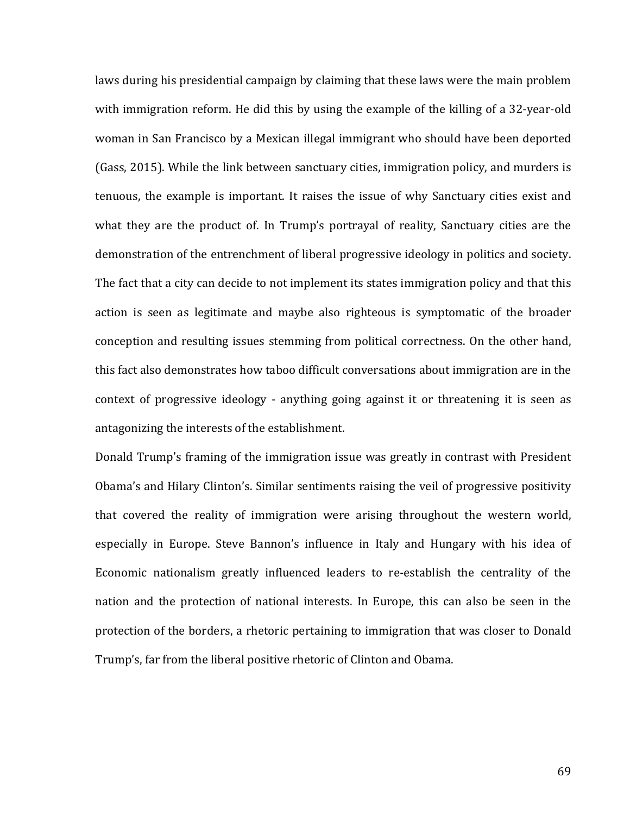laws during his presidential campaign by claiming that these laws were the main problem with immigration reform. He did this by using the example of the killing of a 32-year-old woman in San Francisco by a Mexican illegal immigrant who should have been deported (Gass, 2015). While the link between sanctuary cities, immigration policy, and murders is tenuous, the example is important. It raises the issue of why Sanctuary cities exist and what they are the product of. In Trump's portrayal of reality, Sanctuary cities are the demonstration of the entrenchment of liberal progressive ideology in politics and society. The fact that a city can decide to not implement its states immigration policy and that this action is seen as legitimate and maybe also righteous is symptomatic of the broader conception and resulting issues stemming from political correctness. On the other hand, this fact also demonstrates how taboo difficult conversations about immigration are in the context of progressive ideology - anything going against it or threatening it is seen as antagonizing the interests of the establishment.

Donald Trump's framing of the immigration issue was greatly in contrast with President Obama's and Hilary Clinton's. Similar sentiments raising the veil of progressive positivity that covered the reality of immigration were arising throughout the western world, especially in Europe. Steve Bannon's influence in Italy and Hungary with his idea of Economic nationalism greatly influenced leaders to re-establish the centrality of the nation and the protection of national interests. In Europe, this can also be seen in the protection of the borders, a rhetoric pertaining to immigration that was closer to Donald Trump's, far from the liberal positive rhetoric of Clinton and Obama.

69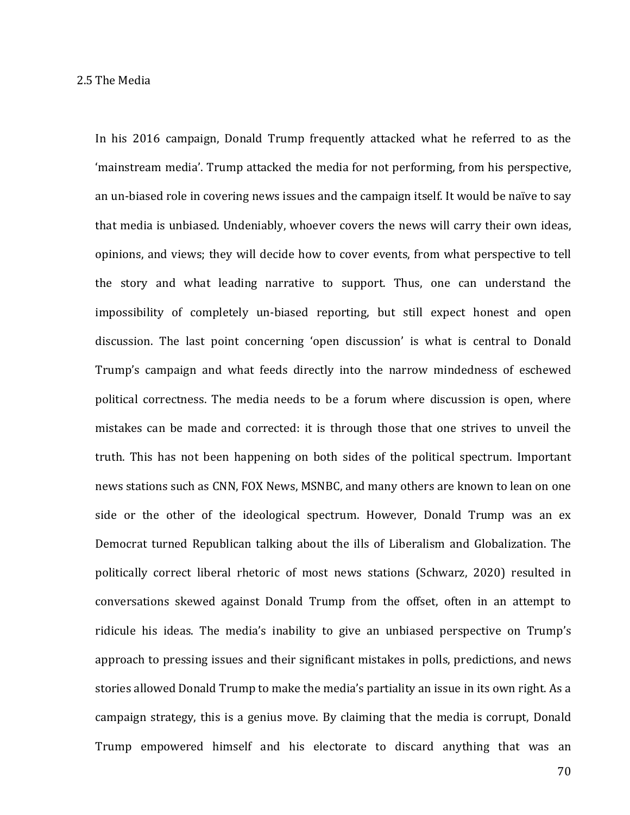In his 2016 campaign, Donald Trump frequently attacked what he referred to as the 'mainstream media'. Trump attacked the media for not performing, from his perspective, an un-biased role in covering news issues and the campaign itself. It would be naïve to say that media is unbiased. Undeniably, whoever covers the news will carry their own ideas, opinions, and views; they will decide how to cover events, from what perspective to tell the story and what leading narrative to support. Thus, one can understand the impossibility of completely un-biased reporting, but still expect honest and open discussion. The last point concerning 'open discussion' is what is central to Donald Trump's campaign and what feeds directly into the narrow mindedness of eschewed political correctness. The media needs to be a forum where discussion is open, where mistakes can be made and corrected: it is through those that one strives to unveil the truth. This has not been happening on both sides of the political spectrum. Important news stations such as CNN, FOX News, MSNBC, and many others are known to lean on one side or the other of the ideological spectrum. However, Donald Trump was an ex Democrat turned Republican talking about the ills of Liberalism and Globalization. The politically correct liberal rhetoric of most news stations (Schwarz, 2020) resulted in conversations skewed against Donald Trump from the offset, often in an attempt to ridicule his ideas. The media's inability to give an unbiased perspective on Trump's approach to pressing issues and their significant mistakes in polls, predictions, and news stories allowed Donald Trump to make the media's partiality an issue in its own right. As a campaign strategy, this is a genius move. By claiming that the media is corrupt, Donald Trump empowered himself and his electorate to discard anything that was an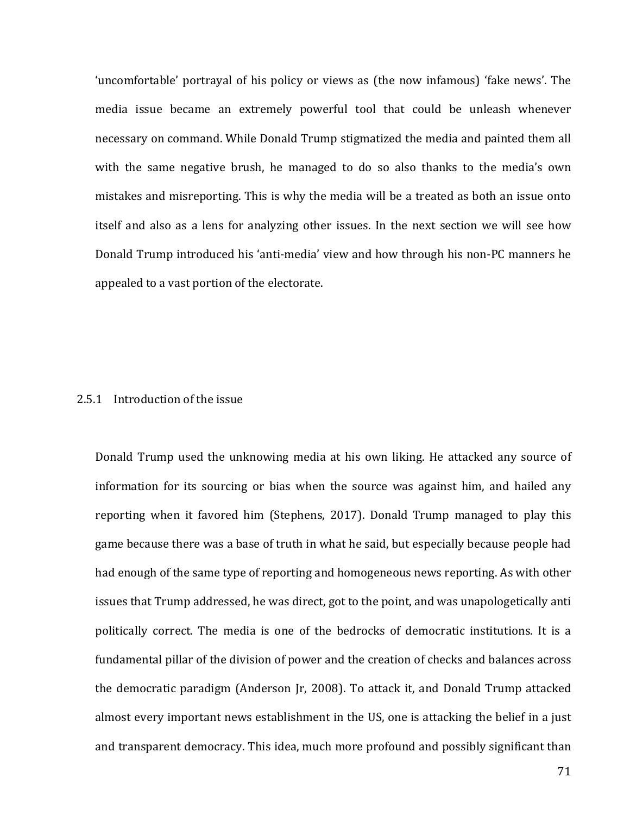'uncomfortable' portrayal of his policy or views as (the now infamous) 'fake news'. The media issue became an extremely powerful tool that could be unleash whenever necessary on command. While Donald Trump stigmatized the media and painted them all with the same negative brush, he managed to do so also thanks to the media's own mistakes and misreporting. This is why the media will be a treated as both an issue onto itself and also as a lens for analyzing other issues. In the next section we will see how Donald Trump introduced his 'anti-media' view and how through his non-PC manners he appealed to a vast portion of the electorate.

# $2.5.1$  Introduction of the issue

Donald Trump used the unknowing media at his own liking. He attacked any source of information for its sourcing or bias when the source was against him, and hailed any reporting when it favored him (Stephens, 2017). Donald Trump managed to play this game because there was a base of truth in what he said, but especially because people had had enough of the same type of reporting and homogeneous news reporting. As with other issues that Trump addressed, he was direct, got to the point, and was unapologetically anti politically correct. The media is one of the bedrocks of democratic institutions. It is a fundamental pillar of the division of power and the creation of checks and balances across the democratic paradigm (Anderson Jr, 2008). To attack it, and Donald Trump attacked almost every important news establishment in the US, one is attacking the belief in a just and transparent democracy. This idea, much more profound and possibly significant than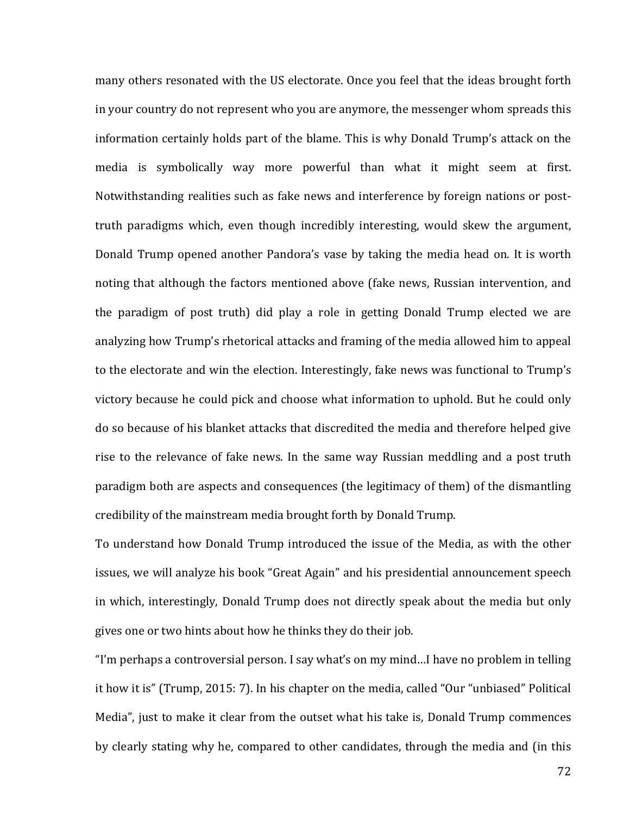many others resonated with the US electorate. Once you feel that the ideas brought forth in your country do not represent who you are anymore, the messenger whom spreads this information certainly holds part of the blame. This is why Donald Trump's attack on the media is symbolically way more powerful than what it might seem at first. Notwithstanding realities such as fake news and interference by foreign nations or posttruth paradigms which, even though incredibly interesting, would skew the argument, Donald Trump opened another Pandora's vase by taking the media head on. It is worth noting that although the factors mentioned above (fake news, Russian intervention, and the paradigm of post truth) did play a role in getting Donald Trump elected we are analyzing how Trump's rhetorical attacks and framing of the media allowed him to appeal to the electorate and win the election. Interestingly, fake news was functional to Trump's victory because he could pick and choose what information to uphold. But he could only do so because of his blanket attacks that discredited the media and therefore helped give rise to the relevance of fake news. In the same way Russian meddling and a post truth paradigm both are aspects and consequences (the legitimacy of them) of the dismantling credibility of the mainstream media brought forth by Donald Trump.

To understand how Donald Trump introduced the issue of the Media, as with the other issues, we will analyze his book "Great Again" and his presidential announcement speech in which, interestingly, Donald Trump does not directly speak about the media but only gives one or two hints about how he thinks they do their job.

"I'm perhaps a controversial person. I say what's on my mind...I have no problem in telling it how it is" (Trump, 2015: 7). In his chapter on the media, called "Our "unbiased" Political Media", just to make it clear from the outset what his take is, Donald Trump commences by clearly stating why he, compared to other candidates, through the media and (in this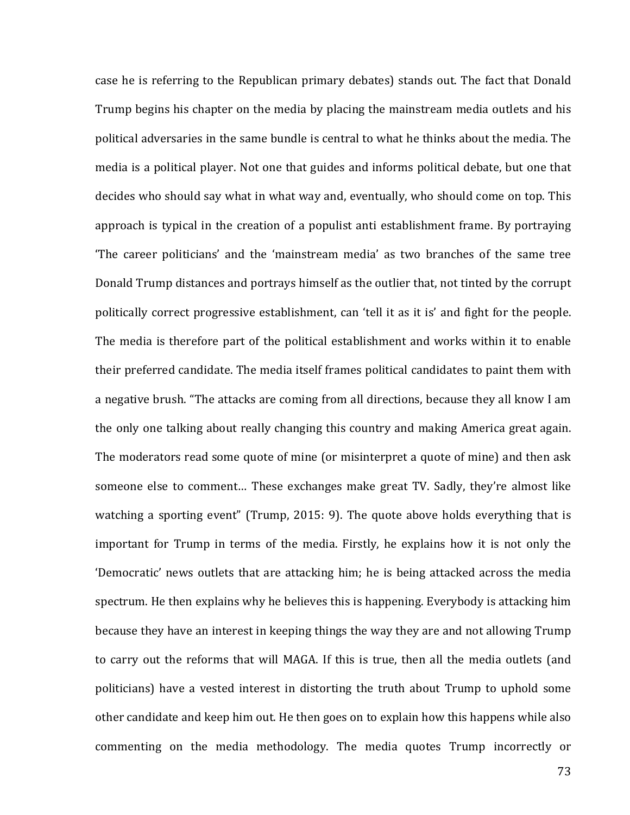case he is referring to the Republican primary debates) stands out. The fact that Donald Trump begins his chapter on the media by placing the mainstream media outlets and his political adversaries in the same bundle is central to what he thinks about the media. The media is a political player. Not one that guides and informs political debate, but one that decides who should say what in what way and, eventually, who should come on top. This approach is typical in the creation of a populist anti establishment frame. By portraying 'The career politicians' and the 'mainstream media' as two branches of the same tree Donald Trump distances and portrays himself as the outlier that, not tinted by the corrupt politically correct progressive establishment, can 'tell it as it is' and fight for the people. The media is therefore part of the political establishment and works within it to enable their preferred candidate. The media itself frames political candidates to paint them with a negative brush. "The attacks are coming from all directions, because they all know I am the only one talking about really changing this country and making America great again. The moderators read some quote of mine (or misinterpret a quote of mine) and then ask someone else to comment... These exchanges make great TV. Sadly, they're almost like watching a sporting event" (Trump, 2015: 9). The quote above holds everything that is important for Trump in terms of the media. Firstly, he explains how it is not only the 'Democratic' news outlets that are attacking him; he is being attacked across the media spectrum. He then explains why he believes this is happening. Everybody is attacking him because they have an interest in keeping things the way they are and not allowing Trump to carry out the reforms that will MAGA. If this is true, then all the media outlets (and politicians) have a vested interest in distorting the truth about Trump to uphold some other candidate and keep him out. He then goes on to explain how this happens while also commenting on the media methodology. The media quotes Trump incorrectly or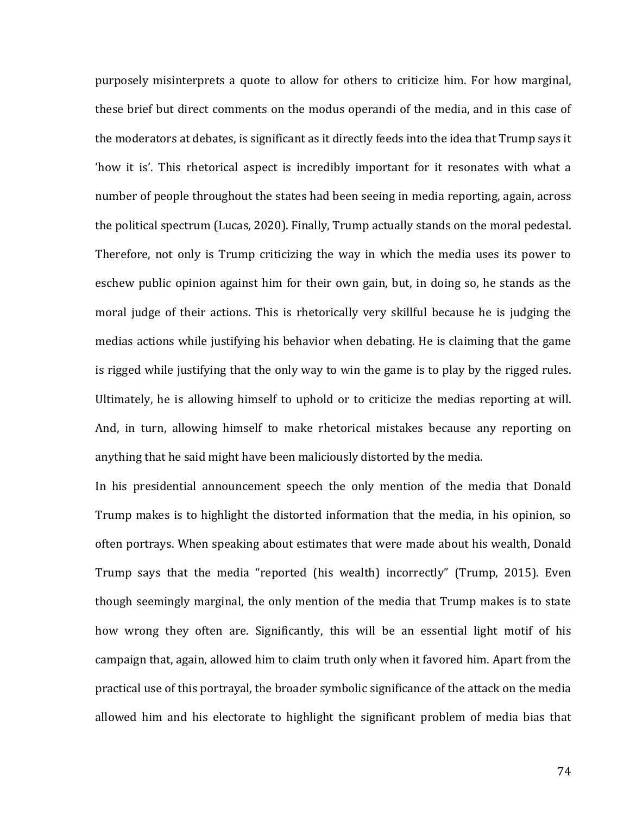purposely misinterprets a quote to allow for others to criticize him. For how marginal, these brief but direct comments on the modus operandi of the media, and in this case of the moderators at debates, is significant as it directly feeds into the idea that Trump says it 'how it is'. This rhetorical aspect is incredibly important for it resonates with what a number of people throughout the states had been seeing in media reporting, again, across the political spectrum (Lucas, 2020). Finally, Trump actually stands on the moral pedestal. Therefore, not only is Trump criticizing the way in which the media uses its power to eschew public opinion against him for their own gain, but, in doing so, he stands as the moral judge of their actions. This is rhetorically very skillful because he is judging the medias actions while justifying his behavior when debating. He is claiming that the game is rigged while justifying that the only way to win the game is to play by the rigged rules. Ultimately, he is allowing himself to uphold or to criticize the medias reporting at will. And, in turn, allowing himself to make rhetorical mistakes because any reporting on anything that he said might have been maliciously distorted by the media.

In his presidential announcement speech the only mention of the media that Donald Trump makes is to highlight the distorted information that the media, in his opinion, so often portrays. When speaking about estimates that were made about his wealth, Donald Trump says that the media "reported (his wealth) incorrectly" (Trump, 2015). Even though seemingly marginal, the only mention of the media that Trump makes is to state how wrong they often are. Significantly, this will be an essential light motif of his campaign that, again, allowed him to claim truth only when it favored him. Apart from the practical use of this portrayal, the broader symbolic significance of the attack on the media allowed him and his electorate to highlight the significant problem of media bias that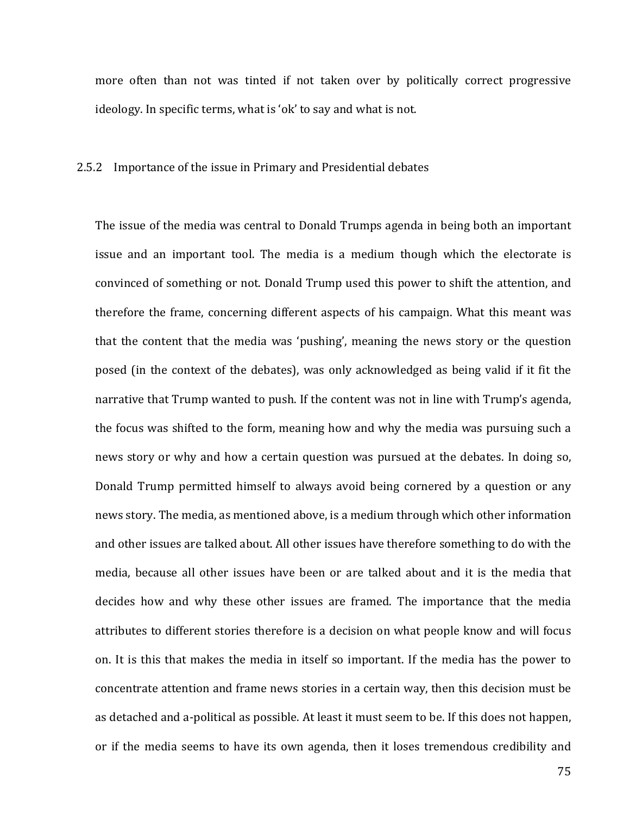more often than not was tinted if not taken over by politically correct progressive ideology. In specific terms, what is 'ok' to say and what is not.

#### 2.5.2 Importance of the issue in Primary and Presidential debates

The issue of the media was central to Donald Trumps agenda in being both an important issue and an important tool. The media is a medium though which the electorate is convinced of something or not. Donald Trump used this power to shift the attention, and therefore the frame, concerning different aspects of his campaign. What this meant was that the content that the media was 'pushing', meaning the news story or the question posed (in the context of the debates), was only acknowledged as being valid if it fit the narrative that Trump wanted to push. If the content was not in line with Trump's agenda, the focus was shifted to the form, meaning how and why the media was pursuing such a news story or why and how a certain question was pursued at the debates. In doing so, Donald Trump permitted himself to always avoid being cornered by a question or any news story. The media, as mentioned above, is a medium through which other information and other issues are talked about. All other issues have therefore something to do with the media, because all other issues have been or are talked about and it is the media that decides how and why these other issues are framed. The importance that the media attributes to different stories therefore is a decision on what people know and will focus on. It is this that makes the media in itself so important. If the media has the power to concentrate attention and frame news stories in a certain way, then this decision must be as detached and a-political as possible. At least it must seem to be. If this does not happen, or if the media seems to have its own agenda, then it loses tremendous credibility and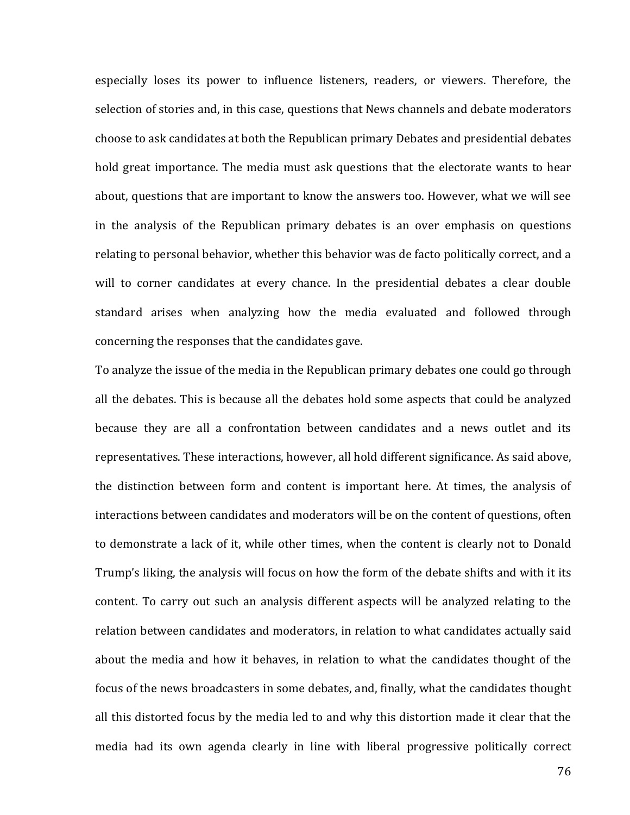especially loses its power to influence listeners, readers, or viewers. Therefore, the selection of stories and, in this case, questions that News channels and debate moderators choose to ask candidates at both the Republican primary Debates and presidential debates hold great importance. The media must ask questions that the electorate wants to hear about, questions that are important to know the answers too. However, what we will see in the analysis of the Republican primary debates is an over emphasis on questions relating to personal behavior, whether this behavior was de facto politically correct, and a will to corner candidates at every chance. In the presidential debates a clear double standard arises when analyzing how the media evaluated and followed through concerning the responses that the candidates gave.

To analyze the issue of the media in the Republican primary debates one could go through all the debates. This is because all the debates hold some aspects that could be analyzed because they are all a confrontation between candidates and a news outlet and its representatives. These interactions, however, all hold different significance. As said above, the distinction between form and content is important here. At times, the analysis of interactions between candidates and moderators will be on the content of questions, often to demonstrate a lack of it, while other times, when the content is clearly not to Donald Trump's liking, the analysis will focus on how the form of the debate shifts and with it its content. To carry out such an analysis different aspects will be analyzed relating to the relation between candidates and moderators, in relation to what candidates actually said about the media and how it behaves, in relation to what the candidates thought of the focus of the news broadcasters in some debates, and, finally, what the candidates thought all this distorted focus by the media led to and why this distortion made it clear that the media had its own agenda clearly in line with liberal progressive politically correct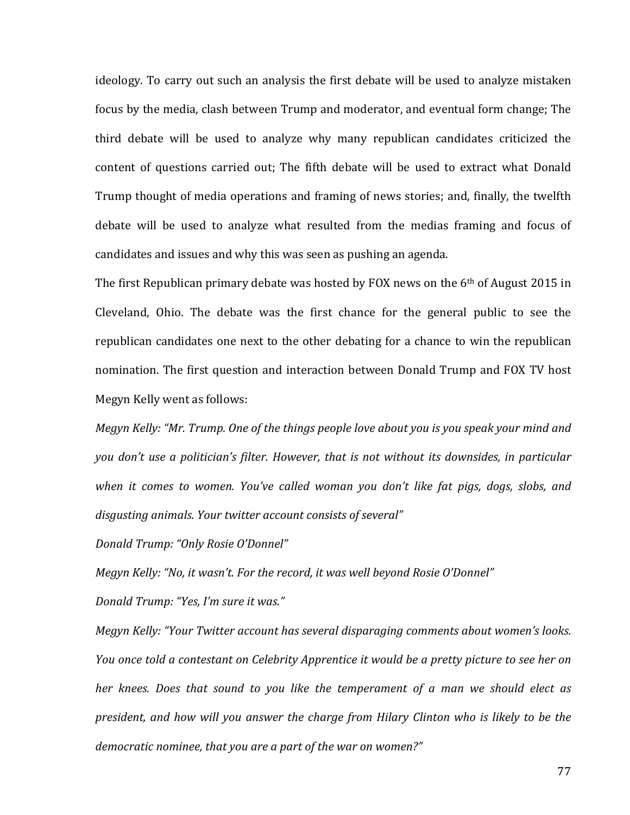ideology. To carry out such an analysis the first debate will be used to analyze mistaken focus by the media, clash between Trump and moderator, and eventual form change; The third debate will be used to analyze why many republican candidates criticized the content of questions carried out; The fifth debate will be used to extract what Donald Trump thought of media operations and framing of news stories; and, finally, the twelfth debate will be used to analyze what resulted from the medias framing and focus of candidates and issues and why this was seen as pushing an agenda.

The first Republican primary debate was hosted by FOX news on the  $6<sup>th</sup>$  of August 2015 in Cleveland, Ohio. The debate was the first chance for the general public to see the republican candidates one next to the other debating for a chance to win the republican nomination. The first question and interaction between Donald Trump and FOX TV host Megyn Kelly went as follows:

*Megyn Kelly: "Mr. Trump. One of the things people love about you is you speak your mind and you* don't use a politician's filter. However, that is not without its downsides, in particular when it comes to women. You've called woman you don't like fat pigs, dogs, slobs, and disgusting animals. Your twitter account consists of several"

*Donald Trump: "Only Rosie O'Donnel"*

*Megyn Kelly:* "No, it wasn't. For the record, it was well beyond Rosie O'Donnel"

*Donald Trump: "Yes, I'm sure it was."*

*Megyn Kelly:* "Your Twitter account has several disparaging comments about women's looks. *You* once told a contestant on Celebrity Apprentice it would be a pretty picture to see her on *her* knees. Does that sound to you like the temperament of a man we should elect as *president, and how will you answer the charge from Hilary Clinton who is likely to be the democratic nominee, that you are a part of the war on women?"*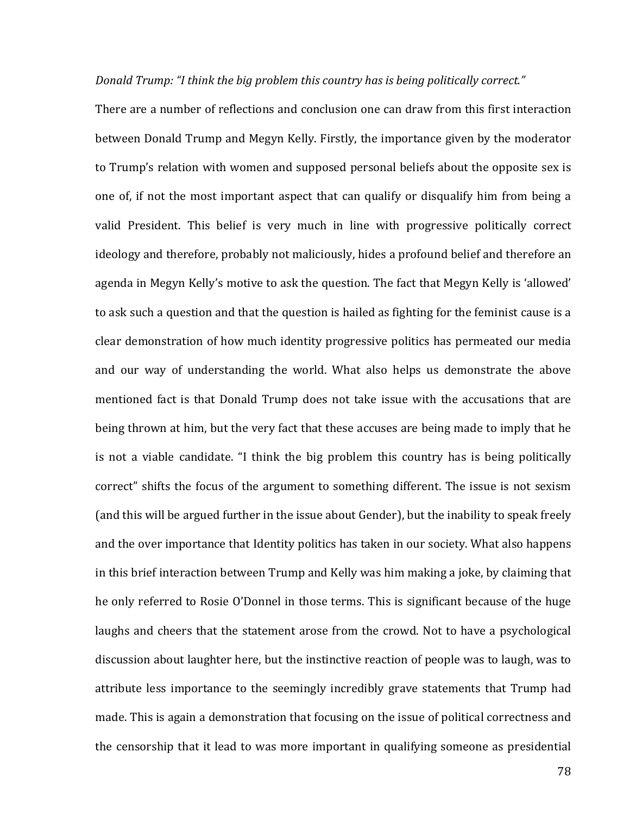# *Donald Trump: "I think the big problem this country has is being politically correct."*

There are a number of reflections and conclusion one can draw from this first interaction between Donald Trump and Megyn Kelly. Firstly, the importance given by the moderator to Trump's relation with women and supposed personal beliefs about the opposite sex is one of, if not the most important aspect that can qualify or disqualify him from being a valid President. This belief is very much in line with progressive politically correct ideology and therefore, probably not maliciously, hides a profound belief and therefore an agenda in Megyn Kelly's motive to ask the question. The fact that Megyn Kelly is 'allowed' to ask such a question and that the question is hailed as fighting for the feminist cause is a clear demonstration of how much identity progressive politics has permeated our media and our way of understanding the world. What also helps us demonstrate the above mentioned fact is that Donald Trump does not take issue with the accusations that are being thrown at him, but the very fact that these accuses are being made to imply that he is not a viable candidate. "I think the big problem this country has is being politically correct" shifts the focus of the argument to something different. The issue is not sexism (and this will be argued further in the issue about Gender), but the inability to speak freely and the over importance that Identity politics has taken in our society. What also happens in this brief interaction between Trump and Kelly was him making a joke, by claiming that he only referred to Rosie O'Donnel in those terms. This is significant because of the huge laughs and cheers that the statement arose from the crowd. Not to have a psychological discussion about laughter here, but the instinctive reaction of people was to laugh, was to attribute less importance to the seemingly incredibly grave statements that Trump had made. This is again a demonstration that focusing on the issue of political correctness and the censorship that it lead to was more important in qualifying someone as presidential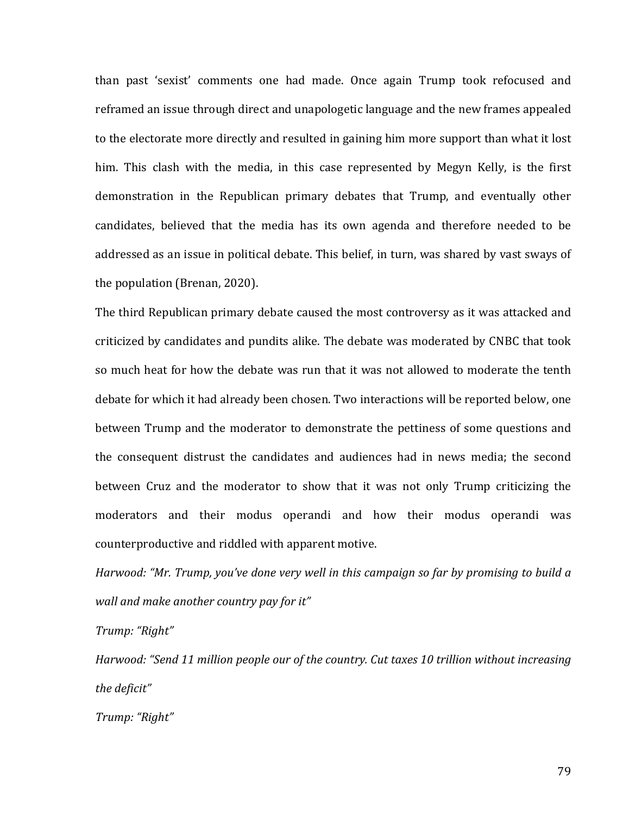than past 'sexist' comments one had made. Once again Trump took refocused and reframed an issue through direct and unapologetic language and the new frames appealed to the electorate more directly and resulted in gaining him more support than what it lost him. This clash with the media, in this case represented by Megyn Kelly, is the first demonstration in the Republican primary debates that Trump, and eventually other candidates, believed that the media has its own agenda and therefore needed to be addressed as an issue in political debate. This belief, in turn, was shared by vast sways of the population (Brenan, 2020).

The third Republican primary debate caused the most controversy as it was attacked and criticized by candidates and pundits alike. The debate was moderated by CNBC that took so much heat for how the debate was run that it was not allowed to moderate the tenth debate for which it had already been chosen. Two interactions will be reported below, one between Trump and the moderator to demonstrate the pettiness of some questions and the consequent distrust the candidates and audiences had in news media; the second between Cruz and the moderator to show that it was not only Trump criticizing the moderators and their modus operandi and how their modus operandi was counterproductive and riddled with apparent motive.

*Harwood:* "Mr. Trump, you've done very well in this campaign so far by promising to build a *wall and make another country pay for it"* 

*Trump: "Right"*

*Harwood:* "Send 11 million people our of the country. Cut taxes 10 trillion without increasing *the deficit"*

*Trump: "Right"*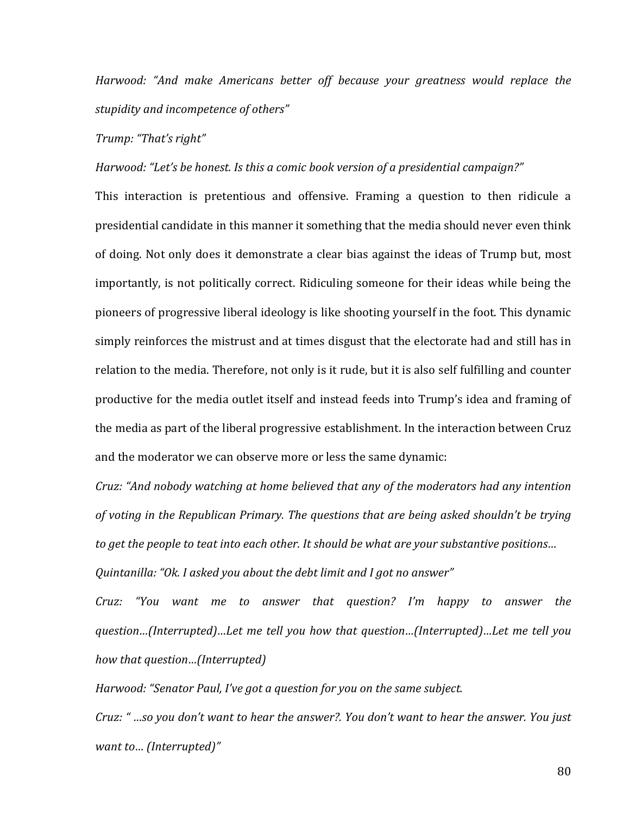Harwood: "And make Americans better off because your greatness would replace the stupidity and incompetence of others"

### *Trump: "That's right"*

#### *Harwood:* "Let's be honest. Is this a comic book version of a presidential campaign?"

This interaction is pretentious and offensive. Framing a question to then ridicule a presidential candidate in this manner it something that the media should never even think of doing. Not only does it demonstrate a clear bias against the ideas of Trump but, most importantly, is not politically correct. Ridiculing someone for their ideas while being the pioneers of progressive liberal ideology is like shooting yourself in the foot. This dynamic simply reinforces the mistrust and at times disgust that the electorate had and still has in relation to the media. Therefore, not only is it rude, but it is also self fulfilling and counter productive for the media outlet itself and instead feeds into Trump's idea and framing of the media as part of the liberal progressive establishment. In the interaction between Cruz and the moderator we can observe more or less the same dynamic:

*Cruz:* "And nobody watching at home believed that any of the moderators had any intention of voting in the Republican Primary. The questions that are being asked shouldn't be trying *to get the people to teat into each other. It should be what are your substantive positions... Ouintanilla: "Ok. I asked you about the debt limit and I got no answer"* 

*Cruz:* "You want me to answer that question? I'm happy to answer the *question…(Interrupted)…Let me tell you how that question…(Interrupted)…Let me tell you how that question…(Interrupted)*

*Harwood:* "Senator Paul, I've got a question for you on the same subject.

*Cruz:* " ...so you don't want to hear the answer?. You don't want to hear the answer. You just want to... (Interrupted)"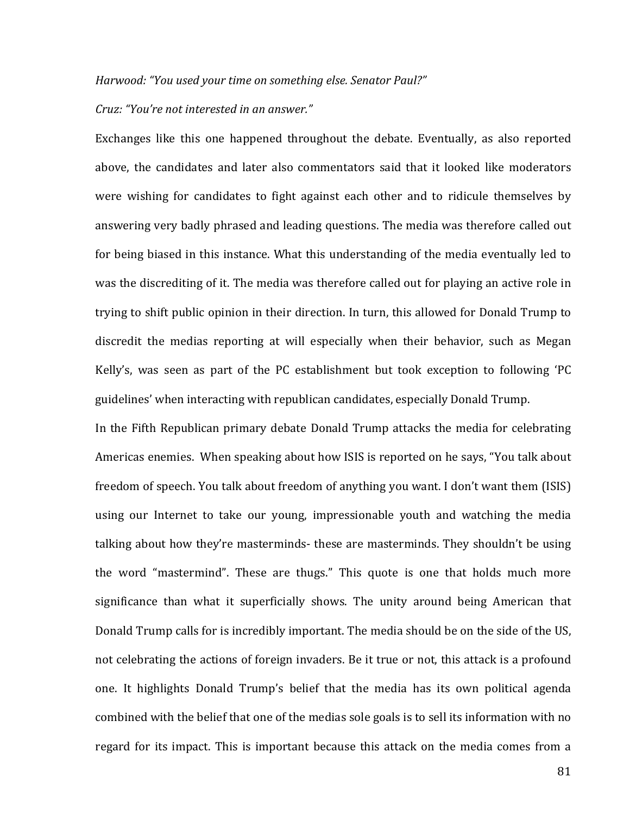# *Harwood:* "You used your time on something else. Senator Paul?"

# *Cruz: "You're not interested in an answer."*

Exchanges like this one happened throughout the debate. Eventually, as also reported above, the candidates and later also commentators said that it looked like moderators were wishing for candidates to fight against each other and to ridicule themselves by answering very badly phrased and leading questions. The media was therefore called out for being biased in this instance. What this understanding of the media eventually led to was the discrediting of it. The media was therefore called out for playing an active role in trying to shift public opinion in their direction. In turn, this allowed for Donald Trump to discredit the medias reporting at will especially when their behavior, such as Megan Kelly's, was seen as part of the PC establishment but took exception to following 'PC guidelines' when interacting with republican candidates, especially Donald Trump. 

In the Fifth Republican primary debate Donald Trump attacks the media for celebrating Americas enemies. When speaking about how ISIS is reported on he says, "You talk about freedom of speech. You talk about freedom of anything you want. I don't want them (ISIS) using our Internet to take our young, impressionable youth and watching the media talking about how they're masterminds- these are masterminds. They shouldn't be using the word "mastermind". These are thugs." This quote is one that holds much more significance than what it superficially shows. The unity around being American that Donald Trump calls for is incredibly important. The media should be on the side of the US, not celebrating the actions of foreign invaders. Be it true or not, this attack is a profound one. It highlights Donald Trump's belief that the media has its own political agenda combined with the belief that one of the medias sole goals is to sell its information with no regard for its impact. This is important because this attack on the media comes from a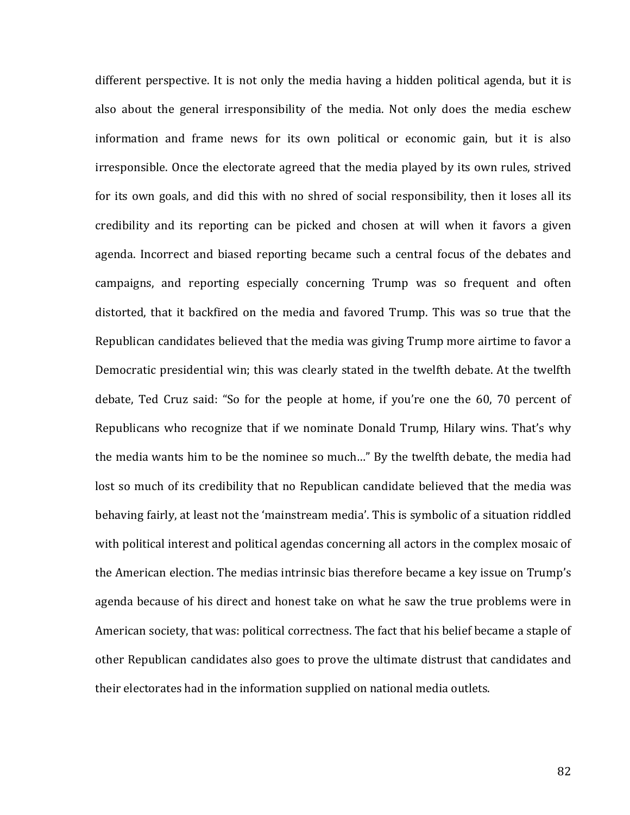different perspective. It is not only the media having a hidden political agenda, but it is also about the general irresponsibility of the media. Not only does the media eschew information and frame news for its own political or economic gain, but it is also irresponsible. Once the electorate agreed that the media played by its own rules, strived for its own goals, and did this with no shred of social responsibility, then it loses all its credibility and its reporting can be picked and chosen at will when it favors a given agenda. Incorrect and biased reporting became such a central focus of the debates and campaigns, and reporting especially concerning Trump was so frequent and often distorted, that it backfired on the media and favored Trump. This was so true that the Republican candidates believed that the media was giving Trump more airtime to favor a Democratic presidential win; this was clearly stated in the twelfth debate. At the twelfth debate, Ted Cruz said: "So for the people at home, if you're one the 60, 70 percent of Republicans who recognize that if we nominate Donald Trump, Hilary wins. That's why the media wants him to be the nominee so much..." By the twelfth debate, the media had lost so much of its credibility that no Republican candidate believed that the media was behaving fairly, at least not the 'mainstream media'. This is symbolic of a situation riddled with political interest and political agendas concerning all actors in the complex mosaic of the American election. The medias intrinsic bias therefore became a key issue on Trump's agenda because of his direct and honest take on what he saw the true problems were in American society, that was: political correctness. The fact that his belief became a staple of other Republican candidates also goes to prove the ultimate distrust that candidates and their electorates had in the information supplied on national media outlets.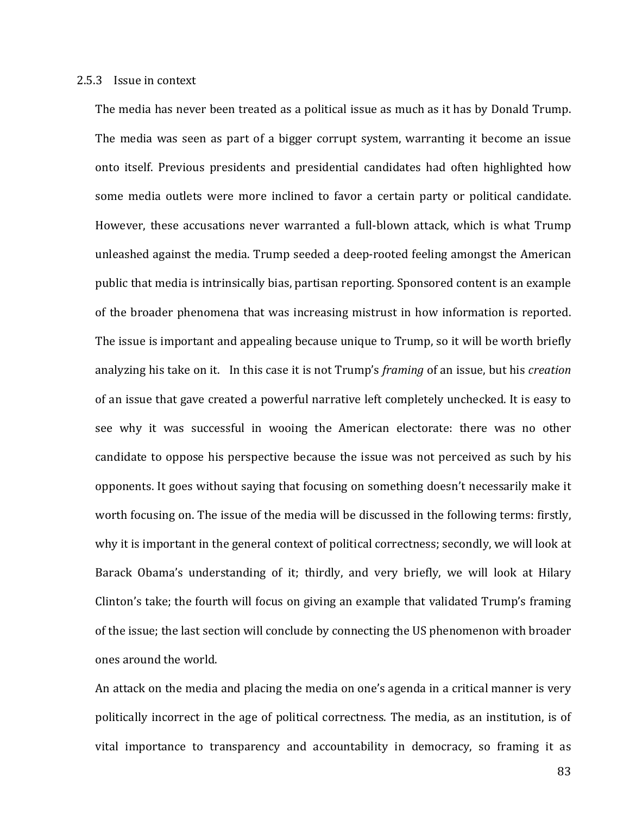### 2.5.3 Issue in context

The media has never been treated as a political issue as much as it has by Donald Trump. The media was seen as part of a bigger corrupt system, warranting it become an issue onto itself. Previous presidents and presidential candidates had often highlighted how some media outlets were more inclined to favor a certain party or political candidate. However, these accusations never warranted a full-blown attack, which is what Trump unleashed against the media. Trump seeded a deep-rooted feeling amongst the American public that media is intrinsically bias, partisan reporting. Sponsored content is an example of the broader phenomena that was increasing mistrust in how information is reported. The issue is important and appealing because unique to Trump, so it will be worth briefly analyzing his take on it. In this case it is not Trump's *framing* of an issue, but his *creation* of an issue that gave created a powerful narrative left completely unchecked. It is easy to see why it was successful in wooing the American electorate: there was no other candidate to oppose his perspective because the issue was not perceived as such by his opponents. It goes without saying that focusing on something doesn't necessarily make it worth focusing on. The issue of the media will be discussed in the following terms: firstly, why it is important in the general context of political correctness; secondly, we will look at Barack Obama's understanding of it; thirdly, and very briefly, we will look at Hilary Clinton's take; the fourth will focus on giving an example that validated Trump's framing of the issue; the last section will conclude by connecting the US phenomenon with broader ones around the world.

An attack on the media and placing the media on one's agenda in a critical manner is very politically incorrect in the age of political correctness. The media, as an institution, is of vital importance to transparency and accountability in democracy, so framing it as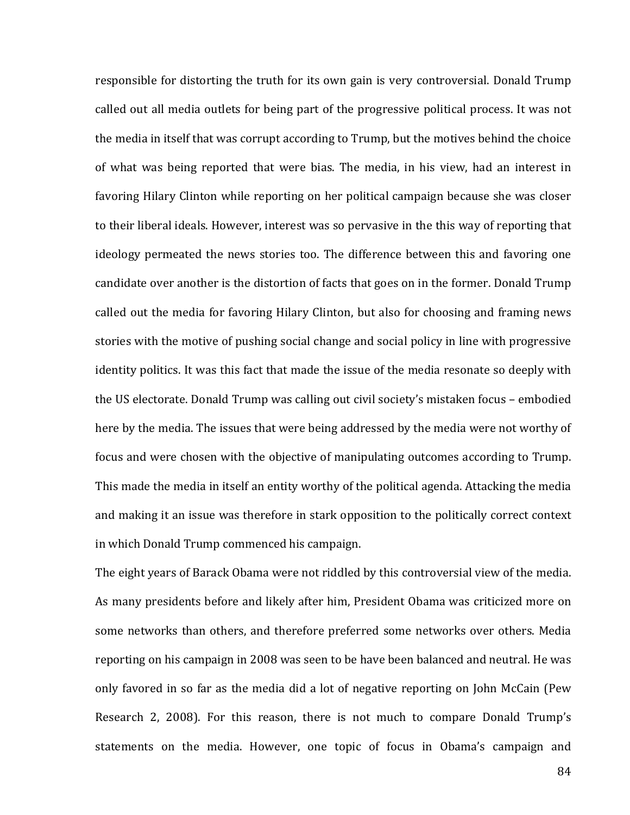responsible for distorting the truth for its own gain is very controversial. Donald Trump called out all media outlets for being part of the progressive political process. It was not the media in itself that was corrupt according to Trump, but the motives behind the choice of what was being reported that were bias. The media, in his view, had an interest in favoring Hilary Clinton while reporting on her political campaign because she was closer to their liberal ideals. However, interest was so pervasive in the this way of reporting that ideology permeated the news stories too. The difference between this and favoring one candidate over another is the distortion of facts that goes on in the former. Donald Trump called out the media for favoring Hilary Clinton, but also for choosing and framing news stories with the motive of pushing social change and social policy in line with progressive identity politics. It was this fact that made the issue of the media resonate so deeply with the US electorate. Donald Trump was calling out civil society's mistaken focus – embodied here by the media. The issues that were being addressed by the media were not worthy of focus and were chosen with the objective of manipulating outcomes according to Trump. This made the media in itself an entity worthy of the political agenda. Attacking the media and making it an issue was therefore in stark opposition to the politically correct context in which Donald Trump commenced his campaign.

The eight years of Barack Obama were not riddled by this controversial view of the media. As many presidents before and likely after him, President Obama was criticized more on some networks than others, and therefore preferred some networks over others. Media reporting on his campaign in 2008 was seen to be have been balanced and neutral. He was only favored in so far as the media did a lot of negative reporting on John McCain (Pew Research 2, 2008). For this reason, there is not much to compare Donald Trump's statements on the media. However, one topic of focus in Obama's campaign and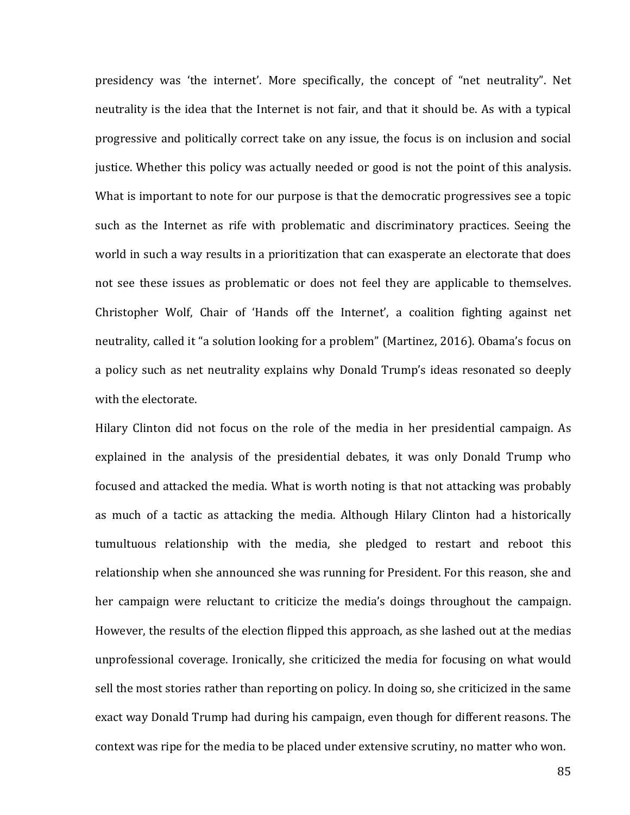presidency was 'the internet'. More specifically, the concept of "net neutrality". Net neutrality is the idea that the Internet is not fair, and that it should be. As with a typical progressive and politically correct take on any issue, the focus is on inclusion and social justice. Whether this policy was actually needed or good is not the point of this analysis. What is important to note for our purpose is that the democratic progressives see a topic such as the Internet as rife with problematic and discriminatory practices. Seeing the world in such a way results in a prioritization that can exasperate an electorate that does not see these issues as problematic or does not feel they are applicable to themselves. Christopher Wolf, Chair of 'Hands off the Internet', a coalition fighting against net neutrality, called it "a solution looking for a problem" (Martinez, 2016). Obama's focus on a policy such as net neutrality explains why Donald Trump's ideas resonated so deeply with the electorate.

Hilary Clinton did not focus on the role of the media in her presidential campaign. As explained in the analysis of the presidential debates, it was only Donald Trump who focused and attacked the media. What is worth noting is that not attacking was probably as much of a tactic as attacking the media. Although Hilary Clinton had a historically tumultuous relationship with the media, she pledged to restart and reboot this relationship when she announced she was running for President. For this reason, she and her campaign were reluctant to criticize the media's doings throughout the campaign. However, the results of the election flipped this approach, as she lashed out at the medias unprofessional coverage. Ironically, she criticized the media for focusing on what would sell the most stories rather than reporting on policy. In doing so, she criticized in the same exact way Donald Trump had during his campaign, even though for different reasons. The context was ripe for the media to be placed under extensive scrutiny, no matter who won.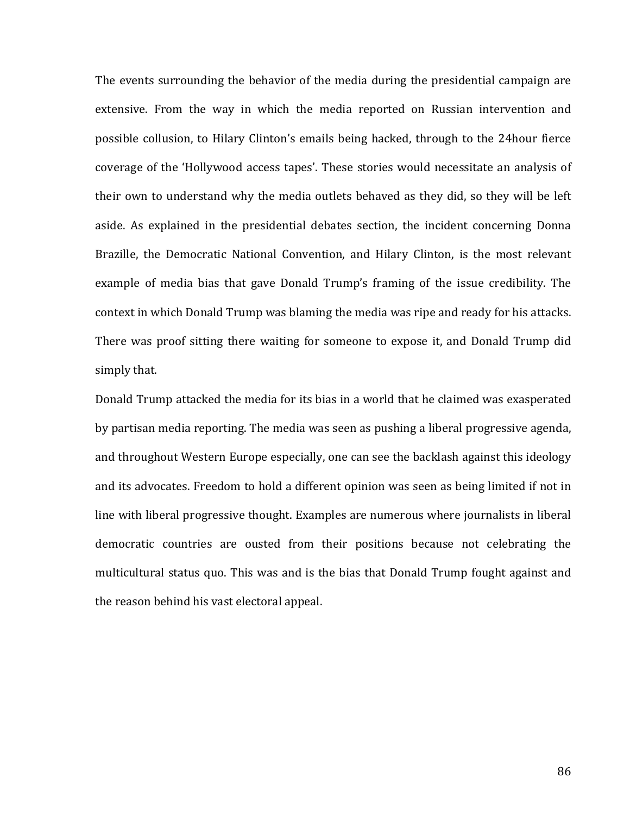The events surrounding the behavior of the media during the presidential campaign are extensive. From the way in which the media reported on Russian intervention and possible collusion, to Hilary Clinton's emails being hacked, through to the 24hour fierce coverage of the 'Hollywood access tapes'. These stories would necessitate an analysis of their own to understand why the media outlets behaved as they did, so they will be left aside. As explained in the presidential debates section, the incident concerning Donna Brazille, the Democratic National Convention, and Hilary Clinton, is the most relevant example of media bias that gave Donald Trump's framing of the issue credibility. The context in which Donald Trump was blaming the media was ripe and ready for his attacks. There was proof sitting there waiting for someone to expose it, and Donald Trump did simply that.

Donald Trump attacked the media for its bias in a world that he claimed was exasperated by partisan media reporting. The media was seen as pushing a liberal progressive agenda, and throughout Western Europe especially, one can see the backlash against this ideology and its advocates. Freedom to hold a different opinion was seen as being limited if not in line with liberal progressive thought. Examples are numerous where journalists in liberal democratic countries are ousted from their positions because not celebrating the multicultural status quo. This was and is the bias that Donald Trump fought against and the reason behind his vast electoral appeal.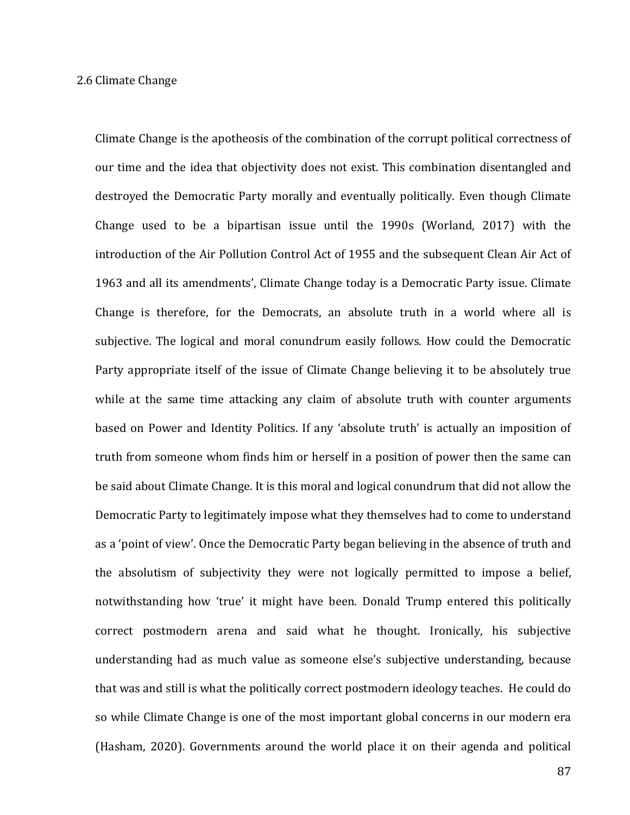Climate Change is the apotheosis of the combination of the corrupt political correctness of our time and the idea that objectivity does not exist. This combination disentangled and destroyed the Democratic Party morally and eventually politically. Even though Climate Change used to be a bipartisan issue until the  $1990s$  (Worland, 2017) with the introduction of the Air Pollution Control Act of 1955 and the subsequent Clean Air Act of 1963 and all its amendments', Climate Change today is a Democratic Party issue. Climate Change is therefore, for the Democrats, an absolute truth in a world where all is subjective. The logical and moral conundrum easily follows. How could the Democratic Party appropriate itself of the issue of Climate Change believing it to be absolutely true while at the same time attacking any claim of absolute truth with counter arguments based on Power and Identity Politics. If any 'absolute truth' is actually an imposition of truth from someone whom finds him or herself in a position of power then the same can be said about Climate Change. It is this moral and logical conundrum that did not allow the Democratic Party to legitimately impose what they themselves had to come to understand as a 'point of view'. Once the Democratic Party began believing in the absence of truth and the absolutism of subjectivity they were not logically permitted to impose a belief, notwithstanding how 'true' it might have been. Donald Trump entered this politically correct postmodern arena and said what he thought. Ironically, his subjective understanding had as much value as someone else's subjective understanding, because that was and still is what the politically correct postmodern ideology teaches. He could do so while Climate Change is one of the most important global concerns in our modern era (Hasham, 2020). Governments around the world place it on their agenda and political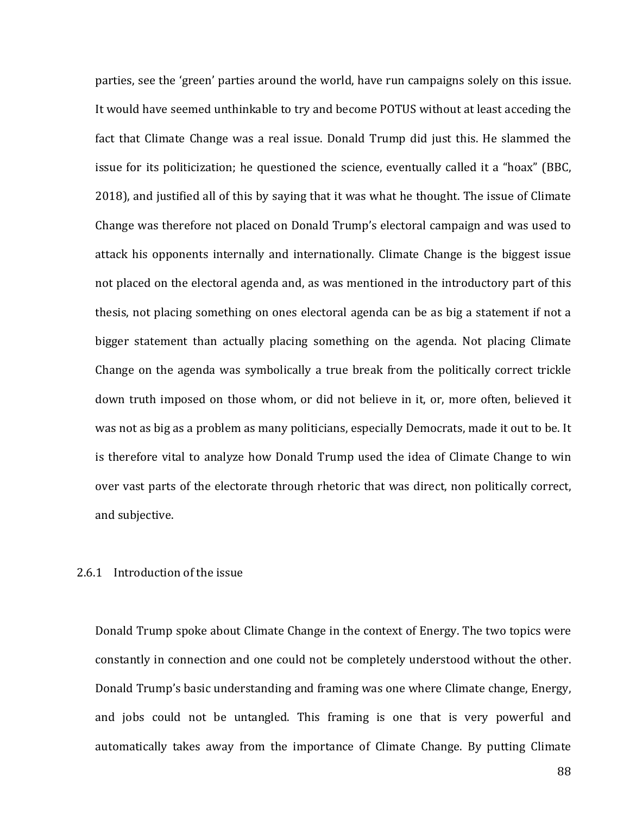parties, see the 'green' parties around the world, have run campaigns solely on this issue. It would have seemed unthinkable to try and become POTUS without at least acceding the fact that Climate Change was a real issue. Donald Trump did just this. He slammed the issue for its politicization; he questioned the science, eventually called it a "hoax" (BBC, 2018), and justified all of this by saying that it was what he thought. The issue of Climate Change was therefore not placed on Donald Trump's electoral campaign and was used to attack his opponents internally and internationally. Climate Change is the biggest issue not placed on the electoral agenda and, as was mentioned in the introductory part of this thesis, not placing something on ones electoral agenda can be as big a statement if not a bigger statement than actually placing something on the agenda. Not placing Climate Change on the agenda was symbolically a true break from the politically correct trickle down truth imposed on those whom, or did not believe in it, or, more often, believed it was not as big as a problem as many politicians, especially Democrats, made it out to be. It is therefore vital to analyze how Donald Trump used the idea of Climate Change to win over vast parts of the electorate through rhetoric that was direct, non politically correct, and subjective.

# 2.6.1 Introduction of the issue

Donald Trump spoke about Climate Change in the context of Energy. The two topics were constantly in connection and one could not be completely understood without the other. Donald Trump's basic understanding and framing was one where Climate change, Energy, and jobs could not be untangled. This framing is one that is very powerful and automatically takes away from the importance of Climate Change. By putting Climate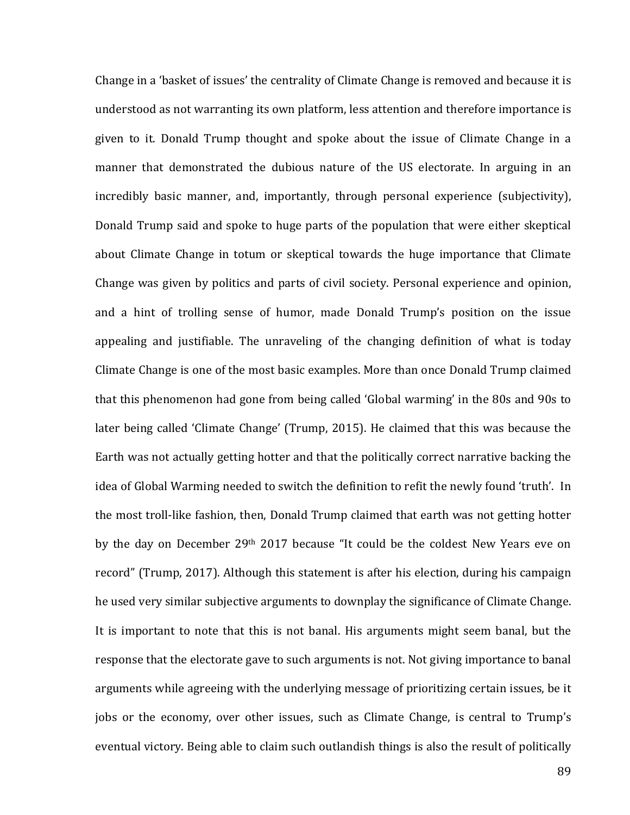Change in a 'basket of issues' the centrality of Climate Change is removed and because it is understood as not warranting its own platform, less attention and therefore importance is given to it. Donald Trump thought and spoke about the issue of Climate Change in a manner that demonstrated the dubious nature of the US electorate. In arguing in an incredibly basic manner, and, importantly, through personal experience (subjectivity), Donald Trump said and spoke to huge parts of the population that were either skeptical about Climate Change in totum or skeptical towards the huge importance that Climate Change was given by politics and parts of civil society. Personal experience and opinion, and a hint of trolling sense of humor, made Donald Trump's position on the issue appealing and justifiable. The unraveling of the changing definition of what is today Climate Change is one of the most basic examples. More than once Donald Trump claimed that this phenomenon had gone from being called 'Global warming' in the 80s and 90s to later being called 'Climate Change' (Trump, 2015). He claimed that this was because the Earth was not actually getting hotter and that the politically correct narrative backing the idea of Global Warming needed to switch the definition to refit the newly found 'truth'. In the most troll-like fashion, then, Donald Trump claimed that earth was not getting hotter by the day on December 29<sup>th</sup> 2017 because "It could be the coldest New Years eve on record" (Trump, 2017). Although this statement is after his election, during his campaign he used very similar subjective arguments to downplay the significance of Climate Change. It is important to note that this is not banal. His arguments might seem banal, but the response that the electorate gave to such arguments is not. Not giving importance to banal arguments while agreeing with the underlying message of prioritizing certain issues, be it jobs or the economy, over other issues, such as Climate Change, is central to Trump's eventual victory. Being able to claim such outlandish things is also the result of politically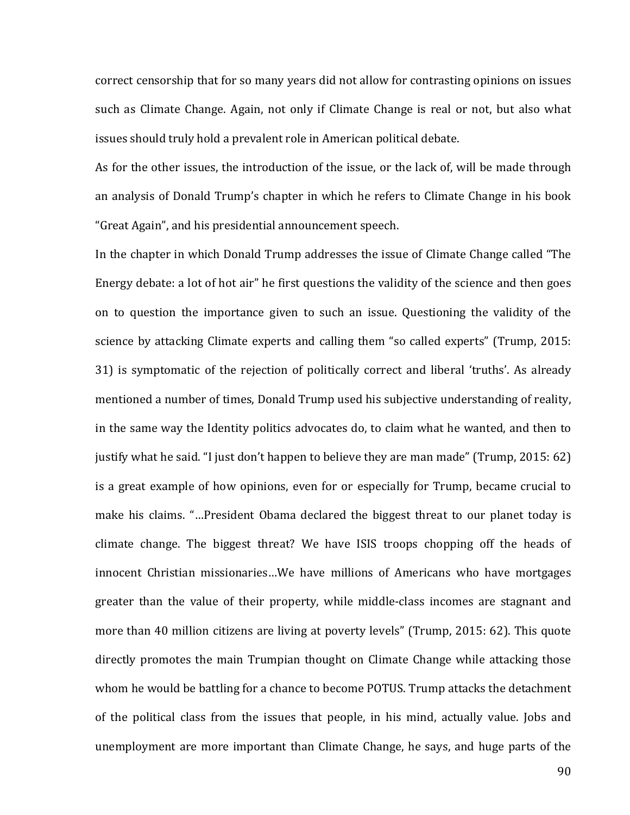correct censorship that for so many years did not allow for contrasting opinions on issues such as Climate Change. Again, not only if Climate Change is real or not, but also what issues should truly hold a prevalent role in American political debate.

As for the other issues, the introduction of the issue, or the lack of, will be made through an analysis of Donald Trump's chapter in which he refers to Climate Change in his book "Great Again", and his presidential announcement speech.

In the chapter in which Donald Trump addresses the issue of Climate Change called "The Energy debate: a lot of hot air" he first questions the validity of the science and then goes on to question the importance given to such an issue. Questioning the validity of the science by attacking Climate experts and calling them "so called experts" (Trump, 2015: 31) is symptomatic of the rejection of politically correct and liberal 'truths'. As already mentioned a number of times, Donald Trump used his subjective understanding of reality, in the same way the Identity politics advocates do, to claim what he wanted, and then to justify what he said. "I just don't happen to believe they are man made" (Trump, 2015: 62) is a great example of how opinions, even for or especially for Trump, became crucial to make his claims. "...President Obama declared the biggest threat to our planet today is climate change. The biggest threat? We have ISIS troops chopping off the heads of innocent Christian missionaries...We have millions of Americans who have mortgages greater than the value of their property, while middle-class incomes are stagnant and more than 40 million citizens are living at poverty levels" (Trump, 2015: 62). This quote directly promotes the main Trumpian thought on Climate Change while attacking those whom he would be battling for a chance to become POTUS. Trump attacks the detachment of the political class from the issues that people, in his mind, actually value. Jobs and unemployment are more important than Climate Change, he says, and huge parts of the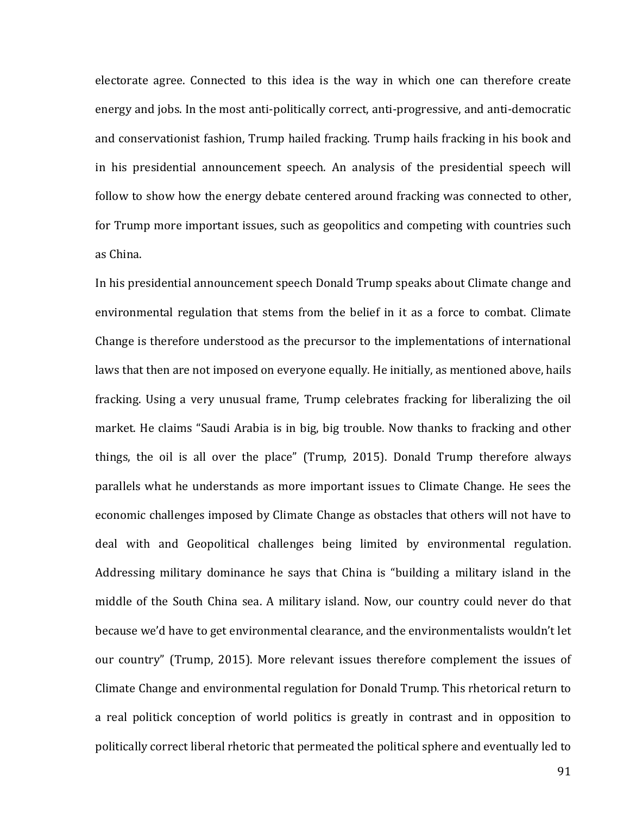electorate agree. Connected to this idea is the way in which one can therefore create energy and jobs. In the most anti-politically correct, anti-progressive, and anti-democratic and conservationist fashion, Trump hailed fracking. Trump hails fracking in his book and in his presidential announcement speech. An analysis of the presidential speech will follow to show how the energy debate centered around fracking was connected to other, for Trump more important issues, such as geopolitics and competing with countries such as China. 

In his presidential announcement speech Donald Trump speaks about Climate change and environmental regulation that stems from the belief in it as a force to combat. Climate Change is therefore understood as the precursor to the implementations of international laws that then are not imposed on everyone equally. He initially, as mentioned above, hails fracking. Using a very unusual frame, Trump celebrates fracking for liberalizing the oil market. He claims "Saudi Arabia is in big, big trouble. Now thanks to fracking and other things, the oil is all over the place" (Trump, 2015). Donald Trump therefore always parallels what he understands as more important issues to Climate Change. He sees the economic challenges imposed by Climate Change as obstacles that others will not have to deal with and Geopolitical challenges being limited by environmental regulation. Addressing military dominance he says that China is "building a military island in the middle of the South China sea. A military island. Now, our country could never do that because we'd have to get environmental clearance, and the environmentalists wouldn't let our country" (Trump, 2015). More relevant issues therefore complement the issues of Climate Change and environmental regulation for Donald Trump. This rhetorical return to a real politick conception of world politics is greatly in contrast and in opposition to politically correct liberal rhetoric that permeated the political sphere and eventually led to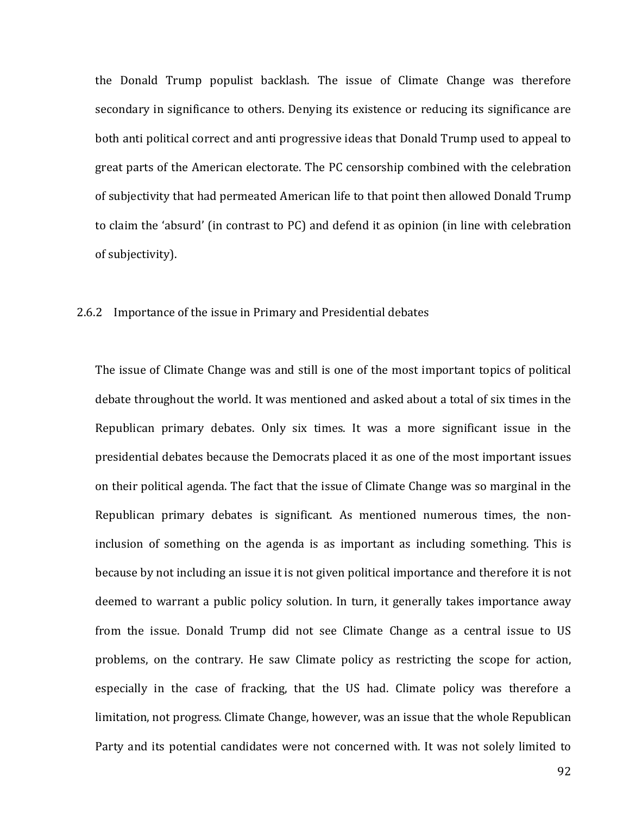the Donald Trump populist backlash. The issue of Climate Change was therefore secondary in significance to others. Denying its existence or reducing its significance are both anti political correct and anti progressive ideas that Donald Trump used to appeal to great parts of the American electorate. The PC censorship combined with the celebration of subjectivity that had permeated American life to that point then allowed Donald Trump to claim the 'absurd' (in contrast to PC) and defend it as opinion (in line with celebration of subjectivity).

# 2.6.2 Importance of the issue in Primary and Presidential debates

The issue of Climate Change was and still is one of the most important topics of political debate throughout the world. It was mentioned and asked about a total of six times in the Republican primary debates. Only six times. It was a more significant issue in the presidential debates because the Democrats placed it as one of the most important issues on their political agenda. The fact that the issue of Climate Change was so marginal in the Republican primary debates is significant. As mentioned numerous times, the noninclusion of something on the agenda is as important as including something. This is because by not including an issue it is not given political importance and therefore it is not deemed to warrant a public policy solution. In turn, it generally takes importance away from the issue. Donald Trump did not see Climate Change as a central issue to US problems, on the contrary. He saw Climate policy as restricting the scope for action, especially in the case of fracking, that the US had. Climate policy was therefore a limitation, not progress. Climate Change, however, was an issue that the whole Republican Party and its potential candidates were not concerned with. It was not solely limited to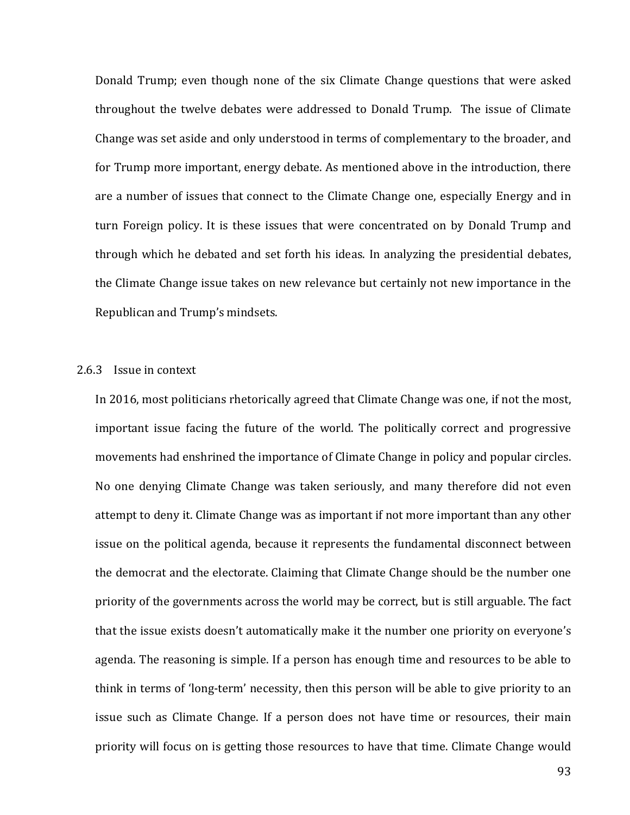Donald Trump; even though none of the six Climate Change questions that were asked throughout the twelve debates were addressed to Donald Trump. The issue of Climate Change was set aside and only understood in terms of complementary to the broader, and for Trump more important, energy debate. As mentioned above in the introduction, there are a number of issues that connect to the Climate Change one, especially Energy and in turn Foreign policy. It is these issues that were concentrated on by Donald Trump and through which he debated and set forth his ideas. In analyzing the presidential debates, the Climate Change issue takes on new relevance but certainly not new importance in the Republican and Trump's mindsets.

### 2.6.3 Issue in context

In 2016, most politicians rhetorically agreed that Climate Change was one, if not the most, important issue facing the future of the world. The politically correct and progressive movements had enshrined the importance of Climate Change in policy and popular circles. No one denying Climate Change was taken seriously, and many therefore did not even attempt to deny it. Climate Change was as important if not more important than any other issue on the political agenda, because it represents the fundamental disconnect between the democrat and the electorate. Claiming that Climate Change should be the number one priority of the governments across the world may be correct, but is still arguable. The fact that the issue exists doesn't automatically make it the number one priority on everyone's agenda. The reasoning is simple. If a person has enough time and resources to be able to think in terms of 'long-term' necessity, then this person will be able to give priority to an issue such as Climate Change. If a person does not have time or resources, their main priority will focus on is getting those resources to have that time. Climate Change would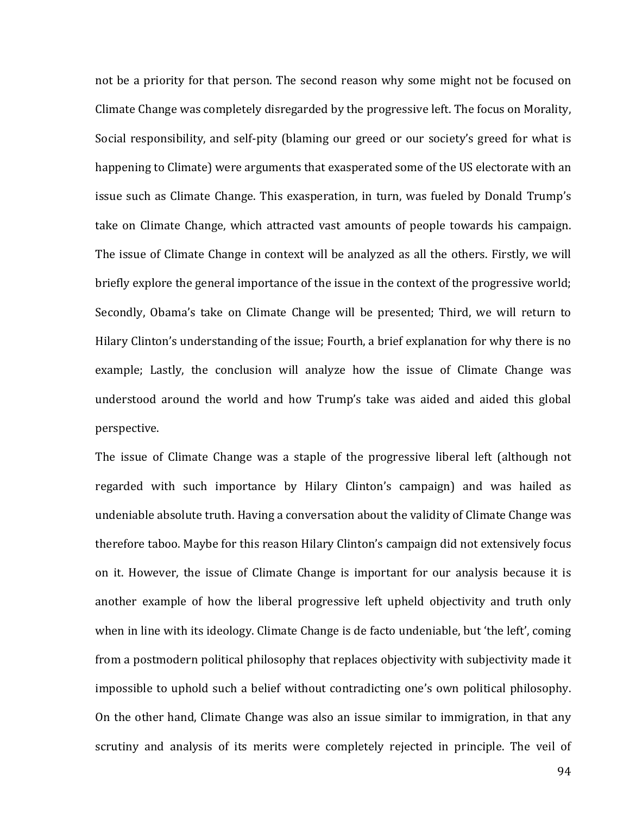not be a priority for that person. The second reason why some might not be focused on Climate Change was completely disregarded by the progressive left. The focus on Morality, Social responsibility, and self-pity (blaming our greed or our society's greed for what is happening to Climate) were arguments that exasperated some of the US electorate with an issue such as Climate Change. This exasperation, in turn, was fueled by Donald Trump's take on Climate Change, which attracted vast amounts of people towards his campaign. The issue of Climate Change in context will be analyzed as all the others. Firstly, we will briefly explore the general importance of the issue in the context of the progressive world; Secondly, Obama's take on Climate Change will be presented; Third, we will return to Hilary Clinton's understanding of the issue; Fourth, a brief explanation for why there is no example; Lastly, the conclusion will analyze how the issue of Climate Change was understood around the world and how Trump's take was aided and aided this global perspective. 

The issue of Climate Change was a staple of the progressive liberal left (although not regarded with such importance by Hilary Clinton's campaign) and was hailed as undeniable absolute truth. Having a conversation about the validity of Climate Change was therefore taboo. Maybe for this reason Hilary Clinton's campaign did not extensively focus on it. However, the issue of Climate Change is important for our analysis because it is another example of how the liberal progressive left upheld objectivity and truth only when in line with its ideology. Climate Change is de facto undeniable, but 'the left', coming from a postmodern political philosophy that replaces objectivity with subjectivity made it impossible to uphold such a belief without contradicting one's own political philosophy. On the other hand, Climate Change was also an issue similar to immigration, in that any scrutiny and analysis of its merits were completely rejected in principle. The veil of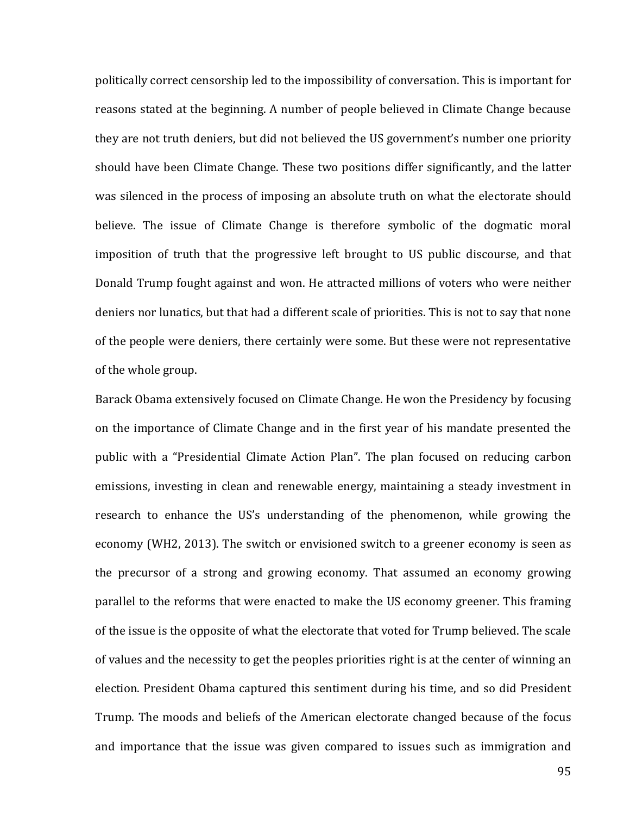politically correct censorship led to the impossibility of conversation. This is important for reasons stated at the beginning. A number of people believed in Climate Change because they are not truth deniers, but did not believed the US government's number one priority should have been Climate Change. These two positions differ significantly, and the latter was silenced in the process of imposing an absolute truth on what the electorate should believe. The issue of Climate Change is therefore symbolic of the dogmatic moral imposition of truth that the progressive left brought to US public discourse, and that Donald Trump fought against and won. He attracted millions of voters who were neither deniers nor lunatics, but that had a different scale of priorities. This is not to say that none of the people were deniers, there certainly were some. But these were not representative of the whole group.

Barack Obama extensively focused on Climate Change. He won the Presidency by focusing on the importance of Climate Change and in the first year of his mandate presented the public with a "Presidential Climate Action Plan". The plan focused on reducing carbon emissions, investing in clean and renewable energy, maintaining a steady investment in research to enhance the US's understanding of the phenomenon, while growing the economy (WH2, 2013). The switch or envisioned switch to a greener economy is seen as the precursor of a strong and growing economy. That assumed an economy growing parallel to the reforms that were enacted to make the US economy greener. This framing of the issue is the opposite of what the electorate that voted for Trump believed. The scale of values and the necessity to get the peoples priorities right is at the center of winning an election. President Obama captured this sentiment during his time, and so did President Trump. The moods and beliefs of the American electorate changed because of the focus and importance that the issue was given compared to issues such as immigration and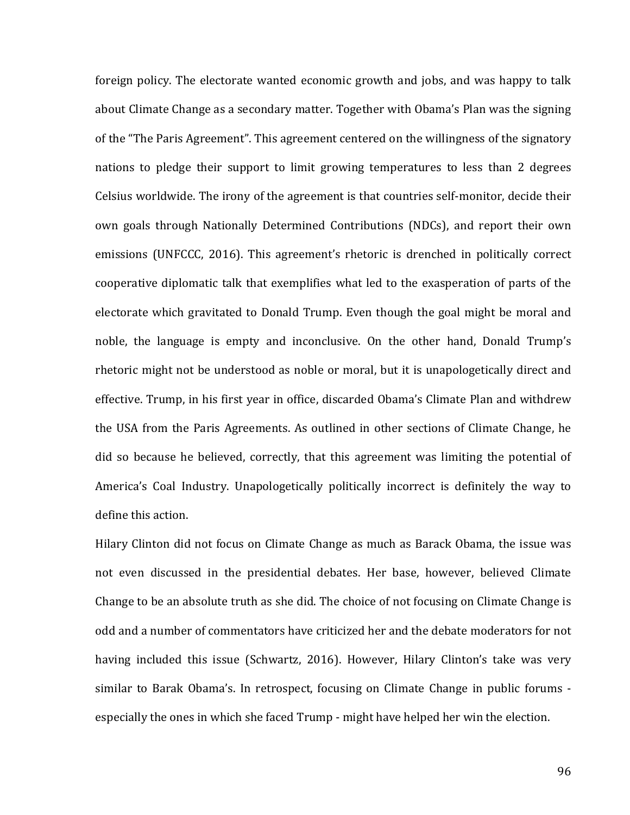foreign policy. The electorate wanted economic growth and jobs, and was happy to talk about Climate Change as a secondary matter. Together with Obama's Plan was the signing of the "The Paris Agreement". This agreement centered on the willingness of the signatory nations to pledge their support to limit growing temperatures to less than 2 degrees Celsius worldwide. The irony of the agreement is that countries self-monitor, decide their own goals through Nationally Determined Contributions (NDCs), and report their own emissions (UNFCCC, 2016). This agreement's rhetoric is drenched in politically correct cooperative diplomatic talk that exemplifies what led to the exasperation of parts of the electorate which gravitated to Donald Trump. Even though the goal might be moral and noble, the language is empty and inconclusive. On the other hand, Donald Trump's rhetoric might not be understood as noble or moral, but it is unapologetically direct and effective. Trump, in his first year in office, discarded Obama's Climate Plan and withdrew the USA from the Paris Agreements. As outlined in other sections of Climate Change, he did so because he believed, correctly, that this agreement was limiting the potential of America's Coal Industry. Unapologetically politically incorrect is definitely the way to define this action.

Hilary Clinton did not focus on Climate Change as much as Barack Obama, the issue was not even discussed in the presidential debates. Her base, however, believed Climate Change to be an absolute truth as she did. The choice of not focusing on Climate Change is odd and a number of commentators have criticized her and the debate moderators for not having included this issue (Schwartz, 2016). However, Hilary Clinton's take was very similar to Barak Obama's. In retrospect, focusing on Climate Change in public forums especially the ones in which she faced Trump - might have helped her win the election.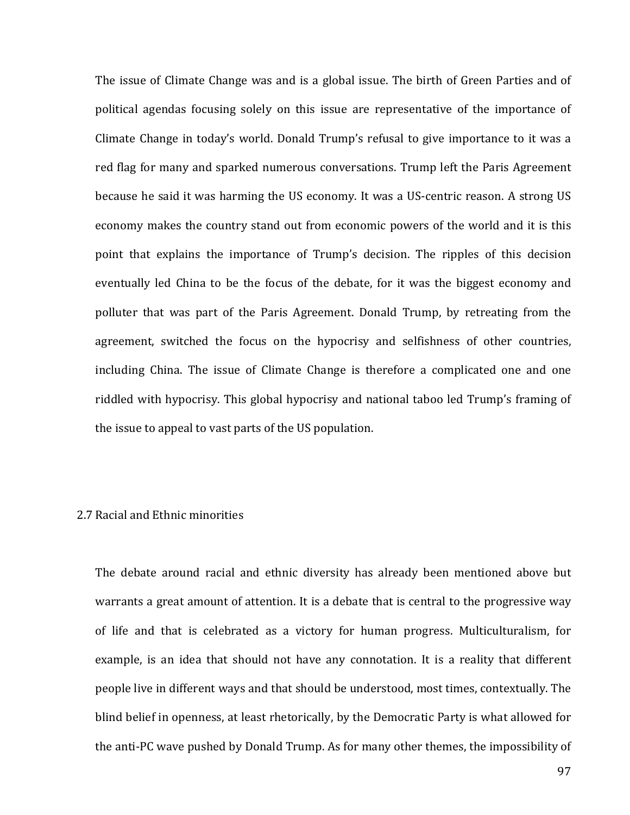The issue of Climate Change was and is a global issue. The birth of Green Parties and of political agendas focusing solely on this issue are representative of the importance of Climate Change in today's world. Donald Trump's refusal to give importance to it was a red flag for many and sparked numerous conversations. Trump left the Paris Agreement because he said it was harming the US economy. It was a US-centric reason. A strong US economy makes the country stand out from economic powers of the world and it is this point that explains the importance of Trump's decision. The ripples of this decision eventually led China to be the focus of the debate, for it was the biggest economy and polluter that was part of the Paris Agreement. Donald Trump, by retreating from the agreement, switched the focus on the hypocrisy and selfishness of other countries, including China. The issue of Climate Change is therefore a complicated one and one riddled with hypocrisy. This global hypocrisy and national taboo led Trump's framing of the issue to appeal to vast parts of the US population.

### 2.7 Racial and Ethnic minorities

The debate around racial and ethnic diversity has already been mentioned above but warrants a great amount of attention. It is a debate that is central to the progressive way of life and that is celebrated as a victory for human progress. Multiculturalism, for example, is an idea that should not have any connotation. It is a reality that different people live in different ways and that should be understood, most times, contextually. The blind belief in openness, at least rhetorically, by the Democratic Party is what allowed for the anti-PC wave pushed by Donald Trump. As for many other themes, the impossibility of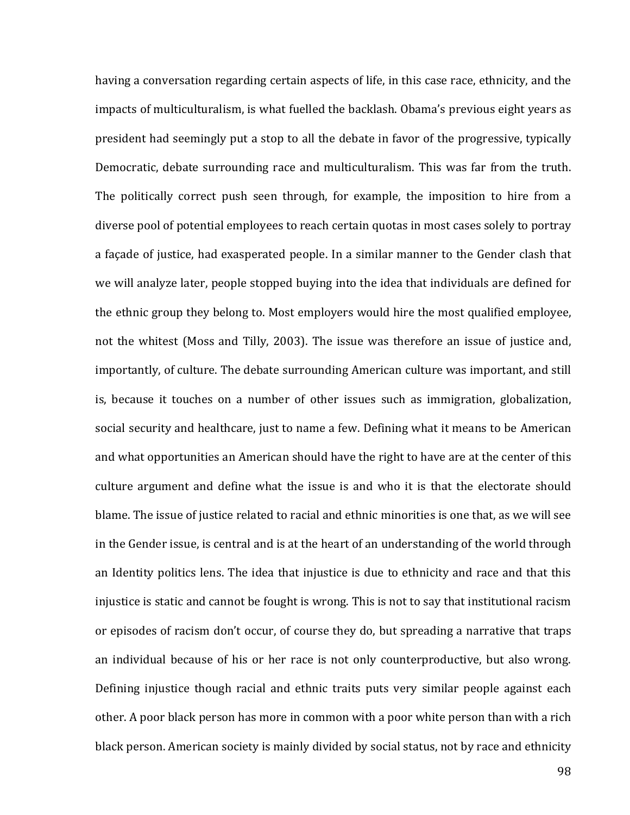having a conversation regarding certain aspects of life, in this case race, ethnicity, and the impacts of multiculturalism, is what fuelled the backlash. Obama's previous eight years as president had seemingly put a stop to all the debate in favor of the progressive, typically Democratic, debate surrounding race and multiculturalism. This was far from the truth. The politically correct push seen through, for example, the imposition to hire from a diverse pool of potential employees to reach certain quotas in most cases solely to portray a façade of justice, had exasperated people. In a similar manner to the Gender clash that we will analyze later, people stopped buying into the idea that individuals are defined for the ethnic group they belong to. Most employers would hire the most qualified employee, not the whitest (Moss and Tilly, 2003). The issue was therefore an issue of justice and, importantly, of culture. The debate surrounding American culture was important, and still is, because it touches on a number of other issues such as immigration, globalization, social security and healthcare, just to name a few. Defining what it means to be American and what opportunities an American should have the right to have are at the center of this culture argument and define what the issue is and who it is that the electorate should blame. The issue of justice related to racial and ethnic minorities is one that, as we will see in the Gender issue, is central and is at the heart of an understanding of the world through an Identity politics lens. The idea that injustice is due to ethnicity and race and that this injustice is static and cannot be fought is wrong. This is not to say that institutional racism or episodes of racism don't occur, of course they do, but spreading a narrative that traps an individual because of his or her race is not only counterproductive, but also wrong. Defining injustice though racial and ethnic traits puts very similar people against each other. A poor black person has more in common with a poor white person than with a rich black person. American society is mainly divided by social status, not by race and ethnicity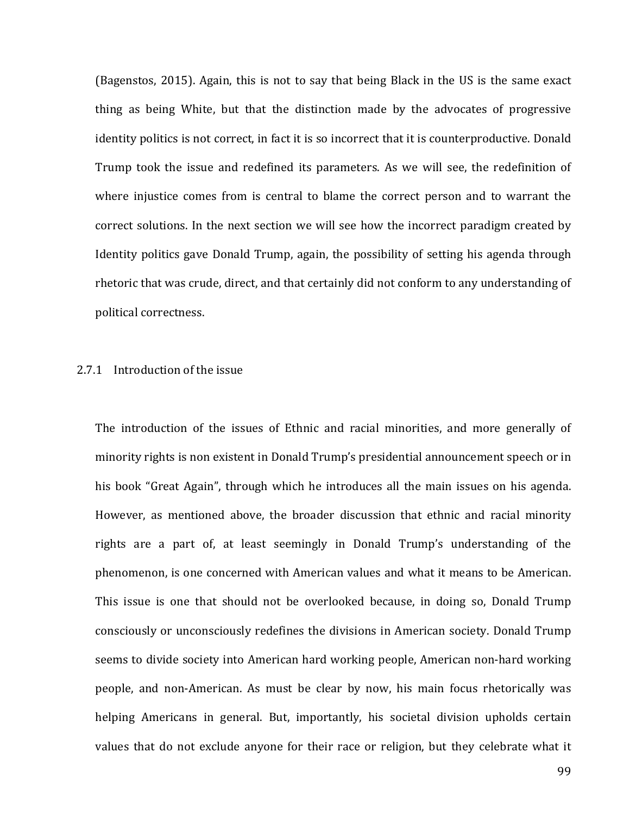(Bagenstos, 2015). Again, this is not to say that being Black in the US is the same exact thing as being White, but that the distinction made by the advocates of progressive identity politics is not correct, in fact it is so incorrect that it is counterproductive. Donald Trump took the issue and redefined its parameters. As we will see, the redefinition of where injustice comes from is central to blame the correct person and to warrant the correct solutions. In the next section we will see how the incorrect paradigm created by Identity politics gave Donald Trump, again, the possibility of setting his agenda through rhetoric that was crude, direct, and that certainly did not conform to any understanding of political correctness.

# 2.7.1 Introduction of the issue

The introduction of the issues of Ethnic and racial minorities, and more generally of minority rights is non existent in Donald Trump's presidential announcement speech or in his book "Great Again", through which he introduces all the main issues on his agenda. However, as mentioned above, the broader discussion that ethnic and racial minority rights are a part of, at least seemingly in Donald Trump's understanding of the phenomenon, is one concerned with American values and what it means to be American. This issue is one that should not be overlooked because, in doing so, Donald Trump consciously or unconsciously redefines the divisions in American society. Donald Trump seems to divide society into American hard working people, American non-hard working people, and non-American. As must be clear by now, his main focus rhetorically was helping Americans in general. But, importantly, his societal division upholds certain values that do not exclude anyone for their race or religion, but they celebrate what it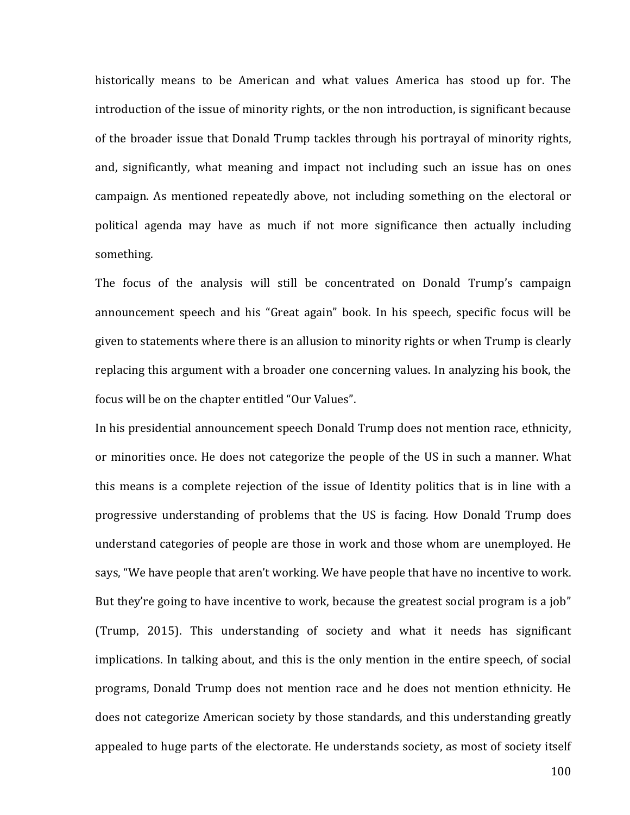historically means to be American and what values America has stood up for. The introduction of the issue of minority rights, or the non introduction, is significant because of the broader issue that Donald Trump tackles through his portrayal of minority rights, and, significantly, what meaning and impact not including such an issue has on ones campaign. As mentioned repeatedly above, not including something on the electoral or political agenda may have as much if not more significance then actually including something. 

The focus of the analysis will still be concentrated on Donald Trump's campaign announcement speech and his "Great again" book. In his speech, specific focus will be given to statements where there is an allusion to minority rights or when Trump is clearly replacing this argument with a broader one concerning values. In analyzing his book, the focus will be on the chapter entitled "Our Values".

In his presidential announcement speech Donald Trump does not mention race, ethnicity, or minorities once. He does not categorize the people of the US in such a manner. What this means is a complete rejection of the issue of Identity politics that is in line with a progressive understanding of problems that the US is facing. How Donald Trump does understand categories of people are those in work and those whom are unemployed. He says, "We have people that aren't working. We have people that have no incentive to work. But they're going to have incentive to work, because the greatest social program is a job" (Trump, 2015). This understanding of society and what it needs has significant implications. In talking about, and this is the only mention in the entire speech, of social programs, Donald Trump does not mention race and he does not mention ethnicity. He does not categorize American society by those standards, and this understanding greatly appealed to huge parts of the electorate. He understands society, as most of society itself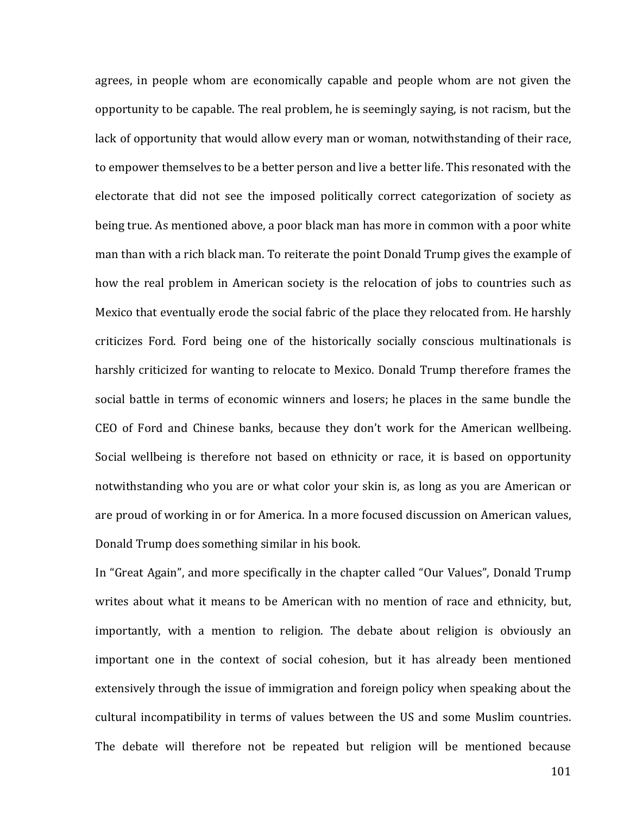agrees, in people whom are economically capable and people whom are not given the opportunity to be capable. The real problem, he is seemingly saying, is not racism, but the lack of opportunity that would allow every man or woman, notwithstanding of their race, to empower themselves to be a better person and live a better life. This resonated with the electorate that did not see the imposed politically correct categorization of society as being true. As mentioned above, a poor black man has more in common with a poor white man than with a rich black man. To reiterate the point Donald Trump gives the example of how the real problem in American society is the relocation of jobs to countries such as Mexico that eventually erode the social fabric of the place they relocated from. He harshly criticizes Ford. Ford being one of the historically socially conscious multinationals is harshly criticized for wanting to relocate to Mexico. Donald Trump therefore frames the social battle in terms of economic winners and losers; he places in the same bundle the CEO of Ford and Chinese banks, because they don't work for the American wellbeing. Social wellbeing is therefore not based on ethnicity or race, it is based on opportunity notwithstanding who you are or what color your skin is, as long as you are American or are proud of working in or for America. In a more focused discussion on American values, Donald Trump does something similar in his book.

In "Great Again", and more specifically in the chapter called "Our Values", Donald Trump writes about what it means to be American with no mention of race and ethnicity, but, importantly, with a mention to religion. The debate about religion is obviously an important one in the context of social cohesion, but it has already been mentioned extensively through the issue of immigration and foreign policy when speaking about the cultural incompatibility in terms of values between the US and some Muslim countries. The debate will therefore not be repeated but religion will be mentioned because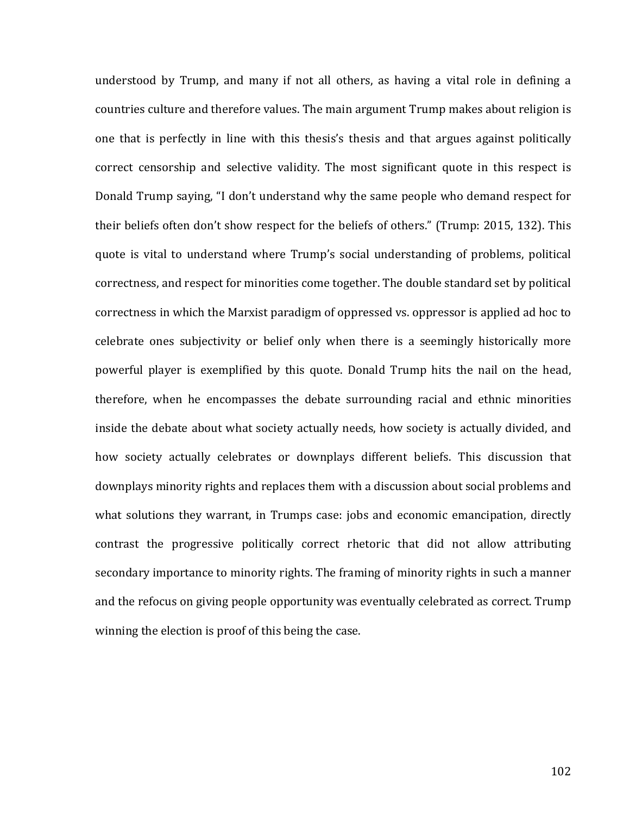understood by Trump, and many if not all others, as having a vital role in defining a countries culture and therefore values. The main argument Trump makes about religion is one that is perfectly in line with this thesis's thesis and that argues against politically correct censorship and selective validity. The most significant quote in this respect is Donald Trump saying, "I don't understand why the same people who demand respect for their beliefs often don't show respect for the beliefs of others." (Trump: 2015, 132). This quote is vital to understand where Trump's social understanding of problems, political correctness, and respect for minorities come together. The double standard set by political correctness in which the Marxist paradigm of oppressed vs. oppressor is applied ad hoc to celebrate ones subjectivity or belief only when there is a seemingly historically more powerful player is exemplified by this quote. Donald Trump hits the nail on the head, therefore, when he encompasses the debate surrounding racial and ethnic minorities inside the debate about what society actually needs, how society is actually divided, and how society actually celebrates or downplays different beliefs. This discussion that downplays minority rights and replaces them with a discussion about social problems and what solutions they warrant, in Trumps case: jobs and economic emancipation, directly contrast the progressive politically correct rhetoric that did not allow attributing secondary importance to minority rights. The framing of minority rights in such a manner and the refocus on giving people opportunity was eventually celebrated as correct. Trump winning the election is proof of this being the case.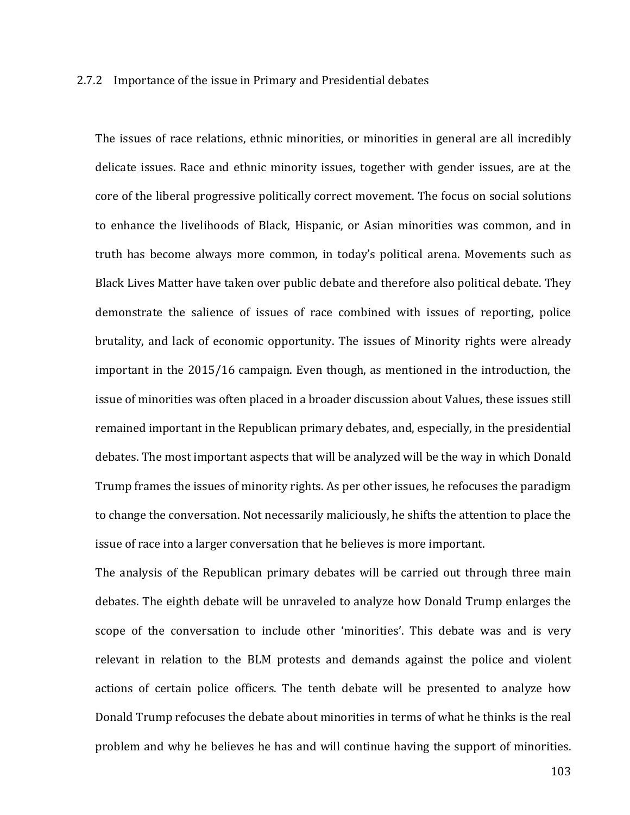#### 2.7.2 Importance of the issue in Primary and Presidential debates

The issues of race relations, ethnic minorities, or minorities in general are all incredibly delicate issues. Race and ethnic minority issues, together with gender issues, are at the core of the liberal progressive politically correct movement. The focus on social solutions to enhance the livelihoods of Black, Hispanic, or Asian minorities was common, and in truth has become always more common, in today's political arena. Movements such as Black Lives Matter have taken over public debate and therefore also political debate. They demonstrate the salience of issues of race combined with issues of reporting, police brutality, and lack of economic opportunity. The issues of Minority rights were already important in the  $2015/16$  campaign. Even though, as mentioned in the introduction, the issue of minorities was often placed in a broader discussion about Values, these issues still remained important in the Republican primary debates, and, especially, in the presidential debates. The most important aspects that will be analyzed will be the way in which Donald Trump frames the issues of minority rights. As per other issues, he refocuses the paradigm to change the conversation. Not necessarily maliciously, he shifts the attention to place the issue of race into a larger conversation that he believes is more important.

The analysis of the Republican primary debates will be carried out through three main debates. The eighth debate will be unraveled to analyze how Donald Trump enlarges the scope of the conversation to include other 'minorities'. This debate was and is very relevant in relation to the BLM protests and demands against the police and violent actions of certain police officers. The tenth debate will be presented to analyze how Donald Trump refocuses the debate about minorities in terms of what he thinks is the real problem and why he believes he has and will continue having the support of minorities.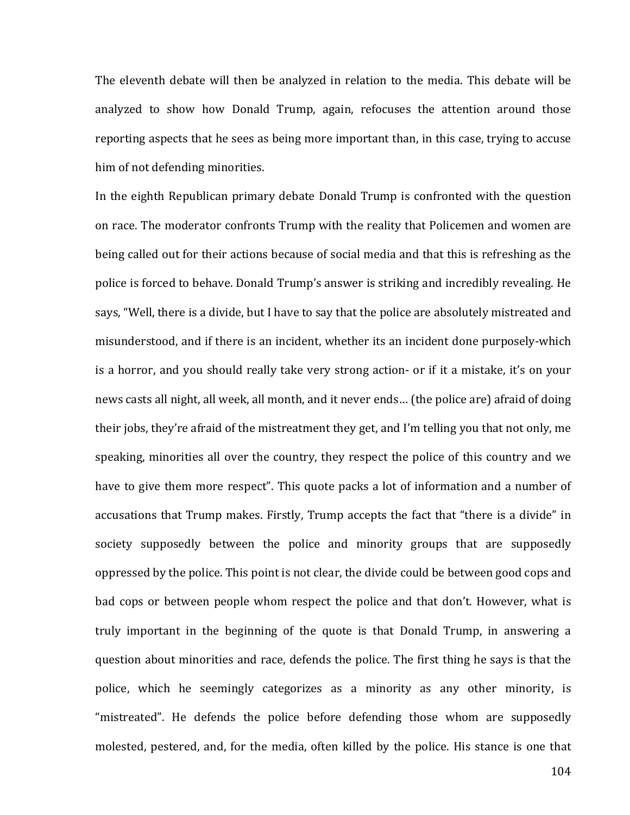The eleventh debate will then be analyzed in relation to the media. This debate will be analyzed to show how Donald Trump, again, refocuses the attention around those reporting aspects that he sees as being more important than, in this case, trying to accuse him of not defending minorities.

In the eighth Republican primary debate Donald Trump is confronted with the question on race. The moderator confronts Trump with the reality that Policemen and women are being called out for their actions because of social media and that this is refreshing as the police is forced to behave. Donald Trump's answer is striking and incredibly revealing. He says, "Well, there is a divide, but I have to say that the police are absolutely mistreated and misunderstood, and if there is an incident, whether its an incident done purposely-which is a horror, and you should really take very strong action- or if it a mistake, it's on your news casts all night, all week, all month, and it never ends... (the police are) afraid of doing their jobs, they're afraid of the mistreatment they get, and I'm telling you that not only, me speaking, minorities all over the country, they respect the police of this country and we have to give them more respect". This quote packs a lot of information and a number of accusations that Trump makes. Firstly, Trump accepts the fact that "there is a divide" in society supposedly between the police and minority groups that are supposedly oppressed by the police. This point is not clear, the divide could be between good cops and bad cops or between people whom respect the police and that don't. However, what is truly important in the beginning of the quote is that Donald Trump, in answering a question about minorities and race, defends the police. The first thing he says is that the police, which he seemingly categorizes as a minority as any other minority, is "mistreated". He defends the police before defending those whom are supposedly molested, pestered, and, for the media, often killed by the police. His stance is one that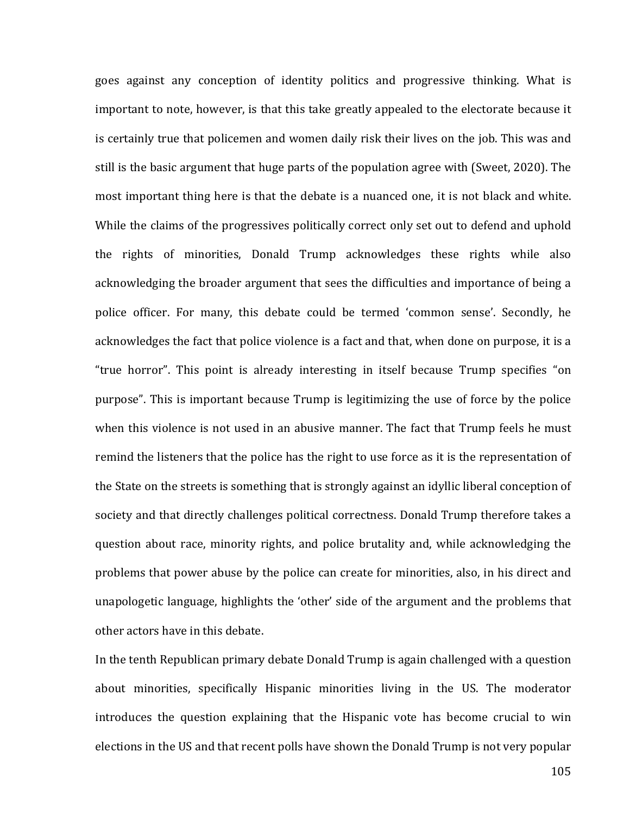goes against any conception of identity politics and progressive thinking. What is important to note, however, is that this take greatly appealed to the electorate because it is certainly true that policemen and women daily risk their lives on the job. This was and still is the basic argument that huge parts of the population agree with (Sweet, 2020). The most important thing here is that the debate is a nuanced one, it is not black and white. While the claims of the progressives politically correct only set out to defend and uphold the rights of minorities, Donald Trump acknowledges these rights while also acknowledging the broader argument that sees the difficulties and importance of being a police officer. For many, this debate could be termed 'common sense'. Secondly, he acknowledges the fact that police violence is a fact and that, when done on purpose, it is a "true horror". This point is already interesting in itself because Trump specifies "on purpose". This is important because Trump is legitimizing the use of force by the police when this violence is not used in an abusive manner. The fact that Trump feels he must remind the listeners that the police has the right to use force as it is the representation of the State on the streets is something that is strongly against an idyllic liberal conception of society and that directly challenges political correctness. Donald Trump therefore takes a question about race, minority rights, and police brutality and, while acknowledging the problems that power abuse by the police can create for minorities, also, in his direct and unapologetic language, highlights the 'other' side of the argument and the problems that other actors have in this debate.

In the tenth Republican primary debate Donald Trump is again challenged with a question about minorities, specifically Hispanic minorities living in the US. The moderator introduces the question explaining that the Hispanic vote has become crucial to win elections in the US and that recent polls have shown the Donald Trump is not very popular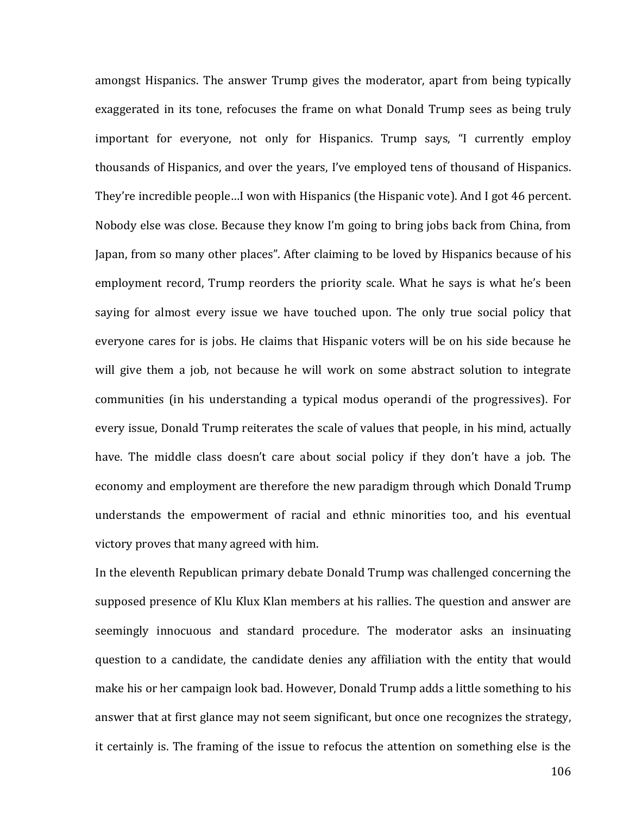amongst Hispanics. The answer Trump gives the moderator, apart from being typically exaggerated in its tone, refocuses the frame on what Donald Trump sees as being truly important for everyone, not only for Hispanics. Trump says, "I currently employ thousands of Hispanics, and over the years, I've employed tens of thousand of Hispanics. They're incredible people...I won with Hispanics (the Hispanic vote). And I got 46 percent. Nobody else was close. Because they know I'm going to bring jobs back from China, from Japan, from so many other places". After claiming to be loved by Hispanics because of his employment record, Trump reorders the priority scale. What he says is what he's been saying for almost every issue we have touched upon. The only true social policy that everyone cares for is jobs. He claims that Hispanic voters will be on his side because he will give them a job, not because he will work on some abstract solution to integrate communities (in his understanding a typical modus operandi of the progressives). For every issue, Donald Trump reiterates the scale of values that people, in his mind, actually have. The middle class doesn't care about social policy if they don't have a job. The economy and employment are therefore the new paradigm through which Donald Trump understands the empowerment of racial and ethnic minorities too, and his eventual victory proves that many agreed with him.

In the eleventh Republican primary debate Donald Trump was challenged concerning the supposed presence of Klu Klux Klan members at his rallies. The question and answer are seemingly innocuous and standard procedure. The moderator asks an insinuating question to a candidate, the candidate denies any affiliation with the entity that would make his or her campaign look bad. However, Donald Trump adds a little something to his answer that at first glance may not seem significant, but once one recognizes the strategy, it certainly is. The framing of the issue to refocus the attention on something else is the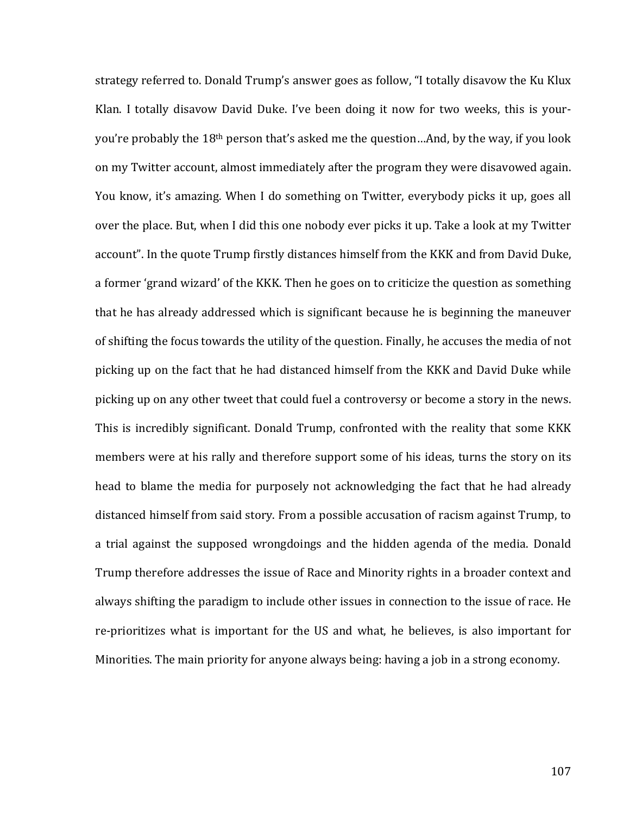strategy referred to. Donald Trump's answer goes as follow, "I totally disavow the Ku Klux Klan. I totally disavow David Duke. I've been doing it now for two weeks, this is youryou're probably the  $18<sup>th</sup>$  person that's asked me the question...And, by the way, if you look on my Twitter account, almost immediately after the program they were disavowed again. You know, it's amazing. When I do something on Twitter, everybody picks it up, goes all over the place. But, when I did this one nobody ever picks it up. Take a look at my Twitter account". In the quote Trump firstly distances himself from the KKK and from David Duke, a former 'grand wizard' of the KKK. Then he goes on to criticize the question as something that he has already addressed which is significant because he is beginning the maneuver of shifting the focus towards the utility of the question. Finally, he accuses the media of not picking up on the fact that he had distanced himself from the KKK and David Duke while picking up on any other tweet that could fuel a controversy or become a story in the news. This is incredibly significant. Donald Trump, confronted with the reality that some KKK members were at his rally and therefore support some of his ideas, turns the story on its head to blame the media for purposely not acknowledging the fact that he had already distanced himself from said story. From a possible accusation of racism against Trump, to a trial against the supposed wrongdoings and the hidden agenda of the media. Donald Trump therefore addresses the issue of Race and Minority rights in a broader context and always shifting the paradigm to include other issues in connection to the issue of race. He re-prioritizes what is important for the US and what, he believes, is also important for Minorities. The main priority for anyone always being: having a job in a strong economy.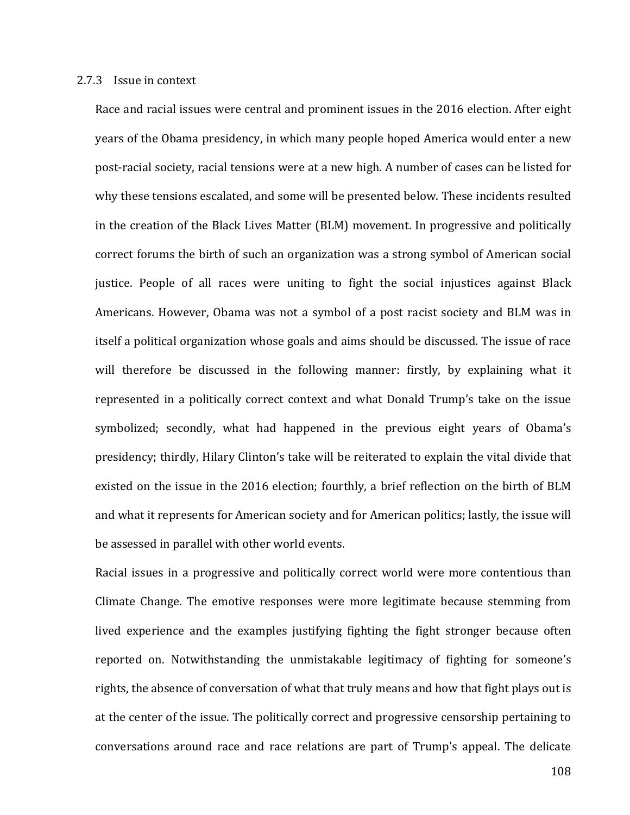#### 2.7.3 Issue in context

Race and racial issues were central and prominent issues in the 2016 election. After eight years of the Obama presidency, in which many people hoped America would enter a new post-racial society, racial tensions were at a new high. A number of cases can be listed for why these tensions escalated, and some will be presented below. These incidents resulted in the creation of the Black Lives Matter (BLM) movement. In progressive and politically correct forums the birth of such an organization was a strong symbol of American social justice. People of all races were uniting to fight the social injustices against Black Americans. However, Obama was not a symbol of a post racist society and BLM was in itself a political organization whose goals and aims should be discussed. The issue of race will therefore be discussed in the following manner: firstly, by explaining what it represented in a politically correct context and what Donald Trump's take on the issue symbolized; secondly, what had happened in the previous eight years of Obama's presidency; thirdly, Hilary Clinton's take will be reiterated to explain the vital divide that existed on the issue in the 2016 election; fourthly, a brief reflection on the birth of BLM and what it represents for American society and for American politics; lastly, the issue will be assessed in parallel with other world events.

Racial issues in a progressive and politically correct world were more contentious than Climate Change. The emotive responses were more legitimate because stemming from lived experience and the examples justifying fighting the fight stronger because often reported on. Notwithstanding the unmistakable legitimacy of fighting for someone's rights, the absence of conversation of what that truly means and how that fight plays out is at the center of the issue. The politically correct and progressive censorship pertaining to conversations around race and race relations are part of Trump's appeal. The delicate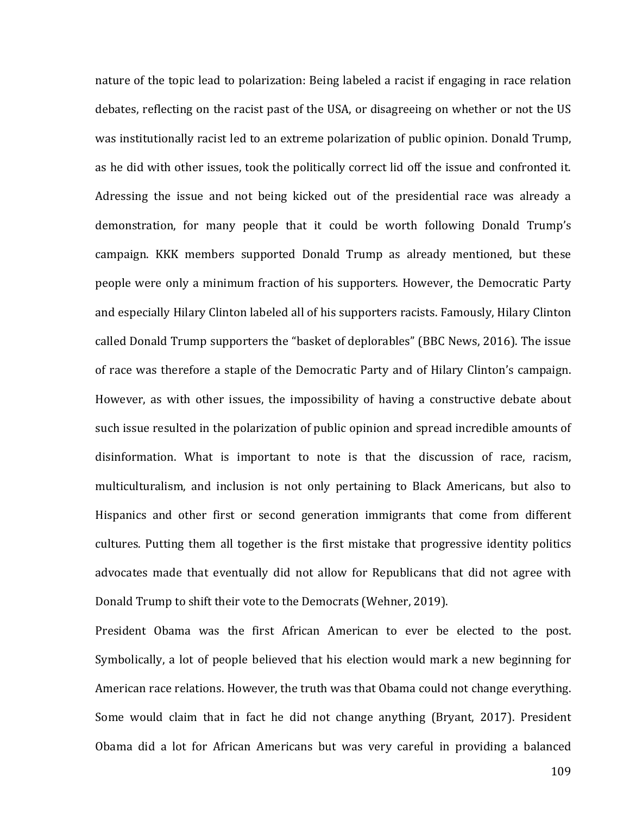nature of the topic lead to polarization: Being labeled a racist if engaging in race relation debates, reflecting on the racist past of the USA, or disagreeing on whether or not the US was institutionally racist led to an extreme polarization of public opinion. Donald Trump, as he did with other issues, took the politically correct lid off the issue and confronted it. Adressing the issue and not being kicked out of the presidential race was already a demonstration, for many people that it could be worth following Donald Trump's campaign. KKK members supported Donald Trump as already mentioned, but these people were only a minimum fraction of his supporters. However, the Democratic Party and especially Hilary Clinton labeled all of his supporters racists. Famously, Hilary Clinton called Donald Trump supporters the "basket of deplorables" (BBC News, 2016). The issue of race was therefore a staple of the Democratic Party and of Hilary Clinton's campaign. However, as with other issues, the impossibility of having a constructive debate about such issue resulted in the polarization of public opinion and spread incredible amounts of disinformation. What is important to note is that the discussion of race, racism, multiculturalism, and inclusion is not only pertaining to Black Americans, but also to Hispanics and other first or second generation immigrants that come from different cultures. Putting them all together is the first mistake that progressive identity politics advocates made that eventually did not allow for Republicans that did not agree with Donald Trump to shift their vote to the Democrats (Wehner, 2019).

President Obama was the first African American to ever be elected to the post. Symbolically, a lot of people believed that his election would mark a new beginning for American race relations. However, the truth was that Obama could not change everything. Some would claim that in fact he did not change anything (Bryant, 2017). President Obama did a lot for African Americans but was very careful in providing a balanced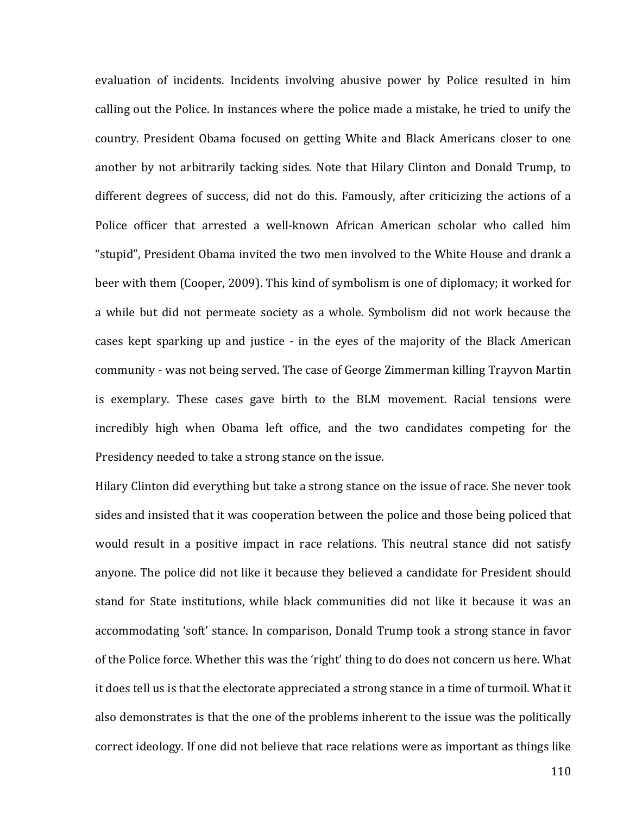evaluation of incidents. Incidents involving abusive power by Police resulted in him calling out the Police. In instances where the police made a mistake, he tried to unify the country. President Obama focused on getting White and Black Americans closer to one another by not arbitrarily tacking sides. Note that Hilary Clinton and Donald Trump, to different degrees of success, did not do this. Famously, after criticizing the actions of a Police officer that arrested a well-known African American scholar who called him "stupid", President Obama invited the two men involved to the White House and drank a beer with them (Cooper, 2009). This kind of symbolism is one of diplomacy; it worked for a while but did not permeate society as a whole. Symbolism did not work because the cases kept sparking up and justice - in the eyes of the majority of the Black American community - was not being served. The case of George Zimmerman killing Trayvon Martin is exemplary. These cases gave birth to the BLM movement. Racial tensions were incredibly high when Obama left office, and the two candidates competing for the Presidency needed to take a strong stance on the issue.

Hilary Clinton did everything but take a strong stance on the issue of race. She never took sides and insisted that it was cooperation between the police and those being policed that would result in a positive impact in race relations. This neutral stance did not satisfy anyone. The police did not like it because they believed a candidate for President should stand for State institutions, while black communities did not like it because it was an accommodating 'soft' stance. In comparison, Donald Trump took a strong stance in favor of the Police force. Whether this was the 'right' thing to do does not concern us here. What it does tell us is that the electorate appreciated a strong stance in a time of turmoil. What it also demonstrates is that the one of the problems inherent to the issue was the politically correct ideology. If one did not believe that race relations were as important as things like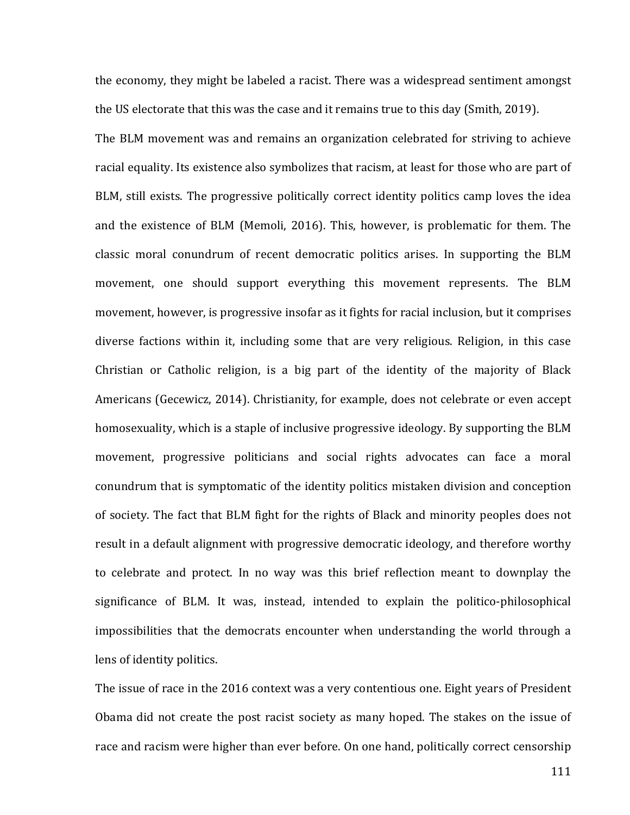the economy, they might be labeled a racist. There was a widespread sentiment amongst the US electorate that this was the case and it remains true to this day (Smith, 2019). The BLM movement was and remains an organization celebrated for striving to achieve racial equality. Its existence also symbolizes that racism, at least for those who are part of BLM, still exists. The progressive politically correct identity politics camp loves the idea and the existence of BLM (Memoli, 2016). This, however, is problematic for them. The classic moral conundrum of recent democratic politics arises. In supporting the BLM movement, one should support everything this movement represents. The BLM movement, however, is progressive insofar as it fights for racial inclusion, but it comprises diverse factions within it, including some that are very religious. Religion, in this case Christian or Catholic religion, is a big part of the identity of the majority of Black Americans (Gecewicz, 2014). Christianity, for example, does not celebrate or even accept homosexuality, which is a staple of inclusive progressive ideology. By supporting the BLM movement, progressive politicians and social rights advocates can face a moral conundrum that is symptomatic of the identity politics mistaken division and conception of society. The fact that BLM fight for the rights of Black and minority peoples does not result in a default alignment with progressive democratic ideology, and therefore worthy to celebrate and protect. In no way was this brief reflection meant to downplay the significance of BLM. It was, instead, intended to explain the politico-philosophical impossibilities that the democrats encounter when understanding the world through a lens of identity politics.

The issue of race in the 2016 context was a very contentious one. Eight years of President Obama did not create the post racist society as many hoped. The stakes on the issue of race and racism were higher than ever before. On one hand, politically correct censorship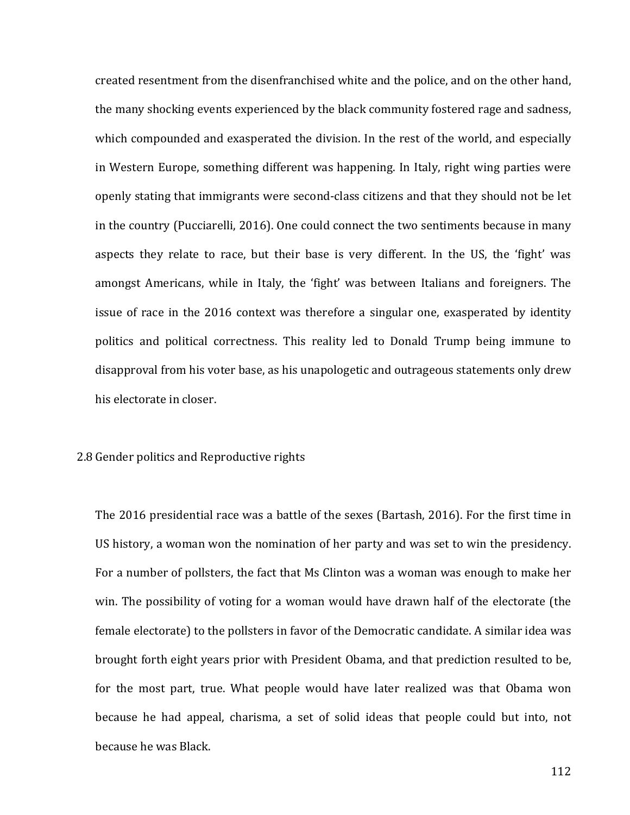created resentment from the disenfranchised white and the police, and on the other hand, the many shocking events experienced by the black community fostered rage and sadness, which compounded and exasperated the division. In the rest of the world, and especially in Western Europe, something different was happening. In Italy, right wing parties were openly stating that immigrants were second-class citizens and that they should not be let in the country (Pucciarelli, 2016). One could connect the two sentiments because in many aspects they relate to race, but their base is very different. In the US, the 'fight' was amongst Americans, while in Italy, the 'fight' was between Italians and foreigners. The issue of race in the 2016 context was therefore a singular one, exasperated by identity politics and political correctness. This reality led to Donald Trump being immune to disapproval from his voter base, as his unapologetic and outrageous statements only drew his electorate in closer.

#### 2.8 Gender politics and Reproductive rights

The 2016 presidential race was a battle of the sexes (Bartash, 2016). For the first time in US history, a woman won the nomination of her party and was set to win the presidency. For a number of pollsters, the fact that Ms Clinton was a woman was enough to make her win. The possibility of voting for a woman would have drawn half of the electorate (the female electorate) to the pollsters in favor of the Democratic candidate. A similar idea was brought forth eight years prior with President Obama, and that prediction resulted to be, for the most part, true. What people would have later realized was that Obama won because he had appeal, charisma, a set of solid ideas that people could but into, not because he was Black.

112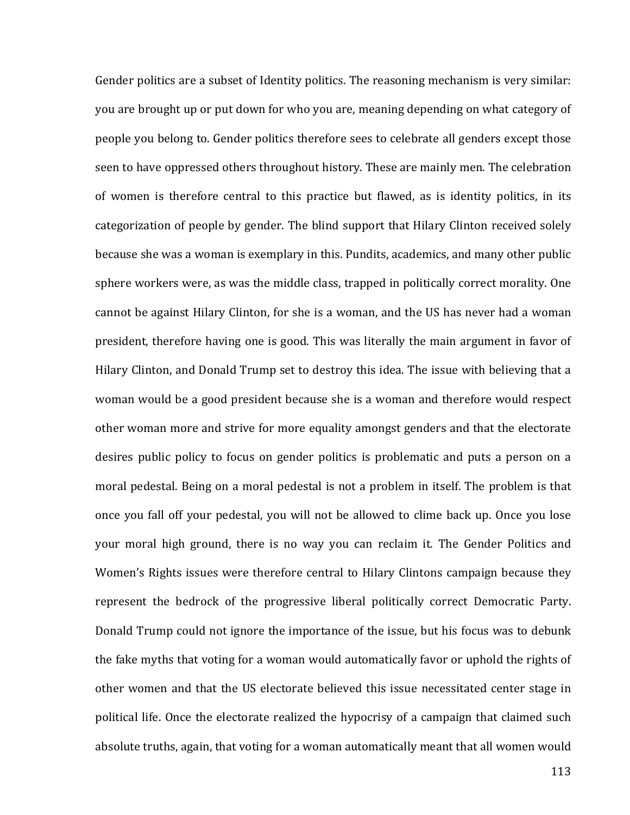Gender politics are a subset of Identity politics. The reasoning mechanism is very similar: you are brought up or put down for who you are, meaning depending on what category of people you belong to. Gender politics therefore sees to celebrate all genders except those seen to have oppressed others throughout history. These are mainly men. The celebration of women is therefore central to this practice but flawed, as is identity politics, in its categorization of people by gender. The blind support that Hilary Clinton received solely because she was a woman is exemplary in this. Pundits, academics, and many other public sphere workers were, as was the middle class, trapped in politically correct morality. One cannot be against Hilary Clinton, for she is a woman, and the US has never had a woman president, therefore having one is good. This was literally the main argument in favor of Hilary Clinton, and Donald Trump set to destroy this idea. The issue with believing that a woman would be a good president because she is a woman and therefore would respect other woman more and strive for more equality amongst genders and that the electorate desires public policy to focus on gender politics is problematic and puts a person on a moral pedestal. Being on a moral pedestal is not a problem in itself. The problem is that once you fall off your pedestal, you will not be allowed to clime back up. Once you lose your moral high ground, there is no way you can reclaim it. The Gender Politics and Women's Rights issues were therefore central to Hilary Clintons campaign because they represent the bedrock of the progressive liberal politically correct Democratic Party. Donald Trump could not ignore the importance of the issue, but his focus was to debunk the fake myths that voting for a woman would automatically favor or uphold the rights of other women and that the US electorate believed this issue necessitated center stage in political life. Once the electorate realized the hypocrisy of a campaign that claimed such absolute truths, again, that voting for a woman automatically meant that all women would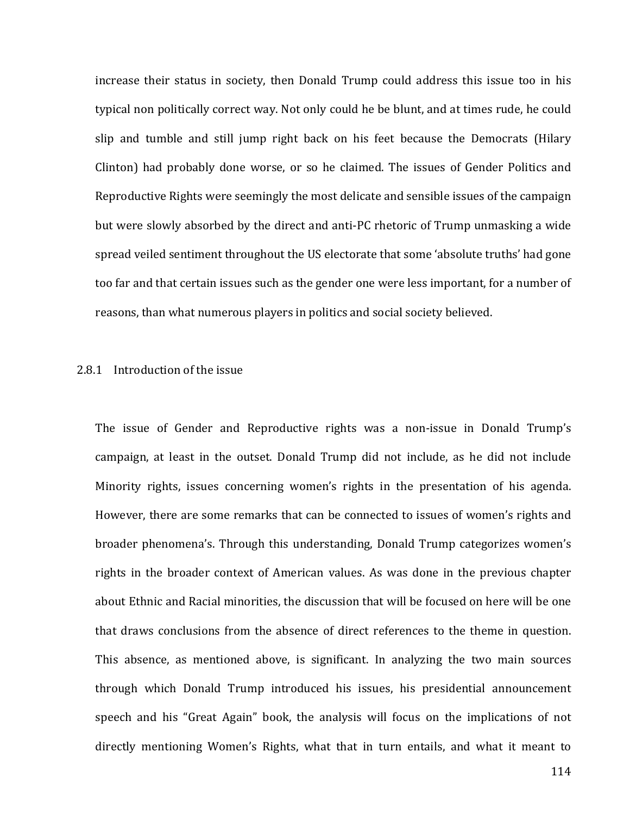increase their status in society, then Donald Trump could address this issue too in his typical non politically correct way. Not only could he be blunt, and at times rude, he could slip and tumble and still jump right back on his feet because the Democrats (Hilary Clinton) had probably done worse, or so he claimed. The issues of Gender Politics and Reproductive Rights were seemingly the most delicate and sensible issues of the campaign but were slowly absorbed by the direct and anti-PC rhetoric of Trump unmasking a wide spread veiled sentiment throughout the US electorate that some 'absolute truths' had gone too far and that certain issues such as the gender one were less important, for a number of reasons, than what numerous players in politics and social society believed.

# 2.8.1 Introduction of the issue

The issue of Gender and Reproductive rights was a non-issue in Donald Trump's campaign, at least in the outset. Donald Trump did not include, as he did not include Minority rights, issues concerning women's rights in the presentation of his agenda. However, there are some remarks that can be connected to issues of women's rights and broader phenomena's. Through this understanding, Donald Trump categorizes women's rights in the broader context of American values. As was done in the previous chapter about Ethnic and Racial minorities, the discussion that will be focused on here will be one that draws conclusions from the absence of direct references to the theme in question. This absence, as mentioned above, is significant. In analyzing the two main sources through which Donald Trump introduced his issues, his presidential announcement speech and his "Great Again" book, the analysis will focus on the implications of not directly mentioning Women's Rights, what that in turn entails, and what it meant to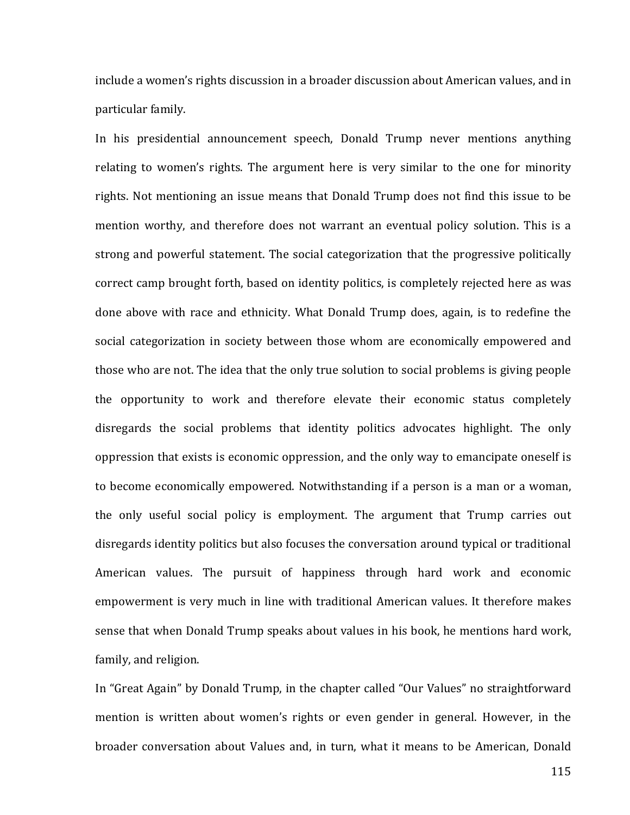include a women's rights discussion in a broader discussion about American values, and in particular family.

In his presidential announcement speech, Donald Trump never mentions anything relating to women's rights. The argument here is very similar to the one for minority rights. Not mentioning an issue means that Donald Trump does not find this issue to be mention worthy, and therefore does not warrant an eventual policy solution. This is a strong and powerful statement. The social categorization that the progressive politically correct camp brought forth, based on identity politics, is completely rejected here as was done above with race and ethnicity. What Donald Trump does, again, is to redefine the social categorization in society between those whom are economically empowered and those who are not. The idea that the only true solution to social problems is giving people the opportunity to work and therefore elevate their economic status completely disregards the social problems that identity politics advocates highlight. The only oppression that exists is economic oppression, and the only way to emancipate oneself is to become economically empowered. Notwithstanding if a person is a man or a woman, the only useful social policy is employment. The argument that Trump carries out disregards identity politics but also focuses the conversation around typical or traditional American values. The pursuit of happiness through hard work and economic empowerment is very much in line with traditional American values. It therefore makes sense that when Donald Trump speaks about values in his book, he mentions hard work, family, and religion.

In "Great Again" by Donald Trump, in the chapter called "Our Values" no straightforward mention is written about women's rights or even gender in general. However, in the broader conversation about Values and, in turn, what it means to be American, Donald

115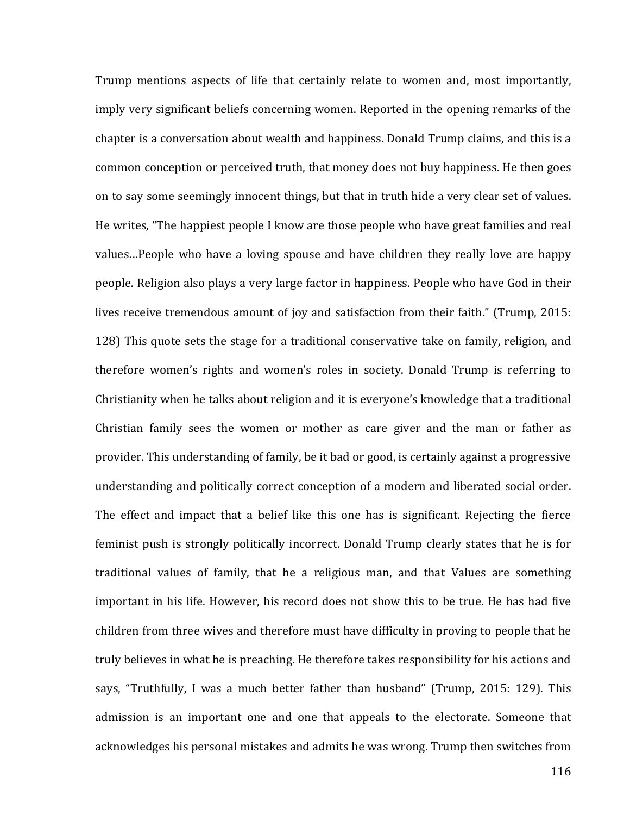Trump mentions aspects of life that certainly relate to women and, most importantly, imply very significant beliefs concerning women. Reported in the opening remarks of the chapter is a conversation about wealth and happiness. Donald Trump claims, and this is a common conception or perceived truth, that money does not buy happiness. He then goes on to say some seemingly innocent things, but that in truth hide a very clear set of values. He writes, "The happiest people I know are those people who have great families and real values...People who have a loving spouse and have children they really love are happy people. Religion also plays a very large factor in happiness. People who have God in their lives receive tremendous amount of joy and satisfaction from their faith." (Trump, 2015: 128) This quote sets the stage for a traditional conservative take on family, religion, and therefore women's rights and women's roles in society. Donald Trump is referring to Christianity when he talks about religion and it is everyone's knowledge that a traditional Christian family sees the women or mother as care giver and the man or father as provider. This understanding of family, be it bad or good, is certainly against a progressive understanding and politically correct conception of a modern and liberated social order. The effect and impact that a belief like this one has is significant. Rejecting the fierce feminist push is strongly politically incorrect. Donald Trump clearly states that he is for traditional values of family, that he a religious man, and that Values are something important in his life. However, his record does not show this to be true. He has had five children from three wives and therefore must have difficulty in proving to people that he truly believes in what he is preaching. He therefore takes responsibility for his actions and says, "Truthfully, I was a much better father than husband" (Trump, 2015: 129). This admission is an important one and one that appeals to the electorate. Someone that acknowledges his personal mistakes and admits he was wrong. Trump then switches from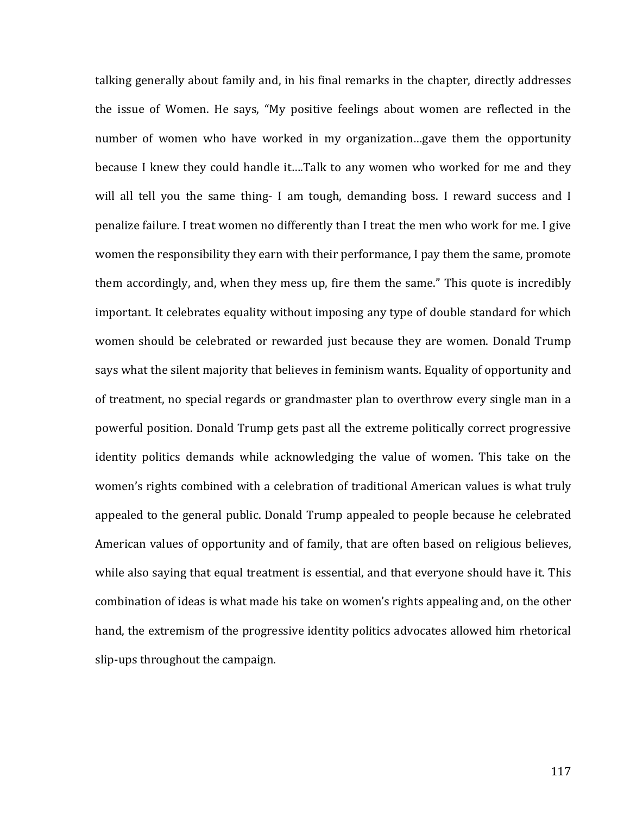talking generally about family and, in his final remarks in the chapter, directly addresses the issue of Women. He says, "My positive feelings about women are reflected in the number of women who have worked in my organization…gave them the opportunity because I knew they could handle it....Talk to any women who worked for me and they will all tell you the same thing- I am tough, demanding boss. I reward success and I penalize failure. I treat women no differently than I treat the men who work for me. I give women the responsibility they earn with their performance, I pay them the same, promote them accordingly, and, when they mess up, fire them the same." This quote is incredibly important. It celebrates equality without imposing any type of double standard for which women should be celebrated or rewarded just because they are women. Donald Trump says what the silent majority that believes in feminism wants. Equality of opportunity and of treatment, no special regards or grandmaster plan to overthrow every single man in a powerful position. Donald Trump gets past all the extreme politically correct progressive identity politics demands while acknowledging the value of women. This take on the women's rights combined with a celebration of traditional American values is what truly appealed to the general public. Donald Trump appealed to people because he celebrated American values of opportunity and of family, that are often based on religious believes, while also saying that equal treatment is essential, and that everyone should have it. This combination of ideas is what made his take on women's rights appealing and, on the other hand, the extremism of the progressive identity politics advocates allowed him rhetorical slip-ups throughout the campaign.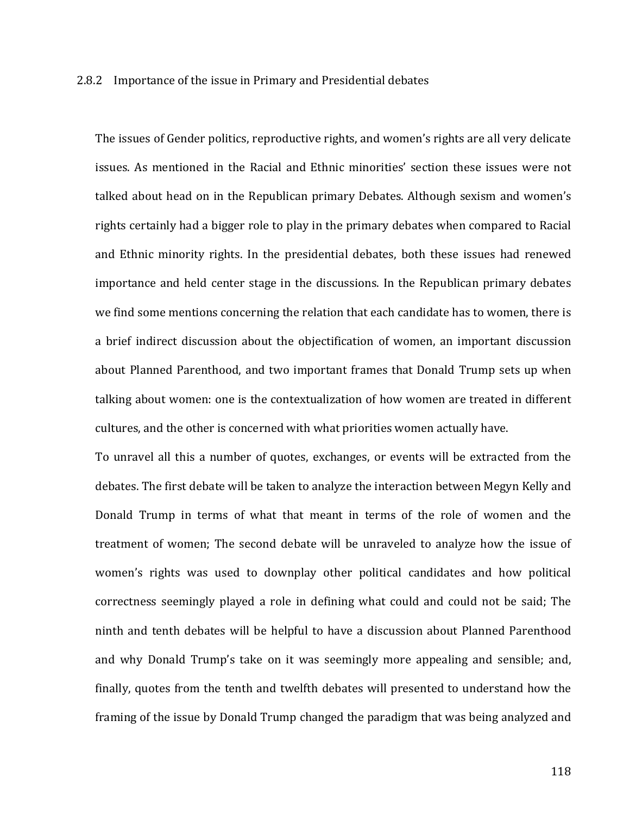The issues of Gender politics, reproductive rights, and women's rights are all very delicate issues. As mentioned in the Racial and Ethnic minorities' section these issues were not talked about head on in the Republican primary Debates. Although sexism and women's rights certainly had a bigger role to play in the primary debates when compared to Racial and Ethnic minority rights. In the presidential debates, both these issues had renewed importance and held center stage in the discussions. In the Republican primary debates we find some mentions concerning the relation that each candidate has to women, there is a brief indirect discussion about the objectification of women, an important discussion about Planned Parenthood, and two important frames that Donald Trump sets up when talking about women: one is the contextualization of how women are treated in different cultures, and the other is concerned with what priorities women actually have.

To unravel all this a number of quotes, exchanges, or events will be extracted from the debates. The first debate will be taken to analyze the interaction between Megyn Kelly and Donald Trump in terms of what that meant in terms of the role of women and the treatment of women; The second debate will be unraveled to analyze how the issue of women's rights was used to downplay other political candidates and how political correctness seemingly played a role in defining what could and could not be said; The ninth and tenth debates will be helpful to have a discussion about Planned Parenthood and why Donald Trump's take on it was seemingly more appealing and sensible; and, finally, quotes from the tenth and twelfth debates will presented to understand how the framing of the issue by Donald Trump changed the paradigm that was being analyzed and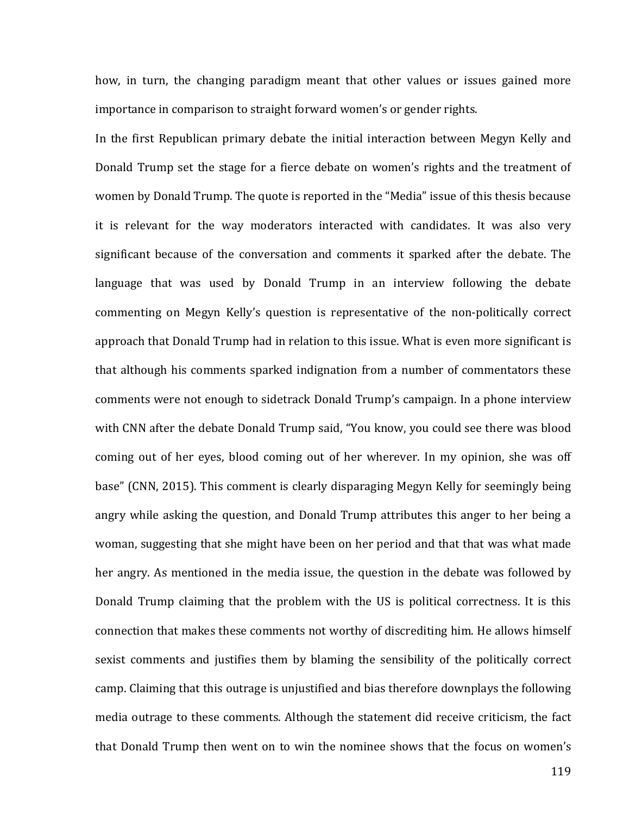how, in turn, the changing paradigm meant that other values or issues gained more importance in comparison to straight forward women's or gender rights.

In the first Republican primary debate the initial interaction between Megyn Kelly and Donald Trump set the stage for a fierce debate on women's rights and the treatment of women by Donald Trump. The quote is reported in the "Media" issue of this thesis because it is relevant for the way moderators interacted with candidates. It was also very significant because of the conversation and comments it sparked after the debate. The language that was used by Donald Trump in an interview following the debate commenting on Megyn Kelly's question is representative of the non-politically correct approach that Donald Trump had in relation to this issue. What is even more significant is that although his comments sparked indignation from a number of commentators these comments were not enough to sidetrack Donald Trump's campaign. In a phone interview with CNN after the debate Donald Trump said, "You know, you could see there was blood coming out of her eyes, blood coming out of her wherever. In my opinion, she was off base" (CNN, 2015). This comment is clearly disparaging Megyn Kelly for seemingly being angry while asking the question, and Donald Trump attributes this anger to her being a woman, suggesting that she might have been on her period and that that was what made her angry. As mentioned in the media issue, the question in the debate was followed by Donald Trump claiming that the problem with the US is political correctness. It is this connection that makes these comments not worthy of discrediting him. He allows himself sexist comments and justifies them by blaming the sensibility of the politically correct camp. Claiming that this outrage is unjustified and bias therefore downplays the following media outrage to these comments. Although the statement did receive criticism, the fact that Donald Trump then went on to win the nominee shows that the focus on women's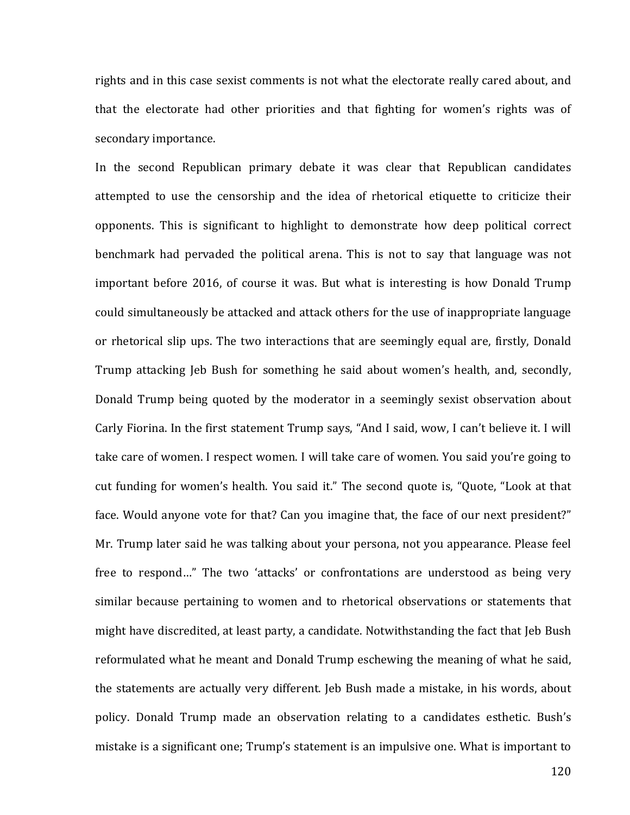rights and in this case sexist comments is not what the electorate really cared about, and that the electorate had other priorities and that fighting for women's rights was of secondary importance.

In the second Republican primary debate it was clear that Republican candidates attempted to use the censorship and the idea of rhetorical etiquette to criticize their opponents. This is significant to highlight to demonstrate how deep political correct benchmark had pervaded the political arena. This is not to say that language was not important before 2016, of course it was. But what is interesting is how Donald Trump could simultaneously be attacked and attack others for the use of inappropriate language or rhetorical slip ups. The two interactions that are seemingly equal are, firstly, Donald Trump attacking Jeb Bush for something he said about women's health, and, secondly, Donald Trump being quoted by the moderator in a seemingly sexist observation about Carly Fiorina. In the first statement Trump says, "And I said, wow, I can't believe it. I will take care of women. I respect women. I will take care of women. You said you're going to cut funding for women's health. You said it." The second quote is, "Quote, "Look at that face. Would anyone vote for that? Can you imagine that, the face of our next president?" Mr. Trump later said he was talking about your persona, not you appearance. Please feel free to respond..." The two 'attacks' or confrontations are understood as being very similar because pertaining to women and to rhetorical observations or statements that might have discredited, at least party, a candidate. Notwithstanding the fact that Jeb Bush reformulated what he meant and Donald Trump eschewing the meaning of what he said, the statements are actually very different. Jeb Bush made a mistake, in his words, about policy. Donald Trump made an observation relating to a candidates esthetic. Bush's mistake is a significant one; Trump's statement is an impulsive one. What is important to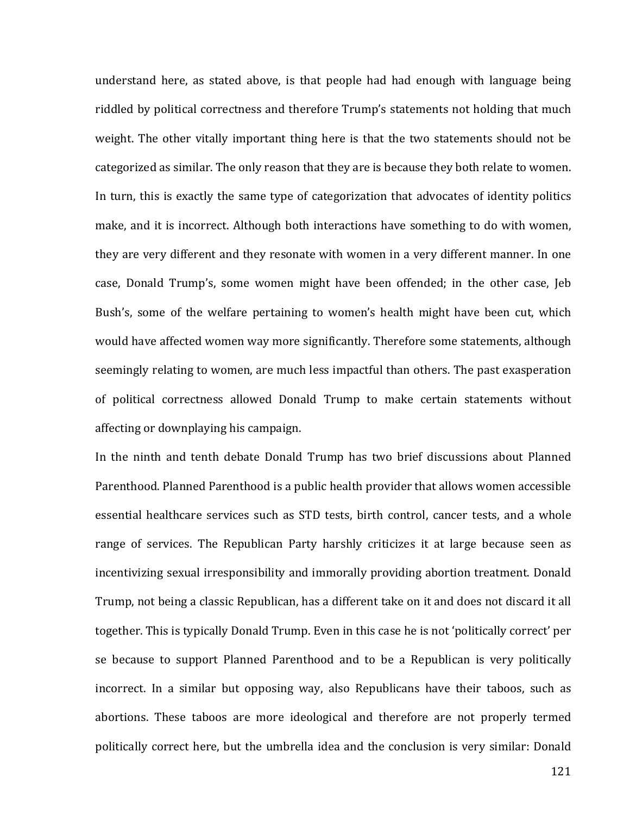understand here, as stated above, is that people had had enough with language being riddled by political correctness and therefore Trump's statements not holding that much weight. The other vitally important thing here is that the two statements should not be categorized as similar. The only reason that they are is because they both relate to women. In turn, this is exactly the same type of categorization that advocates of identity politics make, and it is incorrect. Although both interactions have something to do with women, they are very different and they resonate with women in a very different manner. In one case, Donald Trump's, some women might have been offended; in the other case, Jeb Bush's, some of the welfare pertaining to women's health might have been cut, which would have affected women way more significantly. Therefore some statements, although seemingly relating to women, are much less impactful than others. The past exasperation of political correctness allowed Donald Trump to make certain statements without affecting or downplaying his campaign.

In the ninth and tenth debate Donald Trump has two brief discussions about Planned Parenthood. Planned Parenthood is a public health provider that allows women accessible essential healthcare services such as STD tests, birth control, cancer tests, and a whole range of services. The Republican Party harshly criticizes it at large because seen as incentivizing sexual irresponsibility and immorally providing abortion treatment. Donald Trump, not being a classic Republican, has a different take on it and does not discard it all together. This is typically Donald Trump. Even in this case he is not 'politically correct' per se because to support Planned Parenthood and to be a Republican is very politically incorrect. In a similar but opposing way, also Republicans have their taboos, such as abortions. These taboos are more ideological and therefore are not properly termed politically correct here, but the umbrella idea and the conclusion is very similar: Donald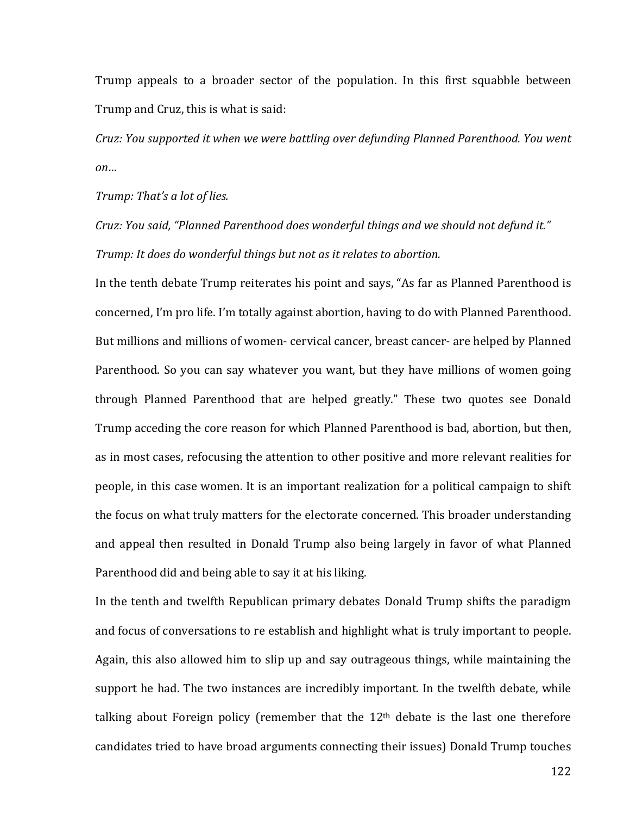Trump appeals to a broader sector of the population. In this first squabble between Trump and Cruz, this is what is said:

*Cruz: You supported it when we were battling over defunding Planned Parenthood. You went on…*

*Trump: That's a lot of lies.* 

*Cruz: You said, "Planned Parenthood does wonderful things and we should not defund it." Trump: It does do wonderful things but not as it relates to abortion.* 

In the tenth debate Trump reiterates his point and says, "As far as Planned Parenthood is concerned, I'm pro life. I'm totally against abortion, having to do with Planned Parenthood. But millions and millions of women- cervical cancer, breast cancer- are helped by Planned Parenthood. So you can say whatever you want, but they have millions of women going through Planned Parenthood that are helped greatly." These two quotes see Donald Trump acceding the core reason for which Planned Parenthood is bad, abortion, but then, as in most cases, refocusing the attention to other positive and more relevant realities for people, in this case women. It is an important realization for a political campaign to shift the focus on what truly matters for the electorate concerned. This broader understanding and appeal then resulted in Donald Trump also being largely in favor of what Planned Parenthood did and being able to say it at his liking.

In the tenth and twelfth Republican primary debates Donald Trump shifts the paradigm and focus of conversations to re establish and highlight what is truly important to people. Again, this also allowed him to slip up and say outrageous things, while maintaining the support he had. The two instances are incredibly important. In the twelfth debate, while talking about Foreign policy (remember that the  $12<sup>th</sup>$  debate is the last one therefore candidates tried to have broad arguments connecting their issues) Donald Trump touches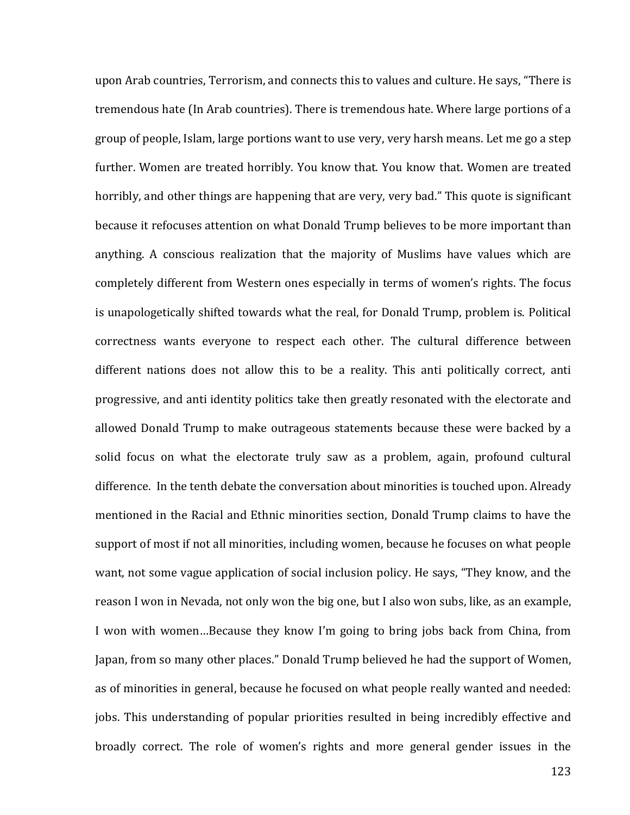upon Arab countries, Terrorism, and connects this to values and culture. He says, "There is tremendous hate (In Arab countries). There is tremendous hate. Where large portions of a group of people, Islam, large portions want to use very, very harsh means. Let me go a step further. Women are treated horribly. You know that. You know that. Women are treated horribly, and other things are happening that are very, very bad." This quote is significant because it refocuses attention on what Donald Trump believes to be more important than anything. A conscious realization that the majority of Muslims have values which are completely different from Western ones especially in terms of women's rights. The focus is unapologetically shifted towards what the real, for Donald Trump, problem is. Political correctness wants everyone to respect each other. The cultural difference between different nations does not allow this to be a reality. This anti politically correct, anti progressive, and anti identity politics take then greatly resonated with the electorate and allowed Donald Trump to make outrageous statements because these were backed by a solid focus on what the electorate truly saw as a problem, again, profound cultural difference. In the tenth debate the conversation about minorities is touched upon. Already mentioned in the Racial and Ethnic minorities section, Donald Trump claims to have the support of most if not all minorities, including women, because he focuses on what people want, not some vague application of social inclusion policy. He says, "They know, and the reason I won in Nevada, not only won the big one, but I also won subs, like, as an example, I won with women...Because they know I'm going to bring jobs back from China, from Japan, from so many other places." Donald Trump believed he had the support of Women, as of minorities in general, because he focused on what people really wanted and needed: jobs. This understanding of popular priorities resulted in being incredibly effective and broadly correct. The role of women's rights and more general gender issues in the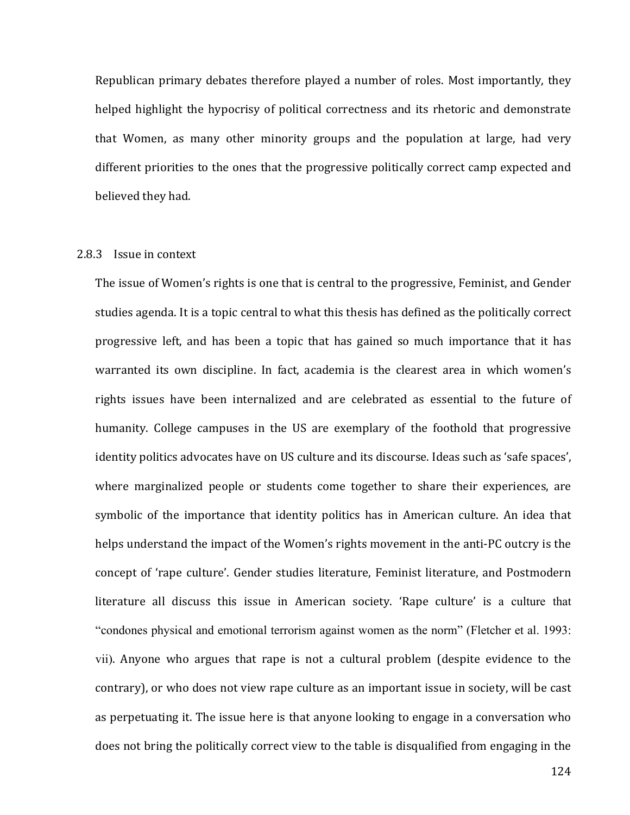Republican primary debates therefore played a number of roles. Most importantly, they helped highlight the hypocrisy of political correctness and its rhetoric and demonstrate that Women, as many other minority groups and the population at large, had very different priorities to the ones that the progressive politically correct camp expected and believed they had.

# 2.8.3 Issue in context

The issue of Women's rights is one that is central to the progressive, Feminist, and Gender studies agenda. It is a topic central to what this thesis has defined as the politically correct progressive left, and has been a topic that has gained so much importance that it has warranted its own discipline. In fact, academia is the clearest area in which women's rights issues have been internalized and are celebrated as essential to the future of humanity. College campuses in the US are exemplary of the foothold that progressive identity politics advocates have on US culture and its discourse. Ideas such as 'safe spaces', where marginalized people or students come together to share their experiences, are symbolic of the importance that identity politics has in American culture. An idea that helps understand the impact of the Women's rights movement in the anti-PC outcry is the concept of 'rape culture'. Gender studies literature, Feminist literature, and Postmodern literature all discuss this issue in American society. 'Rape culture' is a culture that "condones physical and emotional terrorism against women as the norm" (Fletcher et al. 1993: vii). Anyone who argues that rape is not a cultural problem (despite evidence to the contrary), or who does not view rape culture as an important issue in society, will be cast as perpetuating it. The issue here is that anyone looking to engage in a conversation who does not bring the politically correct view to the table is disqualified from engaging in the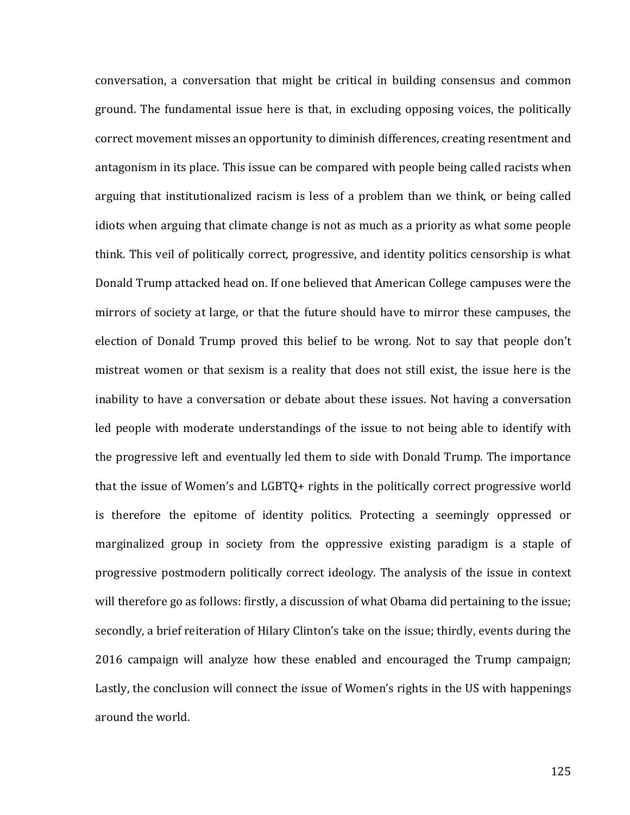conversation, a conversation that might be critical in building consensus and common ground. The fundamental issue here is that, in excluding opposing voices, the politically correct movement misses an opportunity to diminish differences, creating resentment and antagonism in its place. This issue can be compared with people being called racists when arguing that institutionalized racism is less of a problem than we think, or being called idiots when arguing that climate change is not as much as a priority as what some people think. This veil of politically correct, progressive, and identity politics censorship is what Donald Trump attacked head on. If one believed that American College campuses were the mirrors of society at large, or that the future should have to mirror these campuses, the election of Donald Trump proved this belief to be wrong. Not to say that people don't mistreat women or that sexism is a reality that does not still exist, the issue here is the inability to have a conversation or debate about these issues. Not having a conversation led people with moderate understandings of the issue to not being able to identify with the progressive left and eventually led them to side with Donald Trump. The importance that the issue of Women's and  $LGBTQ+$  rights in the politically correct progressive world is therefore the epitome of identity politics. Protecting a seemingly oppressed or marginalized group in society from the oppressive existing paradigm is a staple of progressive postmodern politically correct ideology. The analysis of the issue in context will therefore go as follows: firstly, a discussion of what Obama did pertaining to the issue; secondly, a brief reiteration of Hilary Clinton's take on the issue; thirdly, events during the 2016 campaign will analyze how these enabled and encouraged the Trump campaign; Lastly, the conclusion will connect the issue of Women's rights in the US with happenings around the world.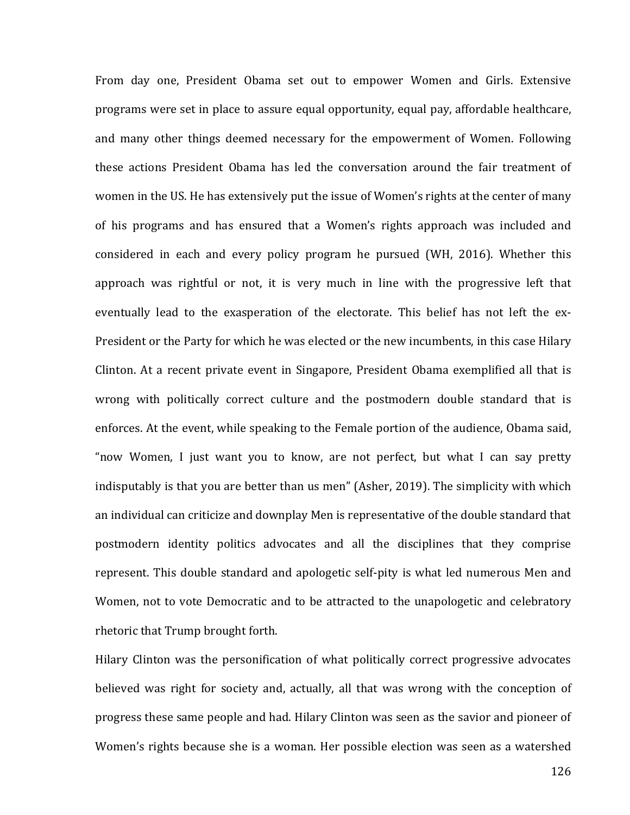From day one, President Obama set out to empower Women and Girls. Extensive programs were set in place to assure equal opportunity, equal pay, affordable healthcare, and many other things deemed necessary for the empowerment of Women. Following these actions President Obama has led the conversation around the fair treatment of women in the US. He has extensively put the issue of Women's rights at the center of many of his programs and has ensured that a Women's rights approach was included and considered in each and every policy program he pursued (WH, 2016). Whether this approach was rightful or not, it is very much in line with the progressive left that eventually lead to the exasperation of the electorate. This belief has not left the ex-President or the Party for which he was elected or the new incumbents, in this case Hilary Clinton. At a recent private event in Singapore, President Obama exemplified all that is wrong with politically correct culture and the postmodern double standard that is enforces. At the event, while speaking to the Female portion of the audience, Obama said, "now Women, I just want you to know, are not perfect, but what I can say pretty indisputably is that you are better than us men" (Asher, 2019). The simplicity with which an individual can criticize and downplay Men is representative of the double standard that postmodern identity politics advocates and all the disciplines that they comprise represent. This double standard and apologetic self-pity is what led numerous Men and Women, not to vote Democratic and to be attracted to the unapologetic and celebratory rhetoric that Trump brought forth.

Hilary Clinton was the personification of what politically correct progressive advocates believed was right for society and, actually, all that was wrong with the conception of progress these same people and had. Hilary Clinton was seen as the savior and pioneer of Women's rights because she is a woman. Her possible election was seen as a watershed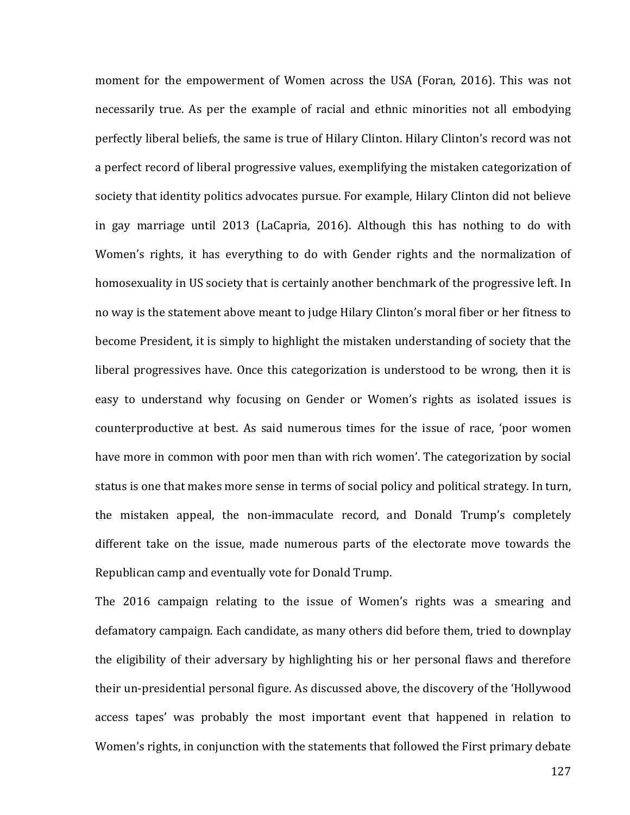moment for the empowerment of Women across the USA (Foran, 2016). This was not necessarily true. As per the example of racial and ethnic minorities not all embodying perfectly liberal beliefs, the same is true of Hilary Clinton. Hilary Clinton's record was not a perfect record of liberal progressive values, exemplifying the mistaken categorization of society that identity politics advocates pursue. For example, Hilary Clinton did not believe in gay marriage until 2013 (LaCapria, 2016). Although this has nothing to do with Women's rights, it has everything to do with Gender rights and the normalization of homosexuality in US society that is certainly another benchmark of the progressive left. In no way is the statement above meant to judge Hilary Clinton's moral fiber or her fitness to become President, it is simply to highlight the mistaken understanding of society that the liberal progressives have. Once this categorization is understood to be wrong, then it is easy to understand why focusing on Gender or Women's rights as isolated issues is counterproductive at best. As said numerous times for the issue of race, 'poor women have more in common with poor men than with rich women'. The categorization by social status is one that makes more sense in terms of social policy and political strategy. In turn, the mistaken appeal, the non-immaculate record, and Donald Trump's completely different take on the issue, made numerous parts of the electorate move towards the Republican camp and eventually vote for Donald Trump.

The 2016 campaign relating to the issue of Women's rights was a smearing and defamatory campaign. Each candidate, as many others did before them, tried to downplay the eligibility of their adversary by highlighting his or her personal flaws and therefore their un-presidential personal figure. As discussed above, the discovery of the 'Hollywood access tapes' was probably the most important event that happened in relation to Women's rights, in conjunction with the statements that followed the First primary debate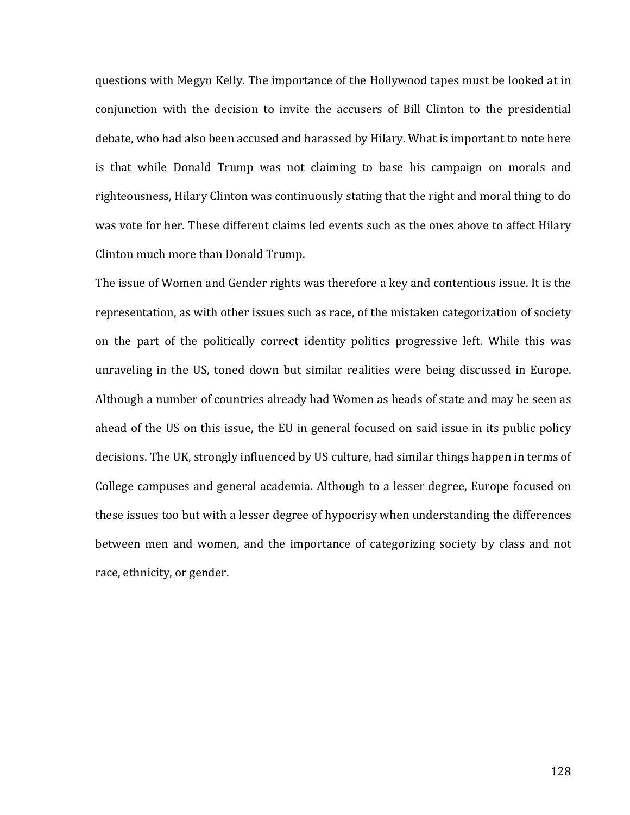questions with Megyn Kelly. The importance of the Hollywood tapes must be looked at in conjunction with the decision to invite the accusers of Bill Clinton to the presidential debate, who had also been accused and harassed by Hilary. What is important to note here is that while Donald Trump was not claiming to base his campaign on morals and righteousness, Hilary Clinton was continuously stating that the right and moral thing to do was vote for her. These different claims led events such as the ones above to affect Hilary Clinton much more than Donald Trump.

The issue of Women and Gender rights was therefore a key and contentious issue. It is the representation, as with other issues such as race, of the mistaken categorization of society on the part of the politically correct identity politics progressive left. While this was unraveling in the US, toned down but similar realities were being discussed in Europe. Although a number of countries already had Women as heads of state and may be seen as ahead of the US on this issue, the EU in general focused on said issue in its public policy decisions. The UK, strongly influenced by US culture, had similar things happen in terms of College campuses and general academia. Although to a lesser degree, Europe focused on these issues too but with a lesser degree of hypocrisy when understanding the differences between men and women, and the importance of categorizing society by class and not race, ethnicity, or gender.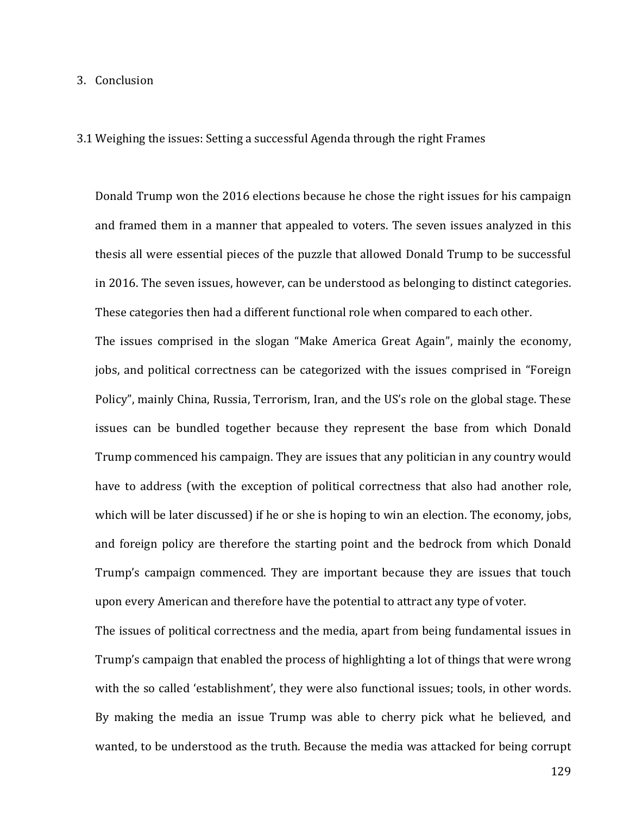## 3. Conclusion

#### 3.1 Weighing the issues: Setting a successful Agenda through the right Frames

Donald Trump won the 2016 elections because he chose the right issues for his campaign and framed them in a manner that appealed to voters. The seven issues analyzed in this thesis all were essential pieces of the puzzle that allowed Donald Trump to be successful in 2016. The seven issues, however, can be understood as belonging to distinct categories. These categories then had a different functional role when compared to each other. The issues comprised in the slogan "Make America Great Again", mainly the economy, jobs, and political correctness can be categorized with the issues comprised in "Foreign Policy", mainly China, Russia, Terrorism, Iran, and the US's role on the global stage. These issues can be bundled together because they represent the base from which Donald Trump commenced his campaign. They are issues that any politician in any country would have to address (with the exception of political correctness that also had another role, which will be later discussed) if he or she is hoping to win an election. The economy, jobs, and foreign policy are therefore the starting point and the bedrock from which Donald Trump's campaign commenced. They are important because they are issues that touch upon every American and therefore have the potential to attract any type of voter.

The issues of political correctness and the media, apart from being fundamental issues in Trump's campaign that enabled the process of highlighting a lot of things that were wrong with the so called 'establishment', they were also functional issues; tools, in other words. By making the media an issue Trump was able to cherry pick what he believed, and wanted, to be understood as the truth. Because the media was attacked for being corrupt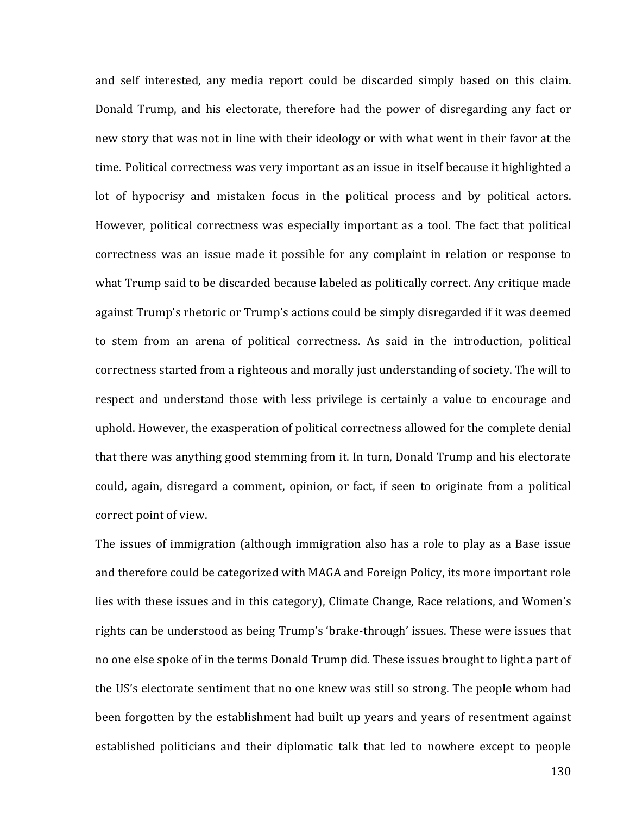and self interested, any media report could be discarded simply based on this claim. Donald Trump, and his electorate, therefore had the power of disregarding any fact or new story that was not in line with their ideology or with what went in their favor at the time. Political correctness was very important as an issue in itself because it highlighted a lot of hypocrisy and mistaken focus in the political process and by political actors. However, political correctness was especially important as a tool. The fact that political correctness was an issue made it possible for any complaint in relation or response to what Trump said to be discarded because labeled as politically correct. Any critique made against Trump's rhetoric or Trump's actions could be simply disregarded if it was deemed to stem from an arena of political correctness. As said in the introduction, political correctness started from a righteous and morally just understanding of society. The will to respect and understand those with less privilege is certainly a value to encourage and uphold. However, the exasperation of political correctness allowed for the complete denial that there was anything good stemming from it. In turn, Donald Trump and his electorate could, again, disregard a comment, opinion, or fact, if seen to originate from a political correct point of view.

The issues of immigration (although immigration also has a role to play as a Base issue and therefore could be categorized with MAGA and Foreign Policy, its more important role lies with these issues and in this category), Climate Change, Race relations, and Women's rights can be understood as being Trump's 'brake-through' issues. These were issues that no one else spoke of in the terms Donald Trump did. These issues brought to light a part of the US's electorate sentiment that no one knew was still so strong. The people whom had been forgotten by the establishment had built up years and years of resentment against established politicians and their diplomatic talk that led to nowhere except to people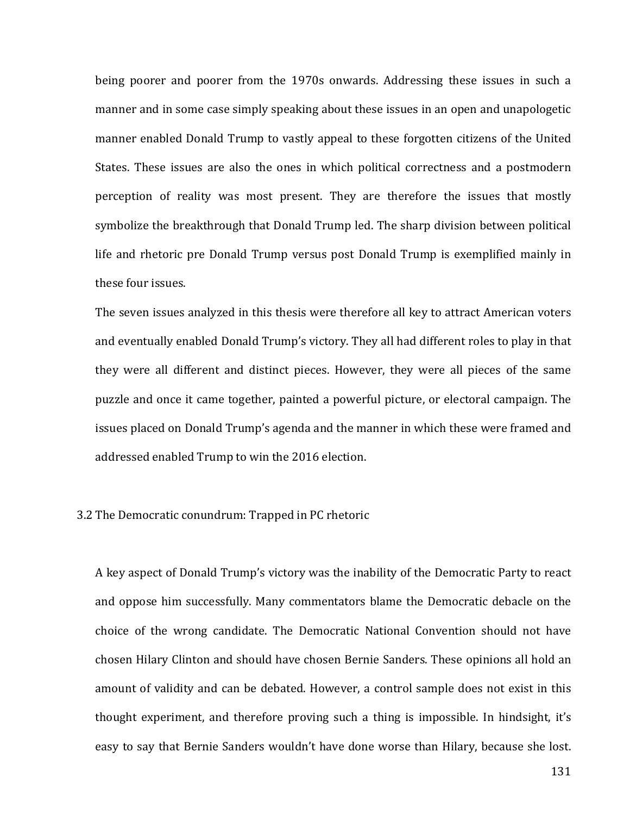being poorer and poorer from the 1970s onwards. Addressing these issues in such a manner and in some case simply speaking about these issues in an open and unapologetic manner enabled Donald Trump to vastly appeal to these forgotten citizens of the United States. These issues are also the ones in which political correctness and a postmodern perception of reality was most present. They are therefore the issues that mostly symbolize the breakthrough that Donald Trump led. The sharp division between political life and rhetoric pre Donald Trump versus post Donald Trump is exemplified mainly in these four issues.

The seven issues analyzed in this thesis were therefore all key to attract American voters and eventually enabled Donald Trump's victory. They all had different roles to play in that they were all different and distinct pieces. However, they were all pieces of the same puzzle and once it came together, painted a powerful picture, or electoral campaign. The issues placed on Donald Trump's agenda and the manner in which these were framed and addressed enabled Trump to win the 2016 election.

#### 3.2 The Democratic conundrum: Trapped in PC rhetoric

A key aspect of Donald Trump's victory was the inability of the Democratic Party to react and oppose him successfully. Many commentators blame the Democratic debacle on the choice of the wrong candidate. The Democratic National Convention should not have chosen Hilary Clinton and should have chosen Bernie Sanders. These opinions all hold an amount of validity and can be debated. However, a control sample does not exist in this thought experiment, and therefore proving such a thing is impossible. In hindsight, it's easy to say that Bernie Sanders wouldn't have done worse than Hilary, because she lost.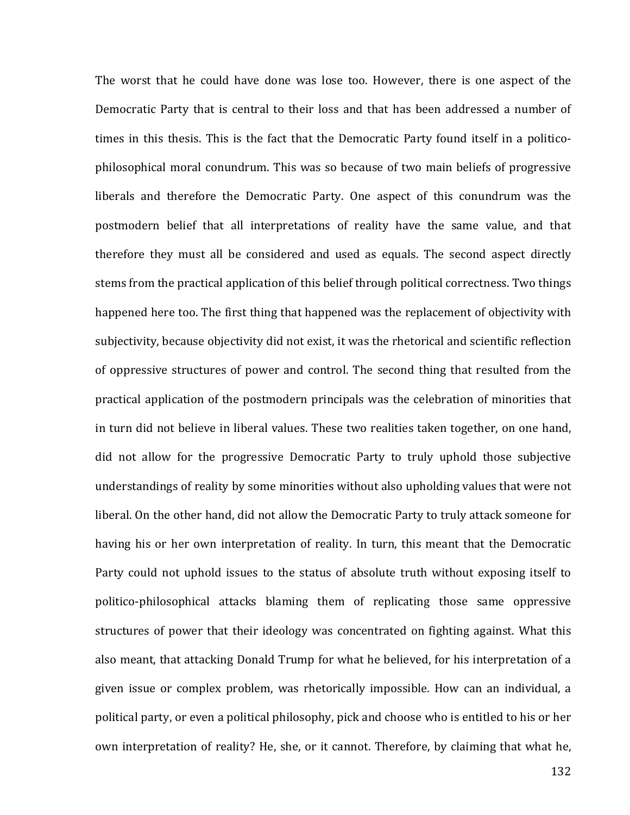The worst that he could have done was lose too. However, there is one aspect of the Democratic Party that is central to their loss and that has been addressed a number of times in this thesis. This is the fact that the Democratic Party found itself in a politicophilosophical moral conundrum. This was so because of two main beliefs of progressive liberals and therefore the Democratic Party. One aspect of this conundrum was the postmodern belief that all interpretations of reality have the same value, and that therefore they must all be considered and used as equals. The second aspect directly stems from the practical application of this belief through political correctness. Two things happened here too. The first thing that happened was the replacement of objectivity with subjectivity, because objectivity did not exist, it was the rhetorical and scientific reflection of oppressive structures of power and control. The second thing that resulted from the practical application of the postmodern principals was the celebration of minorities that in turn did not believe in liberal values. These two realities taken together, on one hand, did not allow for the progressive Democratic Party to truly uphold those subjective understandings of reality by some minorities without also upholding values that were not liberal. On the other hand, did not allow the Democratic Party to truly attack someone for having his or her own interpretation of reality. In turn, this meant that the Democratic Party could not uphold issues to the status of absolute truth without exposing itself to politico-philosophical attacks blaming them of replicating those same oppressive structures of power that their ideology was concentrated on fighting against. What this also meant, that attacking Donald Trump for what he believed, for his interpretation of a given issue or complex problem, was rhetorically impossible. How can an individual, a political party, or even a political philosophy, pick and choose who is entitled to his or her own interpretation of reality? He, she, or it cannot. Therefore, by claiming that what he,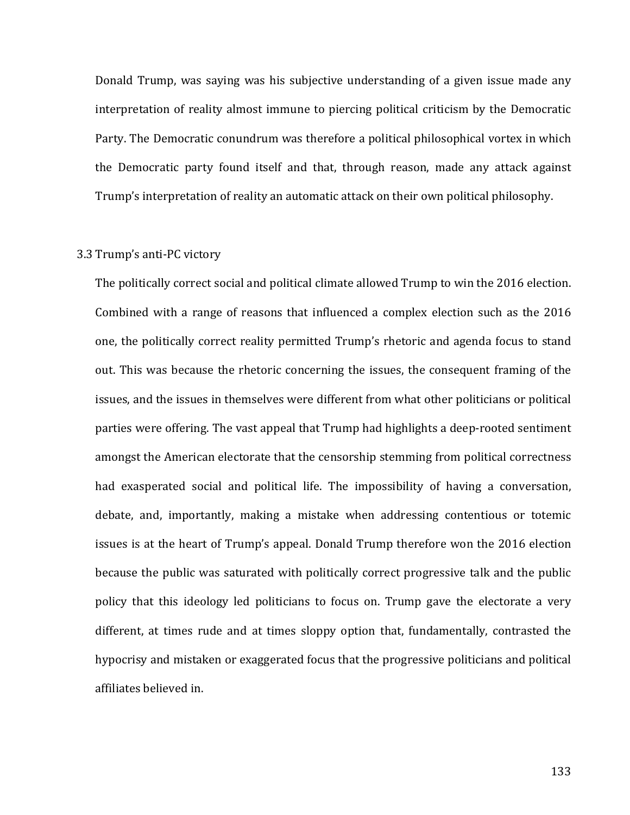Donald Trump, was saying was his subjective understanding of a given issue made any interpretation of reality almost immune to piercing political criticism by the Democratic Party. The Democratic conundrum was therefore a political philosophical vortex in which the Democratic party found itself and that, through reason, made any attack against Trump's interpretation of reality an automatic attack on their own political philosophy.

# 3.3 Trump's anti-PC victory

The politically correct social and political climate allowed Trump to win the 2016 election. Combined with a range of reasons that influenced a complex election such as the 2016 one, the politically correct reality permitted Trump's rhetoric and agenda focus to stand out. This was because the rhetoric concerning the issues, the consequent framing of the issues, and the issues in themselves were different from what other politicians or political parties were offering. The vast appeal that Trump had highlights a deep-rooted sentiment amongst the American electorate that the censorship stemming from political correctness had exasperated social and political life. The impossibility of having a conversation, debate, and, importantly, making a mistake when addressing contentious or totemic issues is at the heart of Trump's appeal. Donald Trump therefore won the 2016 election because the public was saturated with politically correct progressive talk and the public policy that this ideology led politicians to focus on. Trump gave the electorate a very different, at times rude and at times sloppy option that, fundamentally, contrasted the hypocrisy and mistaken or exaggerated focus that the progressive politicians and political affiliates believed in.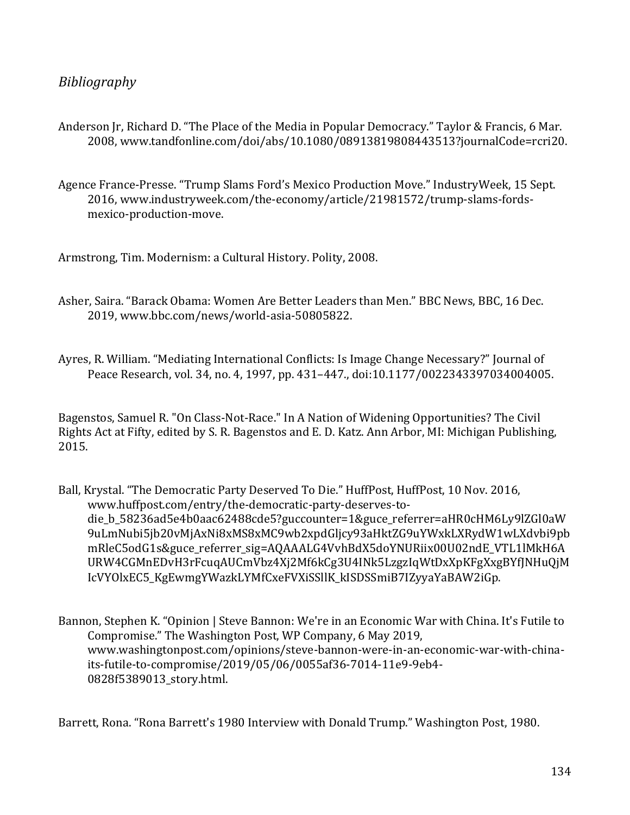# *Bibliography*

- Anderson Ir, Richard D. "The Place of the Media in Popular Democracy." Taylor & Francis, 6 Mar. 2008, www.tandfonline.com/doi/abs/10.1080/08913819808443513?journalCode=rcri20.
- Agence France-Presse. "Trump Slams Ford's Mexico Production Move." IndustryWeek, 15 Sept. 2016, www.industryweek.com/the-economy/article/21981572/trump-slams-fordsmexico-production-move.

Armstrong, Tim. Modernism: a Cultural History. Polity, 2008.

Asher, Saira. "Barack Obama: Women Are Better Leaders than Men." BBC News, BBC, 16 Dec. 2019, www.bbc.com/news/world-asia-50805822.

Ayres, R. William. "Mediating International Conflicts: Is Image Change Necessary?" Journal of Peace Research, vol. 34, no. 4, 1997, pp. 431-447., doi:10.1177/0022343397034004005.

Bagenstos, Samuel R. "On Class-Not-Race." In A Nation of Widening Opportunities? The Civil Rights Act at Fifty, edited by S. R. Bagenstos and E. D. Katz. Ann Arbor, MI: Michigan Publishing, 2015.

Ball, Krystal. "The Democratic Party Deserved To Die." HuffPost, HuffPost, 10 Nov. 2016, www.huffpost.com/entry/the-democratic-party-deserves-todie\_b\_58236ad5e4b0aac62488cde5?guccounter=1&guce\_referrer=aHR0cHM6Ly9lZGl0aW 9uLmNubi5jb20vMjAxNi8xMS8xMC9wb2xpdGljcy93aHktZG9uYWxkLXRydW1wLXdvbi9pb mRleC5odG1s&guce\_referrer\_sig=AQAAALG4VvhBdX5doYNURiix00U02ndE\_VTL1lMkH6A URW4CGMnEDvH3rFcuqAUCmVbz4Xj2Mf6kCg3U4INk5LzgzIqWtDxXpKFgXxgBYfJNHuQjM IcVYOlxEC5\_KgEwmgYWazkLYMfCxeFVXiSSllK\_kISDSSmiB7IZyyaYaBAW2iGp.

Bannon, Stephen K. "Opinion | Steve Bannon: We're in an Economic War with China. It's Futile to Compromise." The Washington Post, WP Company, 6 May 2019, www.washingtonpost.com/opinions/steve-bannon-were-in-an-economic-war-with-chinaits-futile-to-compromise/2019/05/06/0055af36-7014-11e9-9eb4- 0828f5389013\_story.html.

Barrett, Rona. "Rona Barrett's 1980 Interview with Donald Trump." Washington Post, 1980.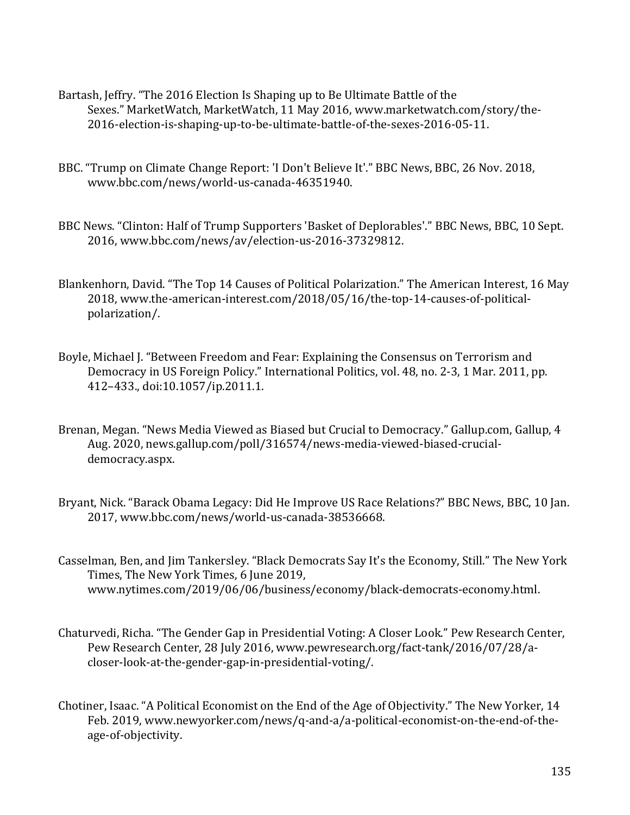- Bartash, Jeffry. "The 2016 Election Is Shaping up to Be Ultimate Battle of the Sexes." MarketWatch, MarketWatch, 11 May 2016, www.marketwatch.com/story/the-2016-election-is-shaping-up-to-be-ultimate-battle-of-the-sexes-2016-05-11.
- BBC. "Trump on Climate Change Report: 'I Don't Believe It'." BBC News, BBC, 26 Nov. 2018, www.bbc.com/news/world-us-canada-46351940.
- BBC News. "Clinton: Half of Trump Supporters 'Basket of Deplorables'." BBC News, BBC, 10 Sept. 2016, www.bbc.com/news/av/election-us-2016-37329812.
- Blankenhorn, David. "The Top 14 Causes of Political Polarization." The American Interest, 16 May 2018, www.the-american-interest.com/2018/05/16/the-top-14-causes-of-politicalpolarization/.
- Boyle, Michael J. "Between Freedom and Fear: Explaining the Consensus on Terrorism and Democracy in US Foreign Policy." International Politics, vol. 48, no. 2-3, 1 Mar. 2011, pp. 412–433., doi:10.1057/ip.2011.1.
- Brenan, Megan. "News Media Viewed as Biased but Crucial to Democracy." Gallup.com, Gallup, 4 Aug. 2020, news.gallup.com/poll/316574/news-media-viewed-biased-crucialdemocracy.aspx.
- Bryant, Nick. "Barack Obama Legacy: Did He Improve US Race Relations?" BBC News, BBC, 10 Jan. 2017, www.bbc.com/news/world-us-canada-38536668.
- Casselman, Ben, and Jim Tankersley. "Black Democrats Say It's the Economy, Still." The New York Times, The New York Times, 6 June 2019, www.nytimes.com/2019/06/06/business/economy/black-democrats-economy.html.
- Chaturvedi, Richa. "The Gender Gap in Presidential Voting: A Closer Look." Pew Research Center, Pew Research Center, 28 July 2016, www.pewresearch.org/fact-tank/2016/07/28/acloser-look-at-the-gender-gap-in-presidential-voting/.
- Chotiner, Isaac. "A Political Economist on the End of the Age of Objectivity." The New Yorker, 14 Feb. 2019, www.newyorker.com/news/q-and-a/a-political-economist-on-the-end-of-theage-of-objectivity.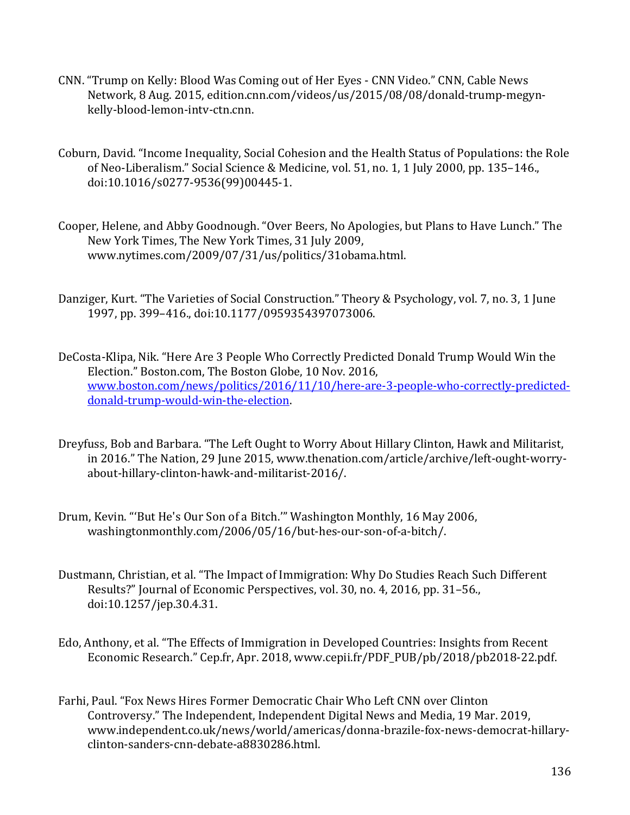- CNN. "Trump on Kelly: Blood Was Coming out of Her Eyes CNN Video." CNN, Cable News Network, 8 Aug. 2015, edition.cnn.com/videos/us/2015/08/08/donald-trump-megynkelly-blood-lemon-intv-ctn.cnn.
- Coburn, David. "Income Inequality, Social Cohesion and the Health Status of Populations: the Role of Neo-Liberalism." Social Science & Medicine, vol. 51, no. 1, 1 July 2000, pp. 135-146., doi:10.1016/s0277-9536(99)00445-1.
- Cooper, Helene, and Abby Goodnough. "Over Beers, No Apologies, but Plans to Have Lunch." The New York Times, The New York Times, 31 July 2009, www.nytimes.com/2009/07/31/us/politics/31obama.html.
- Danziger, Kurt. "The Varieties of Social Construction." Theory & Psychology, vol. 7, no. 3, 1 June 1997, pp. 399–416., doi:10.1177/0959354397073006.
- DeCosta-Klipa, Nik. "Here Are 3 People Who Correctly Predicted Donald Trump Would Win the Election." Boston.com, The Boston Globe, 10 Nov. 2016, www.boston.com/news/politics/2016/11/10/here-are-3-people-who-correctly-predicteddonald-trump-would-win-the-election.
- Dreyfuss, Bob and Barbara. "The Left Ought to Worry About Hillary Clinton, Hawk and Militarist, in 2016." The Nation, 29 June 2015, www.thenation.com/article/archive/left-ought-worryabout-hillary-clinton-hawk-and-militarist-2016/.
- Drum, Kevin. "'But He's Our Son of a Bitch.'" Washington Monthly, 16 May 2006, washingtonmonthly.com/2006/05/16/but-hes-our-son-of-a-bitch/.
- Dustmann, Christian, et al. "The Impact of Immigration: Why Do Studies Reach Such Different Results?" Journal of Economic Perspectives, vol. 30, no. 4, 2016, pp. 31-56., doi:10.1257/jep.30.4.31.
- Edo, Anthony, et al. "The Effects of Immigration in Developed Countries: Insights from Recent Economic Research." Cep.fr, Apr. 2018, www.cepii.fr/PDF\_PUB/pb/2018/pb2018-22.pdf.
- Farhi, Paul. "Fox News Hires Former Democratic Chair Who Left CNN over Clinton Controversy." The Independent, Independent Digital News and Media, 19 Mar. 2019, www.independent.co.uk/news/world/americas/donna-brazile-fox-news-democrat-hillaryclinton-sanders-cnn-debate-a8830286.html.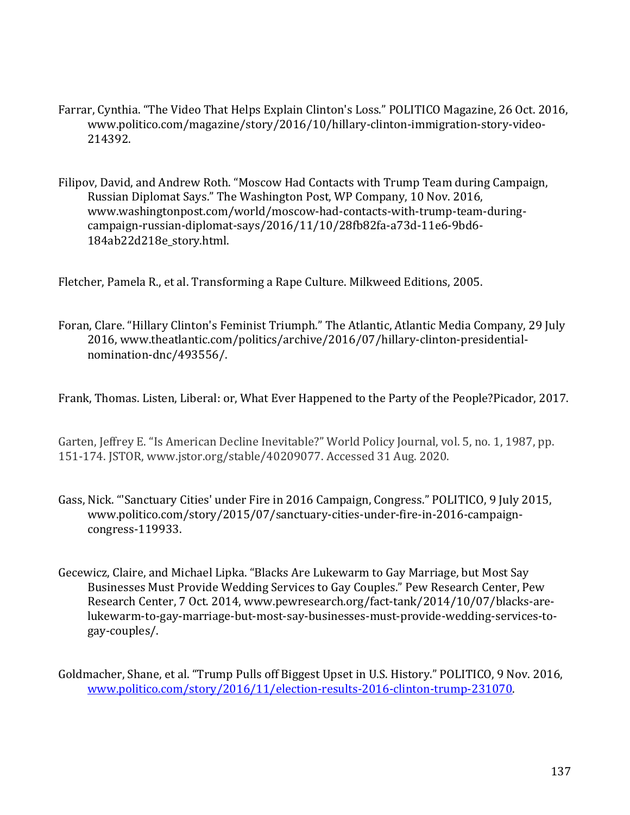- Farrar, Cynthia. "The Video That Helps Explain Clinton's Loss." POLITICO Magazine, 26 Oct. 2016, www.politico.com/magazine/story/2016/10/hillary-clinton-immigration-story-video-214392.
- Filipov, David, and Andrew Roth. "Moscow Had Contacts with Trump Team during Campaign, Russian Diplomat Says." The Washington Post, WP Company, 10 Nov. 2016, www.washingtonpost.com/world/moscow-had-contacts-with-trump-team-duringcampaign-russian-diplomat-says/2016/11/10/28fb82fa-a73d-11e6-9bd6- 184ab22d218e\_story.html.

Fletcher, Pamela R., et al. Transforming a Rape Culture. Milkweed Editions, 2005.

Foran, Clare. "Hillary Clinton's Feminist Triumph." The Atlantic, Atlantic Media Company, 29 July 2016, www.theatlantic.com/politics/archive/2016/07/hillary-clinton-presidentialnomination-dnc/493556/.

Frank, Thomas. Listen, Liberal: or, What Ever Happened to the Party of the People?Picador, 2017.

Garten, Jeffrey E. "Is American Decline Inevitable?" World Policy Journal, vol. 5, no. 1, 1987, pp. 151-174. JSTOR, www.jstor.org/stable/40209077. Accessed 31 Aug. 2020.

- Gass, Nick. "'Sanctuary Cities' under Fire in 2016 Campaign, Congress." POLITICO, 9 July 2015, www.politico.com/story/2015/07/sanctuary-cities-under-fire-in-2016-campaigncongress-119933.
- Gecewicz, Claire, and Michael Lipka. "Blacks Are Lukewarm to Gay Marriage, but Most Say Businesses Must Provide Wedding Services to Gay Couples." Pew Research Center, Pew Research Center, 7 Oct. 2014, www.pewresearch.org/fact-tank/2014/10/07/blacks-arelukewarm-to-gay-marriage-but-most-say-businesses-must-provide-wedding-services-togay-couples/.
- Goldmacher, Shane, et al. "Trump Pulls off Biggest Upset in U.S. History." POLITICO, 9 Nov. 2016, www.politico.com/story/2016/11/election-results-2016-clinton-trump-231070.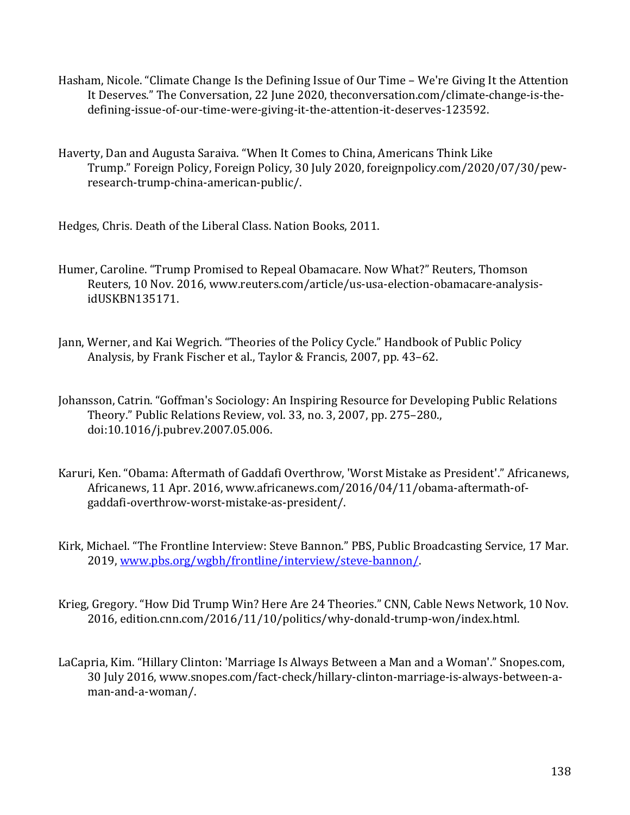- Hasham, Nicole. "Climate Change Is the Defining Issue of Our Time We're Giving It the Attention It Deserves." The Conversation, 22 June 2020, the conversation.com/climate-change-is-thedefining-issue-of-our-time-were-giving-it-the-attention-it-deserves-123592.
- Haverty, Dan and Augusta Saraiva. "When It Comes to China, Americans Think Like Trump." Foreign Policy, Foreign Policy, 30 July 2020, foreignpolicy.com/2020/07/30/pewresearch-trump-china-american-public/.

Hedges, Chris. Death of the Liberal Class. Nation Books, 2011.

- Humer, Caroline. "Trump Promised to Repeal Obamacare. Now What?" Reuters, Thomson Reuters, 10 Nov. 2016, www.reuters.com/article/us-usa-election-obamacare-analysisidUSKBN135171.
- Jann, Werner, and Kai Wegrich. "Theories of the Policy Cycle." Handbook of Public Policy Analysis, by Frank Fischer et al., Taylor & Francis, 2007, pp. 43-62.
- Johansson, Catrin. "Goffman's Sociology: An Inspiring Resource for Developing Public Relations Theory." Public Relations Review, vol. 33, no. 3, 2007, pp. 275–280., doi:10.1016/j.pubrev.2007.05.006.
- Karuri, Ken. "Obama: Aftermath of Gaddafi Overthrow, 'Worst Mistake as President'." Africanews, Africanews, 11 Apr. 2016, www.africanews.com/2016/04/11/obama-aftermath-ofgaddafi-overthrow-worst-mistake-as-president/.
- Kirk, Michael. "The Frontline Interview: Steve Bannon." PBS, Public Broadcasting Service, 17 Mar. 2019, www.pbs.org/wgbh/frontline/interview/steve-bannon/.
- Krieg, Gregory. "How Did Trump Win? Here Are 24 Theories." CNN, Cable News Network, 10 Nov. 2016, edition.cnn.com/2016/11/10/politics/why-donald-trump-won/index.html.
- LaCapria, Kim. "Hillary Clinton: 'Marriage Is Always Between a Man and a Woman'." Snopes.com, 30 July 2016, www.snopes.com/fact-check/hillary-clinton-marriage-is-always-between-aman-and-a-woman/.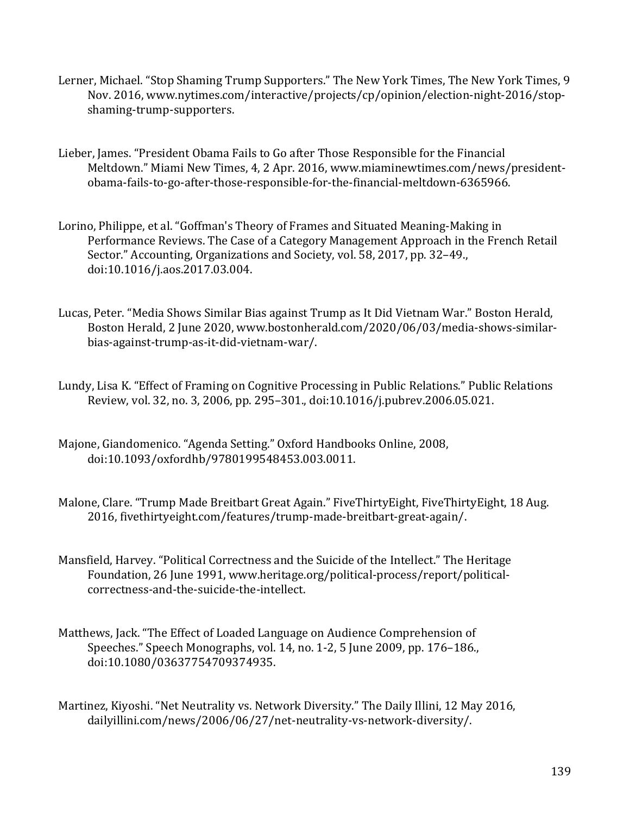- Lerner, Michael. "Stop Shaming Trump Supporters." The New York Times, The New York Times, 9 Nov. 2016, www.nytimes.com/interactive/projects/cp/opinion/election-night-2016/stopshaming-trump-supporters.
- Lieber, James. "President Obama Fails to Go after Those Responsible for the Financial Meltdown." Miami New Times, 4, 2 Apr. 2016, www.miaminewtimes.com/news/presidentobama-fails-to-go-after-those-responsible-for-the-financial-meltdown-6365966.
- Lorino, Philippe, et al. "Goffman's Theory of Frames and Situated Meaning-Making in Performance Reviews. The Case of a Category Management Approach in the French Retail Sector." Accounting, Organizations and Society, vol. 58, 2017, pp. 32-49., doi:10.1016/j.aos.2017.03.004.
- Lucas, Peter. "Media Shows Similar Bias against Trump as It Did Vietnam War." Boston Herald, Boston Herald, 2 June 2020, www.bostonherald.com/2020/06/03/media-shows-similarbias-against-trump-as-it-did-vietnam-war/.
- Lundy, Lisa K. "Effect of Framing on Cognitive Processing in Public Relations." Public Relations Review, vol. 32, no. 3, 2006, pp. 295-301., doi:10.1016/j.pubrev.2006.05.021.
- Majone, Giandomenico. "Agenda Setting." Oxford Handbooks Online, 2008, doi:10.1093/oxfordhb/9780199548453.003.0011.
- Malone, Clare. "Trump Made Breitbart Great Again." FiveThirtyEight, FiveThirtyEight, 18 Aug. 2016, fivethirtyeight.com/features/trump-made-breitbart-great-again/.
- Mansfield, Harvey. "Political Correctness and the Suicide of the Intellect." The Heritage Foundation, 26 June 1991, www.heritage.org/political-process/report/politicalcorrectness-and-the-suicide-the-intellect.
- Matthews, Jack. "The Effect of Loaded Language on Audience Comprehension of Speeches." Speech Monographs, vol. 14, no. 1-2, 5 June 2009, pp. 176-186., doi:10.1080/03637754709374935.
- Martinez, Kiyoshi. "Net Neutrality vs. Network Diversity." The Daily Illini, 12 May 2016, dailyillini.com/news/2006/06/27/net-neutrality-vs-network-diversity/.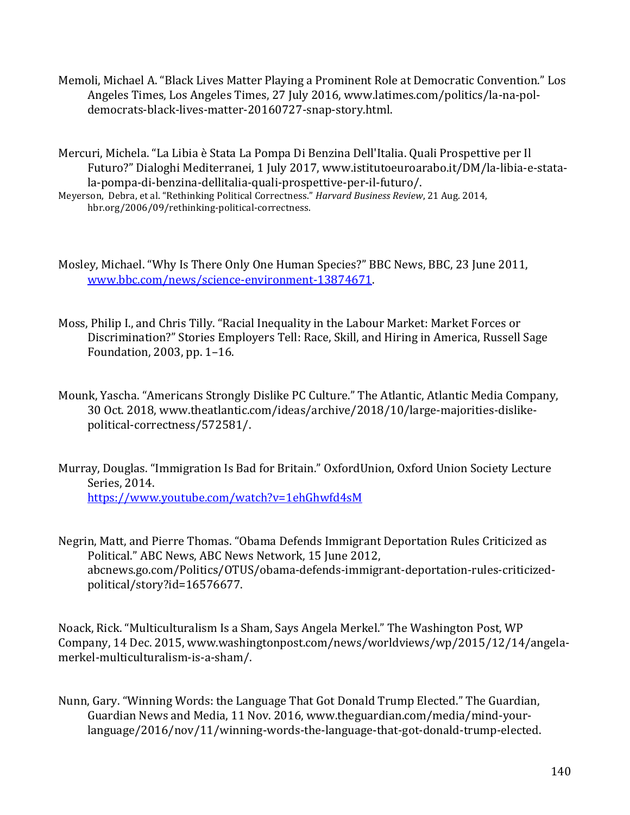- Memoli, Michael A. "Black Lives Matter Playing a Prominent Role at Democratic Convention." Los Angeles Times, Los Angeles Times, 27 July 2016, www.latimes.com/politics/la-na-poldemocrats-black-lives-matter-20160727-snap-story.html.
- Mercuri, Michela. "La Libia è Stata La Pompa Di Benzina Dell'Italia. Quali Prospettive per Il Futuro?" Dialoghi Mediterranei, 1 July 2017, www.istitutoeuroarabo.it/DM/la-libia-e-statala-pompa-di-benzina-dellitalia-quali-prospettive-per-il-futuro/.

Meyerson, Debra, et al. "Rethinking Political Correctness." *Harvard Business Review*, 21 Aug. 2014, hbr.org/2006/09/rethinking-political-correctness.

Mosley, Michael. "Why Is There Only One Human Species?" BBC News, BBC, 23 June 2011, www.bbc.com/news/science-environment-13874671.

- Moss, Philip I., and Chris Tilly. "Racial Inequality in the Labour Market: Market Forces or Discrimination?" Stories Employers Tell: Race, Skill, and Hiring in America, Russell Sage Foundation, 2003, pp. 1-16.
- Mounk, Yascha. "Americans Strongly Dislike PC Culture." The Atlantic, Atlantic Media Company, 30 Oct. 2018, www.theatlantic.com/ideas/archive/2018/10/large-majorities-dislikepolitical-correctness/572581/.
- Murray, Douglas. "Immigration Is Bad for Britain." OxfordUnion, Oxford Union Society Lecture Series, 2014. https://www.youtube.com/watch?v=1ehGhwfd4sM
- Negrin, Matt, and Pierre Thomas. "Obama Defends Immigrant Deportation Rules Criticized as Political." ABC News, ABC News Network, 15 June 2012, abcnews.go.com/Politics/OTUS/obama-defends-immigrant-deportation-rules-criticizedpolitical/story?id=16576677.

Noack, Rick. "Multiculturalism Is a Sham, Says Angela Merkel." The Washington Post, WP Company, 14 Dec. 2015, www.washingtonpost.com/news/worldviews/wp/2015/12/14/angelamerkel-multiculturalism-is-a-sham/.

Nunn, Gary. "Winning Words: the Language That Got Donald Trump Elected." The Guardian, Guardian News and Media, 11 Nov. 2016, www.theguardian.com/media/mind-yourlanguage/2016/nov/11/winning-words-the-language-that-got-donald-trump-elected.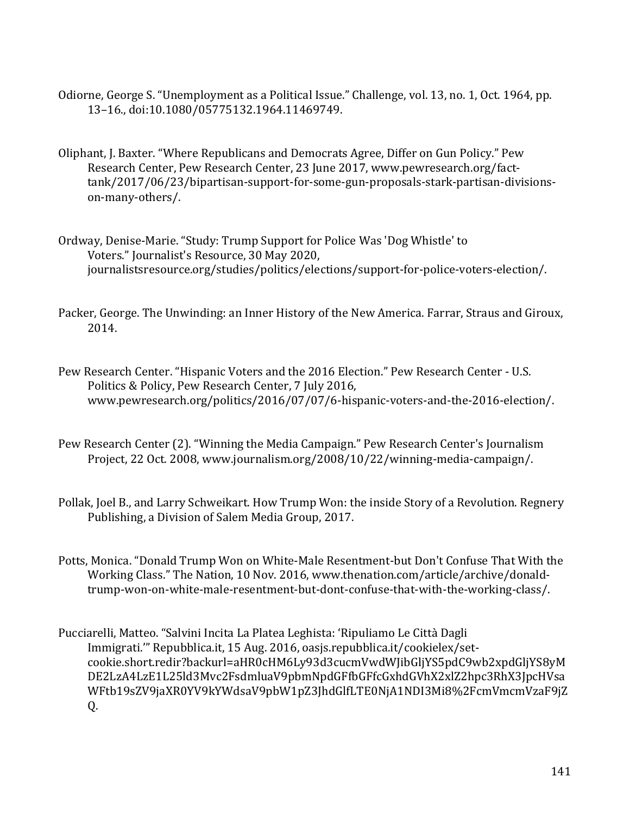- Odiorne, George S. "Unemployment as a Political Issue." Challenge, vol. 13, no. 1, Oct. 1964, pp. 13–16., doi:10.1080/05775132.1964.11469749.
- Oliphant, J. Baxter. "Where Republicans and Democrats Agree, Differ on Gun Policy." Pew Research Center, Pew Research Center, 23 June 2017, www.pewresearch.org/facttank/2017/06/23/bipartisan-support-for-some-gun-proposals-stark-partisan-divisionson-many-others/.
- Ordway, Denise-Marie. "Study: Trump Support for Police Was 'Dog Whistle' to Voters." Journalist's Resource, 30 May 2020, journalistsresource.org/studies/politics/elections/support-for-police-voters-election/.
- Packer, George. The Unwinding: an Inner History of the New America. Farrar, Straus and Giroux, 2014.
- Pew Research Center. "Hispanic Voters and the 2016 Election." Pew Research Center U.S. Politics & Policy, Pew Research Center, 7 July 2016, www.pewresearch.org/politics/2016/07/07/6-hispanic-voters-and-the-2016-election/.
- Pew Research Center (2). "Winning the Media Campaign." Pew Research Center's Journalism Project, 22 Oct. 2008, www.journalism.org/2008/10/22/winning-media-campaign/.
- Pollak, Joel B., and Larry Schweikart. How Trump Won: the inside Story of a Revolution. Regnery Publishing, a Division of Salem Media Group, 2017.
- Potts, Monica. "Donald Trump Won on White-Male Resentment-but Don't Confuse That With the Working Class." The Nation, 10 Nov. 2016, www.thenation.com/article/archive/donaldtrump-won-on-white-male-resentment-but-dont-confuse-that-with-the-working-class/.
- Pucciarelli, Matteo. "Salvini Incita La Platea Leghista: 'Ripuliamo Le Città Dagli Immigrati." Repubblica.it, 15 Aug. 2016, oasjs.repubblica.it/cookielex/setcookie.short.redir?backurl=aHR0cHM6Ly93d3cucmVwdWJibGljYS5pdC9wb2xpdGljYS8yM DE2LzA4LzE1L25ld3Mvc2FsdmluaV9pbmNpdGFfbGFfcGxhdGVhX2xlZ2hpc3RhX3JpcHVsa WFtb19sZV9jaXR0YV9kYWdsaV9pbW1pZ3JhdGlfLTE0NjA1NDI3Mi8%2FcmVmcmVzaF9jZ Q.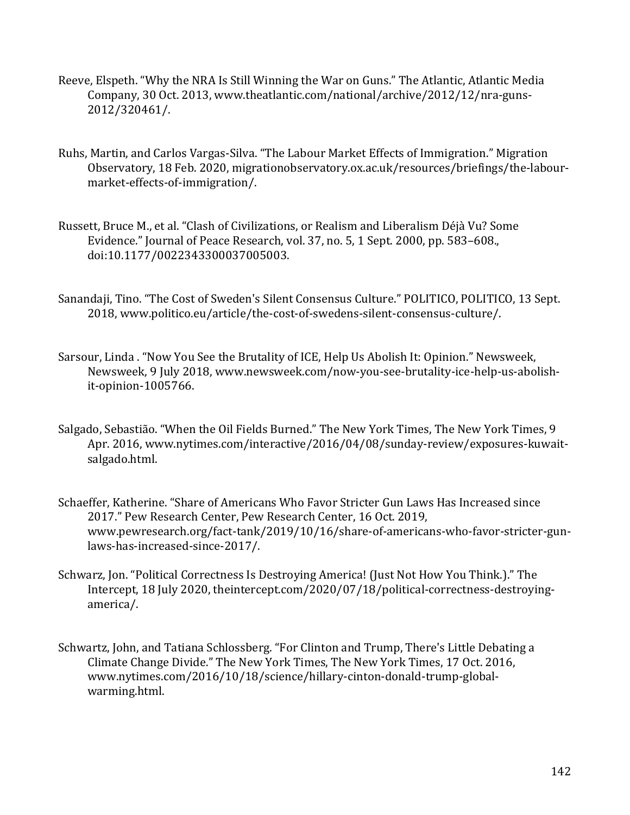- Reeve, Elspeth. "Why the NRA Is Still Winning the War on Guns." The Atlantic, Atlantic Media Company, 30 Oct. 2013, www.theatlantic.com/national/archive/2012/12/nra-guns-2012/320461/.
- Ruhs, Martin, and Carlos Vargas-Silva. "The Labour Market Effects of Immigration." Migration Observatory, 18 Feb. 2020, migrationobservatory.ox.ac.uk/resources/briefings/the-labourmarket-effects-of-immigration/.
- Russett, Bruce M., et al. "Clash of Civilizations, or Realism and Liberalism Déjà Vu? Some Evidence." Journal of Peace Research, vol.  $37$ , no.  $5$ , 1 Sept.  $2000$ , pp.  $583-608$ . doi:10.1177/0022343300037005003.
- Sanandaji, Tino. "The Cost of Sweden's Silent Consensus Culture." POLITICO, POLITICO, 13 Sept. 2018, www.politico.eu/article/the-cost-of-swedens-silent-consensus-culture/.
- Sarsour, Linda . "Now You See the Brutality of ICE, Help Us Abolish It: Opinion." Newsweek, Newsweek, 9 July 2018, www.newsweek.com/now-you-see-brutality-ice-help-us-abolishit-opinion-1005766.
- Salgado, Sebastião. "When the Oil Fields Burned." The New York Times, The New York Times, 9 Apr. 2016, www.nytimes.com/interactive/2016/04/08/sunday-review/exposures-kuwaitsalgado.html.
- Schaeffer, Katherine. "Share of Americans Who Favor Stricter Gun Laws Has Increased since 2017." Pew Research Center, Pew Research Center, 16 Oct. 2019, www.pewresearch.org/fact-tank/2019/10/16/share-of-americans-who-favor-stricter-gunlaws-has-increased-since-2017/.
- Schwarz, Jon. "Political Correctness Is Destroying America! (Just Not How You Think.)." The Intercept, 18 July 2020, theintercept.com/2020/07/18/political-correctness-destroyingamerica/.
- Schwartz, John, and Tatiana Schlossberg. "For Clinton and Trump, There's Little Debating a Climate Change Divide." The New York Times, The New York Times, 17 Oct. 2016, www.nytimes.com/2016/10/18/science/hillary-cinton-donald-trump-globalwarming.html.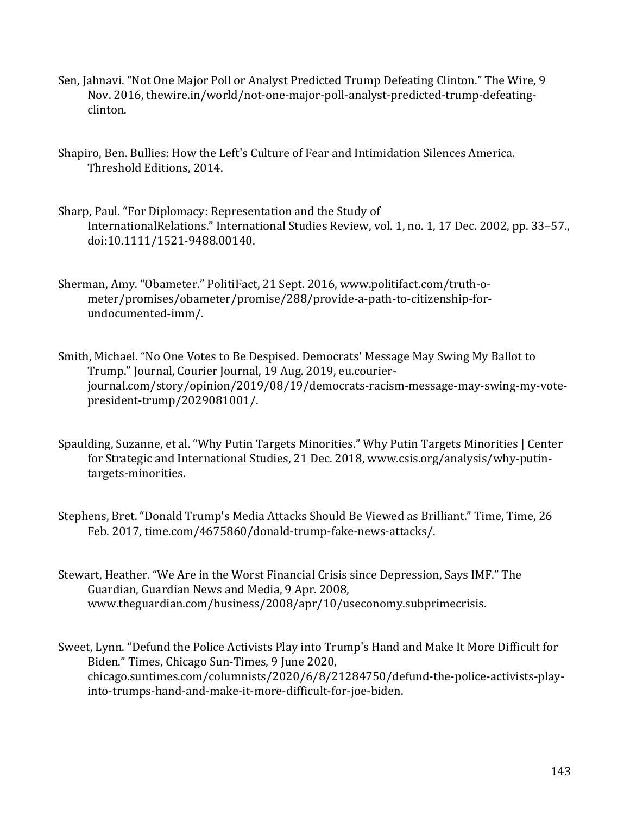- Sen, Jahnavi. "Not One Major Poll or Analyst Predicted Trump Defeating Clinton." The Wire, 9 Nov. 2016, thewire.in/world/not-one-major-poll-analyst-predicted-trump-defeatingclinton.
- Shapiro, Ben. Bullies: How the Left's Culture of Fear and Intimidation Silences America. Threshold Editions, 2014.
- Sharp, Paul. "For Diplomacy: Representation and the Study of InternationalRelations." International Studies Review, vol. 1, no. 1, 17 Dec. 2002, pp. 33-57., doi:10.1111/1521-9488.00140.
- Sherman, Amy. "Obameter." PolitiFact, 21 Sept. 2016, www.politifact.com/truth-ometer/promises/obameter/promise/288/provide-a-path-to-citizenship-forundocumented-imm/.
- Smith, Michael. "No One Votes to Be Despised. Democrats' Message May Swing My Ballot to Trump." Journal, Courier Journal, 19 Aug. 2019, eu.courierjournal.com/story/opinion/2019/08/19/democrats-racism-message-may-swing-my-votepresident-trump/2029081001/.
- Spaulding, Suzanne, et al. "Why Putin Targets Minorities." Why Putin Targets Minorities | Center for Strategic and International Studies, 21 Dec. 2018, www.csis.org/analysis/why-putintargets-minorities.
- Stephens, Bret. "Donald Trump's Media Attacks Should Be Viewed as Brilliant." Time, Time, 26 Feb. 2017, time.com/4675860/donald-trump-fake-news-attacks/.
- Stewart, Heather. "We Are in the Worst Financial Crisis since Depression, Says IMF." The Guardian, Guardian News and Media, 9 Apr. 2008, www.theguardian.com/business/2008/apr/10/useconomy.subprimecrisis.
- Sweet, Lynn. "Defund the Police Activists Play into Trump's Hand and Make It More Difficult for Biden." Times, Chicago Sun-Times, 9 June 2020, chicago.suntimes.com/columnists/2020/6/8/21284750/defund-the-police-activists-playinto-trumps-hand-and-make-it-more-difficult-for-joe-biden.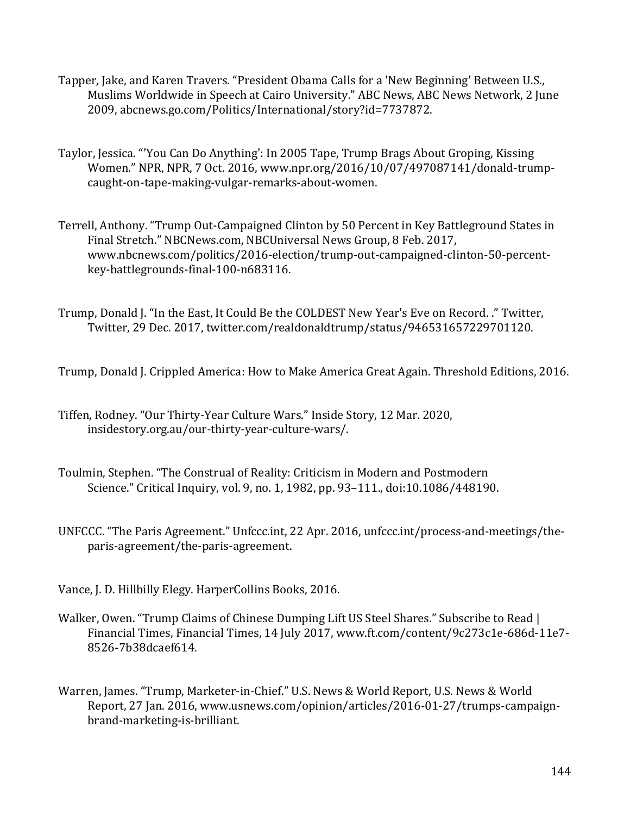- Tapper, Jake, and Karen Travers. "President Obama Calls for a 'New Beginning' Between U.S., Muslims Worldwide in Speech at Cairo University." ABC News, ABC News Network, 2 June 2009, abcnews.go.com/Politics/International/story?id=7737872.
- Taylor, Jessica. "'You Can Do Anything': In 2005 Tape, Trump Brags About Groping, Kissing Women." NPR, NPR, 7 Oct. 2016, www.npr.org/2016/10/07/497087141/donald-trumpcaught-on-tape-making-vulgar-remarks-about-women.
- Terrell, Anthony. "Trump Out-Campaigned Clinton by 50 Percent in Key Battleground States in Final Stretch." NBCNews.com, NBCUniversal News Group, 8 Feb. 2017, www.nbcnews.com/politics/2016-election/trump-out-campaigned-clinton-50-percentkey-battlegrounds-final-100-n683116.
- Trump, Donald J. "In the East, It Could Be the COLDEST New Year's Eve on Record. ." Twitter, Twitter, 29 Dec. 2017, twitter.com/realdonaldtrump/status/946531657229701120.

Trump, Donald J. Crippled America: How to Make America Great Again. Threshold Editions, 2016.

- Tiffen, Rodney. "Our Thirty-Year Culture Wars." Inside Story, 12 Mar. 2020, insidestory.org.au/our-thirty-year-culture-wars/.
- Toulmin, Stephen. "The Construal of Reality: Criticism in Modern and Postmodern Science." Critical Inquiry, vol. 9, no. 1, 1982, pp. 93-111., doi:10.1086/448190.
- UNFCCC. "The Paris Agreement." Unfccc.int, 22 Apr. 2016, unfccc.int/process-and-meetings/theparis-agreement/the-paris-agreement.
- Vance, J. D. Hillbilly Elegy. HarperCollins Books, 2016.
- Walker, Owen. "Trump Claims of Chinese Dumping Lift US Steel Shares." Subscribe to Read | Financial Times, Financial Times, 14 July 2017, www.ft.com/content/9c273c1e-686d-11e7-8526-7b38dcaef614.
- Warren, James. "Trump, Marketer-in-Chief." U.S. News & World Report, U.S. News & World Report, 27 Jan. 2016, www.usnews.com/opinion/articles/2016-01-27/trumps-campaignbrand-marketing-is-brilliant.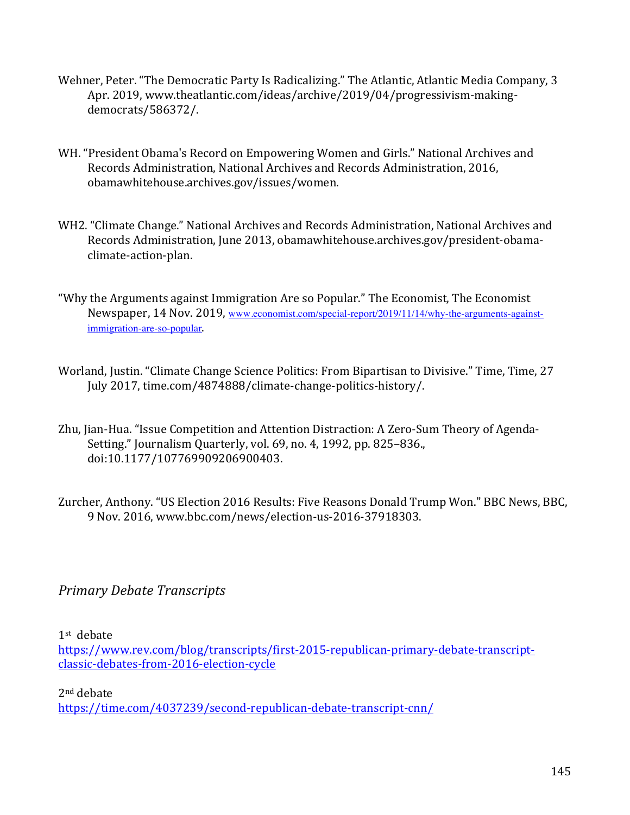- Wehner, Peter. "The Democratic Party Is Radicalizing." The Atlantic, Atlantic Media Company, 3 Apr. 2019, www.theatlantic.com/ideas/archive/2019/04/progressivism-makingdemocrats/586372/.
- WH. "President Obama's Record on Empowering Women and Girls." National Archives and Records Administration, National Archives and Records Administration, 2016, obamawhitehouse.archives.gov/issues/women.
- WH2. "Climate Change." National Archives and Records Administration, National Archives and Records Administration, June 2013, obamawhitehouse.archives.gov/president-obamaclimate-action-plan.
- "Why the Arguments against Immigration Are so Popular." The Economist, The Economist Newspaper, 14 Nov. 2019, www.economist.com/special-report/2019/11/14/why-the-arguments-againstimmigration-are-so-popular.
- Worland, Justin. "Climate Change Science Politics: From Bipartisan to Divisive." Time, Time, 27 July 2017, time.com/4874888/climate-change-politics-history/.
- Zhu, Jian-Hua. "Issue Competition and Attention Distraction: A Zero-Sum Theory of Agenda-Setting." Journalism Quarterly, vol.  $69$ , no.  $4$ , 1992, pp. 825–836. doi:10.1177/107769909206900403.
- Zurcher, Anthony. "US Election 2016 Results: Five Reasons Donald Trump Won." BBC News, BBC, 9 Nov. 2016, www.bbc.com/news/election-us-2016-37918303.

*Primary Debate Transcripts*

 $1<sup>st</sup>$  debate

https://www.rev.com/blog/transcripts/first-2015-republican-primary-debate-transcriptclassic-debates-from-2016-election-cycle

2<sup>nd</sup> debate

https://time.com/4037239/second-republican-debate-transcript-cnn/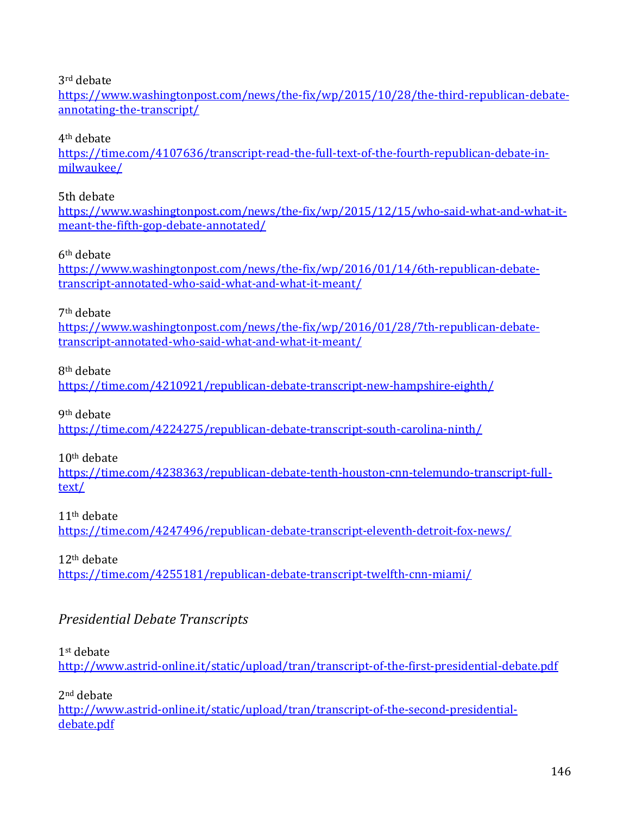3<sup>rd</sup> debate

https://www.washingtonpost.com/news/the-fix/wp/2015/10/28/the-third-republican-debateannotating-the-transcript/

## 4<sup>th</sup> debate

https://time.com/4107636/transcript-read-the-full-text-of-the-fourth-republican-debate-inmilwaukee/

5th debate

https://www.washingtonpost.com/news/the-fix/wp/2015/12/15/who-said-what-and-what-itmeant-the-fifth-gop-debate-annotated/

6<sup>th</sup> debate

https://www.washingtonpost.com/news/the-fix/wp/2016/01/14/6th-republican-debatetranscript-annotated-who-said-what-and-what-it-meant/

7<sup>th</sup> debate

https://www.washingtonpost.com/news/the-fix/wp/2016/01/28/7th-republican-debatetranscript-annotated-who-said-what-and-what-it-meant/

8<sup>th</sup> debate

https://time.com/4210921/republican-debate-transcript-new-hampshire-eighth/

9<sup>th</sup> debate

https://time.com/4224275/republican-debate-transcript-south-carolina-ninth/

 $10<sup>th</sup>$  debate

https://time.com/4238363/republican-debate-tenth-houston-cnn-telemundo-transcript-fulltext/

11<sup>th</sup> debate

https://time.com/4247496/republican-debate-transcript-eleventh-detroit-fox-news/

 $12<sup>th</sup>$  debate

https://time.com/4255181/republican-debate-transcript-twelfth-cnn-miami/

# *Presidential Debate Transcripts*

1<sup>st</sup> debate

http://www.astrid-online.it/static/upload/tran/transcript-of-the-first-presidential-debate.pdf

2<sup>nd</sup> debate

http://www.astrid-online.it/static/upload/tran/transcript-of-the-second-presidentialdebate.pdf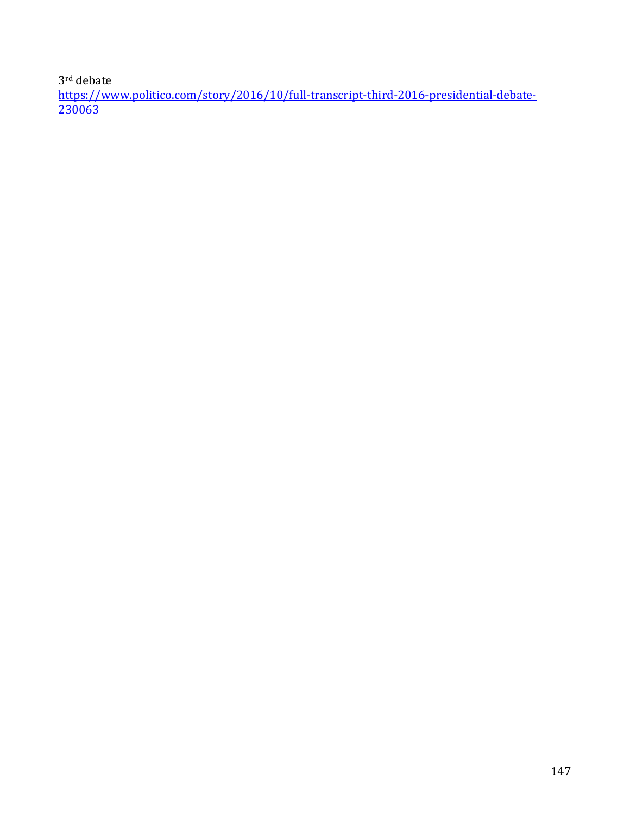$3^{\rm rd}$  debate

https://www.politico.com/story/2016/10/full-transcript-third-2016-presidential-debate-230063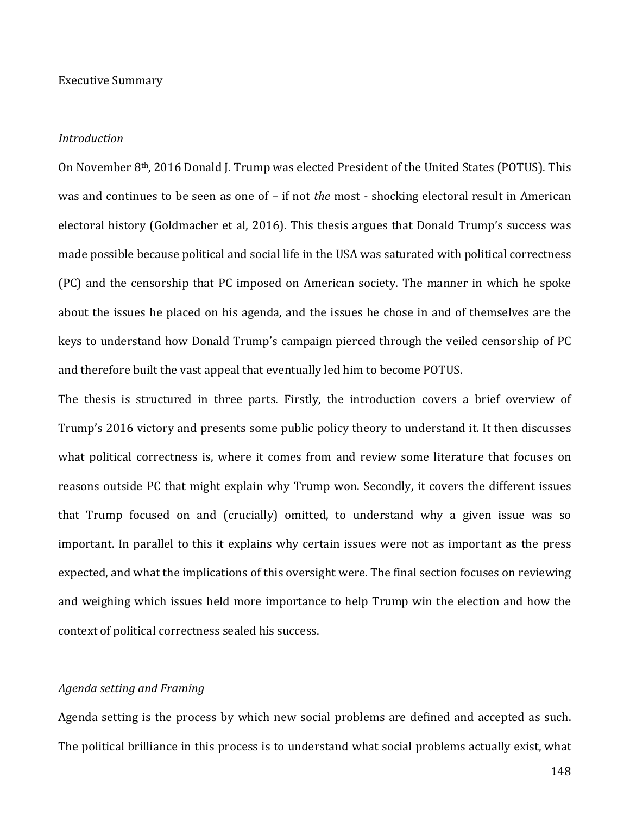## *Introduction*

On November  $8<sup>th</sup>$ , 2016 Donald J. Trump was elected President of the United States (POTUS). This was and continues to be seen as one of – if not *the* most - shocking electoral result in American electoral history (Goldmacher et al, 2016). This thesis argues that Donald Trump's success was made possible because political and social life in the USA was saturated with political correctness (PC) and the censorship that PC imposed on American society. The manner in which he spoke about the issues he placed on his agenda, and the issues he chose in and of themselves are the keys to understand how Donald Trump's campaign pierced through the veiled censorship of PC and therefore built the vast appeal that eventually led him to become POTUS.

The thesis is structured in three parts. Firstly, the introduction covers a brief overview of Trump's 2016 victory and presents some public policy theory to understand it. It then discusses what political correctness is, where it comes from and review some literature that focuses on reasons outside PC that might explain why Trump won. Secondly, it covers the different issues that Trump focused on and (crucially) omitted, to understand why a given issue was so important. In parallel to this it explains why certain issues were not as important as the press expected, and what the implications of this oversight were. The final section focuses on reviewing and weighing which issues held more importance to help Trump win the election and how the context of political correctness sealed his success.

## *Agenda setting and Framing*

Agenda setting is the process by which new social problems are defined and accepted as such. The political brilliance in this process is to understand what social problems actually exist, what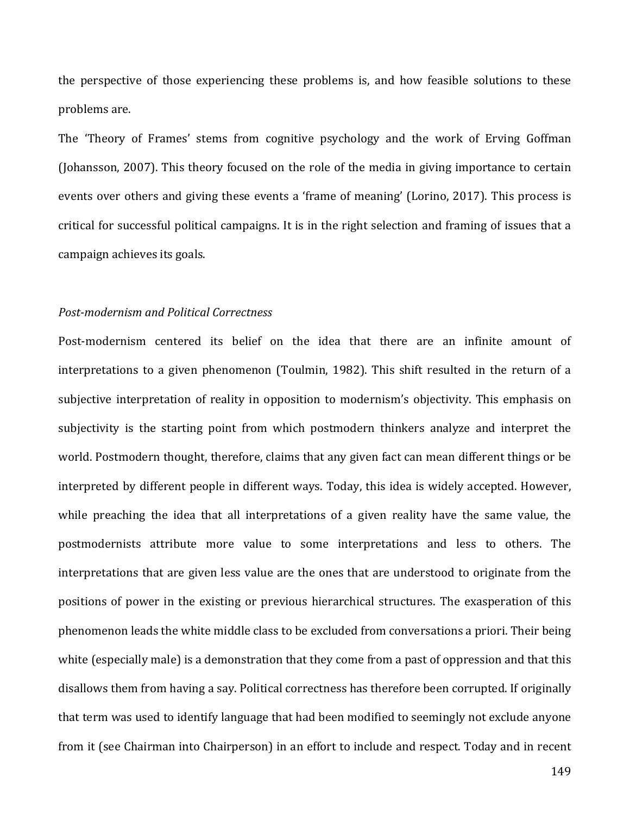the perspective of those experiencing these problems is, and how feasible solutions to these problems are.

The 'Theory of Frames' stems from cognitive psychology and the work of Erving Goffman (Johansson, 2007). This theory focused on the role of the media in giving importance to certain events over others and giving these events a 'frame of meaning' (Lorino, 2017). This process is critical for successful political campaigns. It is in the right selection and framing of issues that a campaign achieves its goals.

## *Post-modernism and Political Correctness*

Post-modernism centered its belief on the idea that there are an infinite amount of interpretations to a given phenomenon (Toulmin, 1982). This shift resulted in the return of a subjective interpretation of reality in opposition to modernism's objectivity. This emphasis on subjectivity is the starting point from which postmodern thinkers analyze and interpret the world. Postmodern thought, therefore, claims that any given fact can mean different things or be interpreted by different people in different ways. Today, this idea is widely accepted. However, while preaching the idea that all interpretations of a given reality have the same value, the postmodernists attribute more value to some interpretations and less to others. The interpretations that are given less value are the ones that are understood to originate from the positions of power in the existing or previous hierarchical structures. The exasperation of this phenomenon leads the white middle class to be excluded from conversations a priori. Their being white (especially male) is a demonstration that they come from a past of oppression and that this disallows them from having a say. Political correctness has therefore been corrupted. If originally that term was used to identify language that had been modified to seemingly not exclude anyone from it (see Chairman into Chairperson) in an effort to include and respect. Today and in recent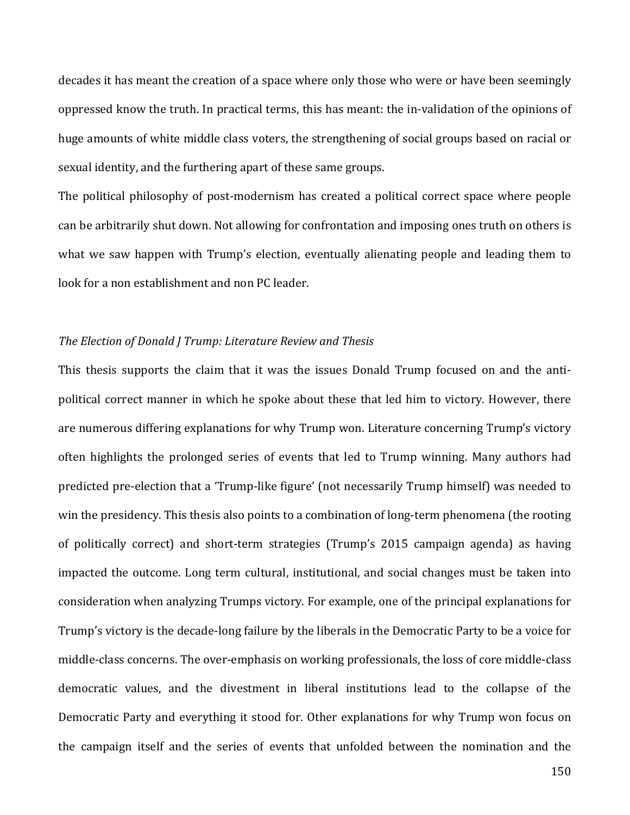decades it has meant the creation of a space where only those who were or have been seemingly oppressed know the truth. In practical terms, this has meant: the in-validation of the opinions of huge amounts of white middle class voters, the strengthening of social groups based on racial or sexual identity, and the furthering apart of these same groups.

The political philosophy of post-modernism has created a political correct space where people can be arbitrarily shut down. Not allowing for confrontation and imposing ones truth on others is what we saw happen with Trump's election, eventually alienating people and leading them to look for a non establishment and non PC leader.

#### The Election of Donald J Trump: Literature Review and Thesis

This thesis supports the claim that it was the issues Donald Trump focused on and the antipolitical correct manner in which he spoke about these that led him to victory. However, there are numerous differing explanations for why Trump won. Literature concerning Trump's victory often highlights the prolonged series of events that led to Trump winning. Many authors had predicted pre-election that a 'Trump-like figure' (not necessarily Trump himself) was needed to win the presidency. This thesis also points to a combination of long-term phenomena (the rooting of politically correct) and short-term strategies (Trump's 2015 campaign agenda) as having impacted the outcome. Long term cultural, institutional, and social changes must be taken into consideration when analyzing Trumps victory. For example, one of the principal explanations for Trump's victory is the decade-long failure by the liberals in the Democratic Party to be a voice for middle-class concerns. The over-emphasis on working professionals, the loss of core middle-class democratic values, and the divestment in liberal institutions lead to the collapse of the Democratic Party and everything it stood for. Other explanations for why Trump won focus on the campaign itself and the series of events that unfolded between the nomination and the

150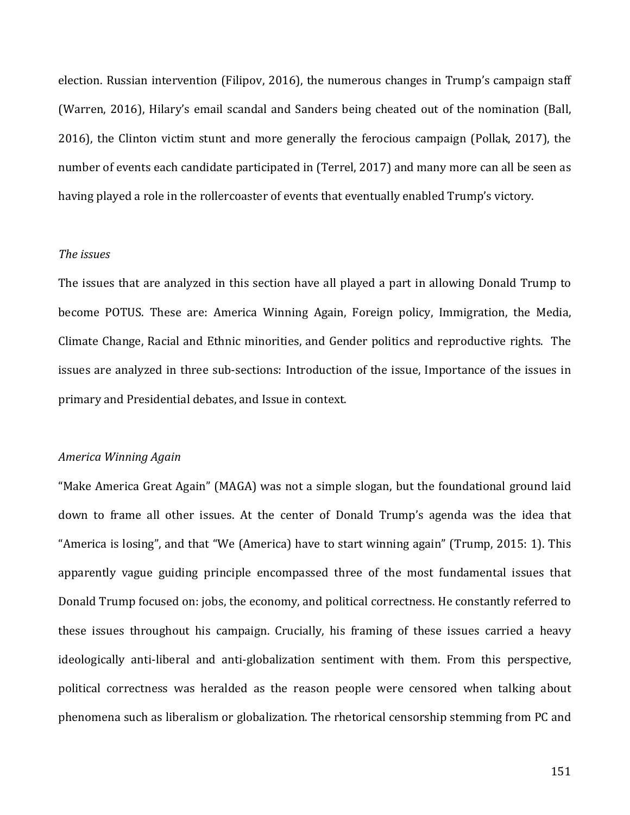election. Russian intervention (Filipov, 2016), the numerous changes in Trump's campaign staff (Warren, 2016), Hilary's email scandal and Sanders being cheated out of the nomination (Ball, 2016), the Clinton victim stunt and more generally the ferocious campaign (Pollak, 2017), the number of events each candidate participated in (Terrel, 2017) and many more can all be seen as having played a role in the rollercoaster of events that eventually enabled Trump's victory.

## *The issues*

The issues that are analyzed in this section have all played a part in allowing Donald Trump to become POTUS. These are: America Winning Again, Foreign policy, Immigration, the Media, Climate Change, Racial and Ethnic minorities, and Gender politics and reproductive rights. The issues are analyzed in three sub-sections: Introduction of the issue, Importance of the issues in primary and Presidential debates, and Issue in context.

## *America Winning Again*

"Make America Great Again" (MAGA) was not a simple slogan, but the foundational ground laid down to frame all other issues. At the center of Donald Trump's agenda was the idea that "America is losing", and that "We (America) have to start winning again" (Trump, 2015: 1). This apparently vague guiding principle encompassed three of the most fundamental issues that Donald Trump focused on: jobs, the economy, and political correctness. He constantly referred to these issues throughout his campaign. Crucially, his framing of these issues carried a heavy ideologically anti-liberal and anti-globalization sentiment with them. From this perspective, political correctness was heralded as the reason people were censored when talking about phenomena such as liberalism or globalization. The rhetorical censorship stemming from PC and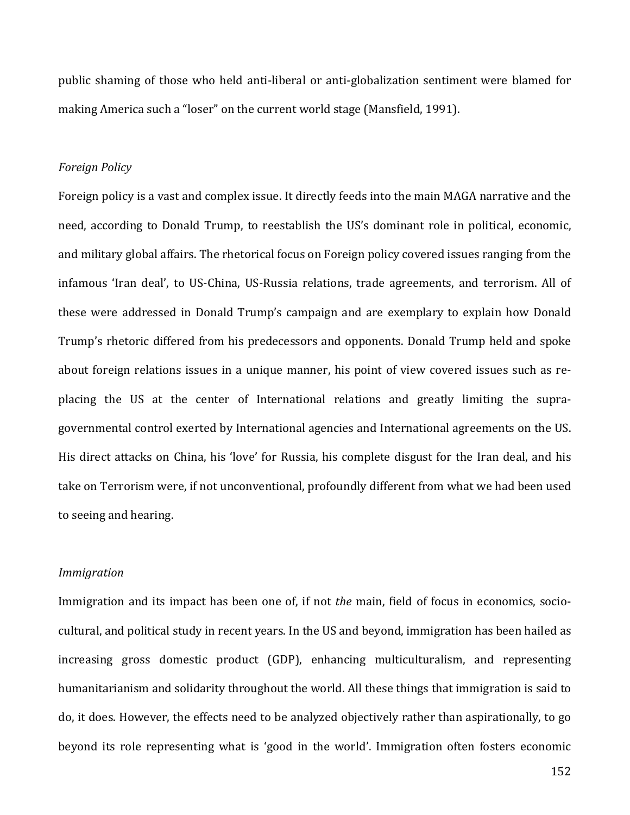public shaming of those who held anti-liberal or anti-globalization sentiment were blamed for making America such a "loser" on the current world stage (Mansfield, 1991).

#### *Foreign Policy*

Foreign policy is a vast and complex issue. It directly feeds into the main MAGA narrative and the need, according to Donald Trump, to reestablish the US's dominant role in political, economic, and military global affairs. The rhetorical focus on Foreign policy covered issues ranging from the infamous 'Iran deal', to US-China, US-Russia relations, trade agreements, and terrorism. All of these were addressed in Donald Trump's campaign and are exemplary to explain how Donald Trump's rhetoric differed from his predecessors and opponents. Donald Trump held and spoke about foreign relations issues in a unique manner, his point of view covered issues such as replacing the US at the center of International relations and greatly limiting the supragovernmental control exerted by International agencies and International agreements on the US. His direct attacks on China, his 'love' for Russia, his complete disgust for the Iran deal, and his take on Terrorism were, if not unconventional, profoundly different from what we had been used to seeing and hearing.

#### *Immigration*

Immigration and its impact has been one of, if not *the* main, field of focus in economics, sociocultural, and political study in recent years. In the US and beyond, immigration has been hailed as increasing gross domestic product (GDP), enhancing multiculturalism, and representing humanitarianism and solidarity throughout the world. All these things that immigration is said to do, it does. However, the effects need to be analyzed objectively rather than aspirationally, to go beyond its role representing what is 'good in the world'. Immigration often fosters economic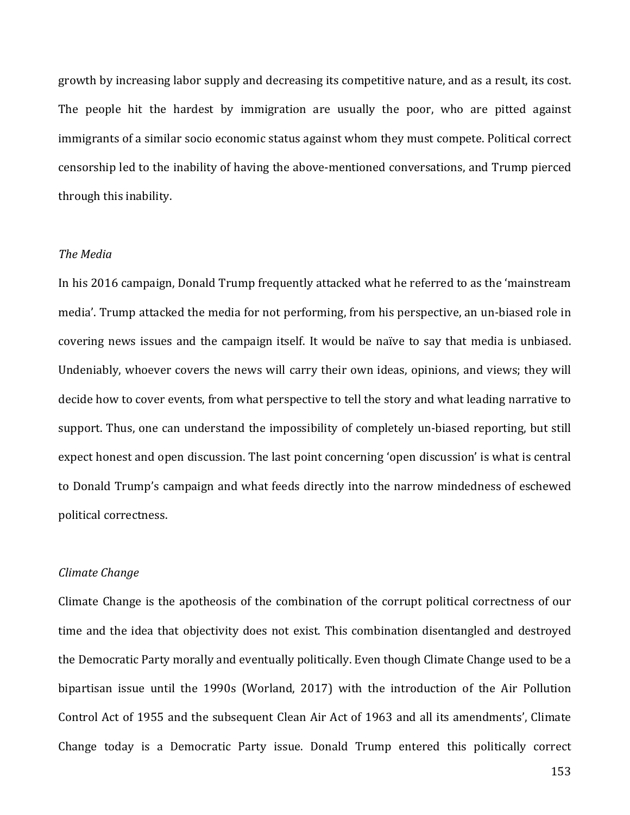growth by increasing labor supply and decreasing its competitive nature, and as a result, its cost. The people hit the hardest by immigration are usually the poor, who are pitted against immigrants of a similar socio economic status against whom they must compete. Political correct censorship led to the inability of having the above-mentioned conversations, and Trump pierced through this inability.

## *The Media*

In his 2016 campaign, Donald Trump frequently attacked what he referred to as the 'mainstream media'. Trump attacked the media for not performing, from his perspective, an un-biased role in covering news issues and the campaign itself. It would be naïve to say that media is unbiased. Undeniably, whoever covers the news will carry their own ideas, opinions, and views; they will decide how to cover events, from what perspective to tell the story and what leading narrative to support. Thus, one can understand the impossibility of completely un-biased reporting, but still expect honest and open discussion. The last point concerning 'open discussion' is what is central to Donald Trump's campaign and what feeds directly into the narrow mindedness of eschewed political correctness.

## *Climate Change*

Climate Change is the apotheosis of the combination of the corrupt political correctness of our time and the idea that objectivity does not exist. This combination disentangled and destroyed the Democratic Party morally and eventually politically. Even though Climate Change used to be a bipartisan issue until the 1990s (Worland, 2017) with the introduction of the Air Pollution Control Act of 1955 and the subsequent Clean Air Act of 1963 and all its amendments', Climate Change today is a Democratic Party issue. Donald Trump entered this politically correct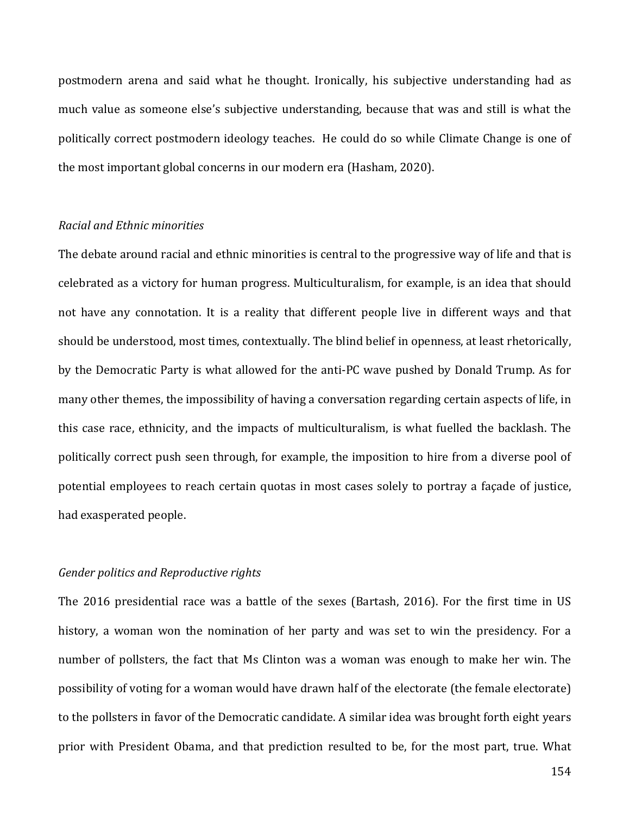postmodern arena and said what he thought. Ironically, his subjective understanding had as much value as someone else's subjective understanding, because that was and still is what the politically correct postmodern ideology teaches. He could do so while Climate Change is one of the most important global concerns in our modern era (Hasham, 2020).

#### *Racial and Ethnic minorities*

The debate around racial and ethnic minorities is central to the progressive way of life and that is celebrated as a victory for human progress. Multiculturalism, for example, is an idea that should not have any connotation. It is a reality that different people live in different ways and that should be understood, most times, contextually. The blind belief in openness, at least rhetorically, by the Democratic Party is what allowed for the anti-PC wave pushed by Donald Trump. As for many other themes, the impossibility of having a conversation regarding certain aspects of life, in this case race, ethnicity, and the impacts of multiculturalism, is what fuelled the backlash. The politically correct push seen through, for example, the imposition to hire from a diverse pool of potential employees to reach certain quotas in most cases solely to portray a façade of justice, had exasperated people.

#### *Gender politics and Reproductive rights*

The 2016 presidential race was a battle of the sexes (Bartash, 2016). For the first time in US history, a woman won the nomination of her party and was set to win the presidency. For a number of pollsters, the fact that Ms Clinton was a woman was enough to make her win. The possibility of voting for a woman would have drawn half of the electorate (the female electorate) to the pollsters in favor of the Democratic candidate. A similar idea was brought forth eight years prior with President Obama, and that prediction resulted to be, for the most part, true. What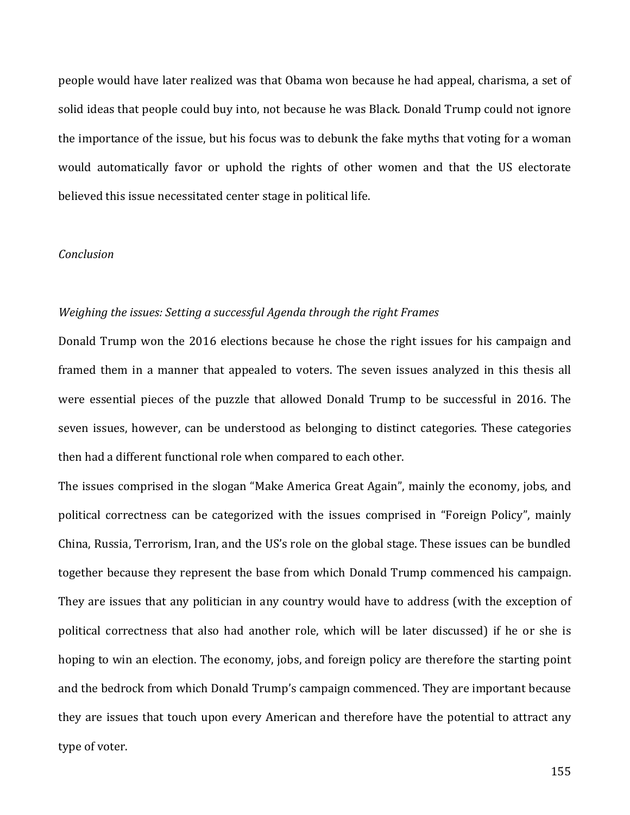people would have later realized was that Obama won because he had appeal, charisma, a set of solid ideas that people could buy into, not because he was Black. Donald Trump could not ignore the importance of the issue, but his focus was to debunk the fake myths that voting for a woman would automatically favor or uphold the rights of other women and that the US electorate believed this issue necessitated center stage in political life.

## *Conclusion*

## *Weighing the issues: Setting a successful Agenda through the right Frames*

Donald Trump won the 2016 elections because he chose the right issues for his campaign and framed them in a manner that appealed to voters. The seven issues analyzed in this thesis all were essential pieces of the puzzle that allowed Donald Trump to be successful in 2016. The seven issues, however, can be understood as belonging to distinct categories. These categories then had a different functional role when compared to each other.

The issues comprised in the slogan "Make America Great Again", mainly the economy, jobs, and political correctness can be categorized with the issues comprised in "Foreign Policy", mainly China, Russia, Terrorism, Iran, and the US's role on the global stage. These issues can be bundled together because they represent the base from which Donald Trump commenced his campaign. They are issues that any politician in any country would have to address (with the exception of political correctness that also had another role, which will be later discussed) if he or she is hoping to win an election. The economy, jobs, and foreign policy are therefore the starting point and the bedrock from which Donald Trump's campaign commenced. They are important because they are issues that touch upon every American and therefore have the potential to attract any type of voter.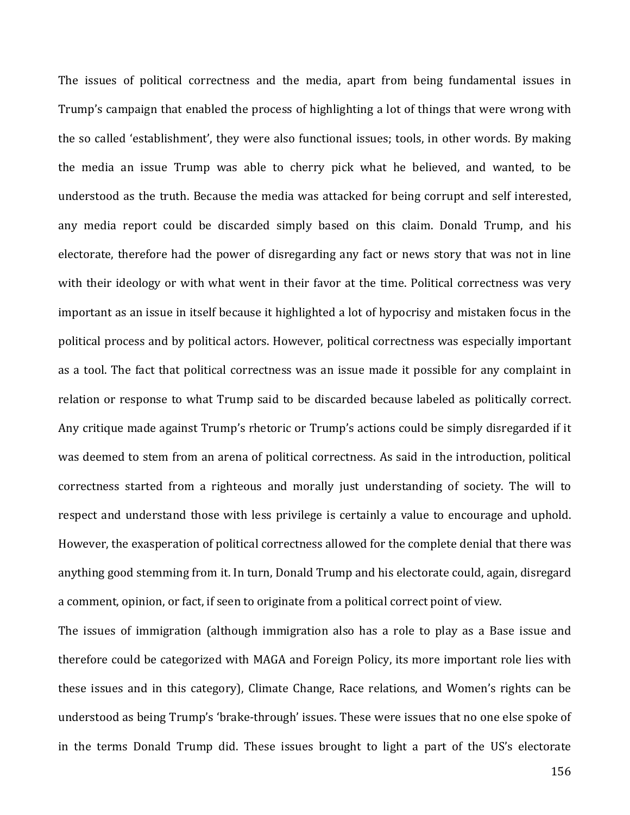The issues of political correctness and the media, apart from being fundamental issues in Trump's campaign that enabled the process of highlighting a lot of things that were wrong with the so called 'establishment', they were also functional issues; tools, in other words. By making the media an issue Trump was able to cherry pick what he believed, and wanted, to be understood as the truth. Because the media was attacked for being corrupt and self interested, any media report could be discarded simply based on this claim. Donald Trump, and his electorate, therefore had the power of disregarding any fact or news story that was not in line with their ideology or with what went in their favor at the time. Political correctness was very important as an issue in itself because it highlighted a lot of hypocrisy and mistaken focus in the political process and by political actors. However, political correctness was especially important as a tool. The fact that political correctness was an issue made it possible for any complaint in relation or response to what Trump said to be discarded because labeled as politically correct. Any critique made against Trump's rhetoric or Trump's actions could be simply disregarded if it was deemed to stem from an arena of political correctness. As said in the introduction, political correctness started from a righteous and morally just understanding of society. The will to respect and understand those with less privilege is certainly a value to encourage and uphold. However, the exasperation of political correctness allowed for the complete denial that there was anything good stemming from it. In turn, Donald Trump and his electorate could, again, disregard a comment, opinion, or fact, if seen to originate from a political correct point of view.

The issues of immigration (although immigration also has a role to play as a Base issue and therefore could be categorized with MAGA and Foreign Policy, its more important role lies with these issues and in this category), Climate Change, Race relations, and Women's rights can be understood as being Trump's 'brake-through' issues. These were issues that no one else spoke of in the terms Donald Trump did. These issues brought to light a part of the US's electorate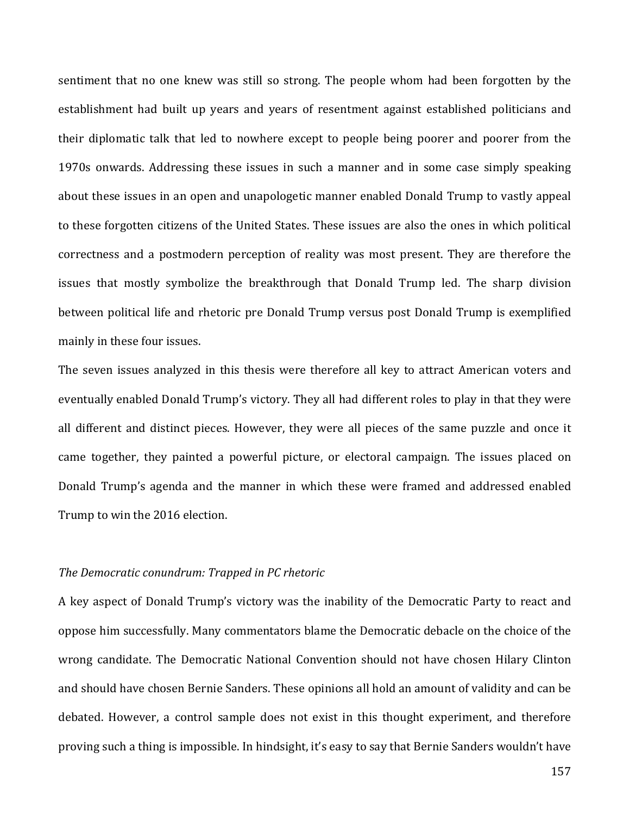sentiment that no one knew was still so strong. The people whom had been forgotten by the establishment had built up years and years of resentment against established politicians and their diplomatic talk that led to nowhere except to people being poorer and poorer from the 1970s onwards. Addressing these issues in such a manner and in some case simply speaking about these issues in an open and unapologetic manner enabled Donald Trump to vastly appeal to these forgotten citizens of the United States. These issues are also the ones in which political correctness and a postmodern perception of reality was most present. They are therefore the issues that mostly symbolize the breakthrough that Donald Trump led. The sharp division between political life and rhetoric pre Donald Trump versus post Donald Trump is exemplified mainly in these four issues.

The seven issues analyzed in this thesis were therefore all key to attract American voters and eventually enabled Donald Trump's victory. They all had different roles to play in that they were all different and distinct pieces. However, they were all pieces of the same puzzle and once it came together, they painted a powerful picture, or electoral campaign. The issues placed on Donald Trump's agenda and the manner in which these were framed and addressed enabled Trump to win the 2016 election.

#### *The Democratic conundrum: Trapped in PC rhetoric*

A key aspect of Donald Trump's victory was the inability of the Democratic Party to react and oppose him successfully. Many commentators blame the Democratic debacle on the choice of the wrong candidate. The Democratic National Convention should not have chosen Hilary Clinton and should have chosen Bernie Sanders. These opinions all hold an amount of validity and can be debated. However, a control sample does not exist in this thought experiment, and therefore proving such a thing is impossible. In hindsight, it's easy to say that Bernie Sanders wouldn't have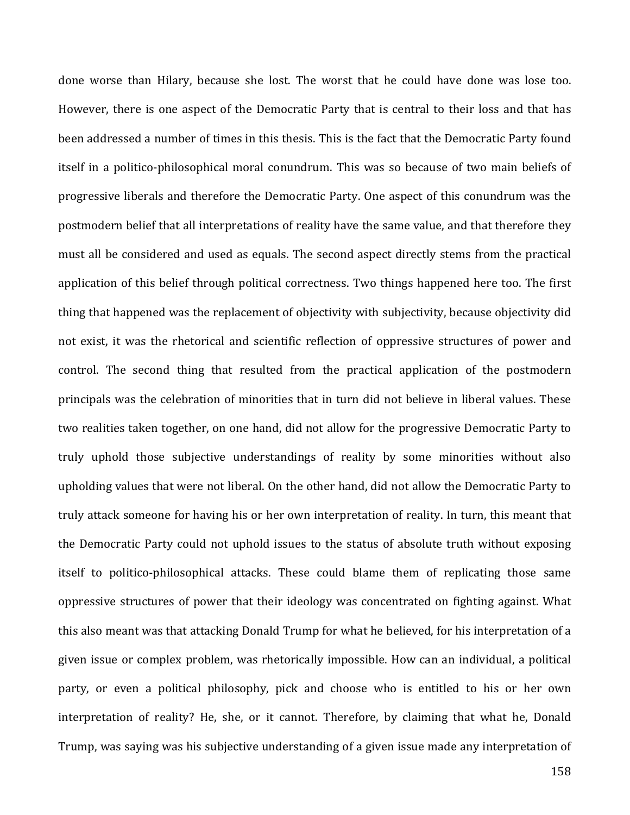done worse than Hilary, because she lost. The worst that he could have done was lose too. However, there is one aspect of the Democratic Party that is central to their loss and that has been addressed a number of times in this thesis. This is the fact that the Democratic Party found itself in a politico-philosophical moral conundrum. This was so because of two main beliefs of progressive liberals and therefore the Democratic Party. One aspect of this conundrum was the postmodern belief that all interpretations of reality have the same value, and that therefore they must all be considered and used as equals. The second aspect directly stems from the practical application of this belief through political correctness. Two things happened here too. The first thing that happened was the replacement of objectivity with subjectivity, because objectivity did not exist, it was the rhetorical and scientific reflection of oppressive structures of power and control. The second thing that resulted from the practical application of the postmodern principals was the celebration of minorities that in turn did not believe in liberal values. These two realities taken together, on one hand, did not allow for the progressive Democratic Party to truly uphold those subjective understandings of reality by some minorities without also upholding values that were not liberal. On the other hand, did not allow the Democratic Party to truly attack someone for having his or her own interpretation of reality. In turn, this meant that the Democratic Party could not uphold issues to the status of absolute truth without exposing itself to politico-philosophical attacks. These could blame them of replicating those same oppressive structures of power that their ideology was concentrated on fighting against. What this also meant was that attacking Donald Trump for what he believed, for his interpretation of a given issue or complex problem, was rhetorically impossible. How can an individual, a political party, or even a political philosophy, pick and choose who is entitled to his or her own interpretation of reality? He, she, or it cannot. Therefore, by claiming that what he, Donald Trump, was saying was his subjective understanding of a given issue made any interpretation of